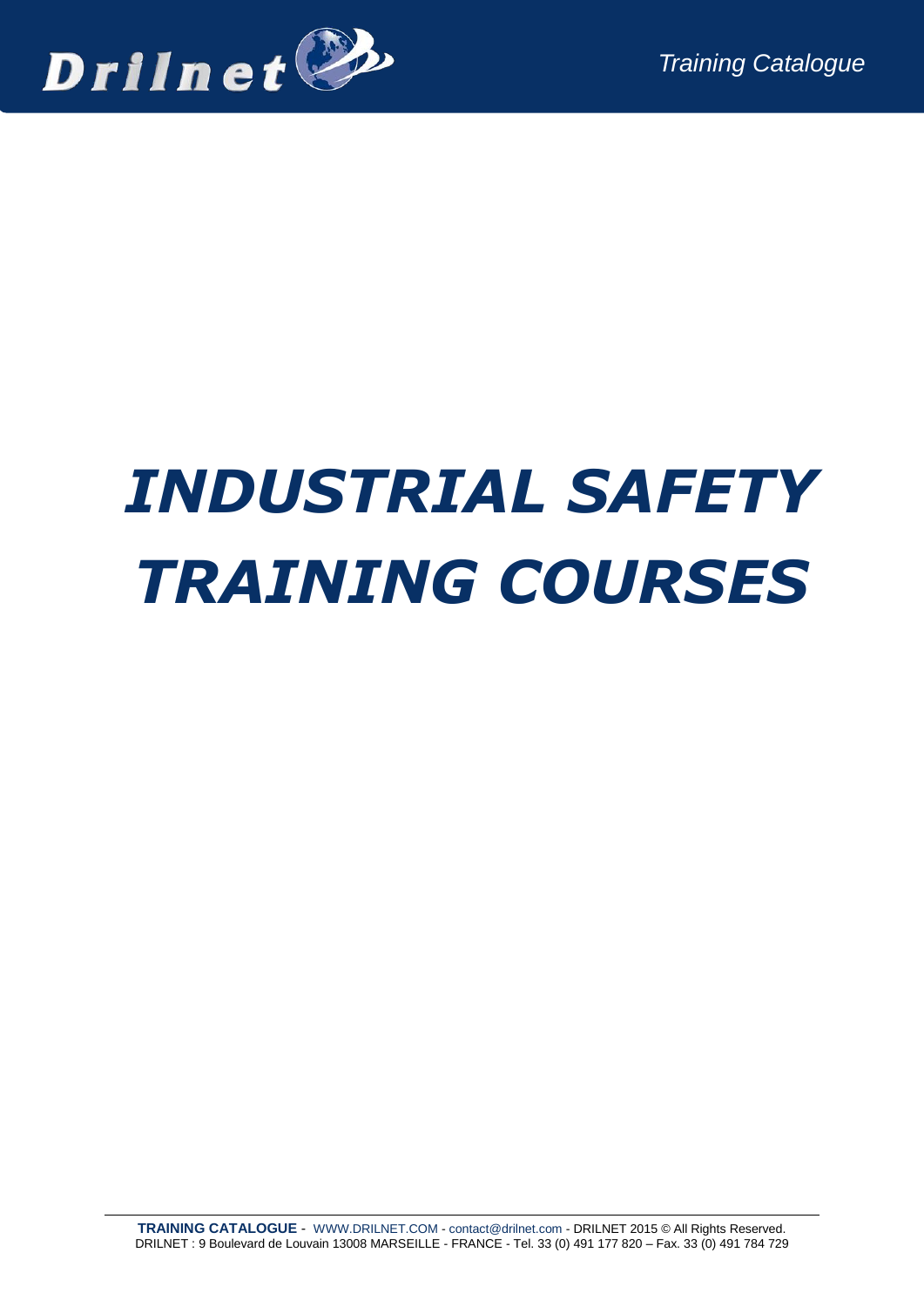

# *INDUSTRIAL SAFETY TRAINING COURSES*

**TRAINING CATALOGUE** - [WWW.DRILNET.COM](http://www.drilnet.com/) - [contact@drilnet.com](mailto:contact@drilnet.com) - DRILNET 2015 © All Rights Reserved. DRILNET : 9 Boulevard de Louvain 13008 MARSEILLE - FRANCE - Tel. 33 (0) 491 177 820 – Fax. 33 (0) 491 784 729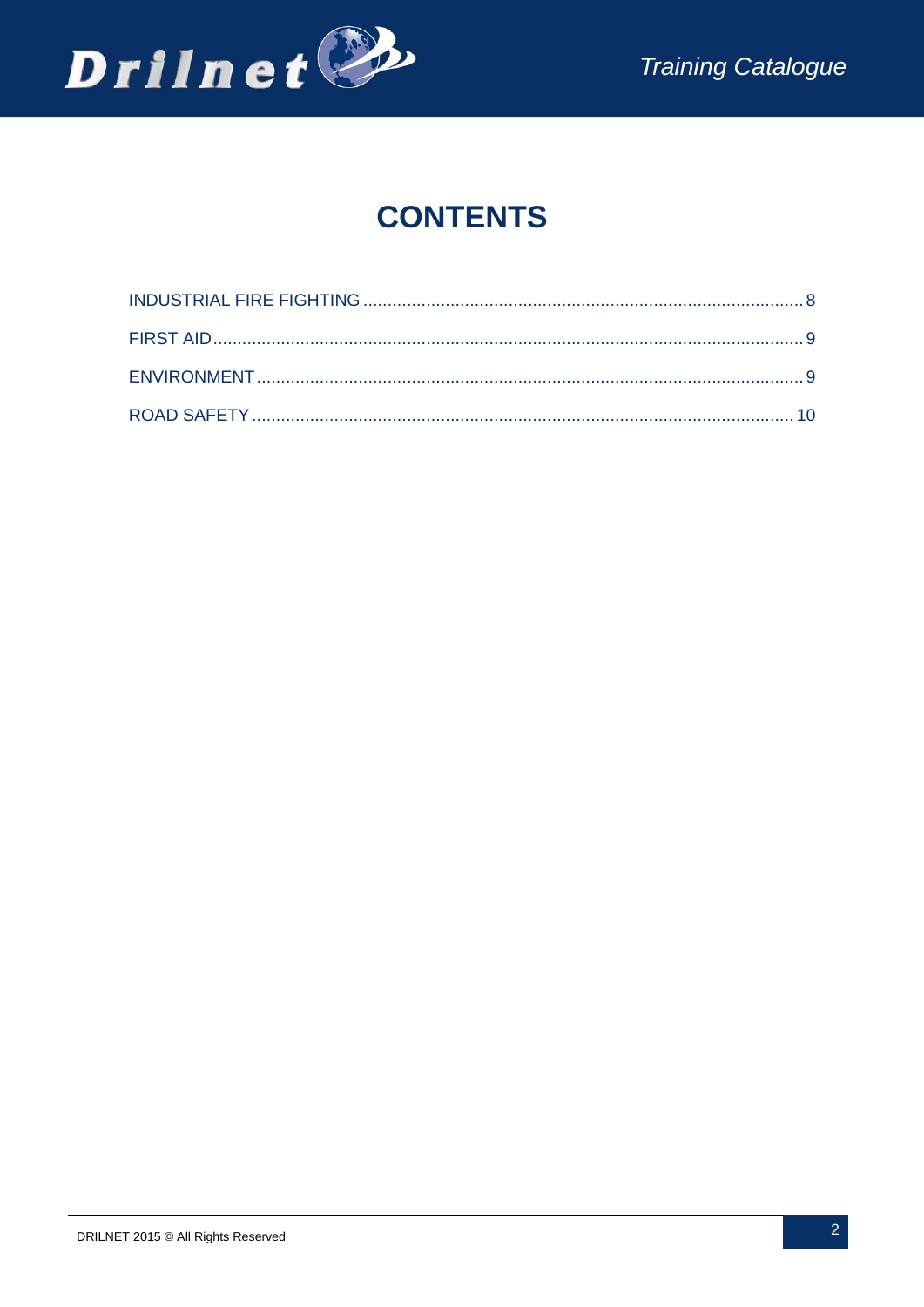

# **CONTENTS**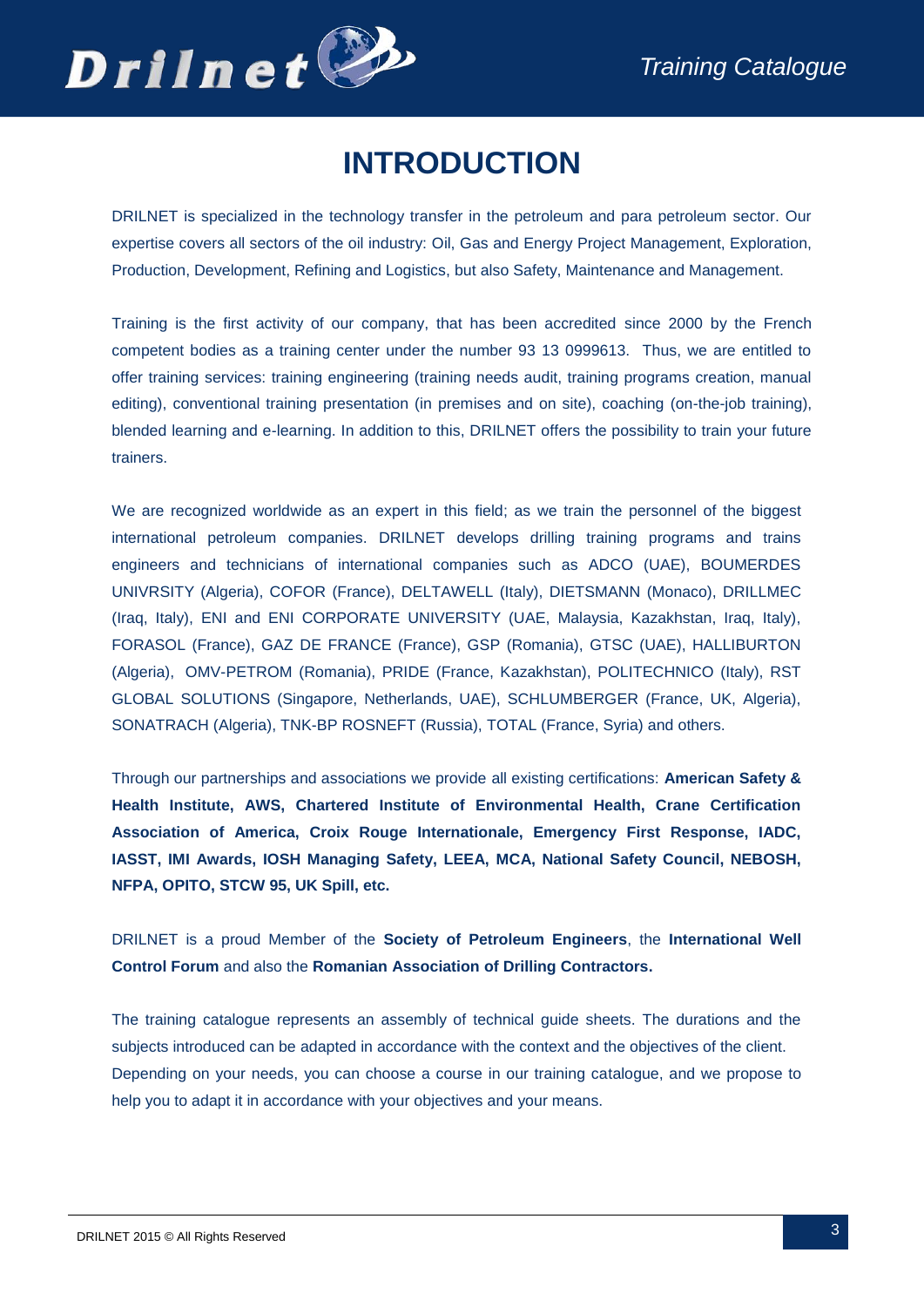

# **INTRODUCTION**

DRILNET is specialized in the technology transfer in the petroleum and para petroleum sector. Our expertise covers all sectors of the oil industry: Oil, Gas and Energy Project Management, Exploration, Production, Development, Refining and Logistics, but also Safety, Maintenance and Management.

Training is the first activity of our company, that has been accredited since 2000 by the French competent bodies as a training center under the number 93 13 0999613. Thus, we are entitled to offer training services: training engineering (training needs audit, training programs creation, manual editing), conventional training presentation (in premises and on site), coaching (on-the-job training), blended learning and e-learning. In addition to this, DRILNET offers the possibility to train your future trainers.

We are recognized worldwide as an expert in this field; as we train the personnel of the biggest international petroleum companies. DRILNET develops drilling training programs and trains engineers and technicians of international companies such as ADCO (UAE), BOUMERDES UNIVRSITY (Algeria), COFOR (France), DELTAWELL (Italy), DIETSMANN (Monaco), DRILLMEC (Iraq, Italy), ENI and ENI CORPORATE UNIVERSITY (UAE, Malaysia, Kazakhstan, Iraq, Italy), FORASOL (France), GAZ DE FRANCE (France), GSP (Romania), GTSC (UAE), HALLIBURTON (Algeria), OMV-PETROM (Romania), PRIDE (France, Kazakhstan), POLITECHNICO (Italy), RST GLOBAL SOLUTIONS (Singapore, Netherlands, UAE), SCHLUMBERGER (France, UK, Algeria), SONATRACH (Algeria), TNK-BP ROSNEFT (Russia), TOTAL (France, Syria) and others.

Through our partnerships and associations we provide all existing certifications: **American Safety & Health Institute, AWS, Chartered Institute of Environmental Health, Crane Certification Association of America, Croix Rouge Internationale, Emergency First Response, IADC, IASST, IMI Awards, IOSH Managing Safety, LEEA, MCA, National Safety Council, NEBOSH, NFPA, OPITO, STCW 95, UK Spill, etc.**

DRILNET is a proud Member of the **Society of Petroleum Engineers**, the **International Well Control Forum** and also the **Romanian Association of Drilling Contractors.**

The training catalogue represents an assembly of technical guide sheets. The durations and the subjects introduced can be adapted in accordance with the context and the objectives of the client. Depending on your needs, you can choose a course in our training catalogue, and we propose to help you to adapt it in accordance with your objectives and your means.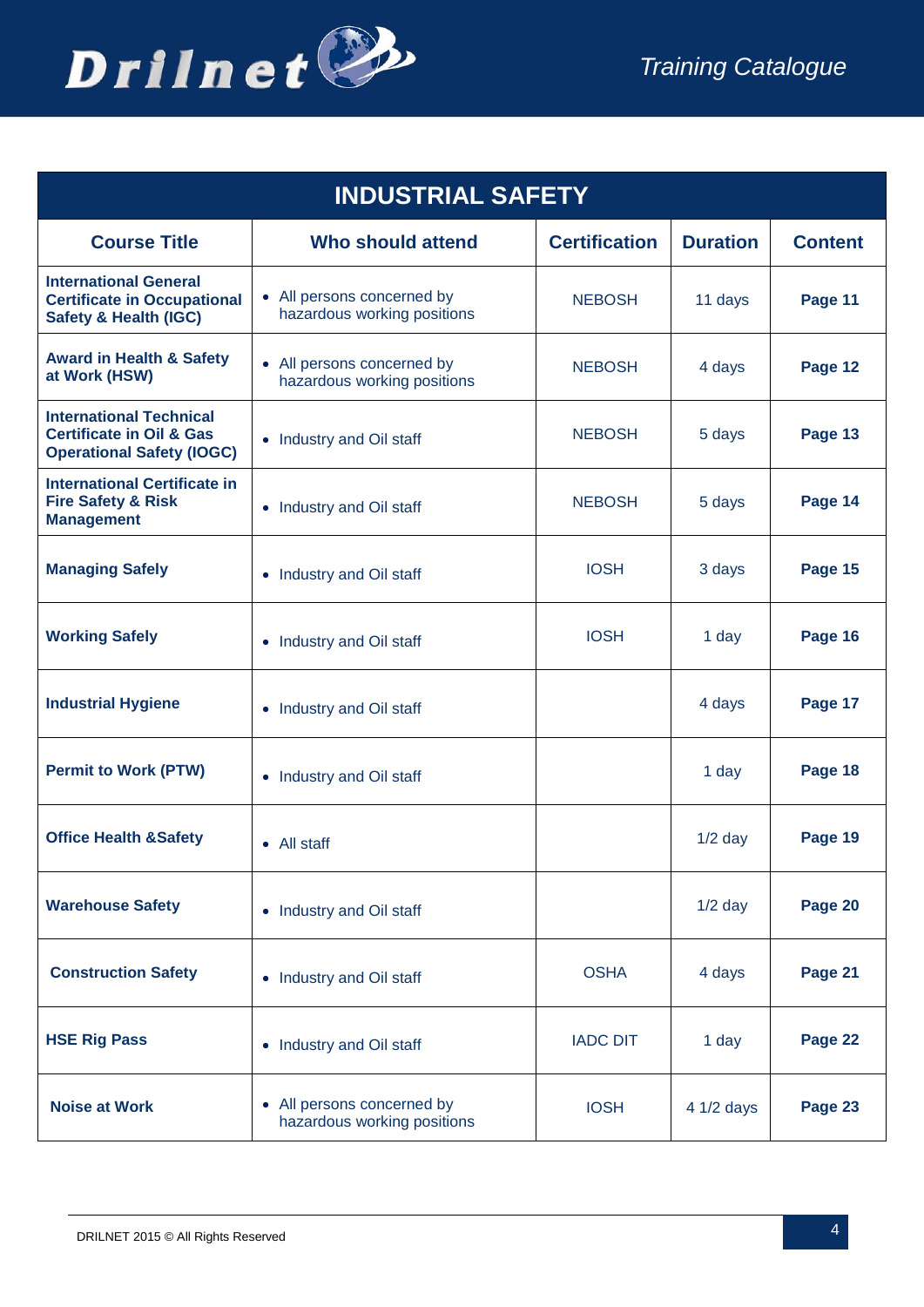



| <b>INDUSTRIAL SAFETY</b>                                                                                  |                                                           |                      |                 |                |
|-----------------------------------------------------------------------------------------------------------|-----------------------------------------------------------|----------------------|-----------------|----------------|
| <b>Course Title</b>                                                                                       | <b>Who should attend</b>                                  | <b>Certification</b> | <b>Duration</b> | <b>Content</b> |
| <b>International General</b><br><b>Certificate in Occupational</b><br><b>Safety &amp; Health (IGC)</b>    | • All persons concerned by<br>hazardous working positions | <b>NEBOSH</b>        | 11 days         | Page 11        |
| <b>Award in Health &amp; Safety</b><br>at Work (HSW)                                                      | • All persons concerned by<br>hazardous working positions | <b>NEBOSH</b>        | 4 days          | Page 12        |
| <b>International Technical</b><br><b>Certificate in Oil &amp; Gas</b><br><b>Operational Safety (IOGC)</b> | • Industry and Oil staff                                  | <b>NEBOSH</b>        | 5 days          | Page 13        |
| <b>International Certificate in</b><br><b>Fire Safety &amp; Risk</b><br><b>Management</b>                 | • Industry and Oil staff                                  | <b>NEBOSH</b>        | 5 days          | Page 14        |
| <b>Managing Safely</b>                                                                                    | • Industry and Oil staff                                  | <b>IOSH</b>          | 3 days          | Page 15        |
| <b>Working Safely</b>                                                                                     | • Industry and Oil staff                                  | <b>IOSH</b>          | 1 day           | Page 16        |
| <b>Industrial Hygiene</b>                                                                                 | • Industry and Oil staff                                  |                      | 4 days          | Page 17        |
| <b>Permit to Work (PTW)</b>                                                                               | • Industry and Oil staff                                  |                      | 1 day           | Page 18        |
| <b>Office Health &amp;Safety</b>                                                                          | • All staff                                               |                      | $1/2$ day       | Page 19        |
| <b>Warehouse Safety</b>                                                                                   | • Industry and Oil staff                                  |                      | $1/2$ day       | Page 20        |
| <b>Construction Safety</b>                                                                                | • Industry and Oil staff                                  | <b>OSHA</b>          | 4 days          | Page 21        |
| <b>HSE Rig Pass</b>                                                                                       | • Industry and Oil staff                                  | <b>IADC DIT</b>      | 1 day           | Page 22        |
| <b>Noise at Work</b>                                                                                      | • All persons concerned by<br>hazardous working positions | <b>IOSH</b>          | 4 1/2 days      | Page 23        |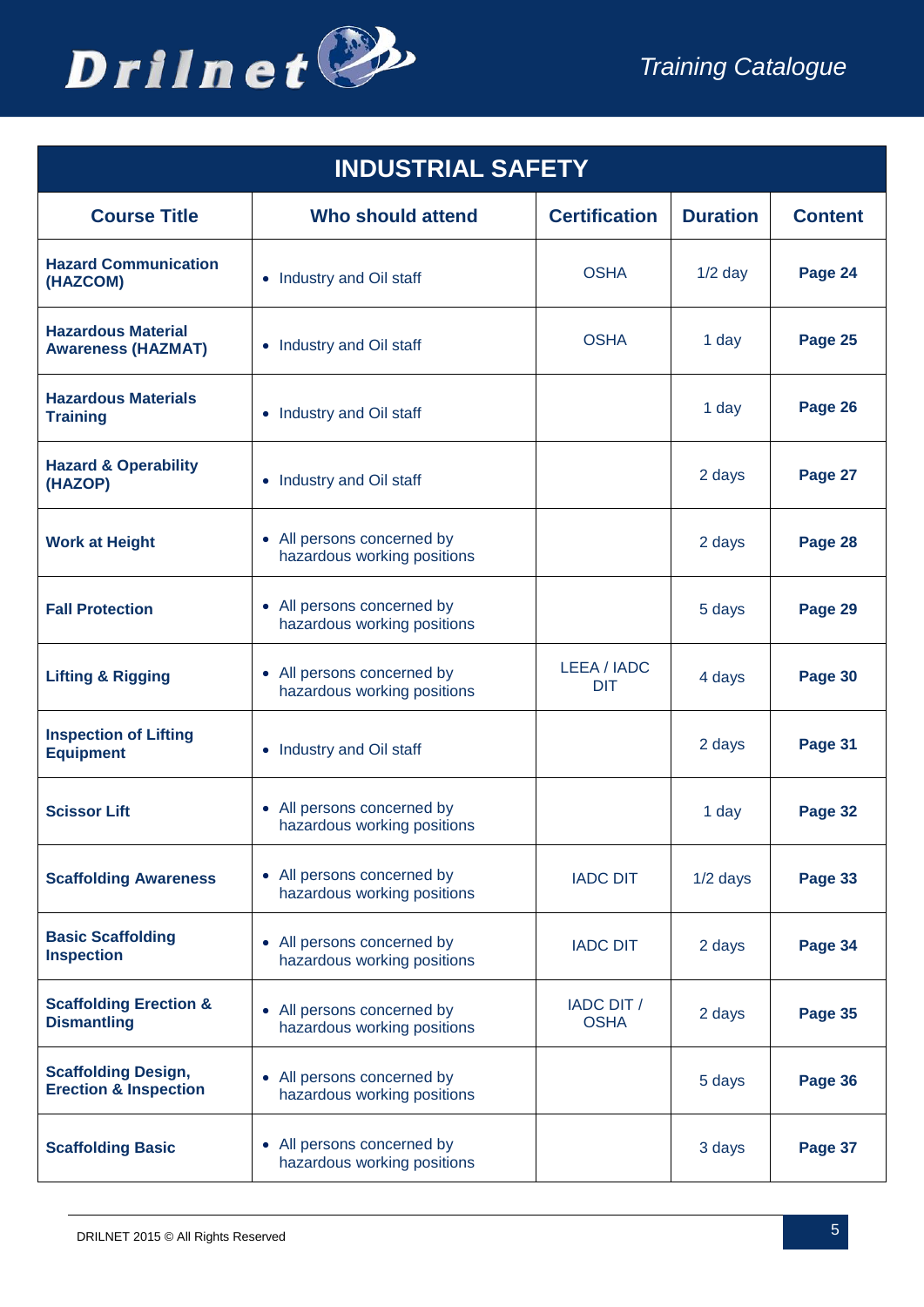

| <b>INDUSTRIAL SAFETY</b>                                       |                                                           |                           |                 |                |
|----------------------------------------------------------------|-----------------------------------------------------------|---------------------------|-----------------|----------------|
| <b>Course Title</b>                                            | Who should attend                                         | <b>Certification</b>      | <b>Duration</b> | <b>Content</b> |
| <b>Hazard Communication</b><br>(HAZCOM)                        | • Industry and Oil staff                                  | <b>OSHA</b>               | $1/2$ day       | Page 24        |
| <b>Hazardous Material</b><br><b>Awareness (HAZMAT)</b>         | • Industry and Oil staff                                  | <b>OSHA</b>               | 1 day           | Page 25        |
| <b>Hazardous Materials</b><br><b>Training</b>                  | • Industry and Oil staff                                  |                           | 1 day           | Page 26        |
| <b>Hazard &amp; Operability</b><br>(HAZOP)                     | • Industry and Oil staff                                  |                           | 2 days          | Page 27        |
| <b>Work at Height</b>                                          | • All persons concerned by<br>hazardous working positions |                           | 2 days          | Page 28        |
| <b>Fall Protection</b>                                         | • All persons concerned by<br>hazardous working positions |                           | 5 days          | Page 29        |
| <b>Lifting &amp; Rigging</b>                                   | • All persons concerned by<br>hazardous working positions | LEEA / IADC<br><b>DIT</b> | 4 days          | Page 30        |
| <b>Inspection of Lifting</b><br><b>Equipment</b>               | • Industry and Oil staff                                  |                           | 2 days          | Page 31        |
| <b>Scissor Lift</b>                                            | • All persons concerned by<br>hazardous working positions |                           | 1 day           | Page 32        |
| <b>Scaffolding Awareness</b>                                   | • All persons concerned by<br>hazardous working positions | <b>IADC DIT</b>           | $1/2$ days      | Page 33        |
| <b>Basic Scaffolding</b><br><b>Inspection</b>                  | • All persons concerned by<br>hazardous working positions | <b>IADC DIT</b>           | 2 days          | Page 34        |
| <b>Scaffolding Erection &amp;</b><br><b>Dismantling</b>        | • All persons concerned by<br>hazardous working positions | IADC DIT /<br><b>OSHA</b> | 2 days          | Page 35        |
| <b>Scaffolding Design,</b><br><b>Erection &amp; Inspection</b> | • All persons concerned by<br>hazardous working positions |                           | 5 days          | Page 36        |
| <b>Scaffolding Basic</b>                                       | • All persons concerned by<br>hazardous working positions |                           | 3 days          | Page 37        |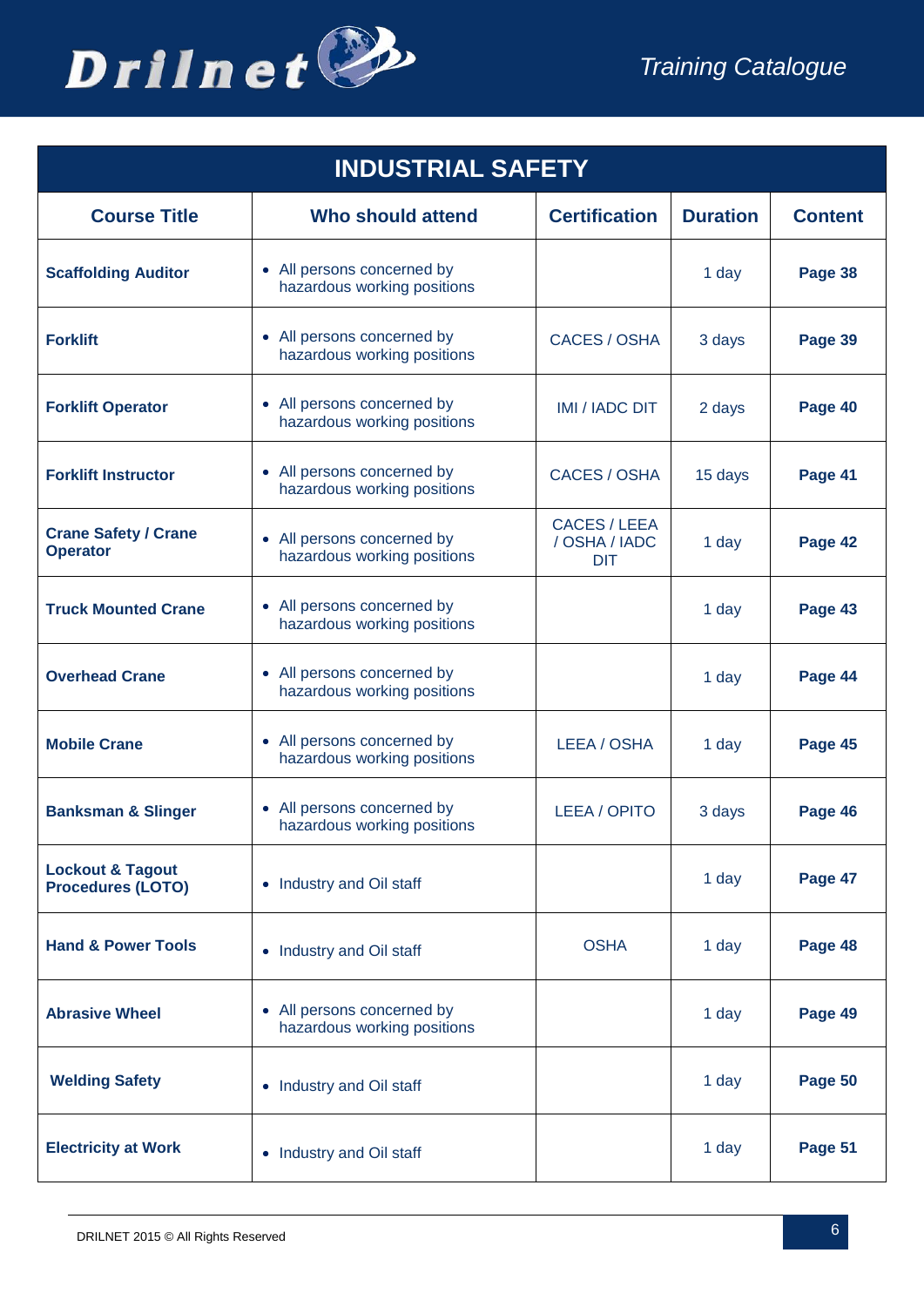

| <b>INDUSTRIAL SAFETY</b>                                |                                                           |                                                    |                 |                |
|---------------------------------------------------------|-----------------------------------------------------------|----------------------------------------------------|-----------------|----------------|
| <b>Course Title</b>                                     | <b>Who should attend</b>                                  | <b>Certification</b>                               | <b>Duration</b> | <b>Content</b> |
| <b>Scaffolding Auditor</b>                              | • All persons concerned by<br>hazardous working positions |                                                    | 1 day           | Page 38        |
| <b>Forklift</b>                                         | • All persons concerned by<br>hazardous working positions | CACES / OSHA                                       | 3 days          | Page 39        |
| <b>Forklift Operator</b>                                | • All persons concerned by<br>hazardous working positions | <b>IMI / IADC DIT</b>                              | 2 days          | Page 40        |
| <b>Forklift Instructor</b>                              | • All persons concerned by<br>hazardous working positions | CACES / OSHA                                       | 15 days         | Page 41        |
| <b>Crane Safety / Crane</b><br><b>Operator</b>          | • All persons concerned by<br>hazardous working positions | <b>CACES / LEEA</b><br>/ OSHA / IADC<br><b>DIT</b> | 1 day           | Page 42        |
| <b>Truck Mounted Crane</b>                              | • All persons concerned by<br>hazardous working positions |                                                    | 1 day           | Page 43        |
| <b>Overhead Crane</b>                                   | • All persons concerned by<br>hazardous working positions |                                                    | 1 day           | Page 44        |
| <b>Mobile Crane</b>                                     | • All persons concerned by<br>hazardous working positions | LEEA / OSHA                                        | 1 day           | Page 45        |
| <b>Banksman &amp; Slinger</b>                           | • All persons concerned by<br>hazardous working positions | LEEA / OPITO                                       | 3 days          | Page 46        |
| <b>Lockout &amp; Tagout</b><br><b>Procedures (LOTO)</b> | • Industry and Oil staff                                  |                                                    | 1 day           | Page 47        |
| <b>Hand &amp; Power Tools</b>                           | • Industry and Oil staff                                  | <b>OSHA</b>                                        | 1 day           | Page 48        |
| <b>Abrasive Wheel</b>                                   | • All persons concerned by<br>hazardous working positions |                                                    | 1 day           | Page 49        |
| <b>Welding Safety</b>                                   | Industry and Oil staff<br>$\bullet$                       |                                                    | 1 day           | Page 50        |
| <b>Electricity at Work</b>                              | • Industry and Oil staff                                  |                                                    | 1 day           | Page 51        |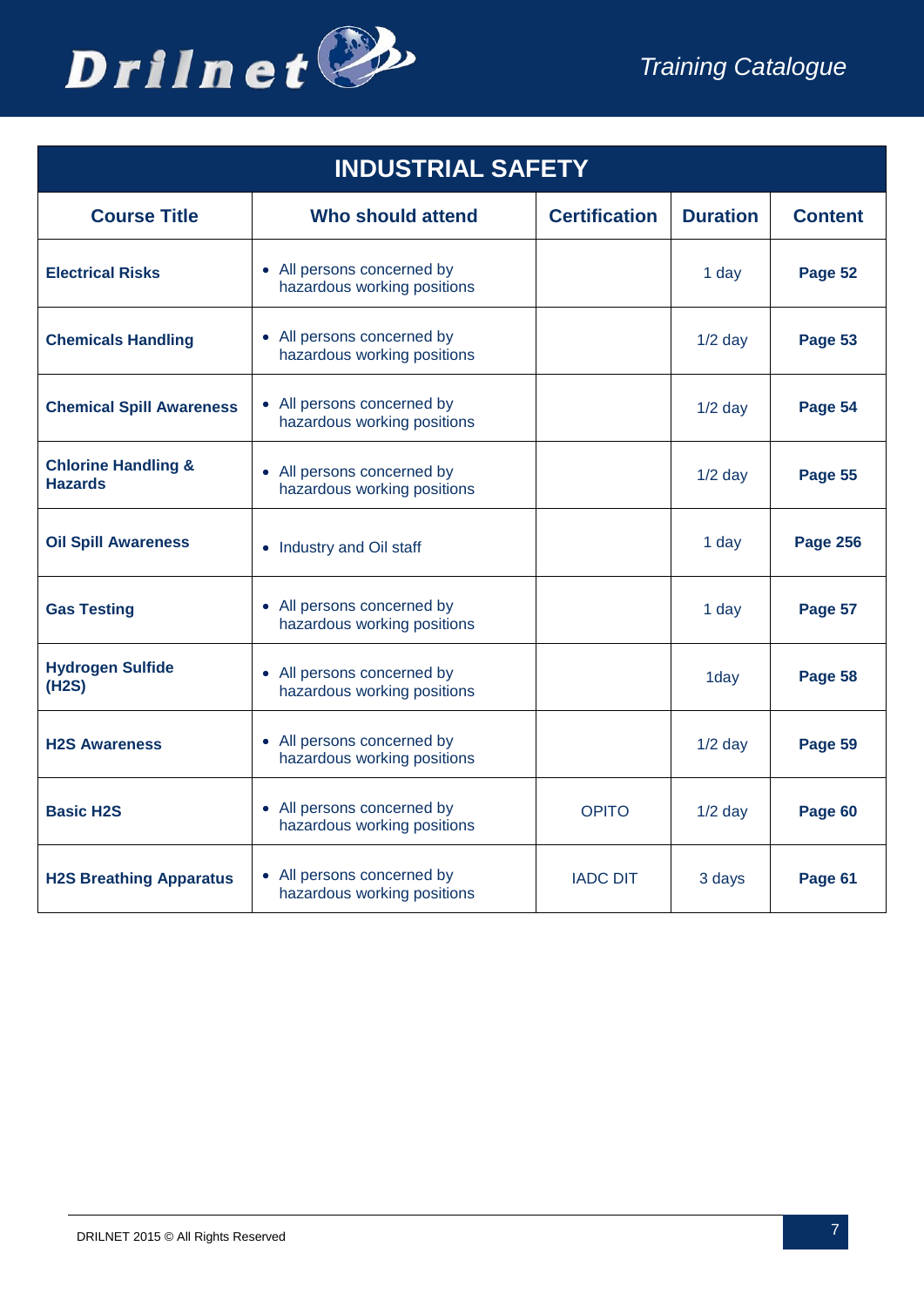

| <b>INDUSTRIAL SAFETY</b>                         |                                                           |                      |                 |                 |
|--------------------------------------------------|-----------------------------------------------------------|----------------------|-----------------|-----------------|
| <b>Course Title</b>                              | Who should attend                                         | <b>Certification</b> | <b>Duration</b> | <b>Content</b>  |
| <b>Electrical Risks</b>                          | • All persons concerned by<br>hazardous working positions |                      | 1 day           | Page 52         |
| <b>Chemicals Handling</b>                        | • All persons concerned by<br>hazardous working positions |                      | $1/2$ day       | Page 53         |
| <b>Chemical Spill Awareness</b>                  | • All persons concerned by<br>hazardous working positions |                      | $1/2$ day       | Page 54         |
| <b>Chlorine Handling &amp;</b><br><b>Hazards</b> | • All persons concerned by<br>hazardous working positions |                      | $1/2$ day       | Page 55         |
| <b>Oil Spill Awareness</b>                       | • Industry and Oil staff                                  |                      | 1 day           | <b>Page 256</b> |
| <b>Gas Testing</b>                               | • All persons concerned by<br>hazardous working positions |                      | 1 day           | Page 57         |
| <b>Hydrogen Sulfide</b><br>(H2S)                 | • All persons concerned by<br>hazardous working positions |                      | 1day            | Page 58         |
| <b>H2S Awareness</b>                             | • All persons concerned by<br>hazardous working positions |                      | $1/2$ day       | Page 59         |
| <b>Basic H2S</b>                                 | • All persons concerned by<br>hazardous working positions | <b>OPITO</b>         | $1/2$ day       | Page 60         |
| <b>H2S Breathing Apparatus</b>                   | • All persons concerned by<br>hazardous working positions | <b>IADC DIT</b>      | 3 days          | Page 61         |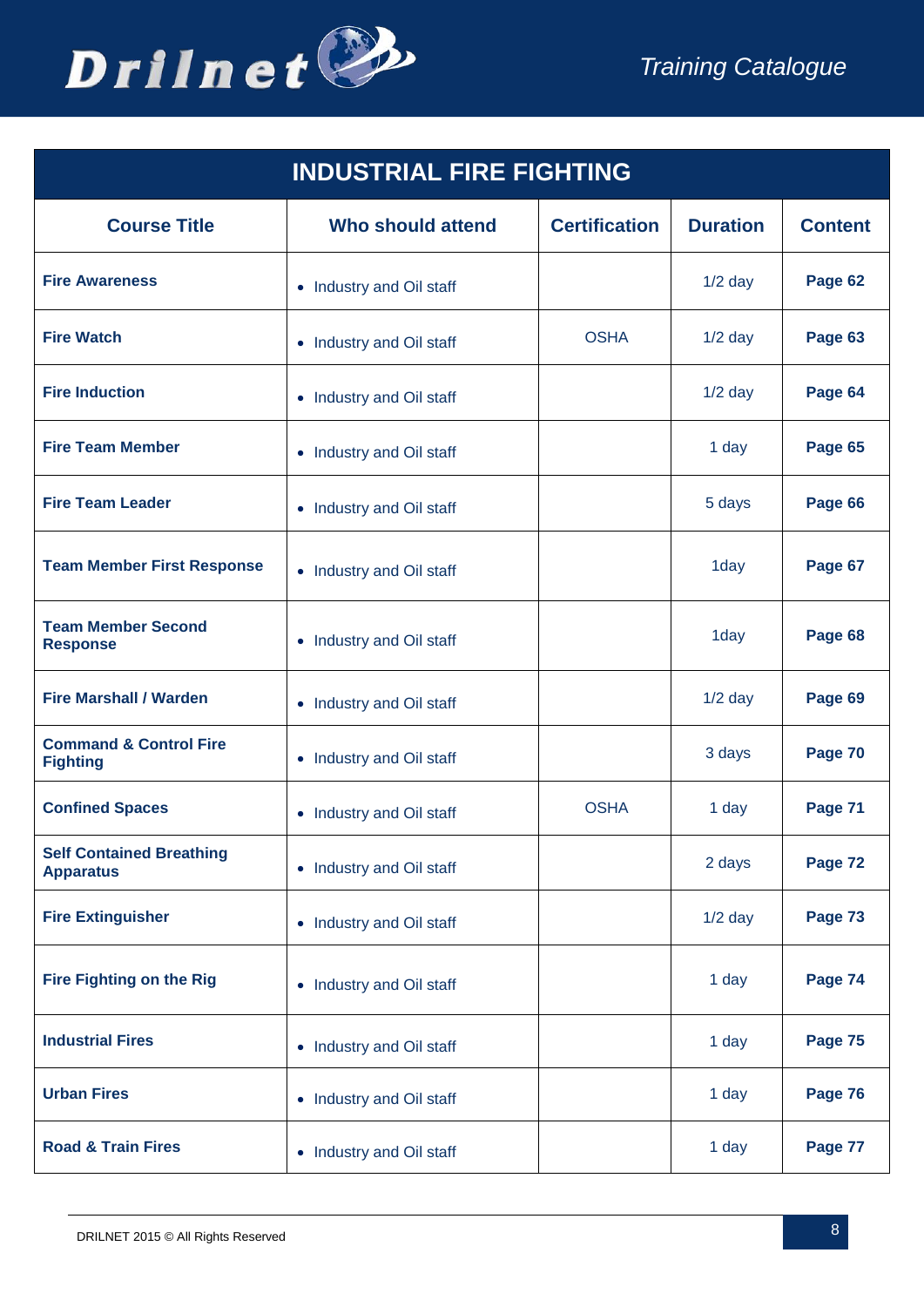

<span id="page-7-0"></span>

| <b>INDUSTRIAL FIRE FIGHTING</b>                      |                          |                      |                 |                |
|------------------------------------------------------|--------------------------|----------------------|-----------------|----------------|
| <b>Course Title</b>                                  | Who should attend        | <b>Certification</b> | <b>Duration</b> | <b>Content</b> |
| <b>Fire Awareness</b>                                | • Industry and Oil staff |                      | $1/2$ day       | Page 62        |
| <b>Fire Watch</b>                                    | • Industry and Oil staff | <b>OSHA</b>          | $1/2$ day       | Page 63        |
| <b>Fire Induction</b>                                | • Industry and Oil staff |                      | $1/2$ day       | Page 64        |
| <b>Fire Team Member</b>                              | • Industry and Oil staff |                      | 1 day           | Page 65        |
| <b>Fire Team Leader</b>                              | • Industry and Oil staff |                      | 5 days          | Page 66        |
| <b>Team Member First Response</b>                    | • Industry and Oil staff |                      | 1day            | Page 67        |
| <b>Team Member Second</b><br><b>Response</b>         | • Industry and Oil staff |                      | 1day            | Page 68        |
| <b>Fire Marshall / Warden</b>                        | • Industry and Oil staff |                      | $1/2$ day       | Page 69        |
| <b>Command &amp; Control Fire</b><br><b>Fighting</b> | • Industry and Oil staff |                      | 3 days          | Page 70        |
| <b>Confined Spaces</b>                               | • Industry and Oil staff | <b>OSHA</b>          | 1 day           | Page 71        |
| <b>Self Contained Breathing</b><br><b>Apparatus</b>  | • Industry and Oil staff |                      | 2 days          | Page 72        |
| <b>Fire Extinguisher</b>                             | • Industry and Oil staff |                      | $1/2$ day       | Page 73        |
| <b>Fire Fighting on the Rig</b>                      | • Industry and Oil staff |                      | 1 day           | Page 74        |
| <b>Industrial Fires</b>                              | • Industry and Oil staff |                      | 1 day           | Page 75        |
| <b>Urban Fires</b>                                   | • Industry and Oil staff |                      | 1 day           | Page 76        |
| <b>Road &amp; Train Fires</b>                        | • Industry and Oil staff |                      | 1 day           | Page 77        |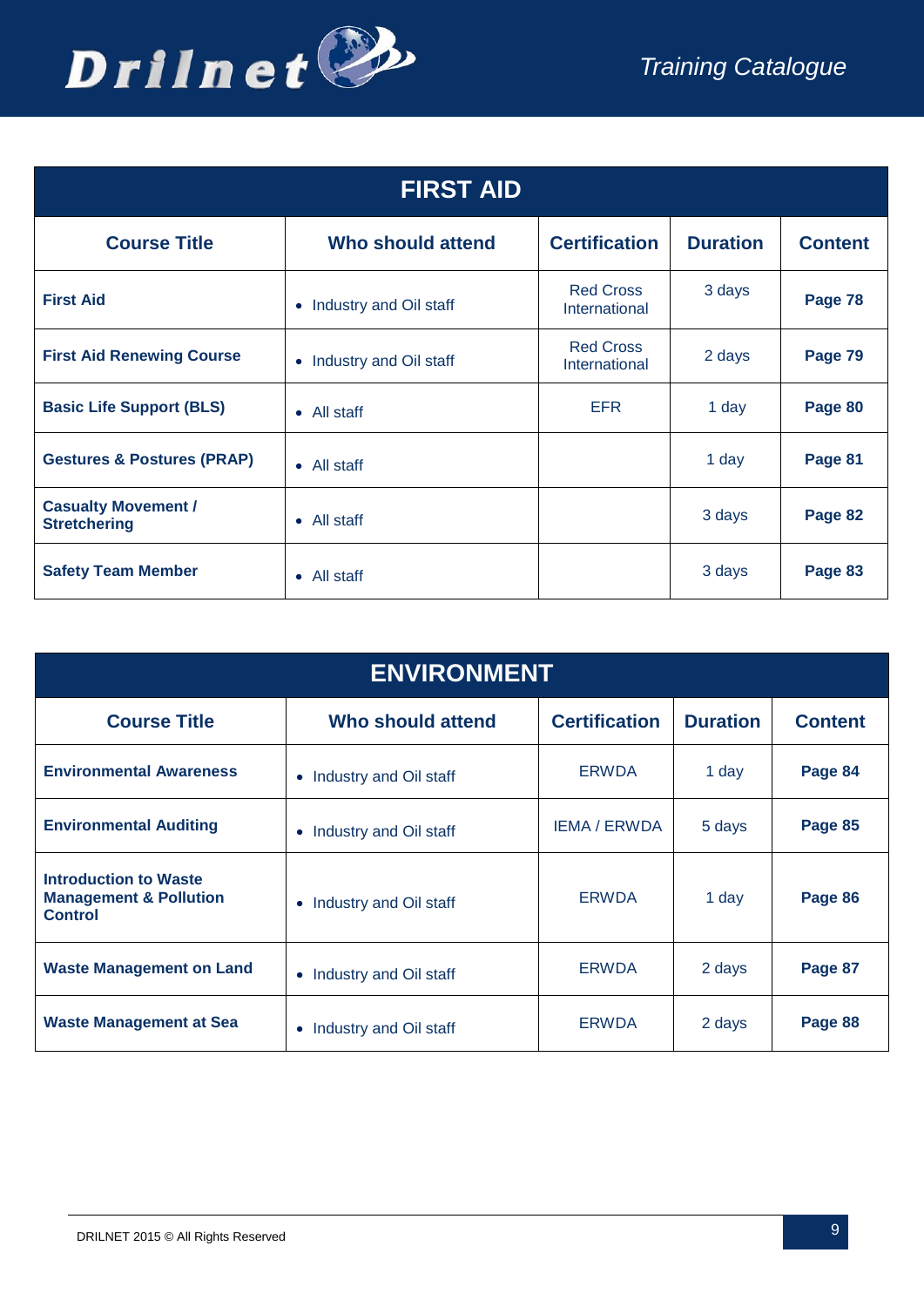



<span id="page-8-0"></span>

| <b>FIRST AID</b>                                  |                                     |                                   |                 |                |
|---------------------------------------------------|-------------------------------------|-----------------------------------|-----------------|----------------|
| <b>Course Title</b>                               | Who should attend                   | <b>Certification</b>              | <b>Duration</b> | <b>Content</b> |
| <b>First Aid</b>                                  | Industry and Oil staff<br>$\bullet$ | <b>Red Cross</b><br>International | 3 days          | Page 78        |
| <b>First Aid Renewing Course</b>                  | • Industry and Oil staff            | <b>Red Cross</b><br>International | 2 days          | Page 79        |
| <b>Basic Life Support (BLS)</b>                   | • All staff                         | <b>EFR</b>                        | 1 day           | Page 80        |
| <b>Gestures &amp; Postures (PRAP)</b>             | $\bullet$ All staff                 |                                   | 1 day           | Page 81        |
| <b>Casualty Movement /</b><br><b>Stretchering</b> | • All staff                         |                                   | 3 days          | Page 82        |
| <b>Safety Team Member</b>                         | • All staff                         |                                   | 3 days          | Page 83        |

<span id="page-8-1"></span>

| <b>ENVIRONMENT</b>                                                                  |                                     |                      |                 |                |
|-------------------------------------------------------------------------------------|-------------------------------------|----------------------|-----------------|----------------|
| <b>Course Title</b>                                                                 | Who should attend                   | <b>Certification</b> | <b>Duration</b> | <b>Content</b> |
| <b>Environmental Awareness</b>                                                      | Industry and Oil staff<br>$\bullet$ | <b>ERWDA</b>         | 1 day           | Page 84        |
| <b>Environmental Auditing</b>                                                       | Industry and Oil staff<br>$\bullet$ | <b>IEMA / ERWDA</b>  | 5 days          | Page 85        |
| <b>Introduction to Waste</b><br><b>Management &amp; Pollution</b><br><b>Control</b> | Industry and Oil staff<br>$\bullet$ | <b>ERWDA</b>         | 1 day           | Page 86        |
| <b>Waste Management on Land</b>                                                     | • Industry and Oil staff            | <b>ERWDA</b>         | 2 days          | Page 87        |
| Waste Management at Sea                                                             | Industry and Oil staff<br>$\bullet$ | <b>ERWDA</b>         | 2 days          | Page 88        |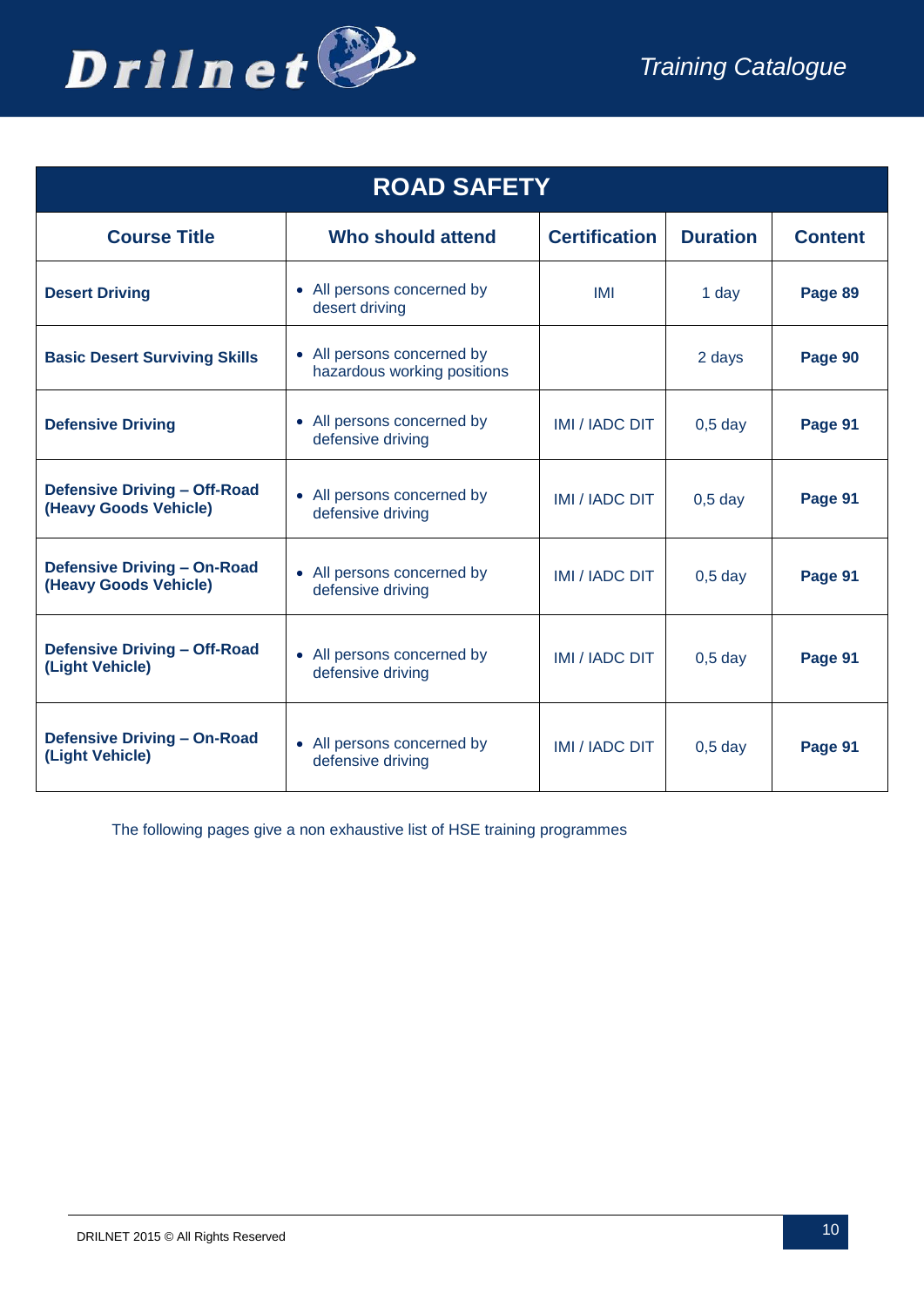

<span id="page-9-0"></span>

| <b>ROAD SAFETY</b>                                           |                                                           |                       |                 |                |
|--------------------------------------------------------------|-----------------------------------------------------------|-----------------------|-----------------|----------------|
| <b>Course Title</b>                                          | Who should attend                                         | <b>Certification</b>  | <b>Duration</b> | <b>Content</b> |
| <b>Desert Driving</b>                                        | • All persons concerned by<br>desert driving              | IMI                   | 1 day           | Page 89        |
| <b>Basic Desert Surviving Skills</b>                         | • All persons concerned by<br>hazardous working positions |                       | 2 days          | Page 90        |
| <b>Defensive Driving</b>                                     | • All persons concerned by<br>defensive driving           | <b>IMI / IADC DIT</b> | $0,5$ day       | Page 91        |
| <b>Defensive Driving - Off-Road</b><br>(Heavy Goods Vehicle) | • All persons concerned by<br>defensive driving           | <b>IMI / IADC DIT</b> | $0,5$ day       | Page 91        |
| <b>Defensive Driving - On-Road</b><br>(Heavy Goods Vehicle)  | • All persons concerned by<br>defensive driving           | <b>IMI / IADC DIT</b> | $0,5$ day       | Page 91        |
| <b>Defensive Driving - Off-Road</b><br>(Light Vehicle)       | • All persons concerned by<br>defensive driving           | <b>IMI / IADC DIT</b> | $0,5$ day       | Page 91        |
| <b>Defensive Driving - On-Road</b><br>(Light Vehicle)        | • All persons concerned by<br>defensive driving           | <b>IMI / IADC DIT</b> | $0,5$ day       | Page 91        |

The following pages give a non exhaustive list of HSE training programmes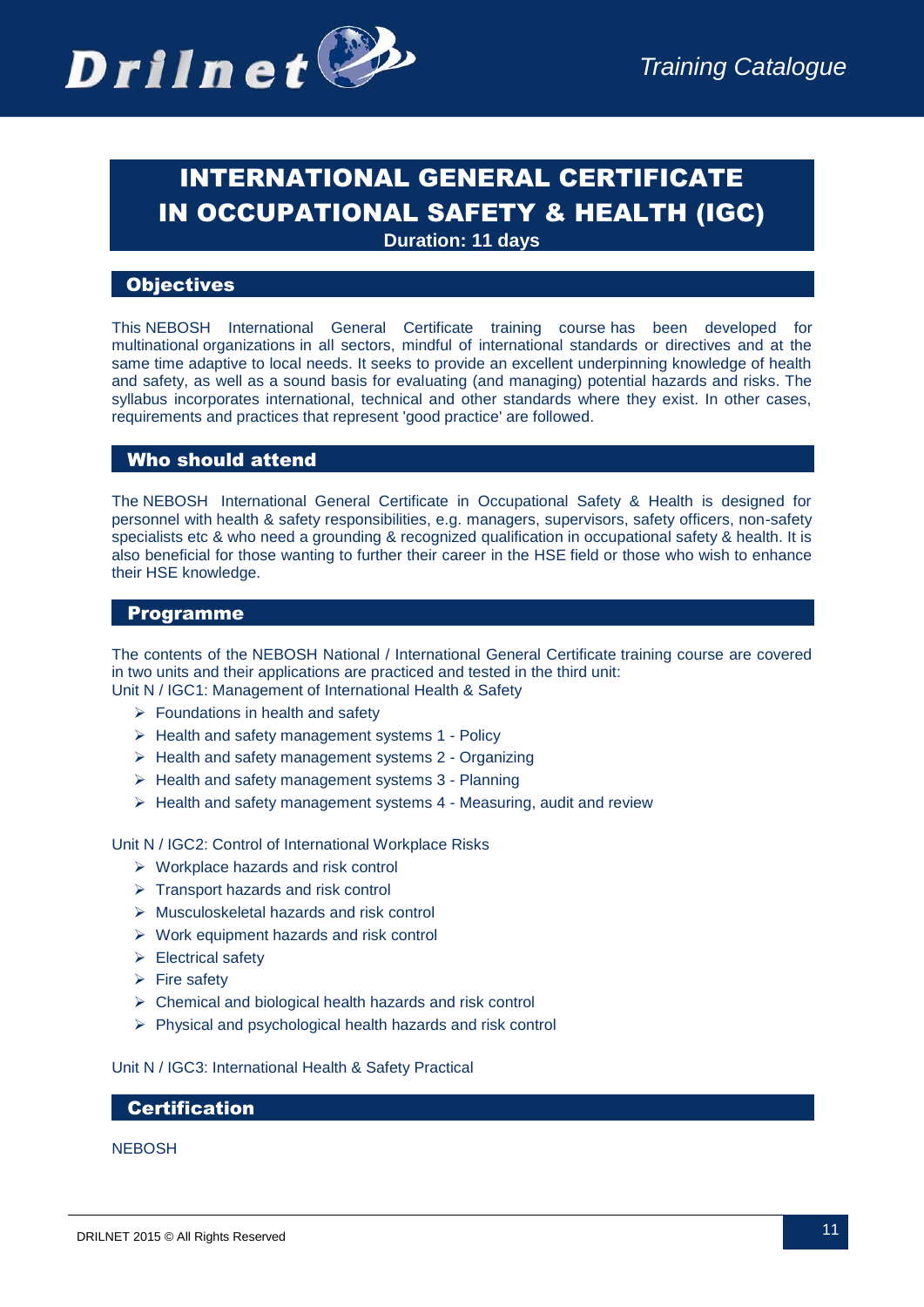

## INTERNATIONAL GENERAL CERTIFICATE IN OCCUPATIONAL SAFETY & HEALTH (IGC) **Duration: 11 days**

#### **Objectives**

This NEBOSH International General Certificate training course has been developed for multinational organizations in all sectors, mindful of international standards or directives and at the same time adaptive to local needs. It seeks to provide an excellent underpinning knowledge of health and safety, as well as a sound basis for evaluating (and managing) potential hazards and risks. The syllabus incorporates international, technical and other standards where they exist. In other cases, requirements and practices that represent 'good practice' are followed.

#### Who should attend

The NEBOSH International General Certificate in Occupational Safety & Health is designed for personnel with health & safety responsibilities, e.g. managers, supervisors, safety officers, non-safety specialists etc & who need a grounding & recognized qualification in occupational safety & health. It is also beneficial for those wanting to further their career in the HSE field or those who wish to enhance their HSE knowledge.

#### Programme

The contents of the NEBOSH National / International General Certificate training course are covered in two units and their applications are practiced and tested in the third unit: Unit N / IGC1: Management of International Health & Safety

- $\triangleright$  Foundations in health and safety
- $\triangleright$  Health and safety management systems 1 Policy
- $\triangleright$  Health and safety management systems 2 Organizing
- $\triangleright$  Health and safety management systems 3 Planning
- $\triangleright$  Health and safety management systems 4 Measuring, audit and review

Unit N / IGC2: Control of International Workplace Risks

- $\triangleright$  Workplace hazards and risk control
- $\triangleright$  Transport hazards and risk control
- $\triangleright$  Musculoskeletal hazards and risk control
- $\triangleright$  Work equipment hazards and risk control
- $\triangleright$  Electrical safety
- $\triangleright$  Fire safety
- $\triangleright$  Chemical and biological health hazards and risk control
- $\triangleright$  Physical and psychological health hazards and risk control

Unit N / IGC3: International Health & Safety Practical

#### **Certification**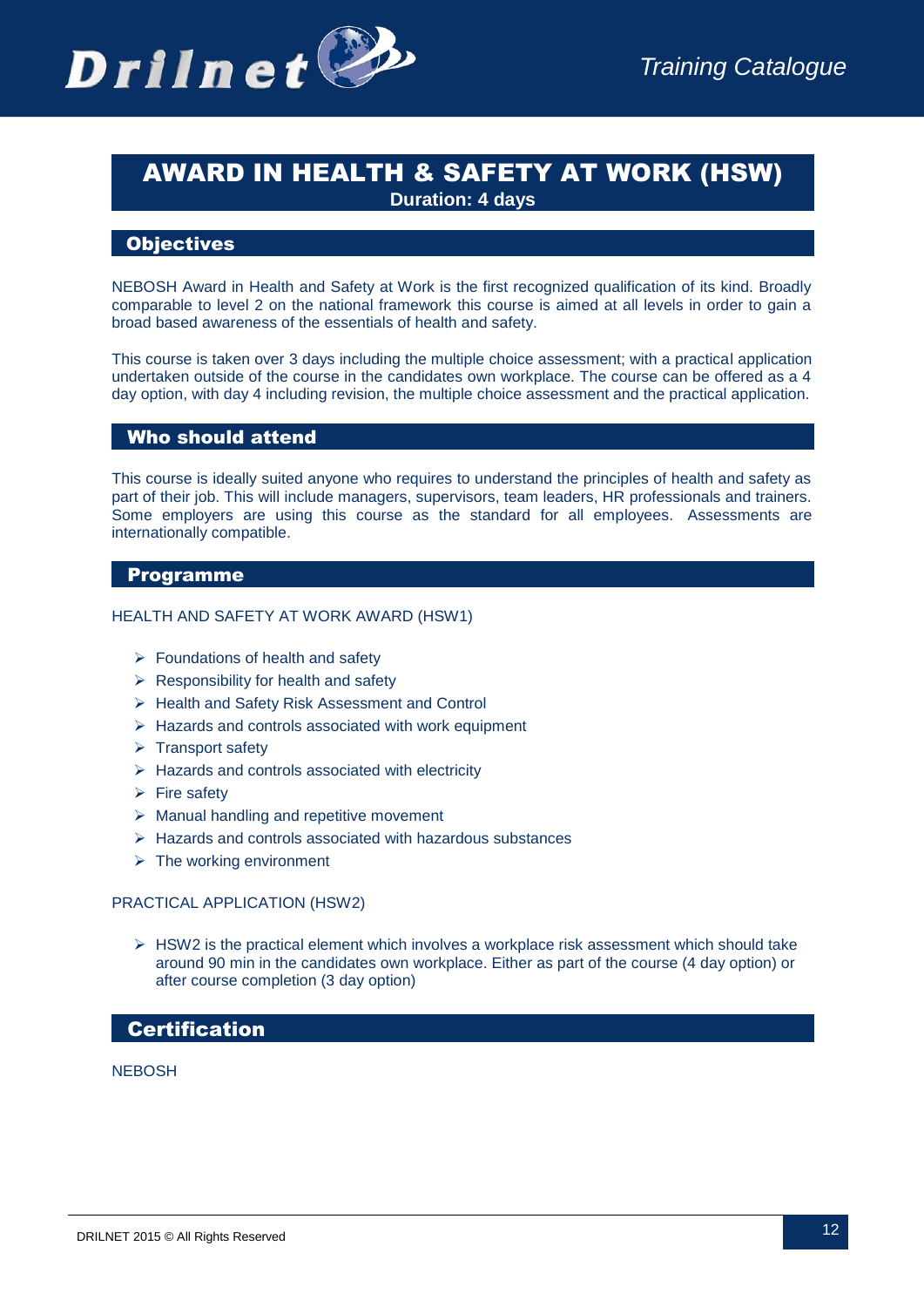

### AWARD IN HEALTH & SAFETY AT WORK (HSW) **Duration: 4 days**

#### **Objectives**

NEBOSH Award in Health and Safety at Work is the first recognized qualification of its kind. Broadly comparable to level 2 on the national framework this course is aimed at all levels in order to gain a broad based awareness of the essentials of health and safety.

This course is taken over 3 days including the multiple choice assessment; with a practical application undertaken outside of the course in the candidates own workplace. The course can be offered as a 4 day option, with day 4 including revision, the multiple choice assessment and the practical application.

#### Who should attend

This course is ideally suited anyone who requires to understand the principles of health and safety as part of their job. This will include managers, supervisors, team leaders, HR professionals and trainers. Some employers are using this course as the standard for all employees. Assessments are internationally compatible.

#### Programme

#### HEALTH AND SAFETY AT WORK AWARD (HSW1)

- $\triangleright$  Foundations of health and safety
- $\triangleright$  Responsibility for health and safety
- ▶ Health and Safety Risk Assessment and Control
- $\triangleright$  Hazards and controls associated with work equipment
- $\triangleright$  Transport safety
- $\triangleright$  Hazards and controls associated with electricity
- $\triangleright$  Fire safety
- $\triangleright$  Manual handling and repetitive movement
- $\triangleright$  Hazards and controls associated with hazardous substances
- $\triangleright$  The working environment

#### PRACTICAL APPLICATION (HSW2)

 $\triangleright$  HSW2 is the practical element which involves a workplace risk assessment which should take around 90 min in the candidates own workplace. Either as part of the course (4 day option) or after course completion (3 day option)

#### **Certification**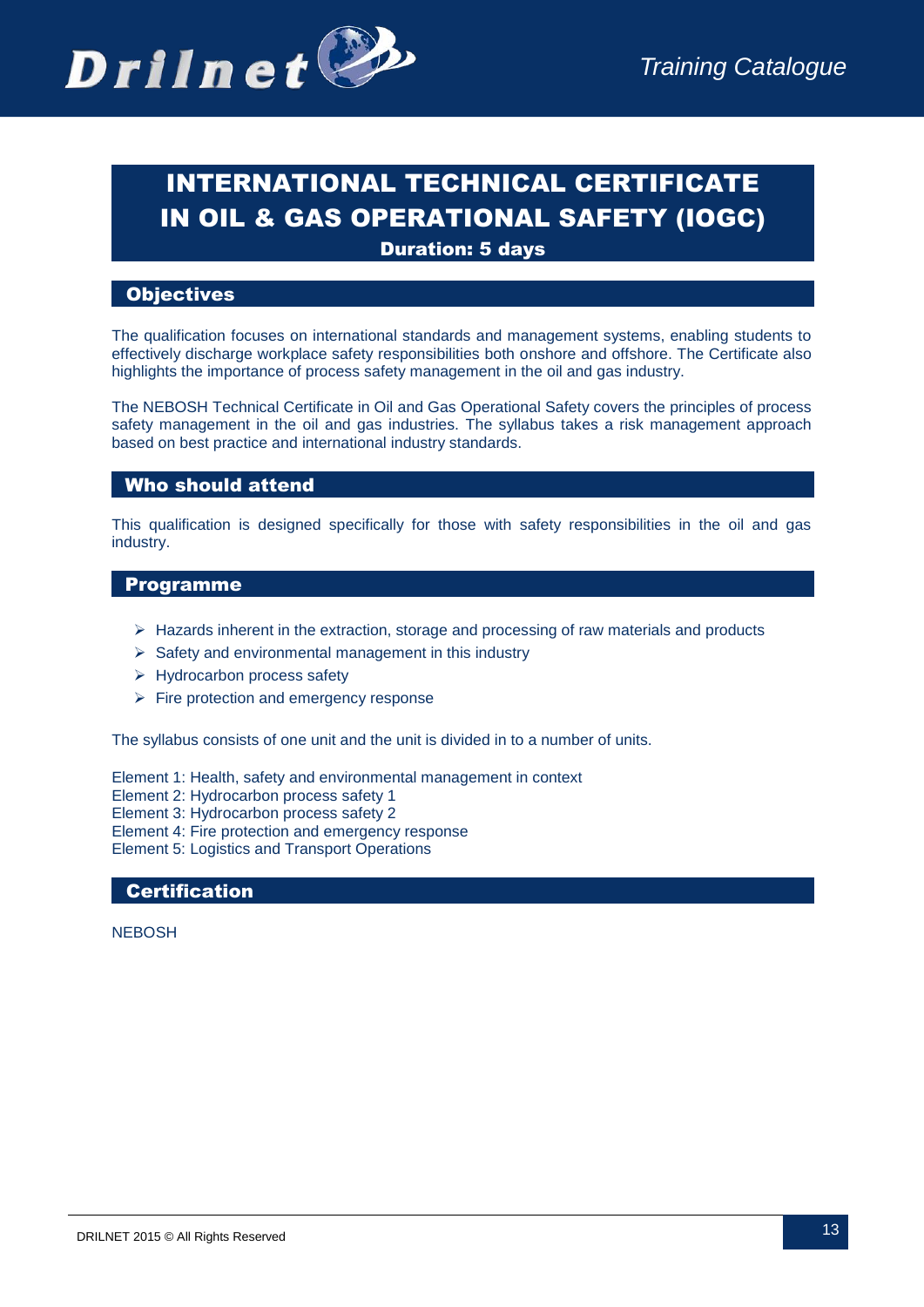# INTERNATIONAL TECHNICAL CERTIFICATE IN OIL & GAS OPERATIONAL SAFETY (IOGC)

Duration: 5 days

#### **Objectives**

The qualification focuses on international standards and management systems, enabling students to effectively discharge workplace safety responsibilities both onshore and offshore. The Certificate also highlights the importance of process safety management in the oil and gas industry.

The NEBOSH Technical Certificate in Oil and Gas Operational Safety covers the principles of process safety management in the oil and gas industries. The syllabus takes a risk management approach based on best practice and international industry standards.

#### Who should attend

This qualification is designed specifically for those with safety responsibilities in the oil and gas industry.

#### Programme

- $\triangleright$  Hazards inherent in the extraction, storage and processing of raw materials and products
- $\triangleright$  Safety and environmental management in this industry
- ▶ Hydrocarbon process safety
- $\triangleright$  Fire protection and emergency response

The syllabus consists of one unit and the unit is divided in to a number of units.

Element 1: Health, safety and environmental management in context

Element 2: Hydrocarbon process safety 1

Element 3: Hydrocarbon process safety 2

Element 4: Fire protection and emergency response

Element 5: Logistics and Transport Operations

#### **Certification**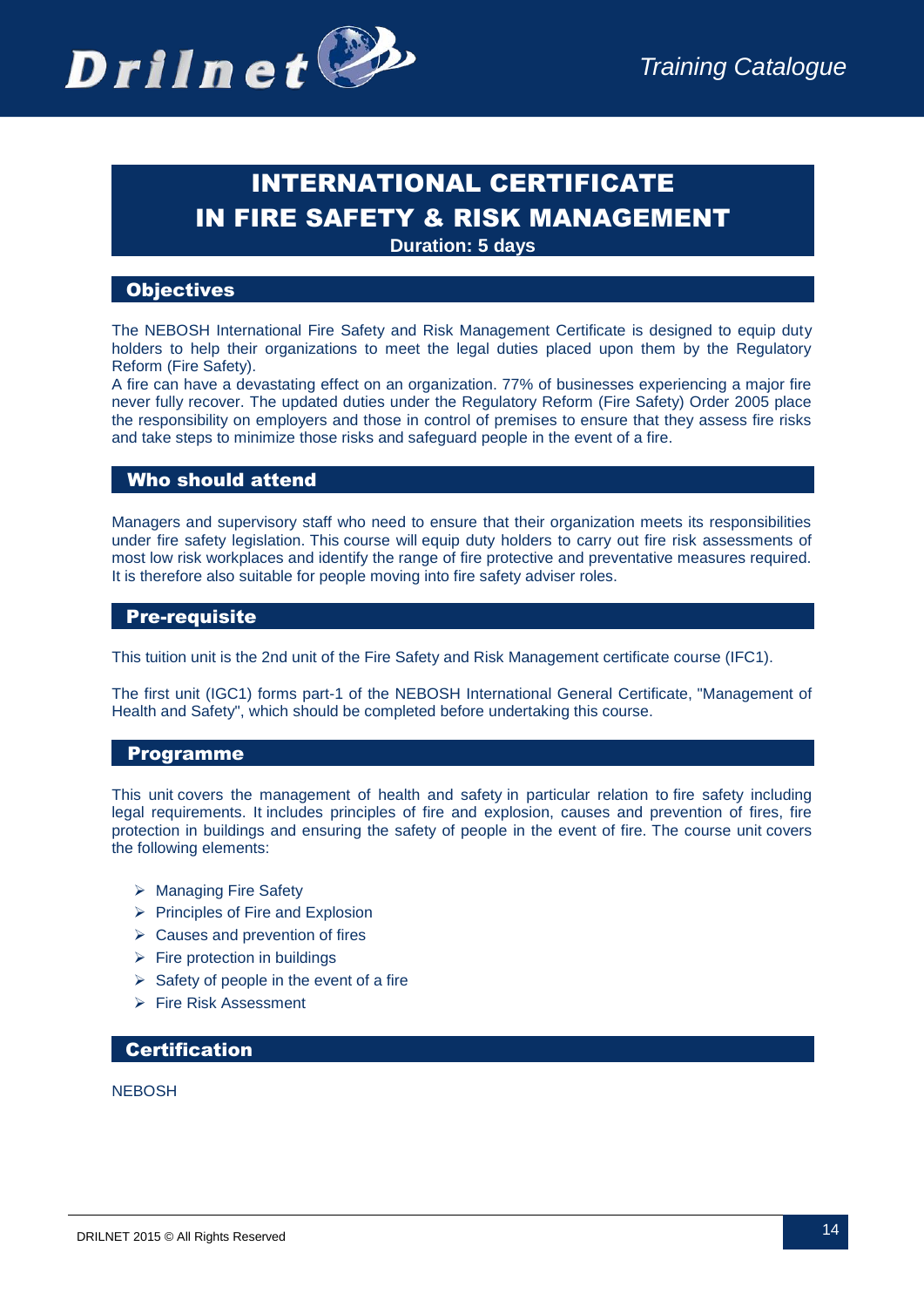

# INTERNATIONAL CERTIFICATE IN FIRE SAFETY & RISK MANAGEMENT

**Duration: 5 days**

#### **Objectives**

The NEBOSH International Fire Safety and Risk Management Certificate is designed to equip duty holders to help their organizations to meet the legal duties placed upon them by the Regulatory Reform (Fire Safety).

A fire can have a devastating effect on an organization. 77% of businesses experiencing a major fire never fully recover. The updated duties under the Regulatory Reform (Fire Safety) Order 2005 place the responsibility on employers and those in control of premises to ensure that they assess fire risks and take steps to minimize those risks and safeguard people in the event of a fire.

#### Who should attend

Managers and supervisory staff who need to ensure that their organization meets its responsibilities under fire safety legislation. This course will equip duty holders to carry out fire risk assessments of most low risk workplaces and identify the range of fire protective and preventative measures required. It is therefore also suitable for people moving into fire safety adviser roles.

#### Pre-requisite

This tuition unit is the 2nd unit of the Fire Safety and Risk Management certificate course (IFC1).

The first unit (IGC1) forms part-1 of the NEBOSH International General Certificate, "Management of Health and Safety", which should be completed before undertaking this course.

#### Programme

This unit covers the management of health and safety in particular relation to fire safety including legal requirements. It includes principles of fire and explosion, causes and prevention of fires, fire protection in buildings and ensuring the safety of people in the event of fire. The course unit covers the following elements:

- ▶ Managing Fire Safety
- $\triangleright$  Principles of Fire and Explosion
- $\triangleright$  Causes and prevention of fires
- $\triangleright$  Fire protection in buildings
- $\triangleright$  Safety of people in the event of a fire
- $\triangleright$  Fire Risk Assessment

**Certification**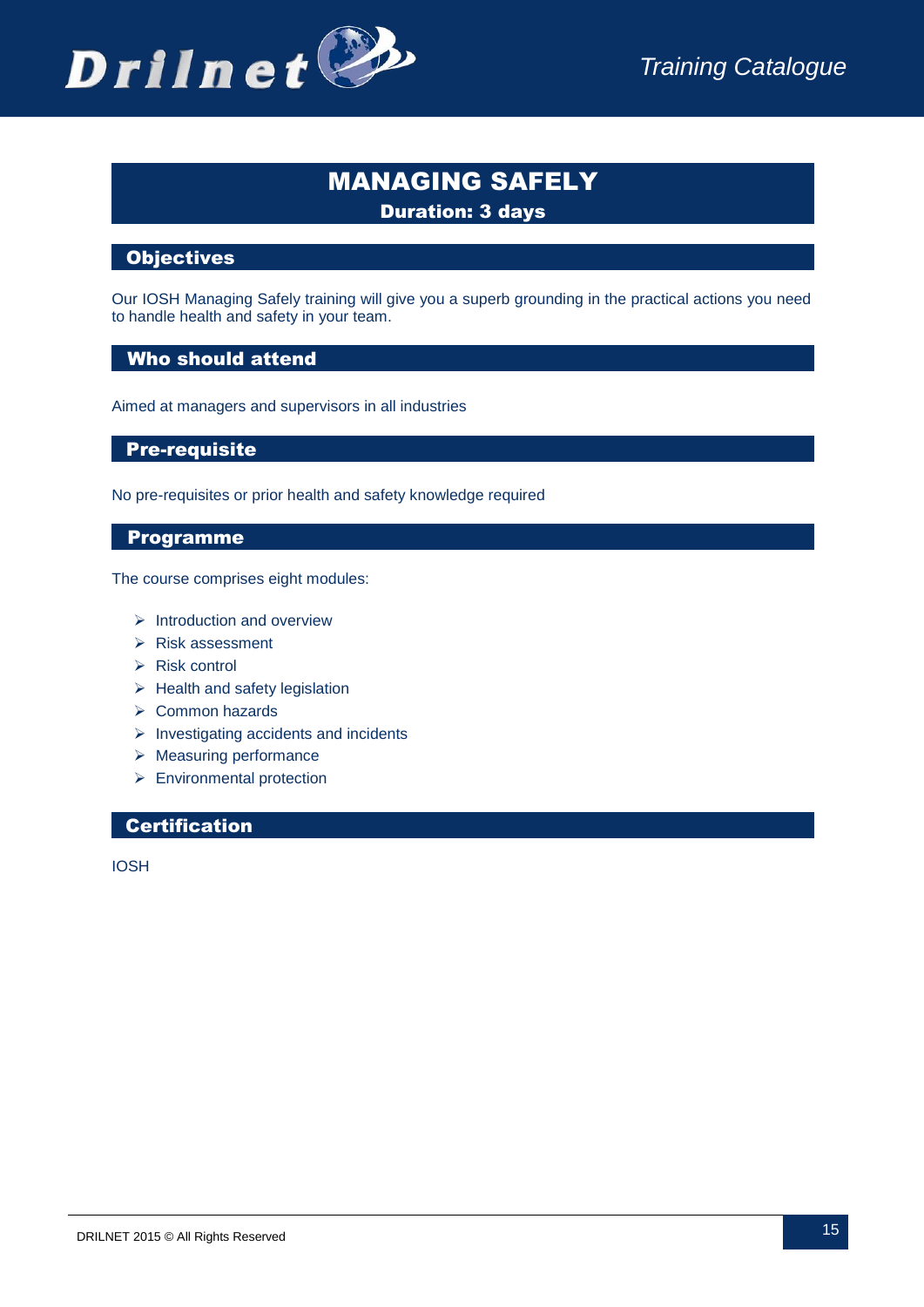

# MANAGING SAFELY

Duration: 3 days

#### **Objectives**

Our IOSH Managing Safely training will give you a superb grounding in the practical actions you need to handle health and safety in your team.

#### Who should attend

Aimed at managers and supervisors in all industries

#### Pre-requisite

No pre-requisites or prior health and safety knowledge required

#### Programme

The course comprises eight modules:

- $\triangleright$  Introduction and overview
- $\triangleright$  Risk assessment
- $\triangleright$  Risk control
- $\triangleright$  Health and safety legislation
- **▶ Common hazards**
- $\triangleright$  Investigating accidents and incidents
- $\triangleright$  Measuring performance
- ▶ Environmental protection

#### **Certification**

IOSH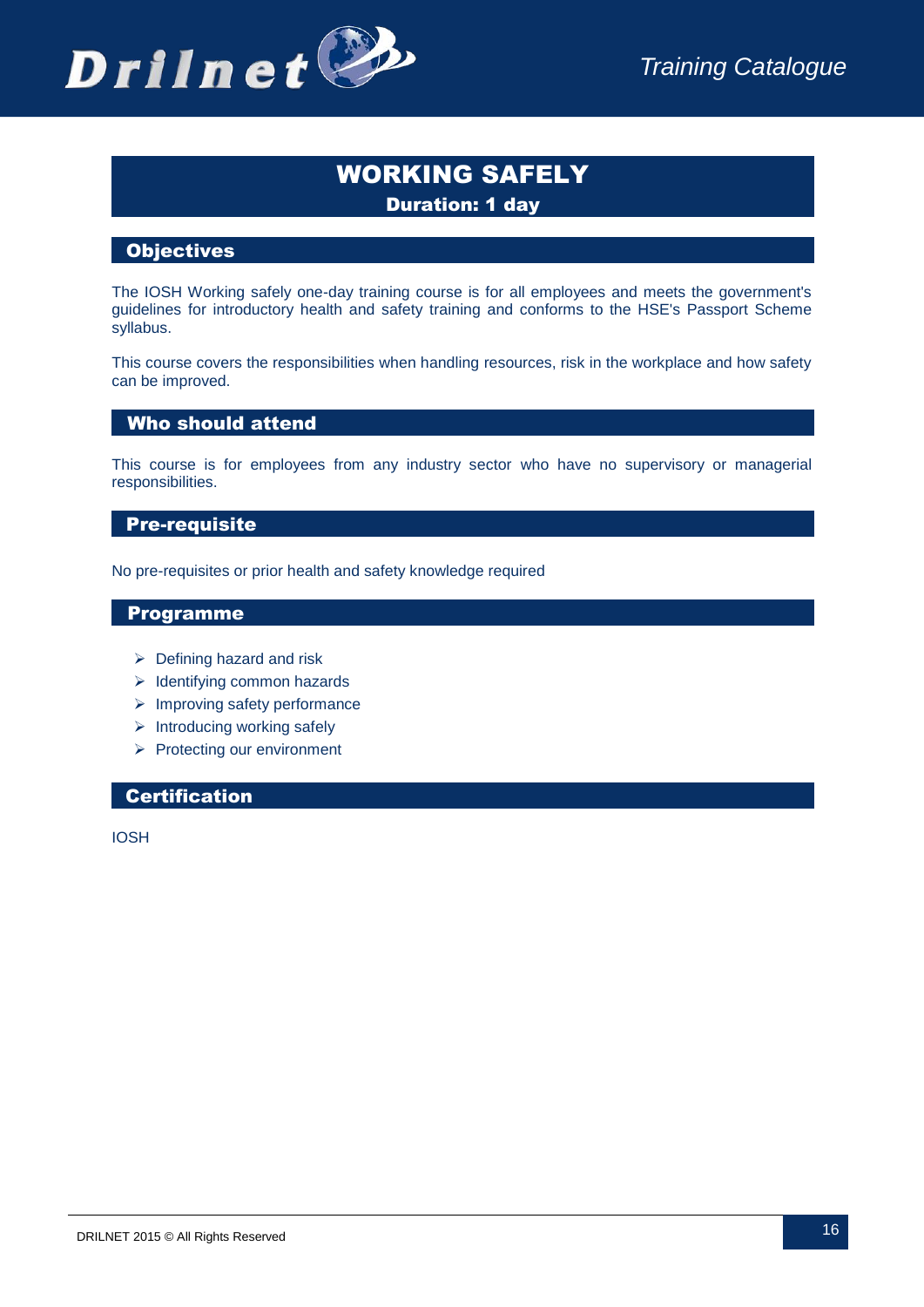

# WORKING SAFELY Duration: 1 day

#### **Objectives**

The IOSH Working safely one-day training course is for all employees and meets the government's guidelines for introductory health and safety training and conforms to the HSE's Passport Scheme syllabus.

This course covers the responsibilities when handling resources, risk in the workplace and how safety can be improved.

#### Who should attend

This course is for employees from any industry sector who have no supervisory or managerial responsibilities.

#### Pre-requisite

No pre-requisites or prior health and safety knowledge required

#### Programme

- $\triangleright$  Defining hazard and risk
- $\triangleright$  Identifying common hazards
- $\triangleright$  Improving safety performance
- $\triangleright$  Introducing working safely
- $\triangleright$  Protecting our environment

#### **Certification**

IOSH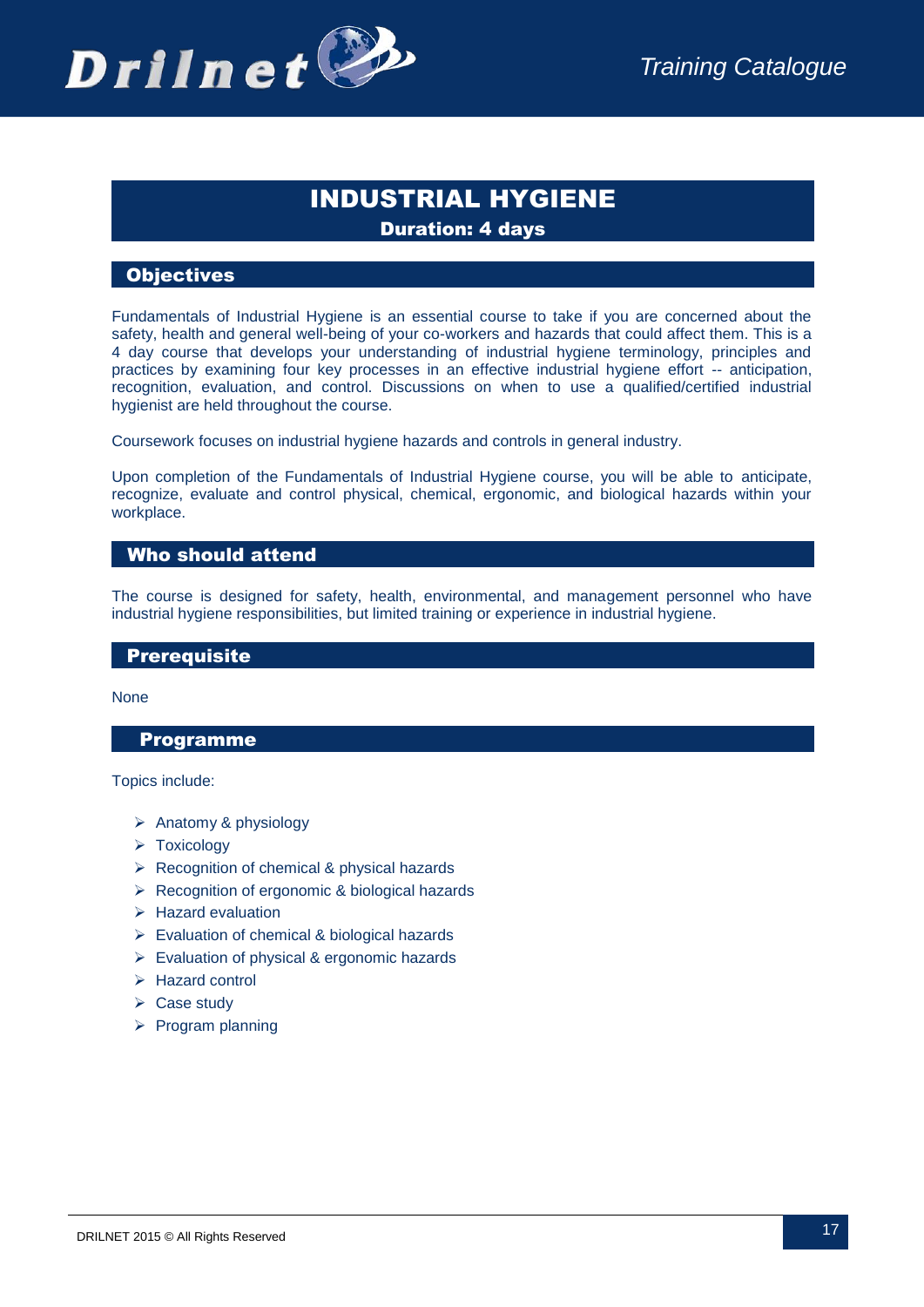

## INDUSTRIAL HYGIENE Duration: 4 days

#### **Objectives**

Fundamentals of Industrial Hygiene is an essential course to take if you are concerned about the safety, health and general well-being of your co-workers and hazards that could affect them. This is a 4 day course that develops your understanding of industrial hygiene terminology, principles and practices by examining four key processes in an effective industrial hygiene effort -- anticipation, recognition, evaluation, and control. Discussions on when to use a qualified/certified industrial hygienist are held throughout the course.

Coursework focuses on industrial hygiene hazards and controls in general industry.

Upon completion of the Fundamentals of Industrial Hygiene course, you will be able to anticipate, recognize, evaluate and control physical, chemical, ergonomic, and biological hazards within your workplace.

#### Who should attend

The course is designed for safety, health, environmental, and management personnel who have industrial hygiene responsibilities, but limited training or experience in industrial hygiene.

#### **Prerequisite**

None

#### Programme

Topics include:

- > Anatomy & physiology
- $\triangleright$  Toxicology
- $\triangleright$  Recognition of chemical & physical hazards
- ▶ Recognition of ergonomic & biological hazards
- $\triangleright$  Hazard evaluation
- $\triangleright$  Evaluation of chemical & biological hazards
- $\triangleright$  Evaluation of physical & ergonomic hazards
- $\triangleright$  Hazard control
- $\triangleright$  Case study
- $\triangleright$  Program planning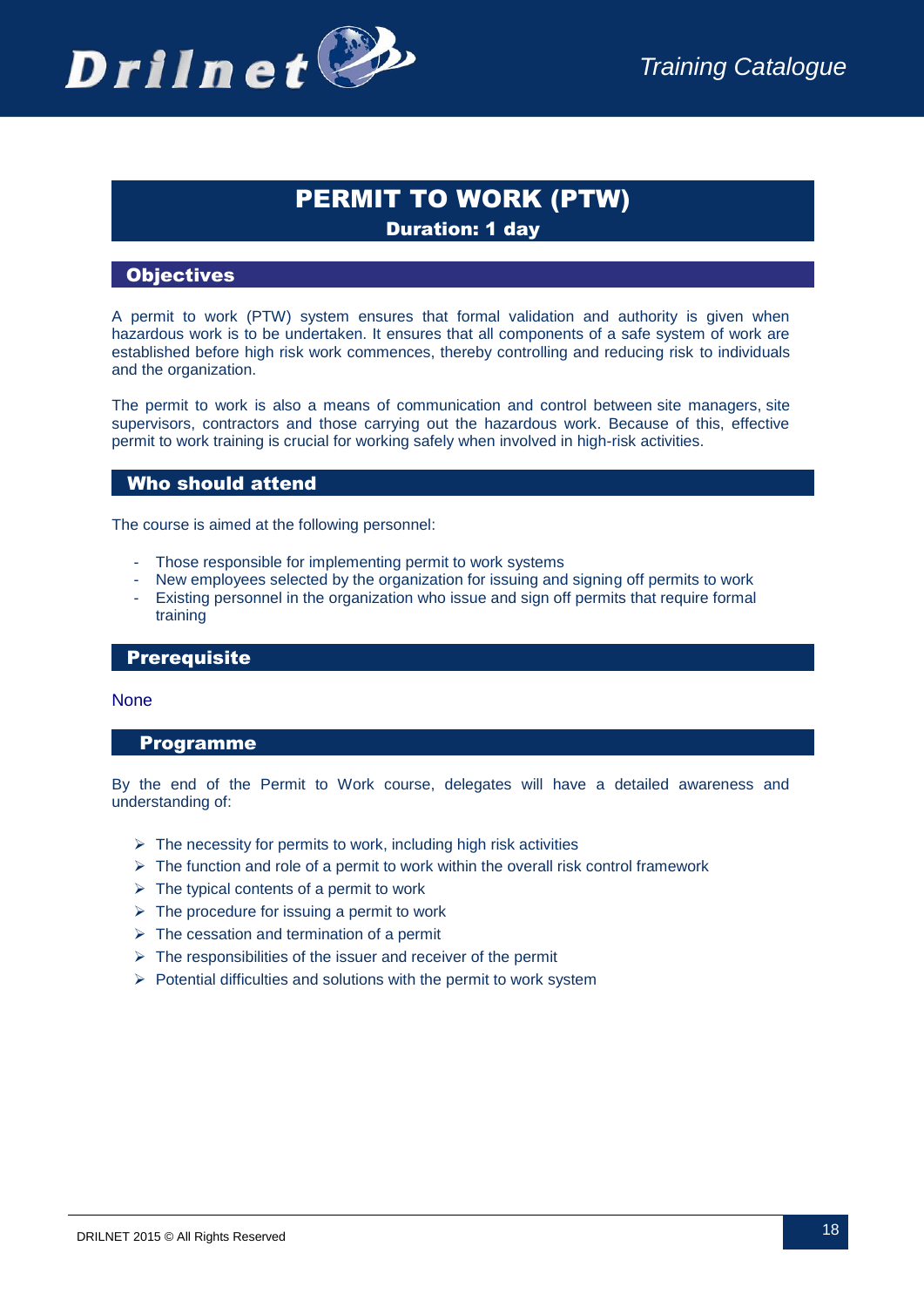

# PERMIT TO WORK (PTW) Duration: 1 day

#### **Objectives**

A permit to work (PTW) system ensures that formal validation and authority is given when hazardous work is to be undertaken. It ensures that all components of a safe system of work are established before high risk work commences, thereby controlling and reducing risk to individuals and the organization.

The permit to work is also a means of communication and control between site managers, site supervisors, contractors and those carrying out the hazardous work. Because of this, effective permit to work training is crucial for working safely when involved in high-risk activities.

#### Who should attend

The course is aimed at the following personnel:

- Those responsible for implementing permit to work systems
- New employees selected by the organization for issuing and signing off permits to work
- Existing personnel in the organization who issue and sign off permits that require formal training

#### **Prerequisite**

#### None

#### Programme

By the end of the Permit to Work course, delegates will have a detailed awareness and understanding of:

- $\triangleright$  The necessity for permits to work, including high risk activities
- $\triangleright$  The function and role of a permit to work within the overall risk control framework
- $\triangleright$  The typical contents of a permit to work
- $\triangleright$  The procedure for issuing a permit to work
- $\triangleright$  The cessation and termination of a permit
- $\triangleright$  The responsibilities of the issuer and receiver of the permit
- $\triangleright$  Potential difficulties and solutions with the permit to work system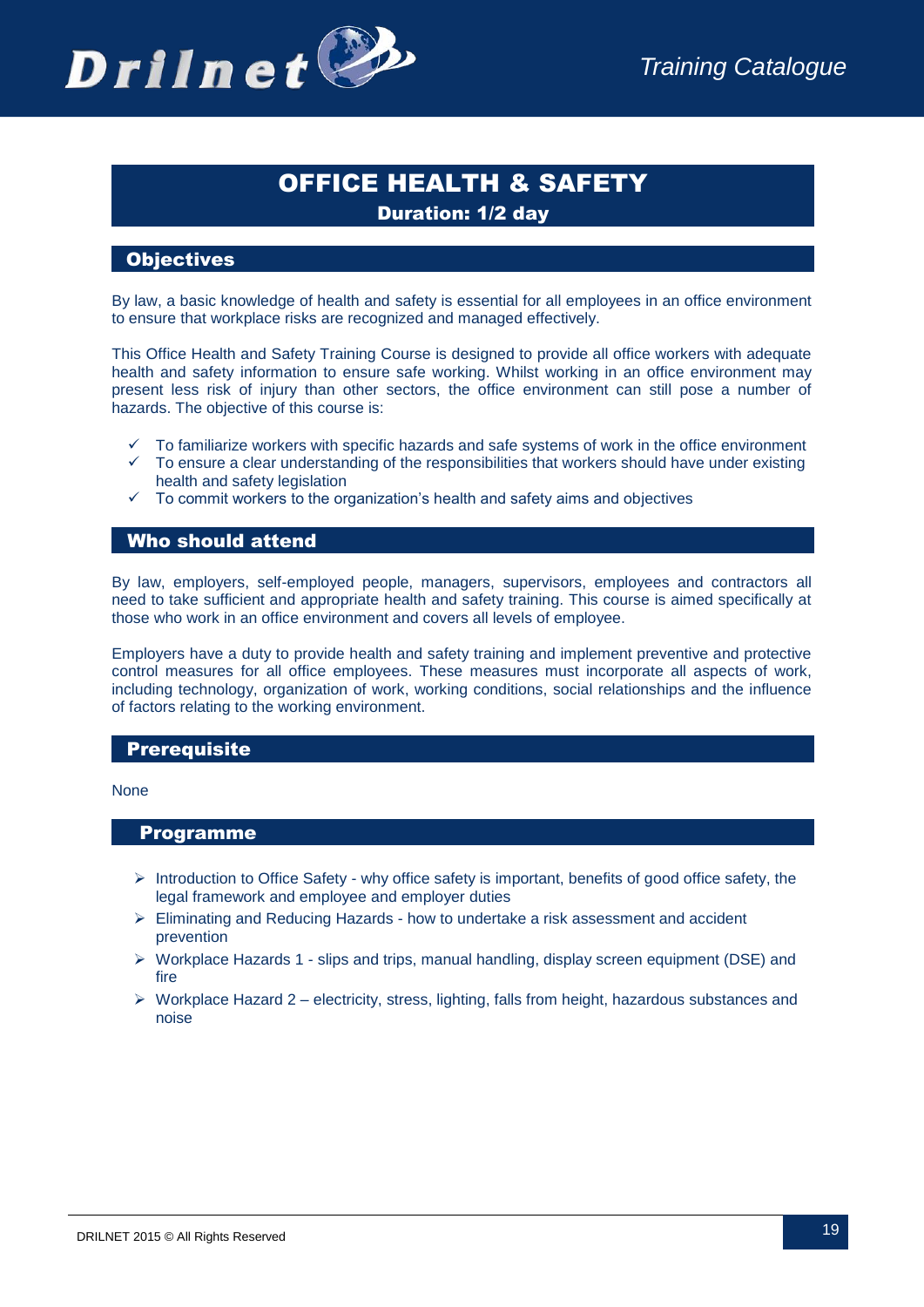

# OFFICE HEALTH & SAFETY

Duration: 1/2 day

#### **Objectives**

By law, a basic knowledge of health and safety is essential for all employees in an office environment to ensure that workplace risks are recognized and managed effectively.

This Office Health and Safety Training Course is designed to provide all office workers with adequate health and safety information to ensure safe working. Whilst working in an office environment may present less risk of injury than other sectors, the office environment can still pose a number of hazards. The objective of this course is:

- $\checkmark$  To familiarize workers with specific hazards and safe systems of work in the office environment
- $\checkmark$  To ensure a clear understanding of the responsibilities that workers should have under existing health and safety legislation
- $\checkmark$  To commit workers to the organization's health and safety aims and objectives

#### Who should attend

By law, employers, self-employed people, managers, supervisors, employees and contractors all need to take sufficient and appropriate health and safety training. This course is aimed specifically at those who work in an office environment and covers all levels of employee.

Employers have a duty to provide health and safety training and implement preventive and protective control measures for all office employees. These measures must incorporate all aspects of work, including technology, organization of work, working conditions, social relationships and the influence of factors relating to the working environment.

#### **Prerequisite**

None

#### Programme

- $\triangleright$  Introduction to Office Safety why office safety is important, benefits of good office safety, the legal framework and employee and employer duties
- $\triangleright$  Eliminating and Reducing Hazards how to undertake a risk assessment and accident prevention
- Workplace Hazards 1 slips and trips, manual handling, display screen equipment (DSE) and fire
- Workplace Hazard 2 electricity, stress, lighting, falls from height, hazardous substances and noise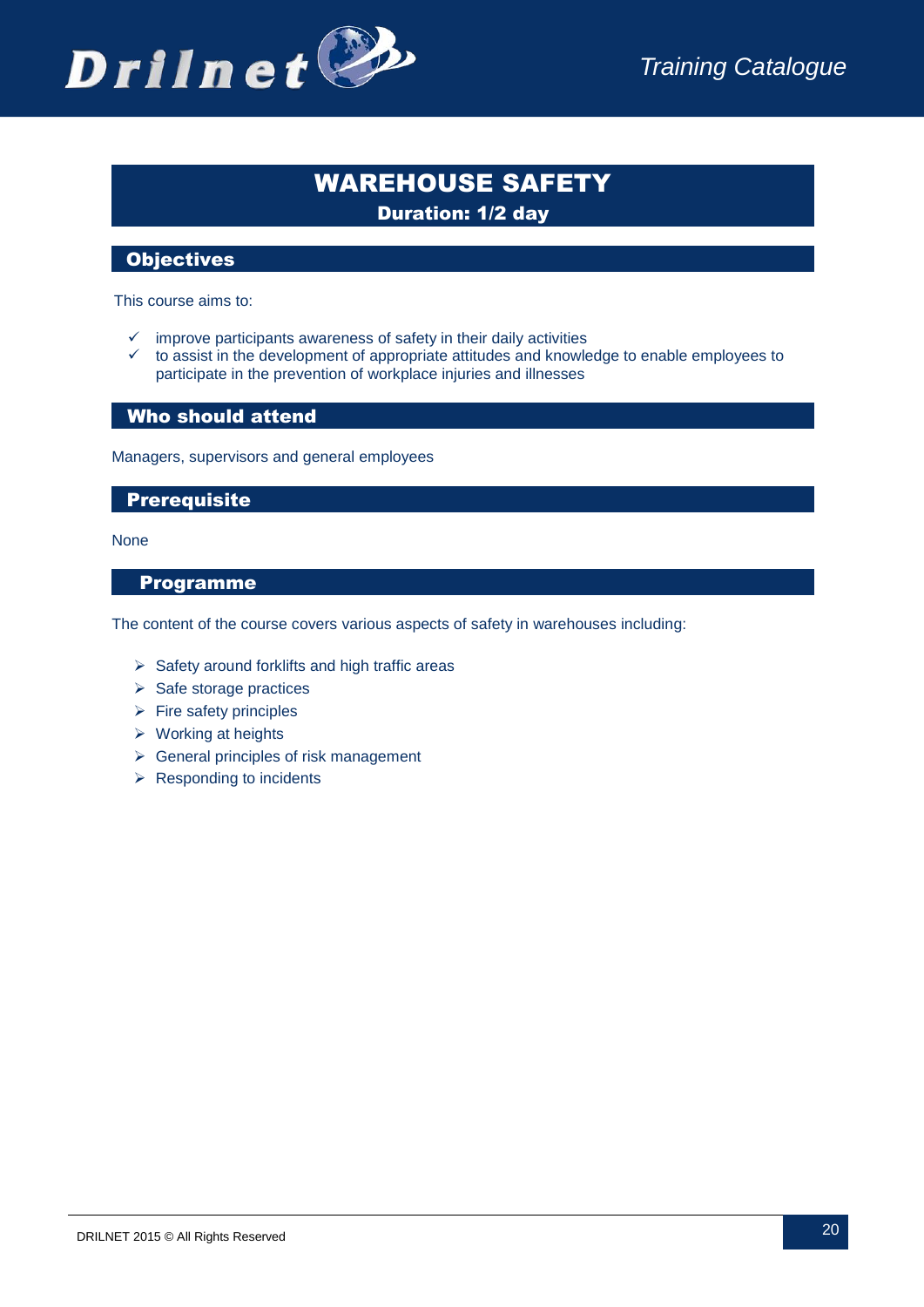

### WAREHOUSE SAFETY Duration: 1/2 day

#### **Objectives**

This course aims to:

- $\checkmark$  improve participants awareness of safety in their daily activities
- $\checkmark$  to assist in the development of appropriate attitudes and knowledge to enable employees to participate in the prevention of workplace injuries and illnesses

#### Who should attend

Managers, supervisors and general employees

#### **Prerequisite**

None

#### Programme

The content of the course covers various aspects of safety in warehouses including:

- $\triangleright$  Safety around forklifts and high traffic areas
- $\triangleright$  Safe storage practices
- $\triangleright$  Fire safety principles
- $\triangleright$  Working at heights
- $\triangleright$  General principles of risk management
- $\triangleright$  Responding to incidents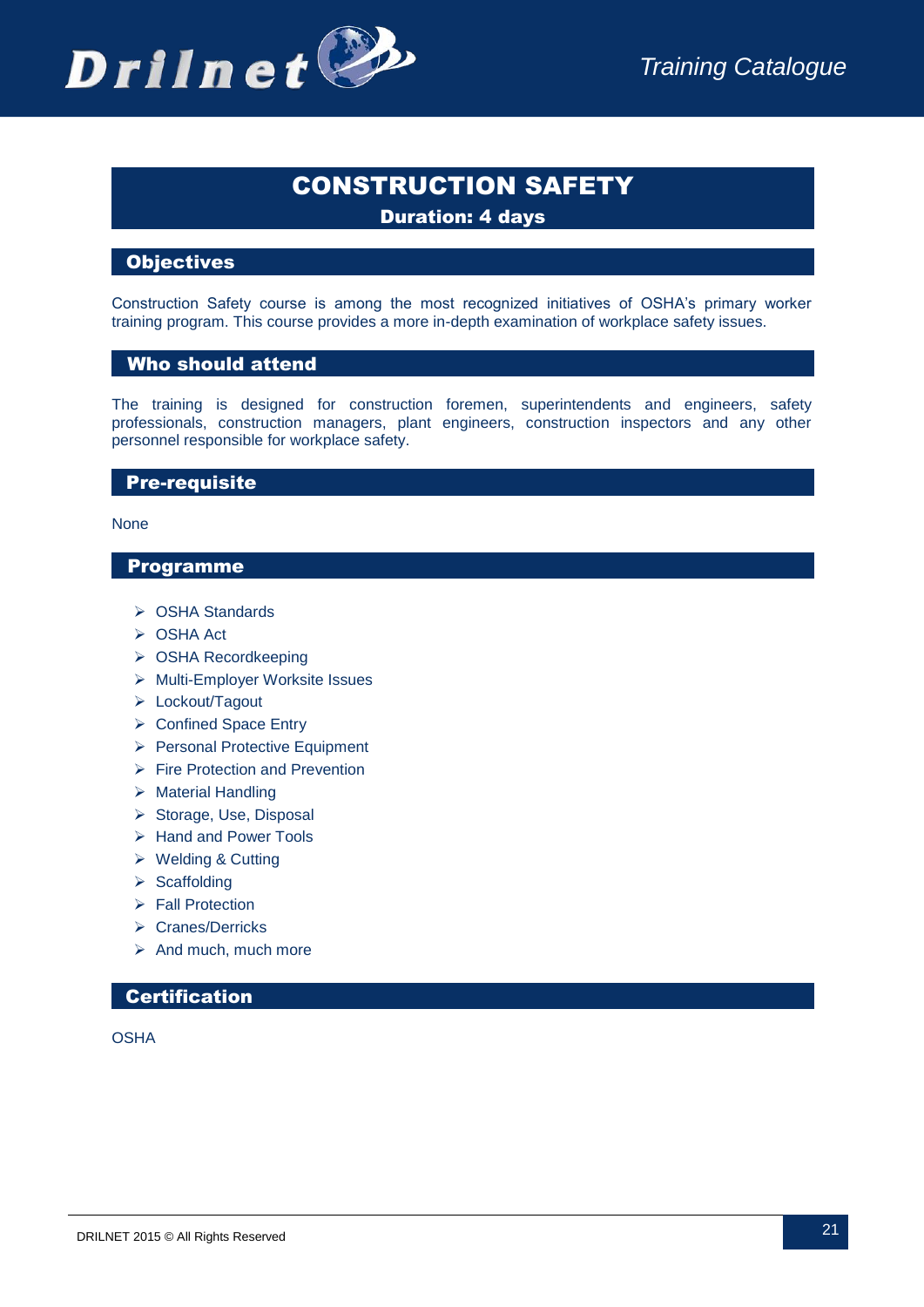### CONSTRUCTION SAFETY Duration: 4 days

#### **Objectives**

Construction Safety course is among the most recognized initiatives of OSHA's primary worker training program. This course provides a more in-depth examination of workplace safety issues.

#### Who should attend

The training is designed for construction foremen, superintendents and engineers, safety professionals, construction managers, plant engineers, construction inspectors and any other personnel responsible for workplace safety.

#### Pre-requisite

None

#### Programme

- **▶ OSHA Standards**
- OSHA Act
- ▶ OSHA Recordkeeping
- ▶ Multi-Employer Worksite Issues
- Lockout/Tagout
- ▶ Confined Space Entry
- Personal Protective Equipment
- $\triangleright$  Fire Protection and Prevention
- $\triangleright$  Material Handling
- $\triangleright$  Storage, Use, Disposal
- > Hand and Power Tools
- Welding & Cutting
- $\triangleright$  Scaffolding
- $\triangleright$  Fall Protection
- Cranes/Derricks
- $\triangleright$  And much, much more

#### **Certification**

**OSHA**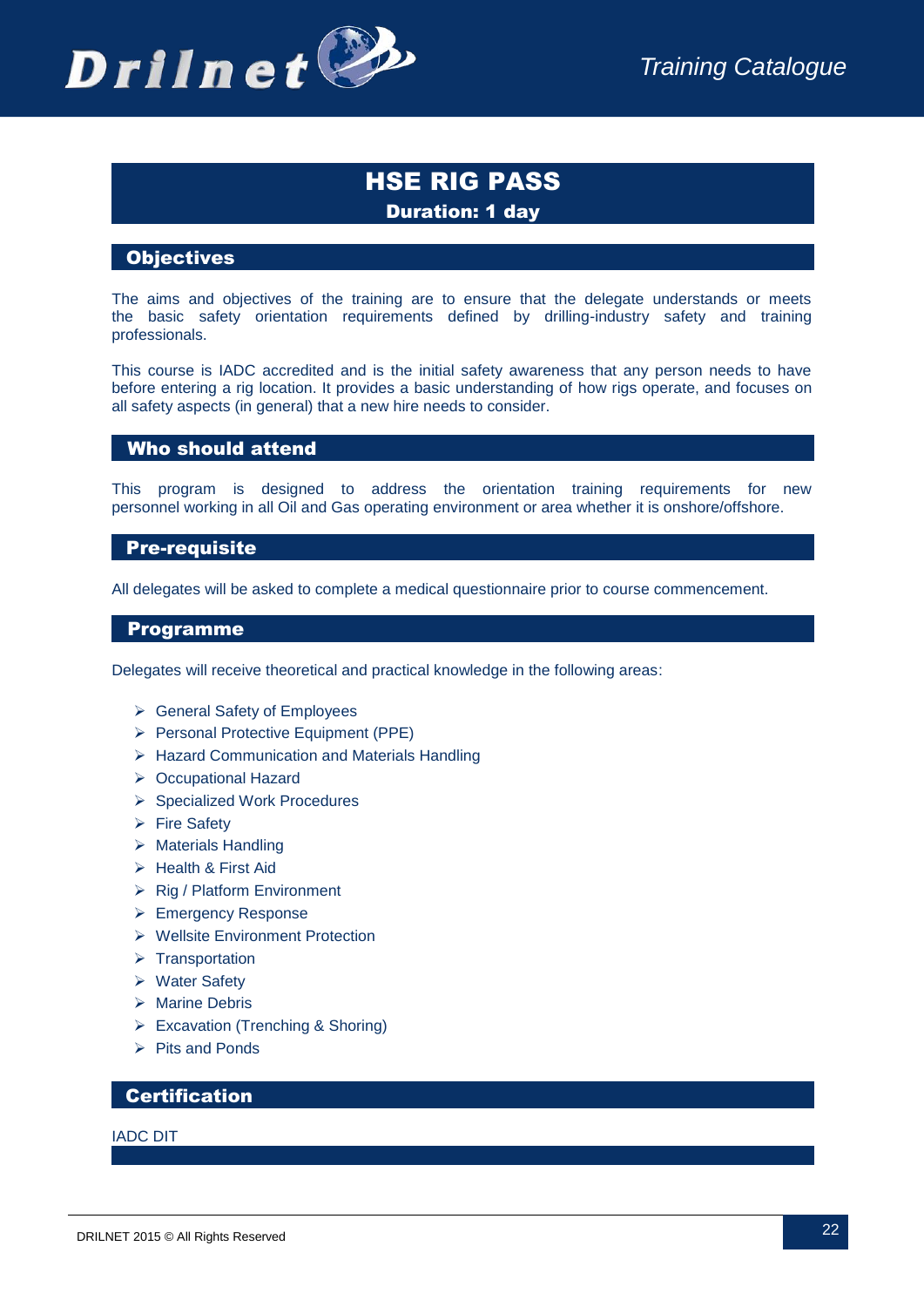

### HSE RIG PASS Duration: 1 day

#### **Objectives**

The aims and objectives of the training are to ensure that the delegate understands or meets the basic safety orientation requirements defined by drilling-industry safety and training professionals.

This course is IADC accredited and is the initial safety awareness that any person needs to have before entering a rig location. It provides a basic understanding of how rigs operate, and focuses on all safety aspects (in general) that a new hire needs to consider.

#### Who should attend

This program is designed to address the orientation training requirements for new personnel working in all Oil and Gas operating environment or area whether it is onshore/offshore.

#### Pre-requisite

All delegates will be asked to complete a medical questionnaire prior to course commencement.

#### Programme

Delegates will receive theoretical and practical knowledge in the following areas:

- ▶ General Safety of Employees
- Personal Protective Equipment (PPE)
- ▶ Hazard Communication and Materials Handling
- ▶ Occupational Hazard
- ▶ Specialized Work Procedures
- $\triangleright$  Fire Safety
- $\triangleright$  Materials Handling
- $\triangleright$  Health & First Aid
- $\triangleright$  Rig / Platform Environment
- ▶ Emergency Response
- ▶ Wellsite Environment Protection
- $\triangleright$  Transportation
- Water Safety
- $\triangleright$  Marine Debris
- Excavation (Trenching & Shoring)
- $\triangleright$  Pits and Ponds

#### **Certification**

#### IADC DIT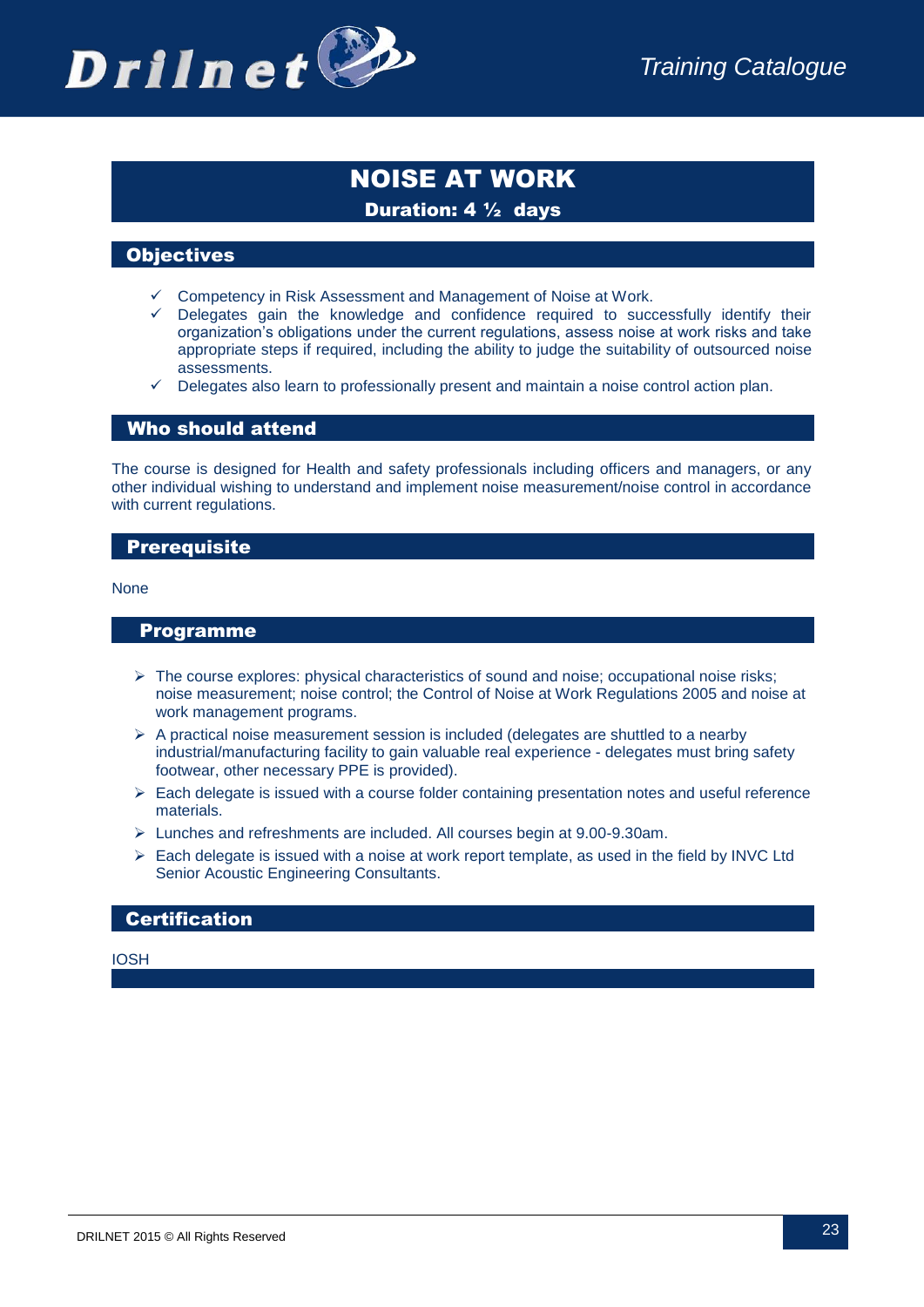

# NOISE AT WORK

#### Duration: 4 ½ days

#### **Objectives**

- $\checkmark$  Competency in Risk Assessment and Management of Noise at Work.
- $\checkmark$  Delegates gain the knowledge and confidence required to successfully identify their organization's obligations under the current regulations, assess noise at work risks and take appropriate steps if required, including the ability to judge the suitability of outsourced noise assessments.
- $\checkmark$  Delegates also learn to professionally present and maintain a noise control action plan.

#### Who should attend

The course is designed for Health and safety professionals including officers and managers, or any other individual wishing to understand and implement noise measurement/noise control in accordance with current regulations.

#### **Prerequisite**

None

#### Programme

- $\triangleright$  The course explores: physical characteristics of sound and noise; occupational noise risks; noise measurement; noise control; the Control of Noise at Work Regulations 2005 and noise at work management programs.
- $\triangleright$  A practical noise measurement session is included (delegates are shuttled to a nearby industrial/manufacturing facility to gain valuable real experience - delegates must bring safety footwear, other necessary PPE is provided).
- $\triangleright$  Each delegate is issued with a course folder containing presentation notes and useful reference materials.
- Lunches and refreshments are included. All courses begin at 9.00-9.30am.
- $\triangleright$  Each delegate is issued with a noise at work report template, as used in the field by INVC Ltd Senior Acoustic Engineering Consultants.

#### **Certification**

IOSH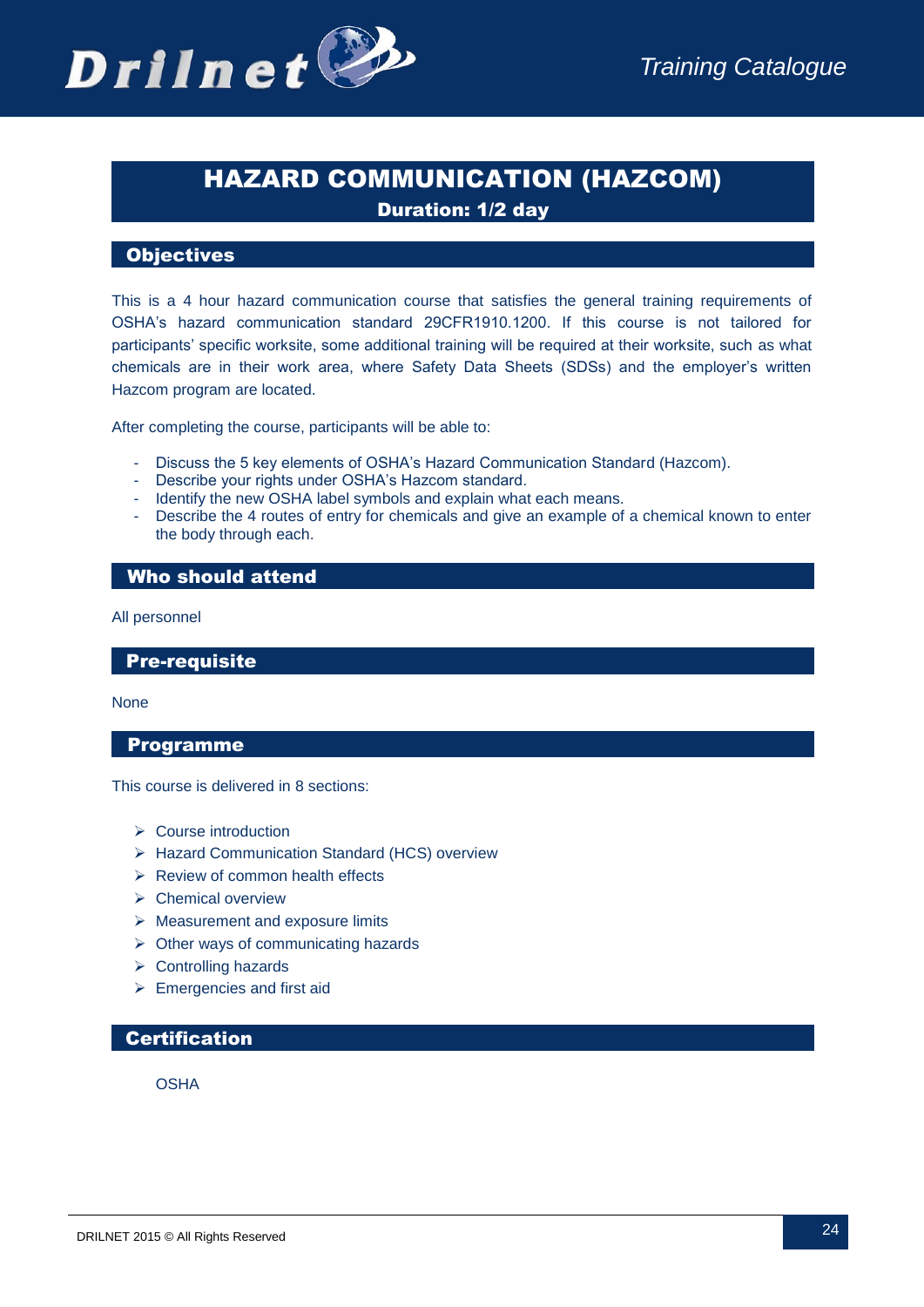

# HAZARD COMMUNICATION (HAZCOM)

Duration: 1/2 day

#### **Objectives**

This is a 4 hour hazard communication course that satisfies the general training requirements of OSHA's hazard communication standard 29CFR1910.1200. If this course is not tailored for participants' specific worksite, some additional training will be required at their worksite, such as what chemicals are in their work area, where Safety Data Sheets (SDSs) and the employer's written Hazcom program are located.

After completing the course, participants will be able to:

- Discuss the 5 key elements of OSHA's Hazard Communication Standard (Hazcom).
- Describe your rights under OSHA's Hazcom standard.
- Identify the new OSHA label symbols and explain what each means.
- Describe the 4 routes of entry for chemicals and give an example of a chemical known to enter the body through each.

#### Who should attend

All personnel

#### Pre-requisite

None

#### Programme

This course is delivered in 8 sections:

- $\triangleright$  Course introduction
- ▶ Hazard Communication Standard (HCS) overview
- $\triangleright$  Review of common health effects
- $\triangleright$  Chemical overview
- $\triangleright$  Measurement and exposure limits
- $\triangleright$  Other ways of communicating hazards
- $\triangleright$  Controlling hazards
- $\triangleright$  Emergencies and first aid

#### **Certification**

**OSHA**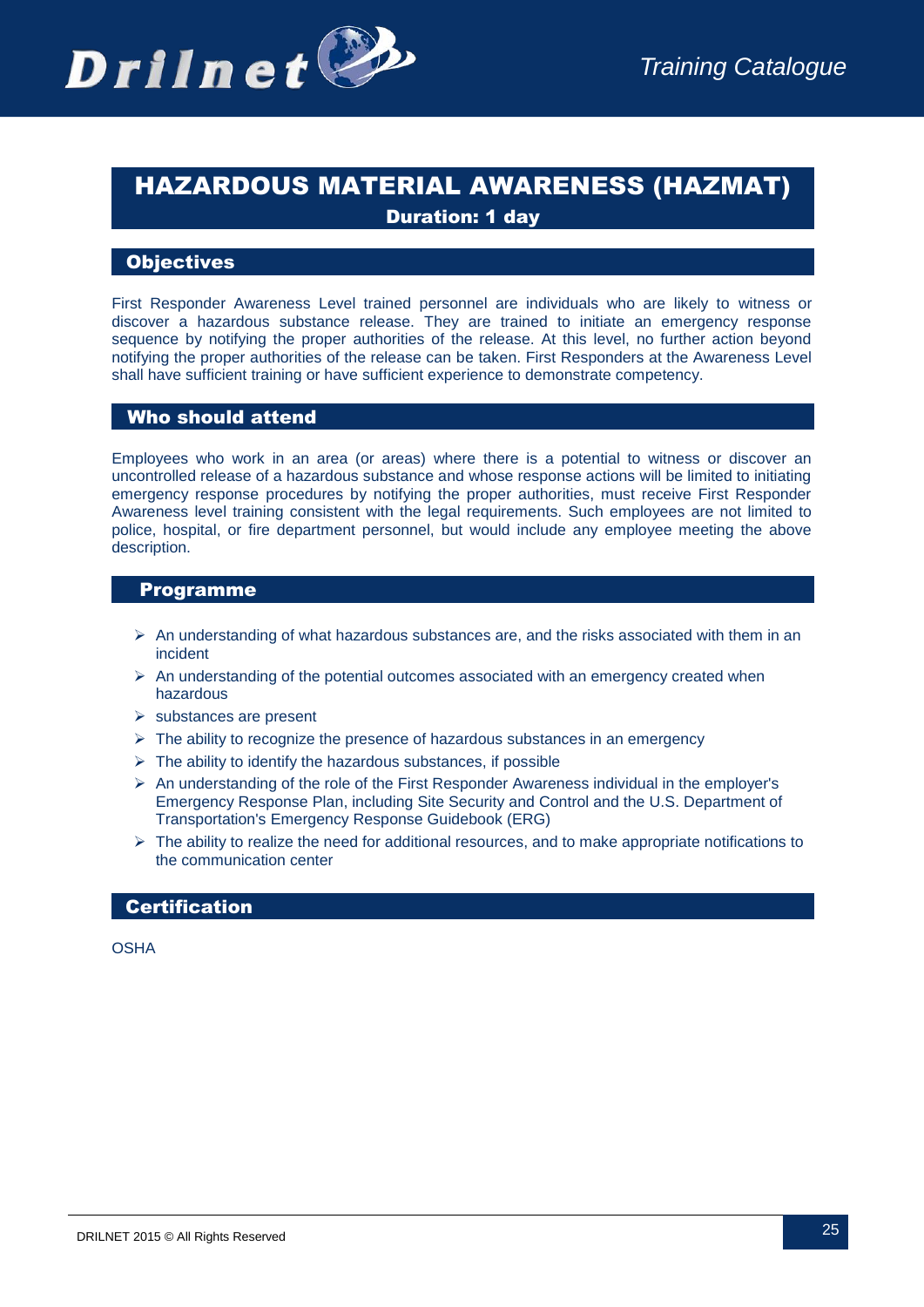

# HAZARDOUS MATERIAL AWARENESS (HAZMAT) Duration: 1 day

#### **Objectives**

First Responder Awareness Level trained personnel are individuals who are likely to witness or discover a hazardous substance release. They are trained to initiate an emergency response sequence by notifying the proper authorities of the release. At this level, no further action beyond notifying the proper authorities of the release can be taken. First Responders at the Awareness Level shall have sufficient training or have sufficient experience to demonstrate competency.

#### Who should attend

Employees who work in an area (or areas) where there is a potential to witness or discover an uncontrolled release of a hazardous substance and whose response actions will be limited to initiating emergency response procedures by notifying the proper authorities, must receive First Responder Awareness level training consistent with the legal requirements. Such employees are not limited to police, hospital, or fire department personnel, but would include any employee meeting the above description.

#### **Programme**

- $\triangleright$  An understanding of what hazardous substances are, and the risks associated with them in an incident
- $\triangleright$  An understanding of the potential outcomes associated with an emergency created when hazardous
- $\triangleright$  substances are present
- $\triangleright$  The ability to recognize the presence of hazardous substances in an emergency
- $\triangleright$  The ability to identify the hazardous substances, if possible
- $\triangleright$  An understanding of the role of the First Responder Awareness individual in the employer's Emergency Response Plan, including Site Security and Control and the U.S. Department of Transportation's Emergency Response Guidebook (ERG)
- $\triangleright$  The ability to realize the need for additional resources, and to make appropriate notifications to the communication center

#### **Certification**

OSHA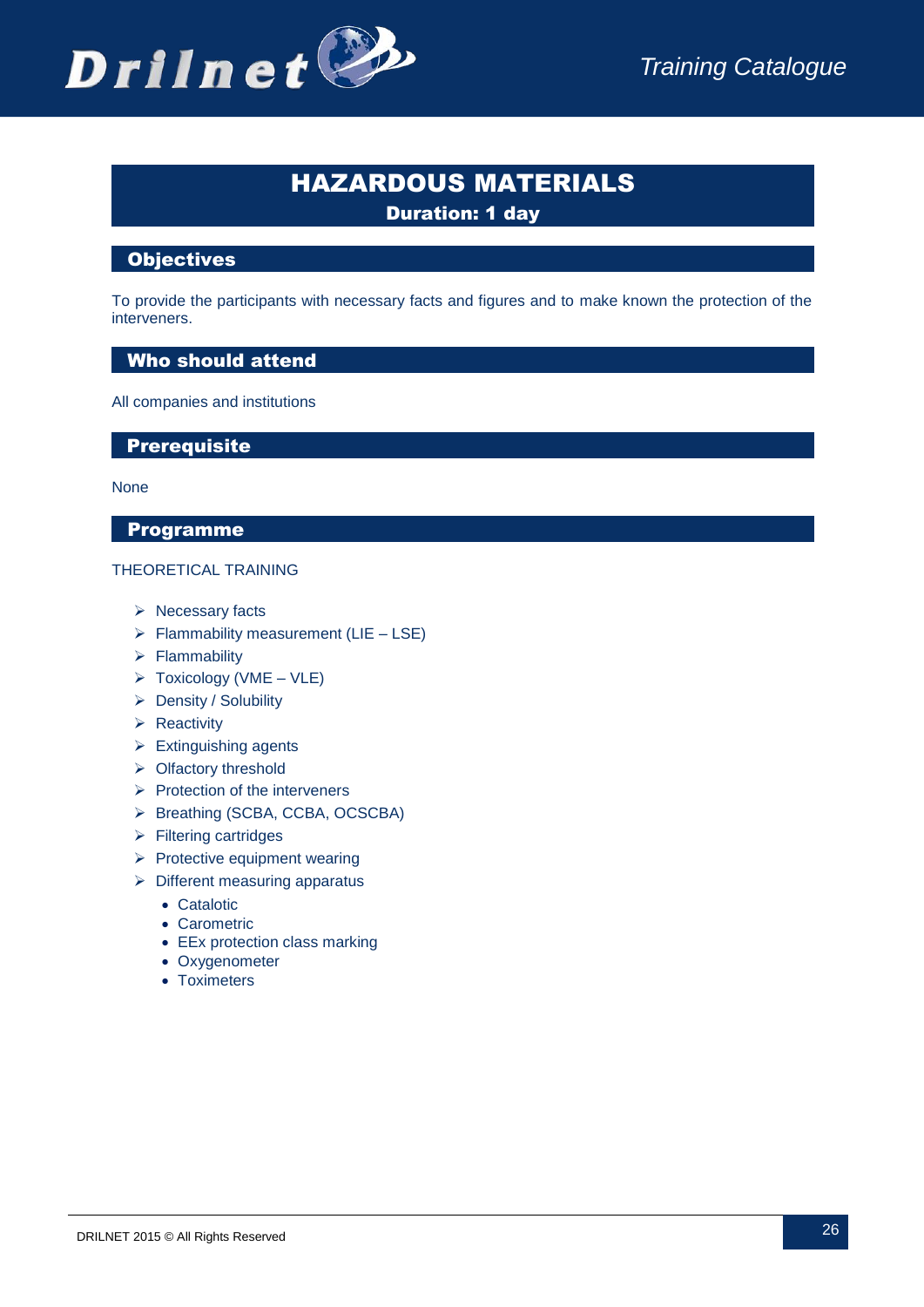

# HAZARDOUS MATERIALS

Duration: 1 day

### **Objectives**

To provide the participants with necessary facts and figures and to make known the protection of the interveners.

#### Who should attend

All companies and institutions

#### **Prerequisite**

#### None

#### Programme

#### THEORETICAL TRAINING

- $\triangleright$  Necessary facts
- $\triangleright$  Flammability measurement (LIE LSE)
- $\triangleright$  Flammability
- $\triangleright$  Toxicology (VME VLE)
- ▶ Density / Solubility
- $\triangleright$  Reactivity
- $\triangleright$  Extinguishing agents
- ▶ Olfactory threshold
- $\triangleright$  Protection of the interveners
- ▶ Breathing (SCBA, CCBA, OCSCBA)
- $\triangleright$  Filtering cartridges
- $\triangleright$  Protective equipment wearing
- $\triangleright$  Different measuring apparatus
	- Catalotic
	- Carometric
	- EEx protection class marking
	- Oxygenometer
	- Toximeters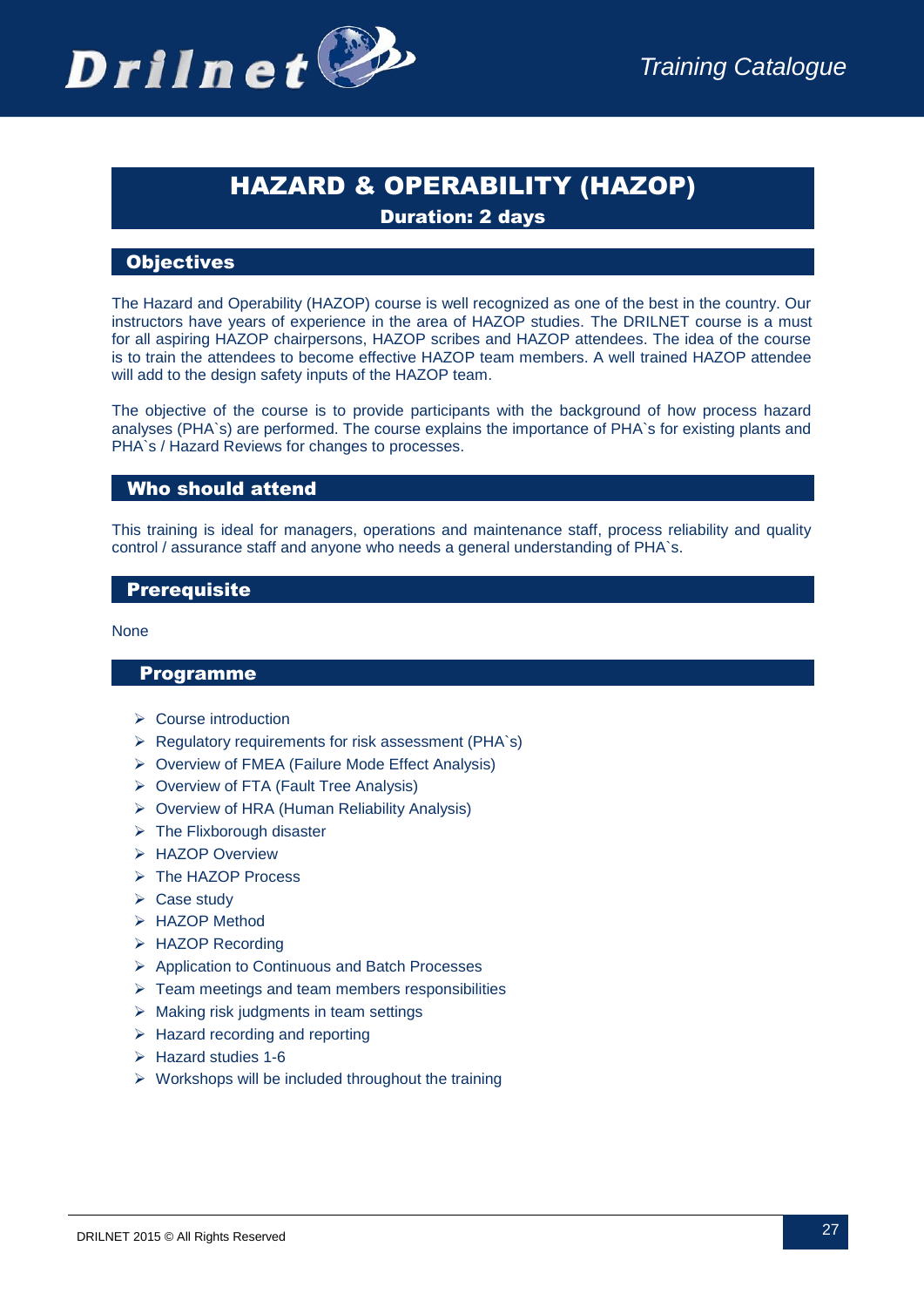

## HAZARD & OPERABILITY (HAZOP) Duration: 2 days

#### **Objectives**

The Hazard and Operability (HAZOP) course is well recognized as one of the best in the country. Our instructors have years of experience in the area of HAZOP studies. The DRILNET course is a must for all aspiring HAZOP chairpersons, HAZOP scribes and HAZOP attendees. The idea of the course is to train the attendees to become effective HAZOP team members. A well trained HAZOP attendee will add to the design safety inputs of the HAZOP team.

The objective of the course is to provide participants with the background of how process hazard analyses (PHA`s) are performed. The course explains the importance of PHA`s for existing plants and PHA`s / Hazard Reviews for changes to processes.

#### Who should attend

This training is ideal for managers, operations and maintenance staff, process reliability and quality control / assurance staff and anyone who needs a general understanding of PHA`s.

#### **Prerequisite**

None

#### Programme

- $\triangleright$  Course introduction
- $\triangleright$  Regulatory requirements for risk assessment (PHA`s)
- ▶ Overview of FMEA (Failure Mode Effect Analysis)
- ▶ Overview of FTA (Fault Tree Analysis)
- Overview of HRA (Human Reliability Analysis)
- $\triangleright$  The Flixborough disaster
- > HAZOP Overview
- > The HAZOP Process
- $\triangleright$  Case study
- > HAZOP Method
- > HAZOP Recording
- Application to Continuous and Batch Processes
- $\triangleright$  Team meetings and team members responsibilities
- $\triangleright$  Making risk judgments in team settings
- $\triangleright$  Hazard recording and reporting
- $\triangleright$  Hazard studies 1-6
- $\triangleright$  Workshops will be included throughout the training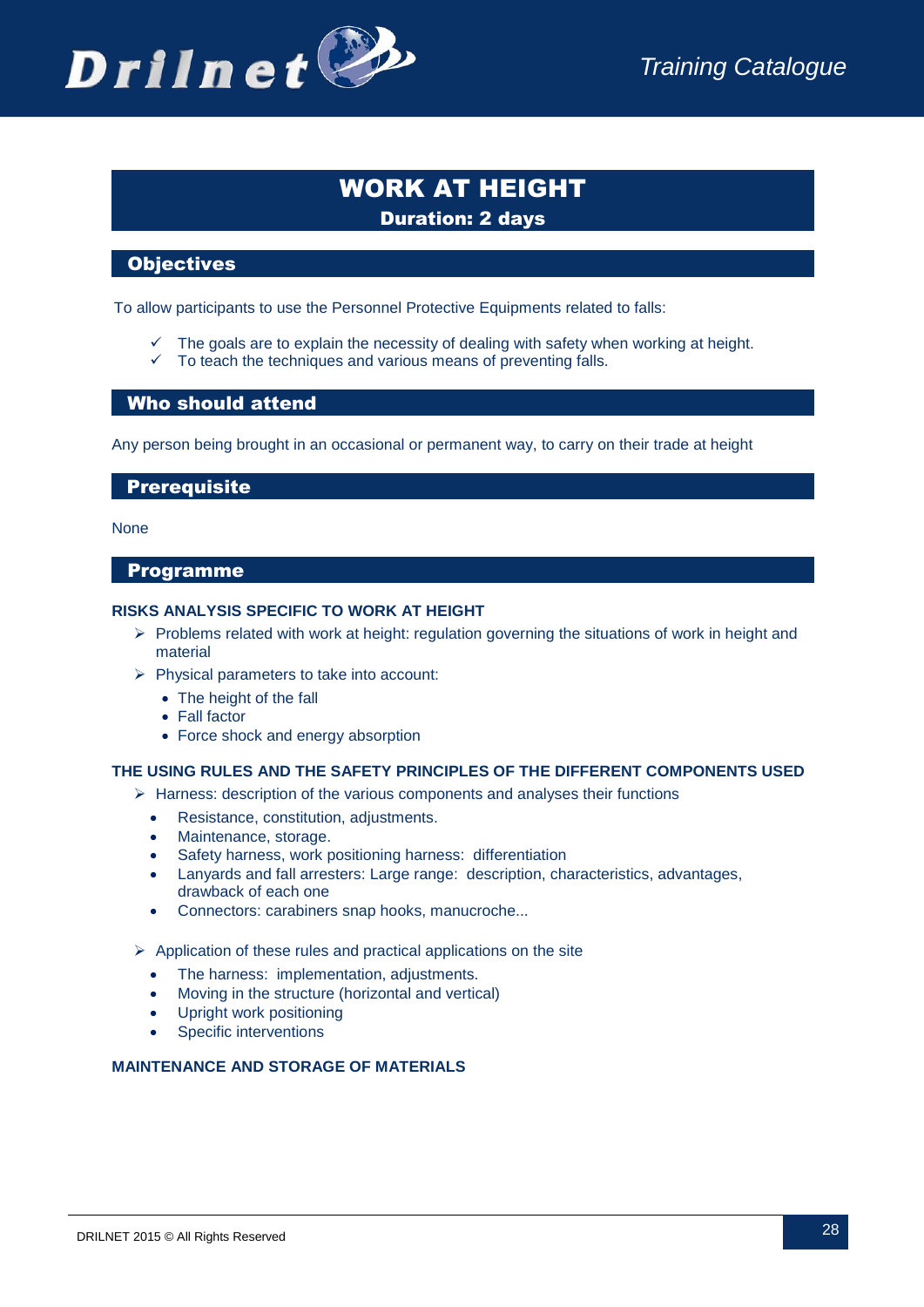

### WORK AT HEIGHT Duration: 2 days

#### **Objectives**

To allow participants to use the Personnel Protective Equipments related to falls:

- The goals are to explain the necessity of dealing with safety when working at height.
- $\checkmark$  To teach the techniques and various means of preventing falls.

#### Who should attend

Any person being brought in an occasional or permanent way, to carry on their trade at height

#### **Prerequisite**

None

#### Programme

#### **RISKS ANALYSIS SPECIFIC TO WORK AT HEIGHT**

- $\triangleright$  Problems related with work at height: regulation governing the situations of work in height and material
- $\triangleright$  Physical parameters to take into account:
	- The height of the fall
	- Fall factor
	- Force shock and energy absorption

#### **THE USING RULES AND THE SAFETY PRINCIPLES OF THE DIFFERENT COMPONENTS USED**

- $\triangleright$  Harness: description of the various components and analyses their functions
	- Resistance, constitution, adjustments.
	- Maintenance, storage.
	- Safety harness, work positioning harness: differentiation
	- Lanyards and fall arresters: Large range: description, characteristics, advantages, drawback of each one
	- Connectors: carabiners snap hooks, manucroche...
- $\triangleright$  Application of these rules and practical applications on the site
	- The harness: implementation, adjustments.
	- Moving in the structure (horizontal and vertical)
	- Upright work positioning
	- Specific interventions

#### **MAINTENANCE AND STORAGE OF MATERIALS**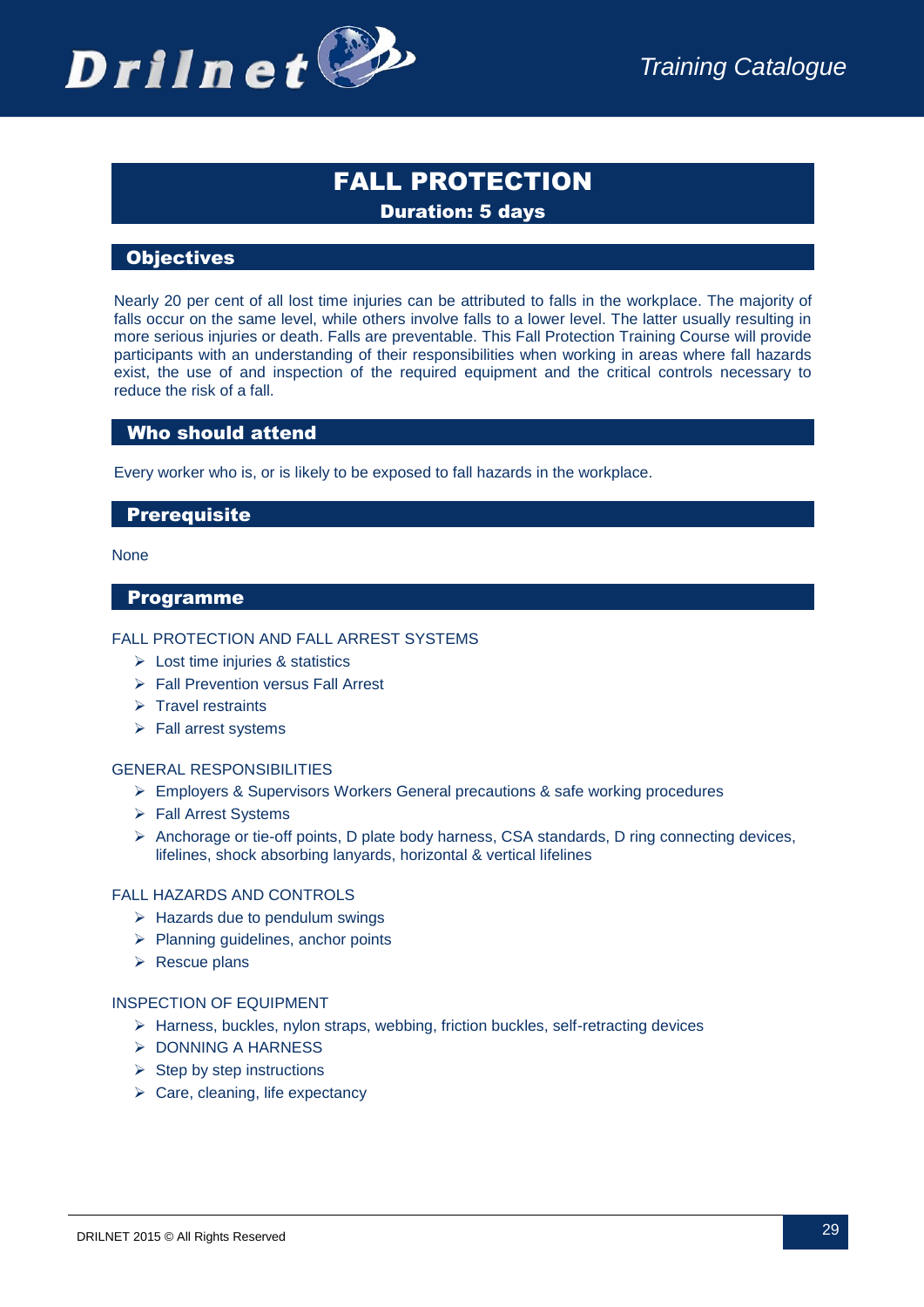

## FALL PROTECTION Duration: 5 days

#### **Objectives**

Nearly 20 per cent of all lost time injuries can be attributed to falls in the workplace. The majority of falls occur on the same level, while others involve falls to a lower level. The latter usually resulting in more serious injuries or death. Falls are preventable. This Fall Protection Training Course will provide participants with an understanding of their responsibilities when working in areas where fall hazards exist, the use of and inspection of the required equipment and the critical controls necessary to reduce the risk of a fall.

#### Who should attend

Every worker who is, or is likely to be exposed to fall hazards in the workplace.

#### **Prerequisite**

#### None

#### Programme

#### FALL PROTECTION AND FALL ARREST SYSTEMS

- $\triangleright$  Lost time injuries & statistics
- ▶ Fall Prevention versus Fall Arrest
- $\triangleright$  Travel restraints
- $\triangleright$  Fall arrest systems

#### GENERAL RESPONSIBILITIES

- $\triangleright$  Employers & Supervisors Workers General precautions & safe working procedures
- ▶ Fall Arrest Systems
- Anchorage or tie-off points, D plate body harness, CSA standards, D ring connecting devices, lifelines, shock absorbing lanyards, horizontal & vertical lifelines

#### FALL HAZARDS AND CONTROLS

- $\triangleright$  Hazards due to pendulum swings
- $\triangleright$  Planning guidelines, anchor points
- $\triangleright$  Rescue plans

#### INSPECTION OF EQUIPMENT

- > Harness, buckles, nylon straps, webbing, friction buckles, self-retracting devices
- $\triangleright$  DONNING A HARNESS
- $\triangleright$  Step by step instructions
- $\triangleright$  Care, cleaning, life expectancy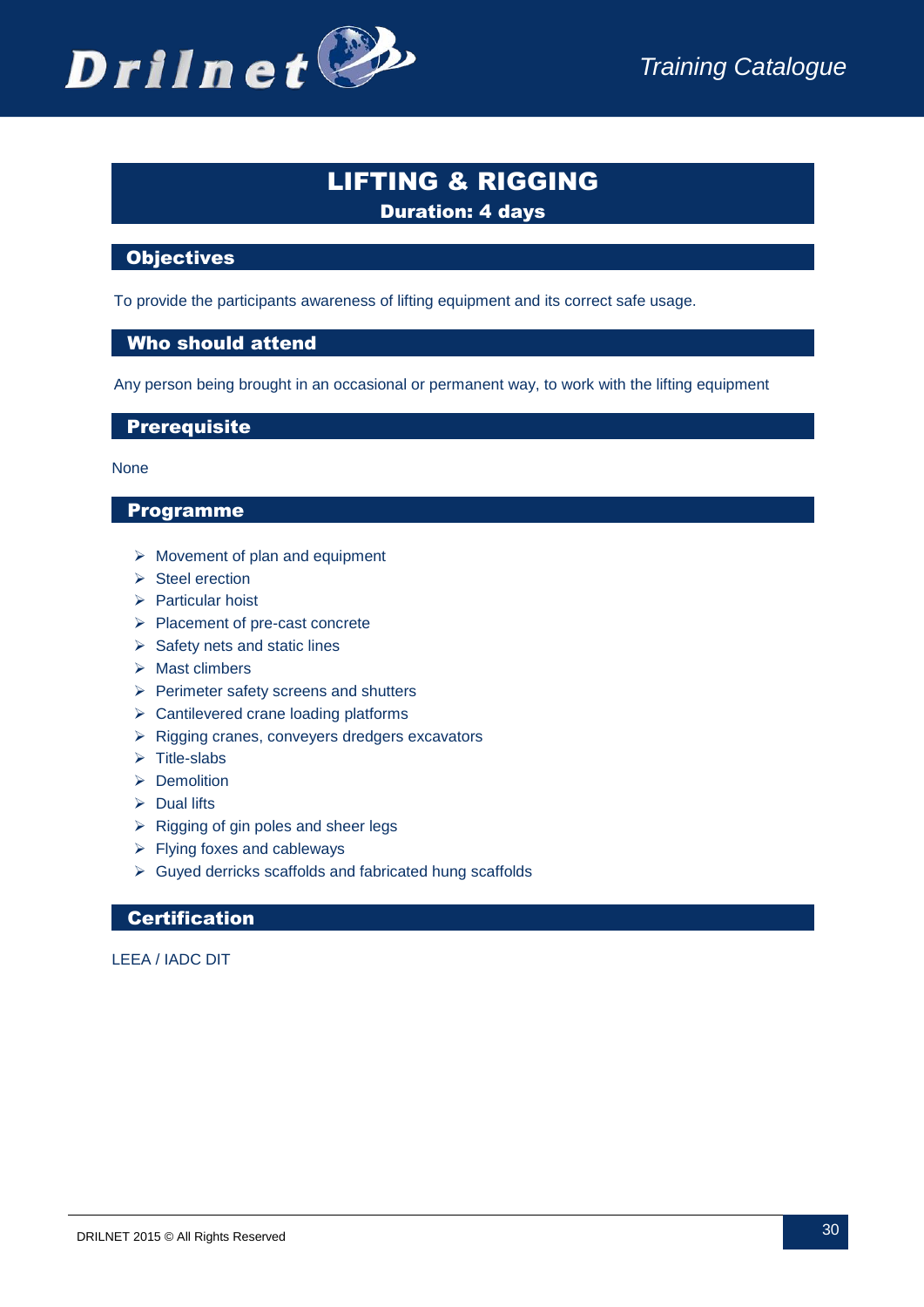

# LIFTING & RIGGING

Duration: 4 days

#### **Objectives**

To provide the participants awareness of lifting equipment and its correct safe usage.

#### Who should attend

Any person being brought in an occasional or permanent way, to work with the lifting equipment

#### **Prerequisite**

None

#### Programme

- $\triangleright$  Movement of plan and equipment
- $\triangleright$  Steel erection
- $\triangleright$  Particular hoist
- Placement of pre-cast concrete
- $\triangleright$  Safety nets and static lines
- $\triangleright$  Mast climbers
- $\triangleright$  Perimeter safety screens and shutters
- $\triangleright$  Cantilevered crane loading platforms
- $\triangleright$  Rigging cranes, conveyers dredgers excavators
- $\triangleright$  Title-slabs
- $\triangleright$  Demolition
- $\triangleright$  Dual lifts
- $\triangleright$  Rigging of gin poles and sheer legs
- $\triangleright$  Flying foxes and cableways
- $\triangleright$  Guyed derricks scaffolds and fabricated hung scaffolds

#### **Certification**

LEEA / IADC DIT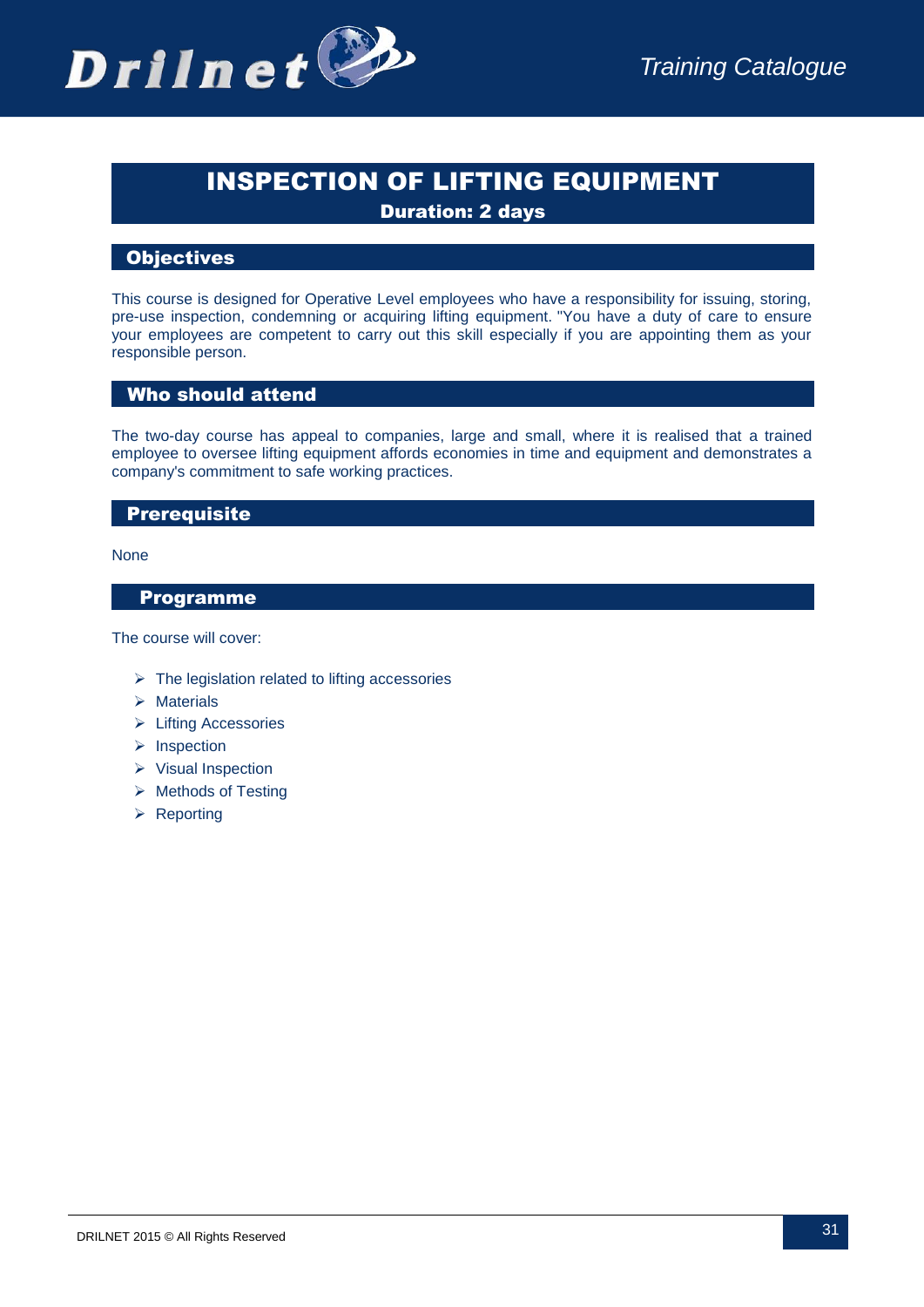

# INSPECTION OF LIFTING EQUIPMENT

Duration: 2 days

#### **Objectives**

This course is designed for Operative Level employees who have a responsibility for issuing, storing, pre-use inspection, condemning or acquiring lifting equipment. "You have a duty of care to ensure your employees are competent to carry out this skill especially if you are appointing them as your responsible person.

#### Who should attend

The two-day course has appeal to companies, large and small, where it is realised that a trained employee to oversee lifting equipment affords economies in time and equipment and demonstrates a company's commitment to safe working practices.

#### **Prerequisite**

None

#### Programme

The course will cover:

- $\triangleright$  The legislation related to lifting accessories
- $\triangleright$  Materials
- Lifting Accessories
- $\triangleright$  Inspection
- ▶ Visual Inspection
- ▶ Methods of Testing
- $\triangleright$  Reporting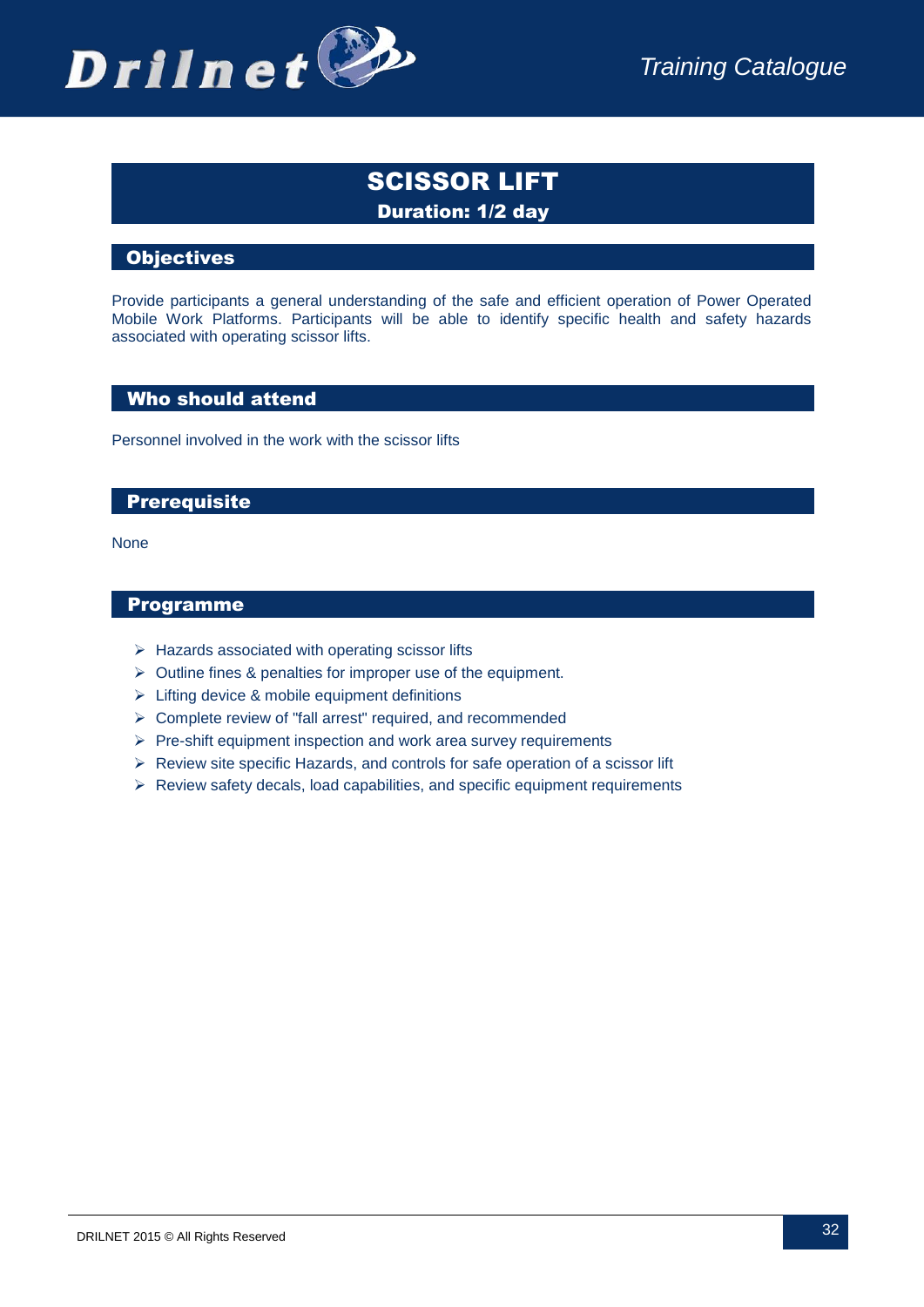

# SCISSOR LIFT

Duration: 1/2 day

#### **Objectives**

Provide participants a general understanding of the safe and efficient operation of Power Operated Mobile Work Platforms. Participants will be able to identify specific health and safety hazards associated with operating scissor lifts.

#### Who should attend

Personnel involved in the work with the scissor lifts

#### **Prerequisite**

None

#### Programme

- $\triangleright$  Hazards associated with operating scissor lifts
- $\triangleright$  Outline fines & penalties for improper use of the equipment.
- $\triangleright$  Lifting device & mobile equipment definitions
- Complete review of "fall arrest" required, and recommended
- $\triangleright$  Pre-shift equipment inspection and work area survey requirements
- $\triangleright$  Review site specific Hazards, and controls for safe operation of a scissor lift
- $\triangleright$  Review safety decals, load capabilities, and specific equipment requirements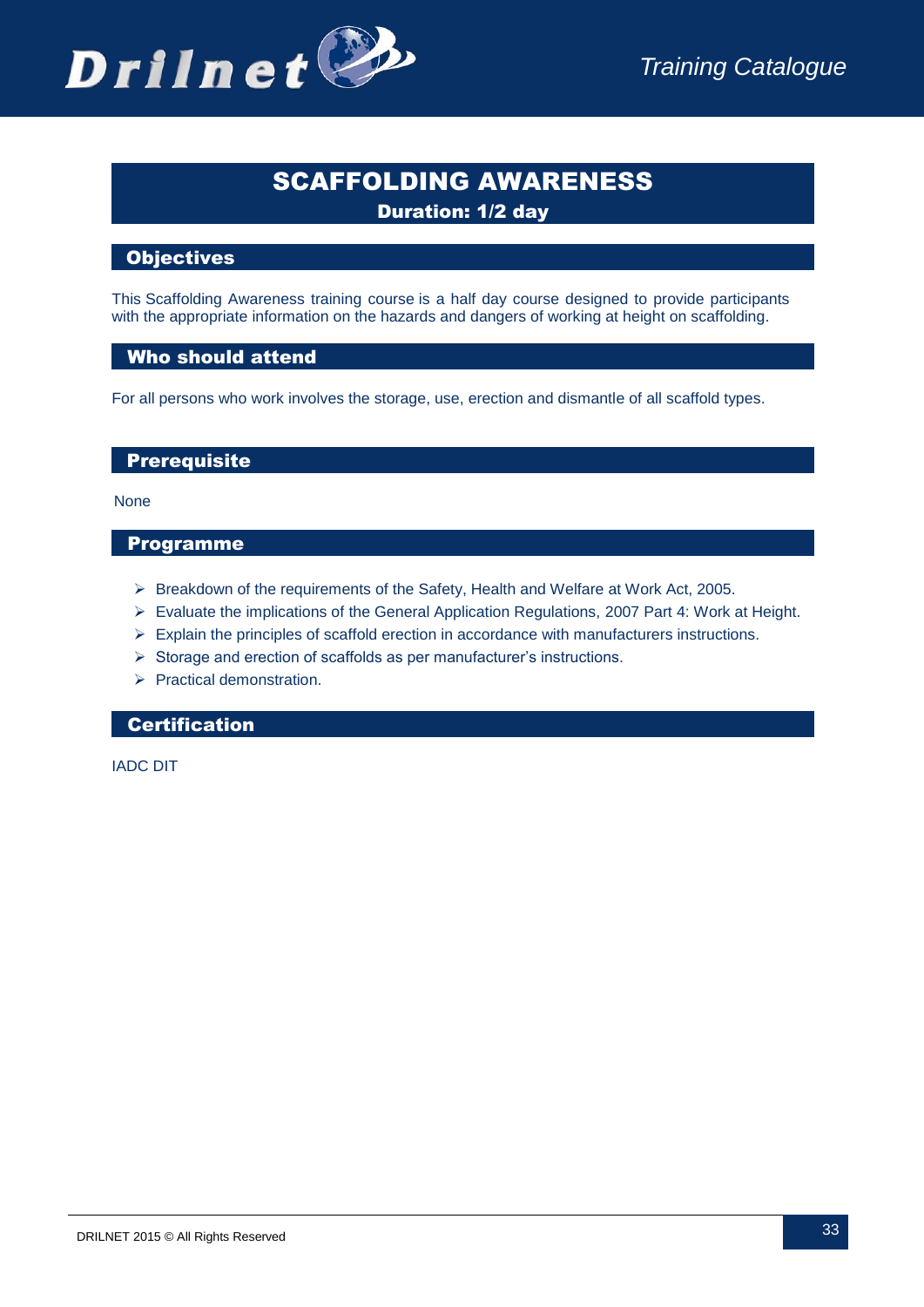# SCAFFOLDING AWARENESS

Duration: 1/2 day

#### **Objectives**

This Scaffolding Awareness training course is a half day course designed to provide participants with the appropriate information on the hazards and dangers of working at height on scaffolding.

#### Who should attend

For all persons who work involves the storage, use, erection and dismantle of all scaffold types.

#### **Prerequisite**

None

#### Programme

- $\triangleright$  Breakdown of the requirements of the Safety, Health and Welfare at Work Act, 2005.
- $\triangleright$  Evaluate the implications of the General Application Regulations, 2007 Part 4: Work at Height.
- $\triangleright$  Explain the principles of scaffold erection in accordance with manufacturers instructions.
- $\triangleright$  Storage and erection of scaffolds as per manufacturer's instructions.
- $\triangleright$  Practical demonstration.

#### **Certification**

IADC DIT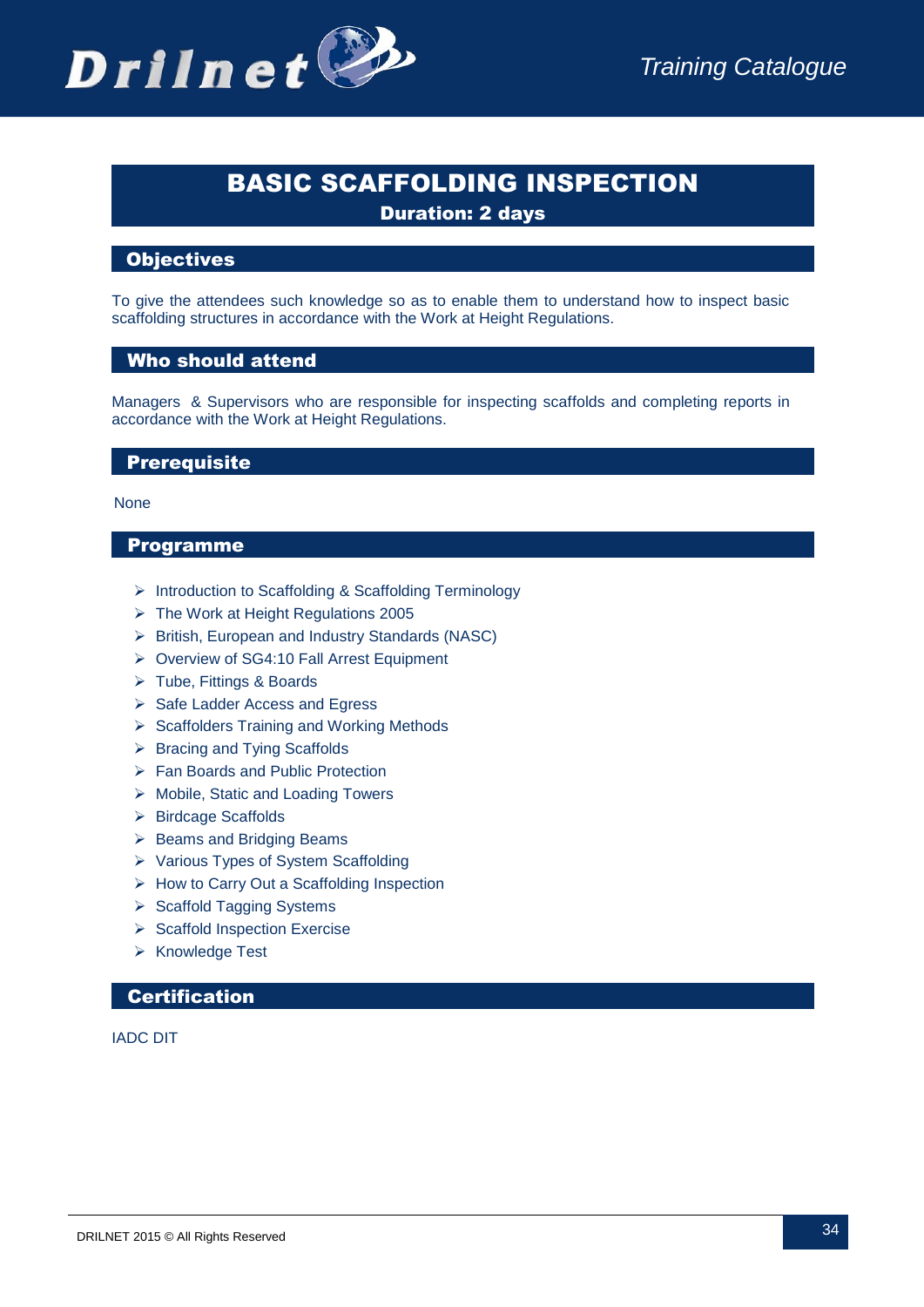

# BASIC SCAFFOLDING INSPECTION

Duration: 2 days

#### **Objectives**

To give the attendees such knowledge so as to enable them to understand how to inspect basic scaffolding structures in accordance with the Work at Height Regulations.

#### Who should attend

Managers & Supervisors who are responsible for inspecting scaffolds and completing reports in accordance with the Work at Height Regulations.

#### **Prerequisite**

#### None

#### Programme

- ▶ Introduction to Scaffolding & Scaffolding Terminology
- The Work at Height Regulations 2005
- $\triangleright$  British, European and Industry Standards (NASC)
- ▶ Overview of SG4:10 Fall Arrest Equipment
- Tube, Fittings & Boards
- $\triangleright$  Safe Ladder Access and Egress
- $\triangleright$  Scaffolders Training and Working Methods
- $\triangleright$  Bracing and Tying Scaffolds
- ▶ Fan Boards and Public Protection
- ▶ Mobile, Static and Loading Towers
- ▶ Birdcage Scaffolds
- $\triangleright$  Beams and Bridging Beams
- ▶ Various Types of System Scaffolding
- $\triangleright$  How to Carry Out a Scaffolding Inspection
- $\triangleright$  Scaffold Tagging Systems
- > Scaffold Inspection Exercise
- $\triangleright$  Knowledge Test

#### **Certification**

IADC DIT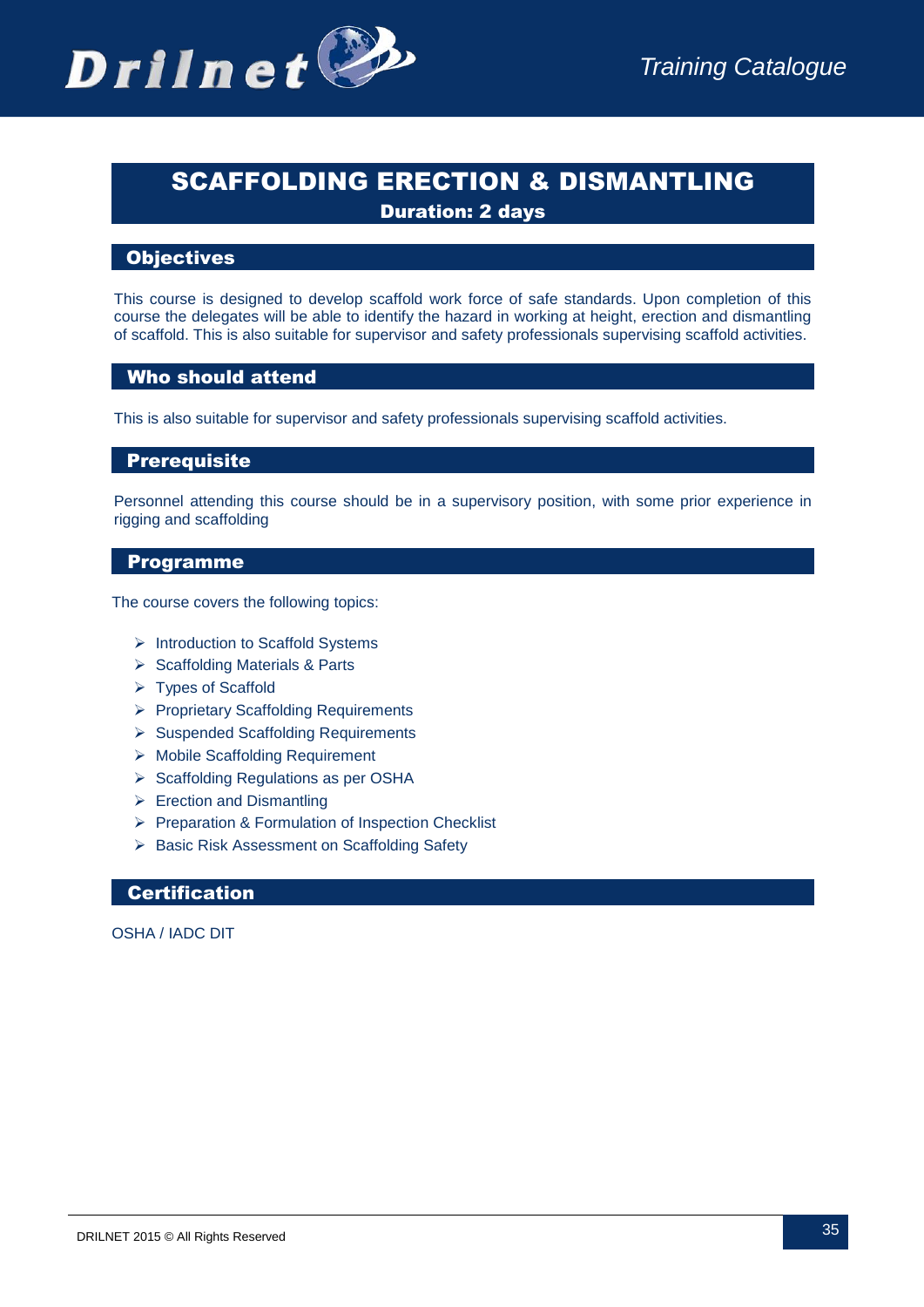

# SCAFFOLDING ERECTION & DISMANTLING Duration: 2 days

#### **Objectives**

This course is designed to develop scaffold work force of safe standards. Upon completion of this course the delegates will be able to identify the hazard in working at height, erection and dismantling of scaffold. This is also suitable for supervisor and safety professionals supervising scaffold activities.

#### Who should attend

This is also suitable for supervisor and safety professionals supervising scaffold activities.

#### **Prerequisite**

Personnel attending this course should be in a supervisory position, with some prior experience in rigging and scaffolding

#### Programme

The course covers the following topics:

- > Introduction to Scaffold Systems
- ▶ Scaffolding Materials & Parts
- > Types of Scaffold
- $\triangleright$  Proprietary Scaffolding Requirements
- ▶ Suspended Scaffolding Requirements
- ▶ Mobile Scaffolding Requirement
- $\triangleright$  Scaffolding Regulations as per OSHA
- $\triangleright$  Erection and Dismantling
- $\triangleright$  Preparation & Formulation of Inspection Checklist
- ▶ Basic Risk Assessment on Scaffolding Safety

#### **Certification**

OSHA / IADC DIT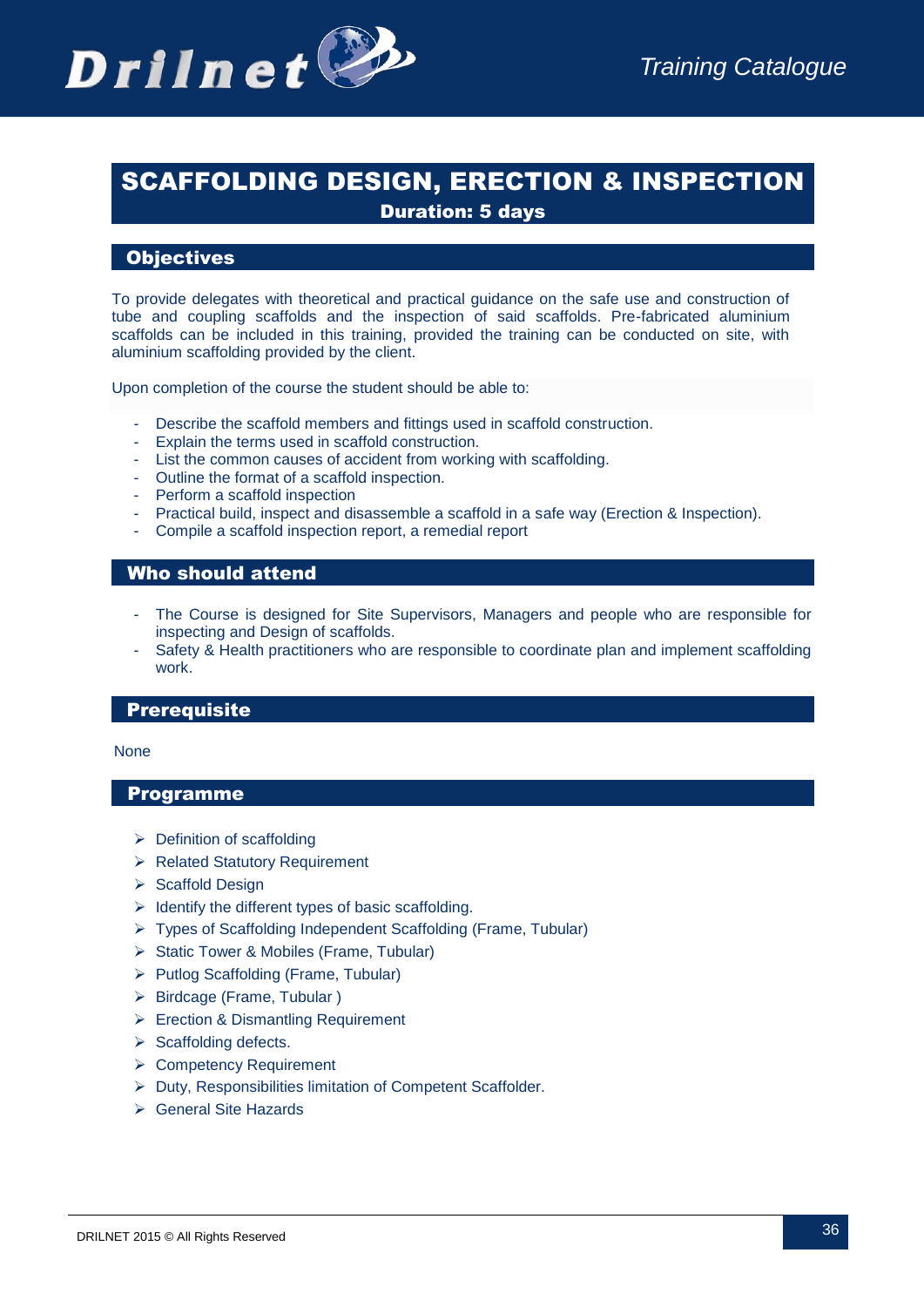

### SCAFFOLDING DESIGN, ERECTION & INSPECTION Duration: 5 days

#### **Objectives**

To provide delegates with theoretical and practical guidance on the safe use and construction of tube and coupling scaffolds and the inspection of said scaffolds. Pre-fabricated aluminium scaffolds can be included in this training, provided the training can be conducted on site, with aluminium scaffolding provided by the client.

Upon completion of the course the student should be able to:

- Describe the scaffold members and fittings used in scaffold construction.
- Explain the terms used in scaffold construction.
- List the common causes of accident from working with scaffolding.
- Outline the format of a scaffold inspection.
- Perform a scaffold inspection
- Practical build, inspect and disassemble a scaffold in a safe way (Erection & Inspection).
- Compile a scaffold inspection report, a remedial report

#### Who should attend

- The Course is designed for Site Supervisors, Managers and people who are responsible for inspecting and Design of scaffolds.
- Safety & Health practitioners who are responsible to coordinate plan and implement scaffolding work.

#### **Prerequisite**

**None** 

#### Programme

- $\triangleright$  Definition of scaffolding
- ▶ Related Statutory Requirement
- $\triangleright$  Scaffold Design
- $\triangleright$  Identify the different types of basic scaffolding.
- Types of Scaffolding Independent Scaffolding (Frame, Tubular)
- $\triangleright$  Static Tower & Mobiles (Frame, Tubular)
- $\triangleright$  Putlog Scaffolding (Frame, Tubular)
- $\triangleright$  Birdcage (Frame, Tubular)
- ▶ Erection & Dismantling Requirement
- $\triangleright$  Scaffolding defects.
- ▶ Competency Requirement
- $\triangleright$  Duty, Responsibilities limitation of Competent Scaffolder.
- General Site Hazards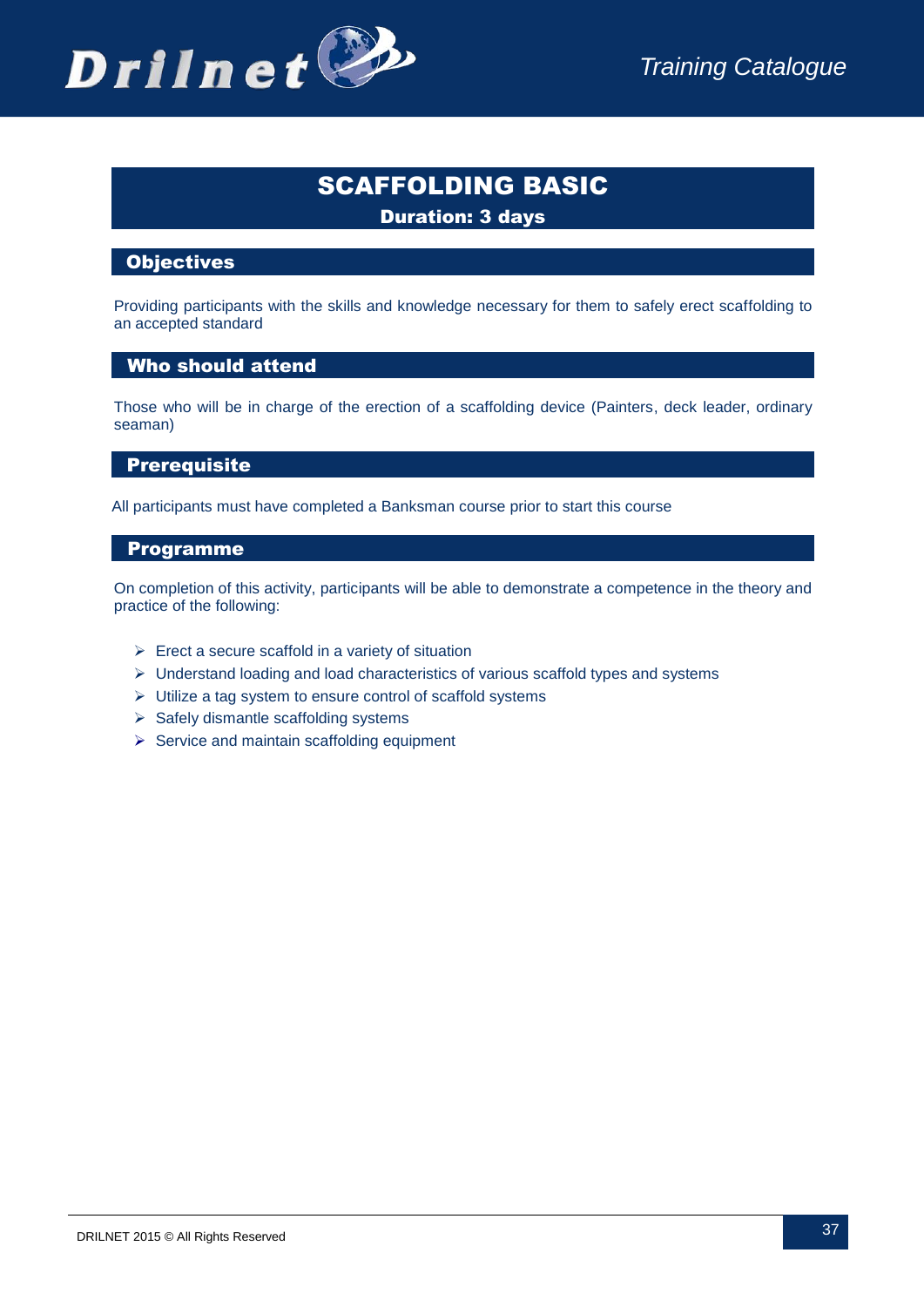

# SCAFFOLDING BASIC Duration: 3 days

# **Objectives**

Providing participants with the skills and knowledge necessary for them to safely erect scaffolding to an accepted standard

## Who should attend

Those who will be in charge of the erection of a scaffolding device (Painters, deck leader, ordinary seaman)

## **Prerequisite**

All participants must have completed a Banksman course prior to start this course

## Programme

On completion of this activity, participants will be able to demonstrate a competence in the theory and practice of the following:

- $\triangleright$  Erect a secure scaffold in a variety of situation
- Understand loading and load characteristics of various scaffold types and systems
- $\triangleright$  Utilize a tag system to ensure control of scaffold systems
- $\triangleright$  Safely dismantle scaffolding systems
- $\triangleright$  Service and maintain scaffolding equipment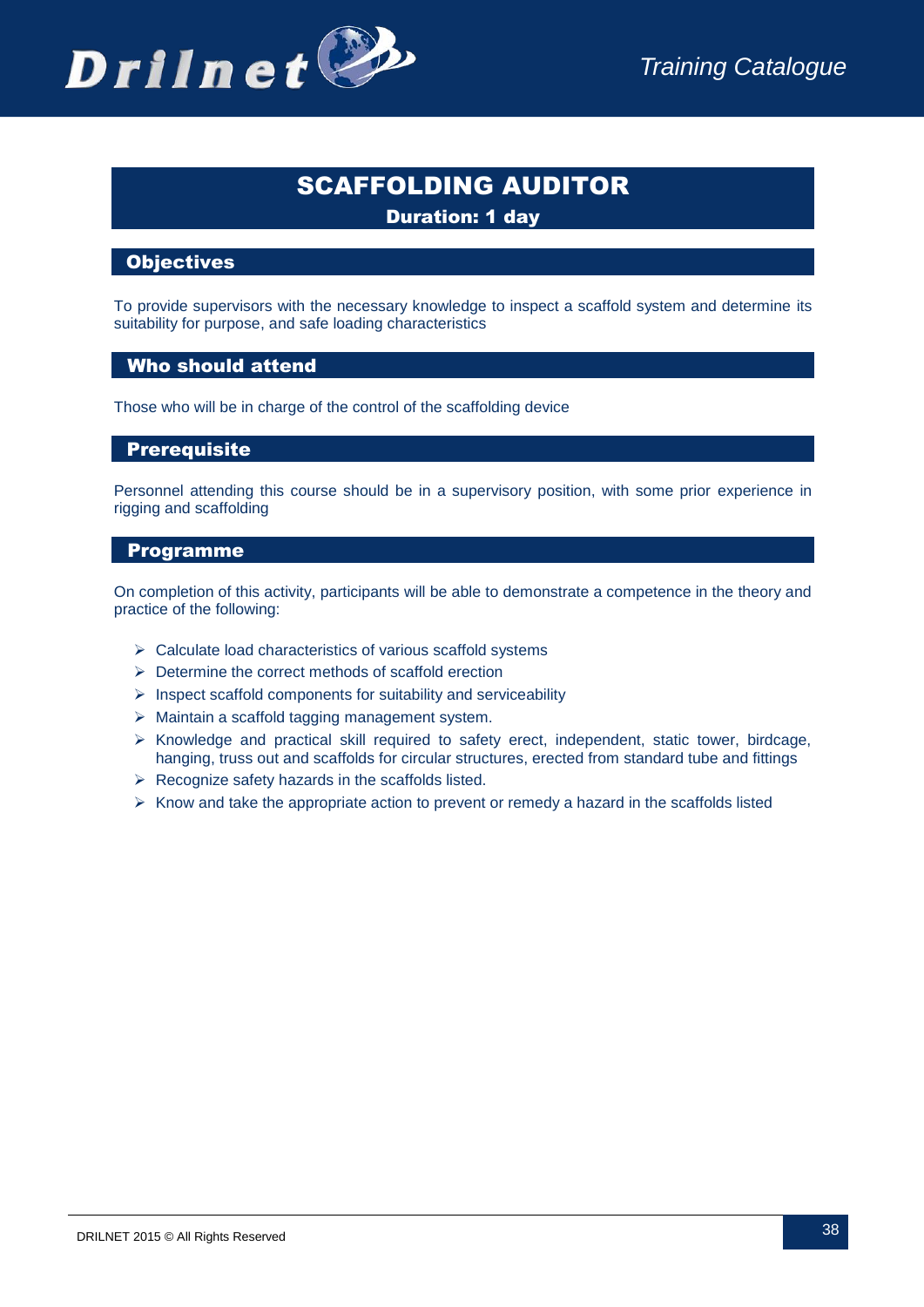

## SCAFFOLDING AUDITOR Duration: 1 day

## **Objectives**

To provide supervisors with the necessary knowledge to inspect a scaffold system and determine its suitability for purpose, and safe loading characteristics

## Who should attend

Those who will be in charge of the control of the scaffolding device

## **Prerequisite**

Personnel attending this course should be in a supervisory position, with some prior experience in rigging and scaffolding

## Programme

On completion of this activity, participants will be able to demonstrate a competence in the theory and practice of the following:

- $\triangleright$  Calculate load characteristics of various scaffold systems
- $\triangleright$  Determine the correct methods of scaffold erection
- $\triangleright$  Inspect scaffold components for suitability and serviceability
- $\triangleright$  Maintain a scaffold tagging management system.
- $\triangleright$  Knowledge and practical skill required to safety erect, independent, static tower, birdcage, hanging, truss out and scaffolds for circular structures, erected from standard tube and fittings
- $\triangleright$  Recognize safety hazards in the scaffolds listed.
- $\triangleright$  Know and take the appropriate action to prevent or remedy a hazard in the scaffolds listed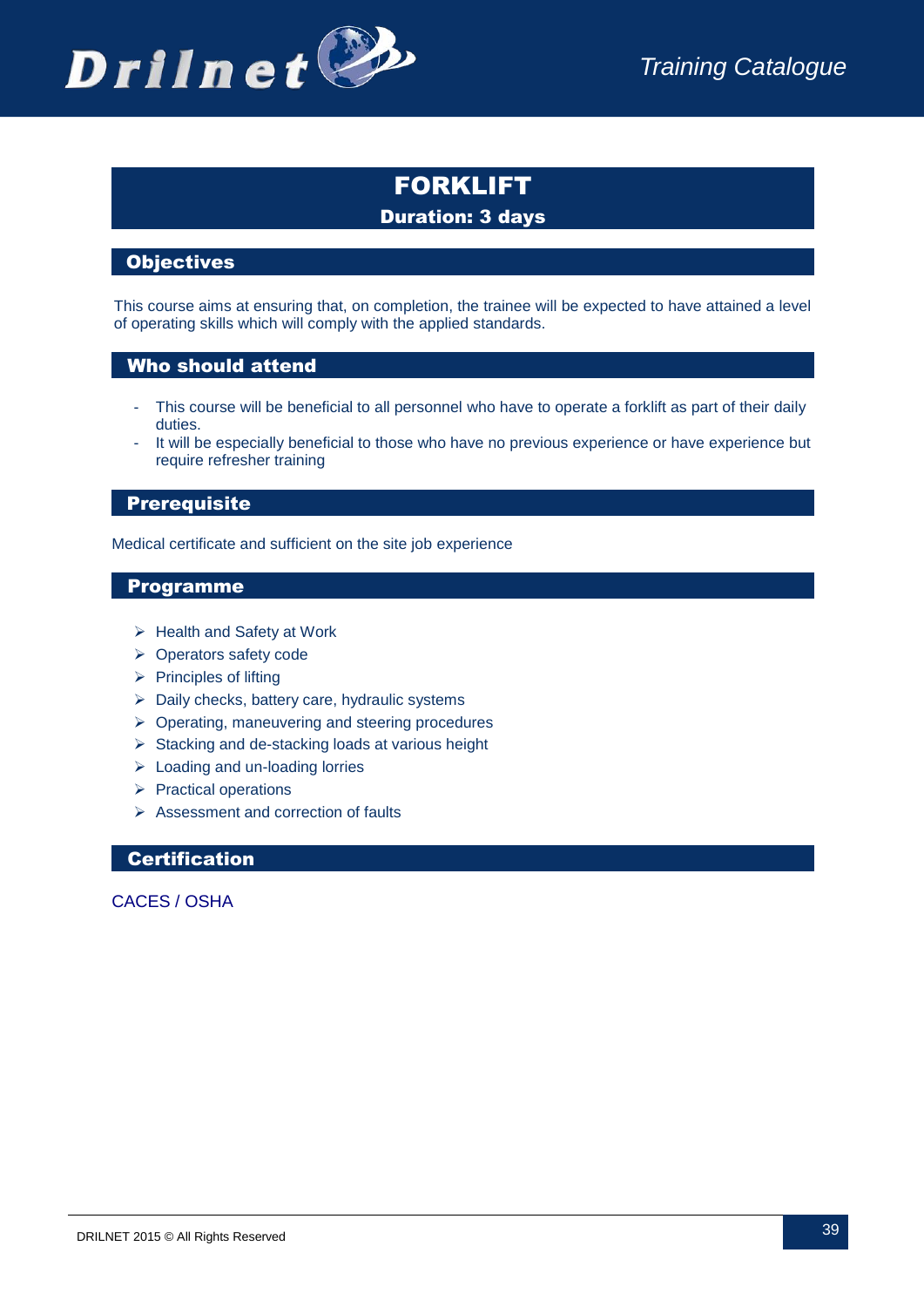

## FORKLIFT Duration: 3 days

## **Objectives**

This course aims at ensuring that, on completion, the trainee will be expected to have attained a level of operating skills which will comply with the applied standards.

## Who should attend

- This course will be beneficial to all personnel who have to operate a forklift as part of their daily duties.
- It will be especially beneficial to those who have no previous experience or have experience but require refresher training

## **Prerequisite**

Medical certificate and sufficient on the site job experience

## Programme

- $\triangleright$  Health and Safety at Work
- ▶ Operators safety code
- $\triangleright$  Principles of lifting
- $\triangleright$  Daily checks, battery care, hydraulic systems
- $\triangleright$  Operating, maneuvering and steering procedures
- $\triangleright$  Stacking and de-stacking loads at various height
- Loading and un-loading lorries
- $\triangleright$  Practical operations
- $\triangleright$  Assessment and correction of faults

## **Certification**

CACES / OSHA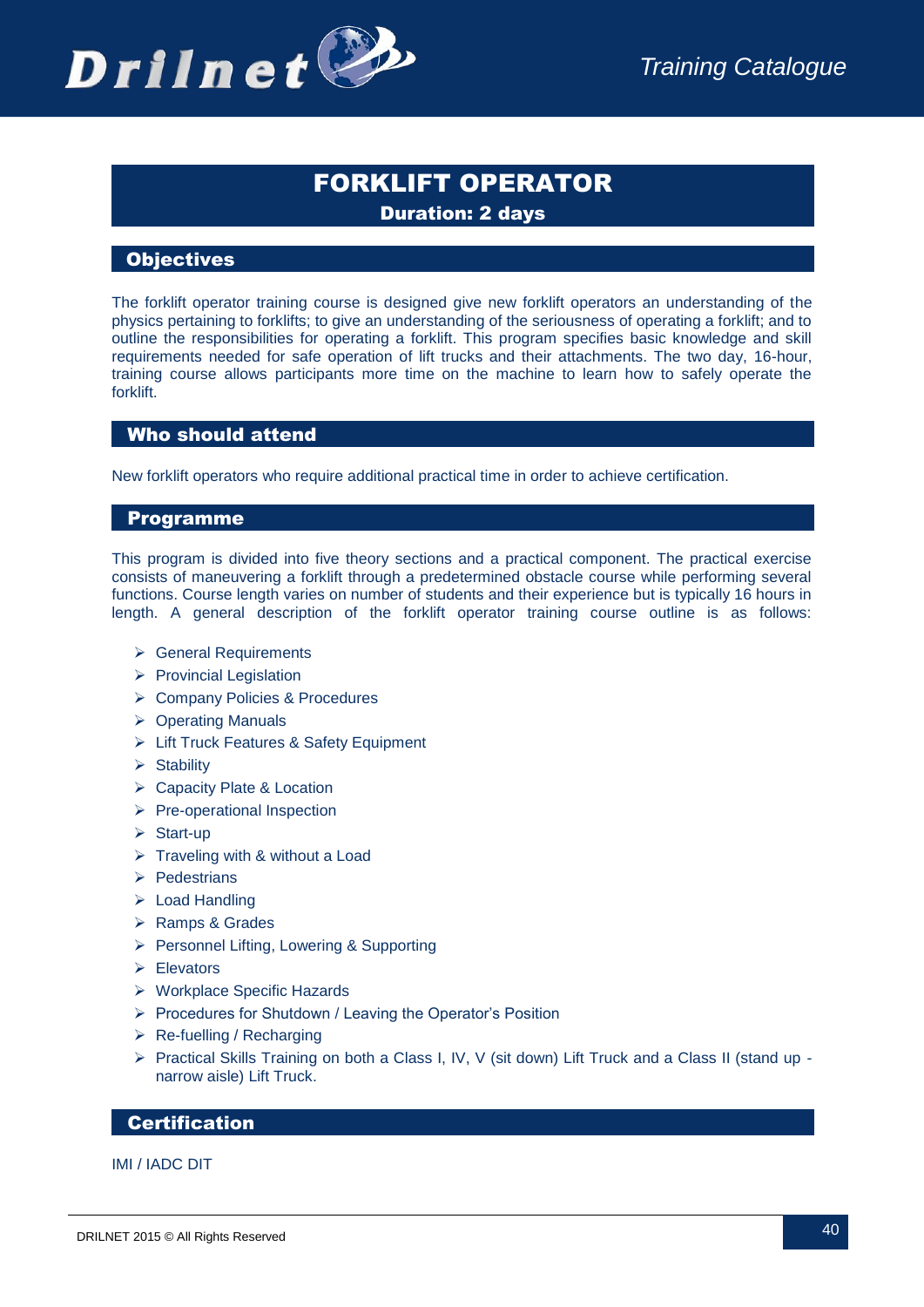

# FORKLIFT OPERATOR

Duration: 2 days

## **Objectives**

The forklift operator training course is designed give new forklift operators an understanding of the physics pertaining to forklifts; to give an understanding of the seriousness of operating a forklift; and to outline the responsibilities for operating a forklift. This program specifies basic knowledge and skill requirements needed for safe operation of lift trucks and their attachments. The two day, 16-hour, training course allows participants more time on the machine to learn how to safely operate the forklift.

## Who should attend

New forklift operators who require additional practical time in order to achieve certification.

## Programme

This program is divided into five theory sections and a practical component. The practical exercise consists of maneuvering a forklift through a predetermined obstacle course while performing several functions. Course length varies on number of students and their experience but is typically 16 hours in length. A general description of the forklift operator training course outline is as follows:

- ▶ General Requirements
- $\triangleright$  Provincial Legislation
- ▶ Company Policies & Procedures
- ▶ Operating Manuals
- Lift Truck Features & Safety Equipment
- $\triangleright$  Stability
- Capacity Plate & Location
- $\triangleright$  Pre-operational Inspection
- $\triangleright$  Start-up
- $\triangleright$  Traveling with & without a Load
- > Pedestrians
- $\triangleright$  Load Handling
- **EXAMPLE & Grades**
- ▶ Personnel Lifting, Lowering & Supporting
- $\triangleright$  Elevators
- ▶ Workplace Specific Hazards
- $\triangleright$  Procedures for Shutdown / Leaving the Operator's Position
- $\triangleright$  Re-fuelling / Recharging
- Practical Skills Training on both a Class I, IV, V (sit down) Lift Truck and a Class II (stand up narrow aisle) Lift Truck.

## **Certification**

#### IMI / IADC DIT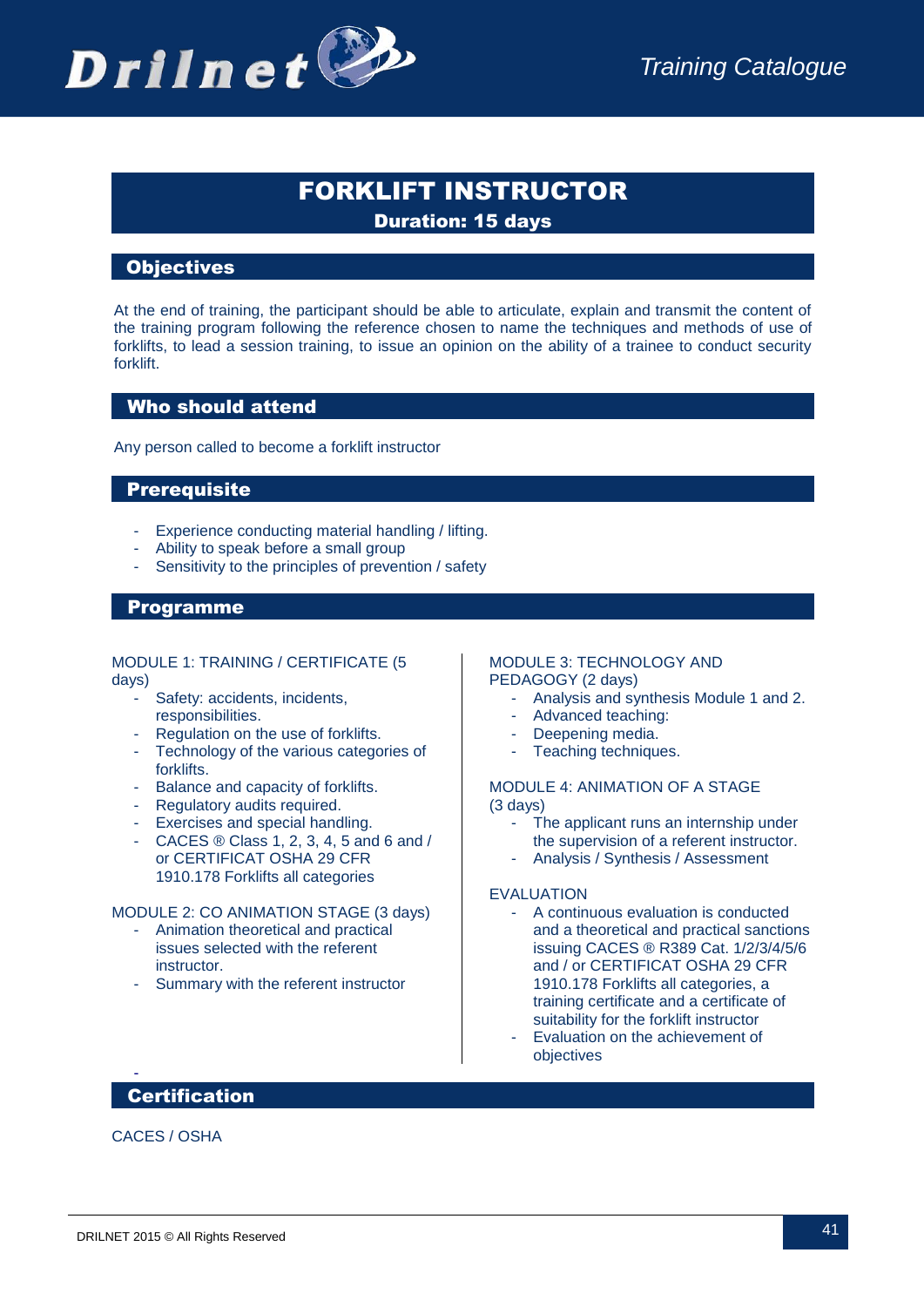

# FORKLIFT INSTRUCTOR Duration: 15 days

## **Objectives**

At the end of training, the participant should be able to articulate, explain and transmit the content of the training program following the reference chosen to name the techniques and methods of use of forklifts, to lead a session training, to issue an opinion on the ability of a trainee to conduct security forklift.

## Who should attend

Any person called to become a forklift instructor

## **Prerequisite**

- Experience conducting material handling / lifting.
- Ability to speak before a small group
- Sensitivity to the principles of prevention / safety

#### Programme

MODULE 1: TRAINING / CERTIFICATE (5 days)

- Safety: accidents, incidents, responsibilities.
- Regulation on the use of forklifts.
- Technology of the various categories of forklifts.
- Balance and capacity of forklifts.
- Regulatory audits required.
- Exercises and special handling.
- CACES ® Class 1, 2, 3, 4, 5 and 6 and / or CERTIFICAT OSHA 29 CFR 1910.178 Forklifts all categories

#### MODULE 2: CO ANIMATION STAGE (3 days)

- Animation theoretical and practical issues selected with the referent instructor.
- Summary with the referent instructor

#### MODULE 3: TECHNOLOGY AND PEDAGOGY (2 days)

- Analysis and synthesis Module 1 and 2.
- Advanced teaching:
- Deepening media.
- Teaching techniques.

#### MODULE 4: ANIMATION OF A STAGE (3 days)

- The applicant runs an internship under the supervision of a referent instructor.
- Analysis / Synthesis / Assessment

#### EVALUATION

- A continuous evaluation is conducted and a theoretical and practical sanctions issuing CACES ® R389 Cat. 1/2/3/4/5/6 and / or CERTIFICAT OSHA 29 CFR 1910.178 Forklifts all categories, a training certificate and a certificate of suitability for the forklift instructor
- Evaluation on the achievement of objectives

## **Certification**

CACES / OSHA

-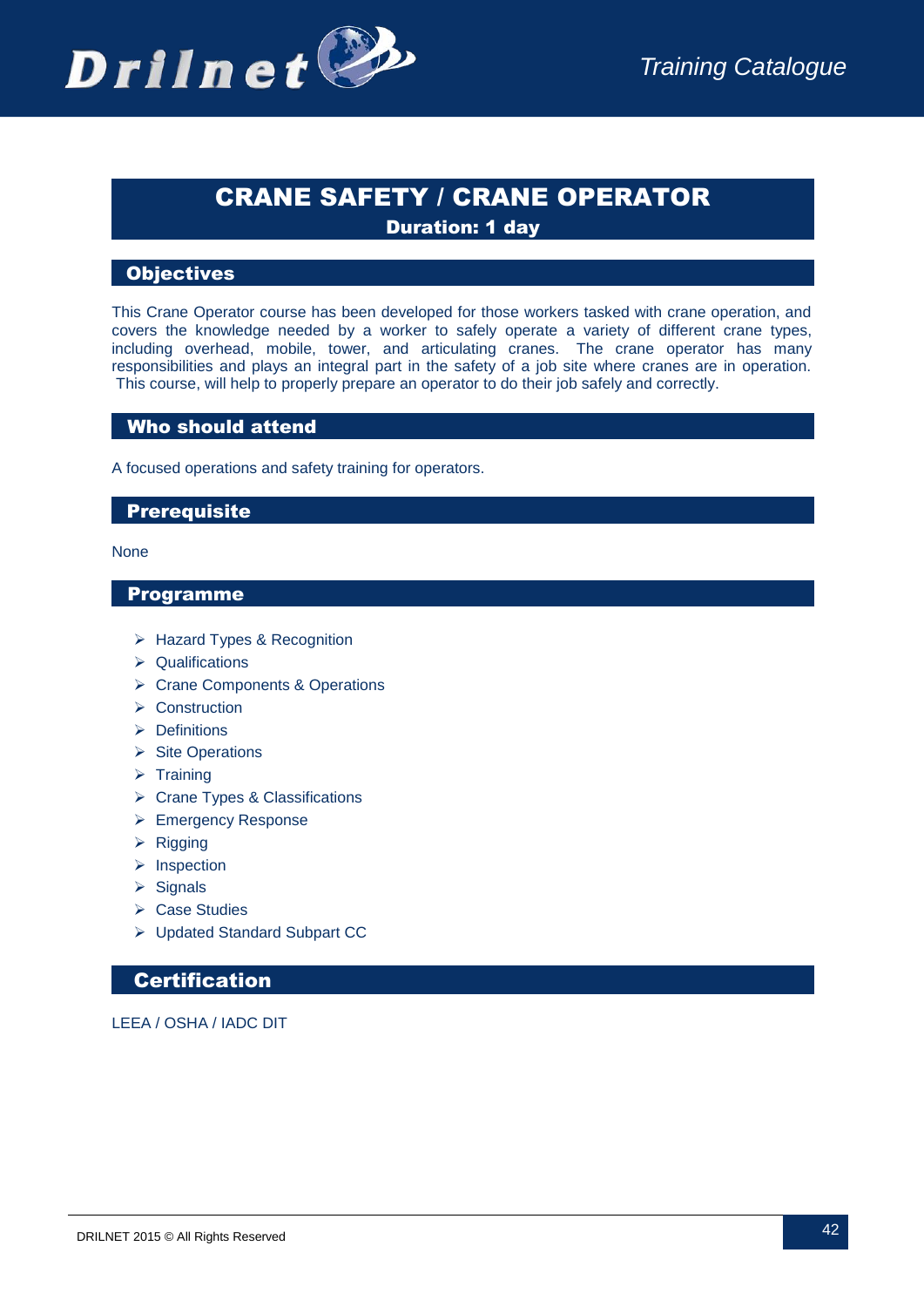

# CRANE SAFETY / CRANE OPERATOR Duration: 1 day

## **Objectives**

This Crane Operator course has been developed for those workers tasked with crane operation, and covers the knowledge needed by a worker to safely operate a variety of different crane types, including overhead, mobile, tower, and articulating cranes. The crane operator has many responsibilities and plays an integral part in the safety of a job site where cranes are in operation. This course, will help to properly prepare an operator to do their job safely and correctly.

## Who should attend

A focused operations and safety training for operators.

## **Prerequisite**

#### None

#### Programme

- ▶ Hazard Types & Recognition
- $\triangleright$  Qualifications
- ▶ Crane Components & Operations
- $\triangleright$  Construction
- $\triangleright$  Definitions
- $\triangleright$  Site Operations
- $\triangleright$  Training
- ▶ Crane Types & Classifications
- ▶ Emergency Response
- $\triangleright$  Rigging
- $\triangleright$  Inspection
- $\triangleright$  Signals
- **▶ Case Studies**
- Updated Standard Subpart CC

## **Certification**

LEEA / OSHA / IADC DIT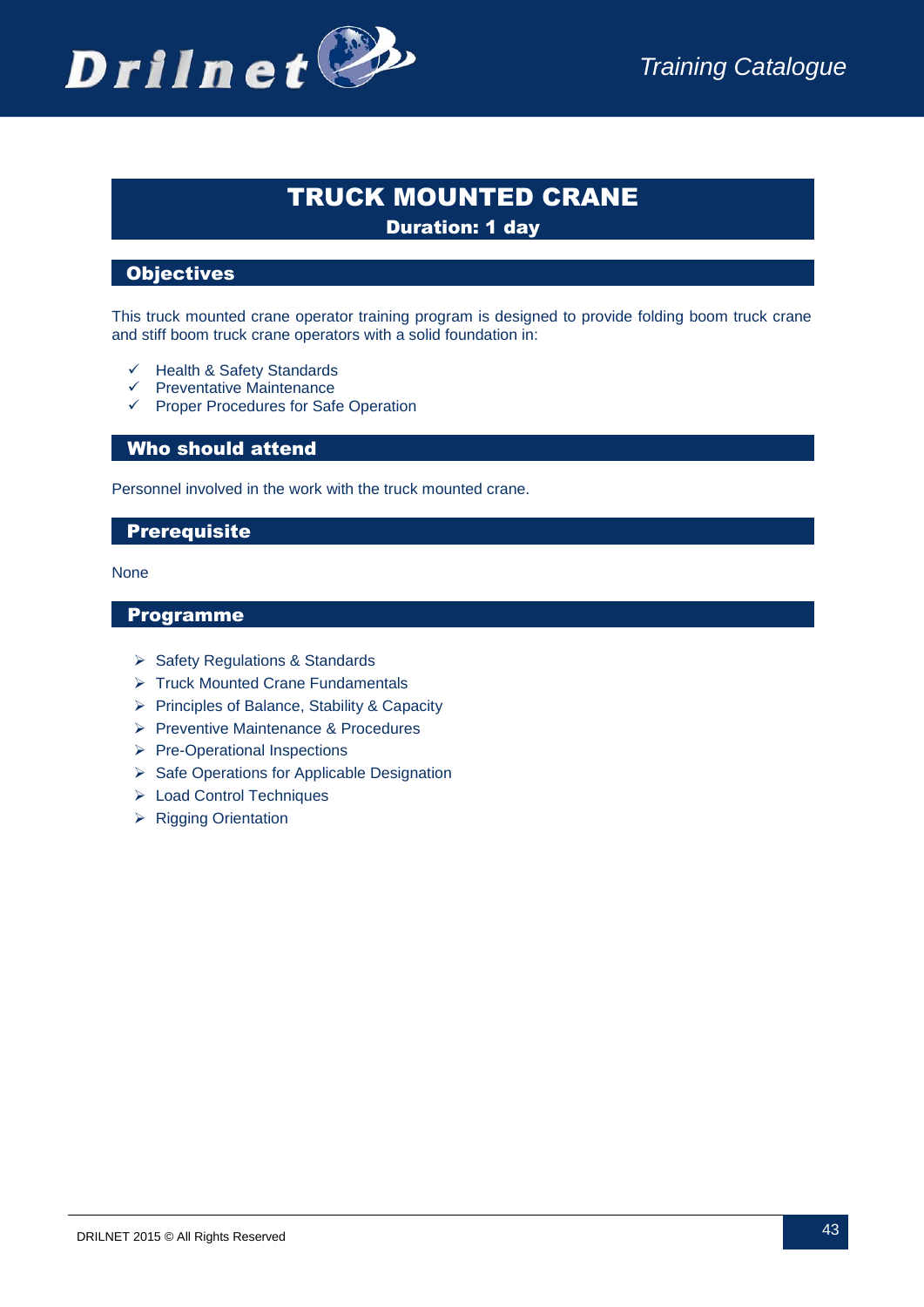

# TRUCK MOUNTED CRANE Duration: 1 day

## **Objectives**

This truck mounted crane operator training program is designed to provide folding boom truck crane and stiff boom truck crane operators with a solid foundation in:

- $\checkmark$  Health & Safety Standards
- $\checkmark$  Preventative Maintenance
- $\checkmark$  Proper Procedures for Safe Operation

## Who should attend

Personnel involved in the work with the truck mounted crane.

## **Prerequisite**

None

- ▶ Safety Regulations & Standards
- ▶ Truck Mounted Crane Fundamentals
- Principles of Balance, Stability & Capacity
- **Preventive Maintenance & Procedures**
- ▶ Pre-Operational Inspections
- $\triangleright$  Safe Operations for Applicable Designation
- ▶ Load Control Techniques
- $\triangleright$  Rigging Orientation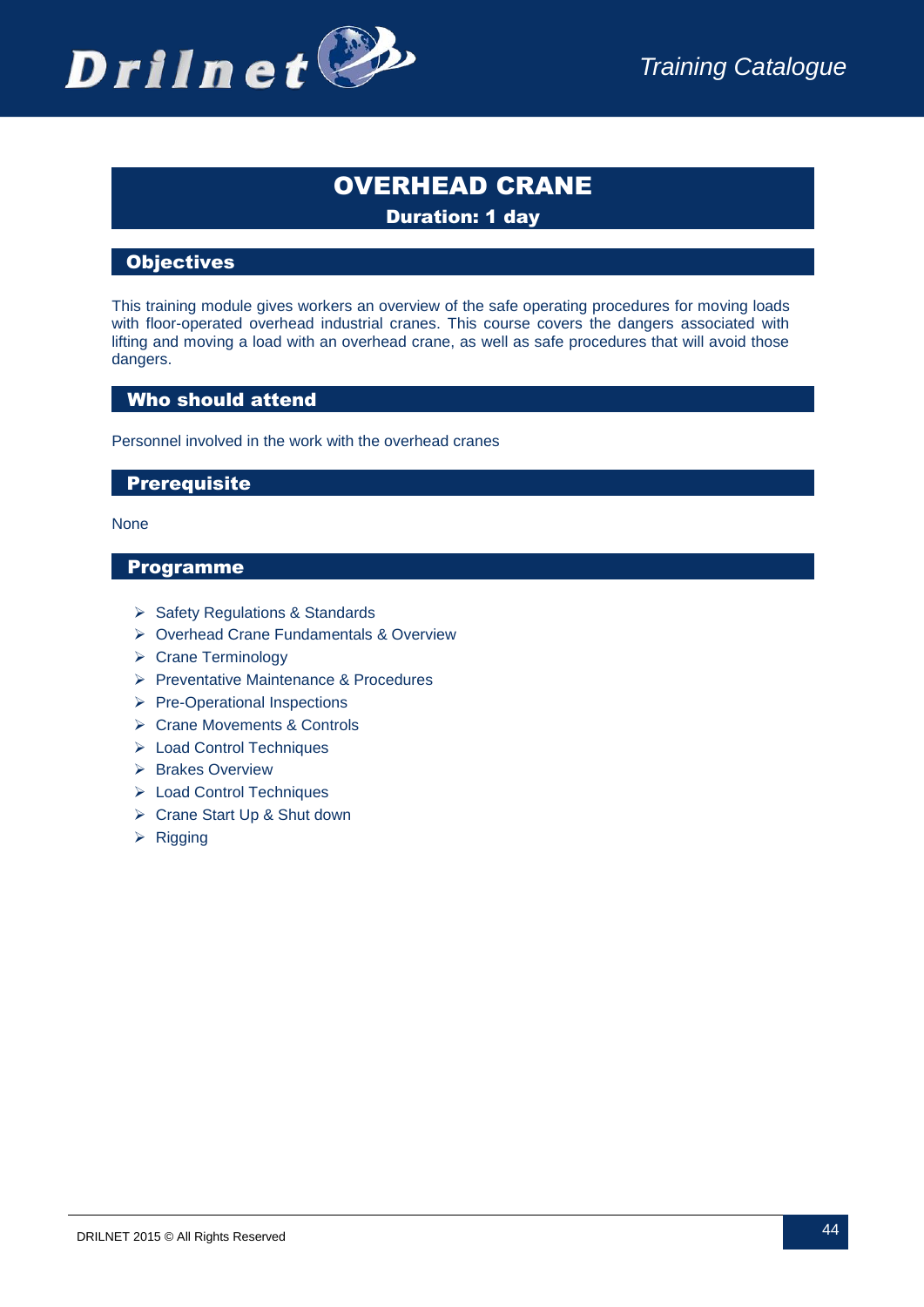

# OVERHEAD CRANE Duration: 1 day

## **Objectives**

This training module gives workers an overview of the safe operating procedures for moving loads with floor-operated overhead industrial cranes. This course covers the dangers associated with lifting and moving a load with an overhead crane, as well as safe procedures that will avoid those dangers.

## Who should attend

Personnel involved in the work with the overhead cranes

## **Prerequisite**

None

- $\triangleright$  Safety Regulations & Standards
- Overhead Crane Fundamentals & Overview
- $\triangleright$  Crane Terminology
- Preventative Maintenance & Procedures
- Pre-Operational Inspections
- **▶ Crane Movements & Controls**
- ▶ Load Control Techniques
- $\triangleright$  Brakes Overview
- ▶ Load Control Techniques
- ▶ Crane Start Up & Shut down
- $\triangleright$  Rigging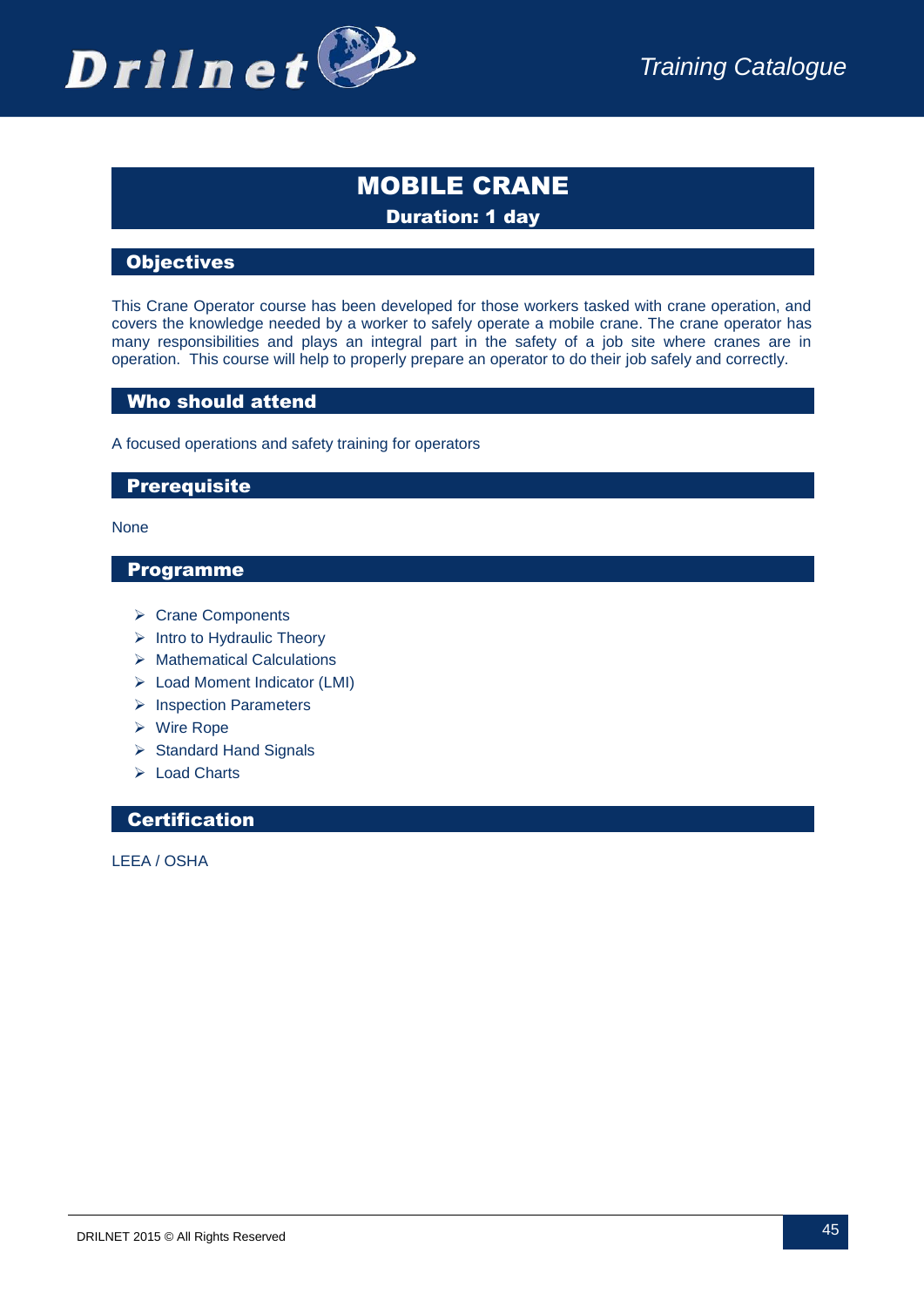

# MOBILE CRANE Duration: 1 day

## **Objectives**

This Crane Operator course has been developed for those workers tasked with crane operation, and covers the knowledge needed by a worker to safely operate a mobile crane. The crane operator has many responsibilities and plays an integral part in the safety of a job site where cranes are in operation. This course will help to properly prepare an operator to do their job safely and correctly.

## Who should attend

A focused operations and safety training for operators

## **Prerequisite**

None

## Programme

- **▶ Crane Components**
- $\triangleright$  Intro to Hydraulic Theory
- $\triangleright$  Mathematical Calculations
- Load Moment Indicator (LMI)
- > Inspection Parameters
- Wire Rope
- $\triangleright$  Standard Hand Signals
- ▶ Load Charts

**Certification** 

LEEA / OSHA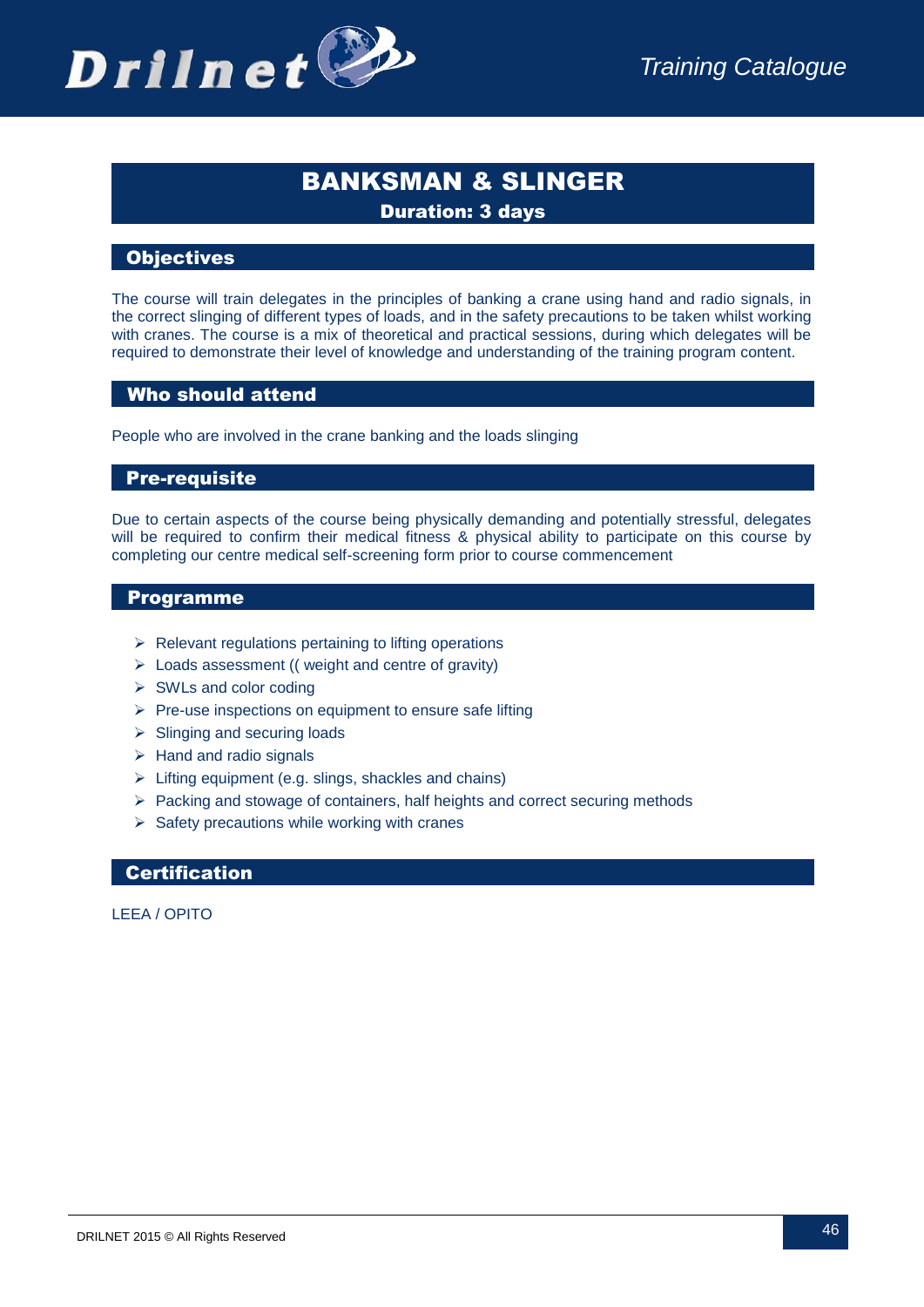

# BANKSMAN & SLINGER

Duration: 3 days

## **Objectives**

The course will train delegates in the principles of banking a crane using hand and radio signals, in the correct slinging of different types of loads, and in the safety precautions to be taken whilst working with cranes. The course is a mix of theoretical and practical sessions, during which delegates will be required to demonstrate their level of knowledge and understanding of the training program content.

## Who should attend

People who are involved in the crane banking and the loads slinging

## Pre-requisite

Due to certain aspects of the course being physically demanding and potentially stressful, delegates will be required to confirm their medical fitness & physical ability to participate on this course by completing our centre medical self-screening form prior to course commencement

## Programme

- $\triangleright$  Relevant regulations pertaining to lifting operations
- $\triangleright$  Loads assessment (( weight and centre of gravity)
- $\triangleright$  SWLs and color coding
- $\triangleright$  Pre-use inspections on equipment to ensure safe lifting
- $\triangleright$  Slinging and securing loads
- $\triangleright$  Hand and radio signals
- $\triangleright$  Lifting equipment (e.g. slings, shackles and chains)
- $\triangleright$  Packing and stowage of containers, half heights and correct securing methods
- $\triangleright$  Safety precautions while working with cranes

## **Certification**

LEEA / OPITO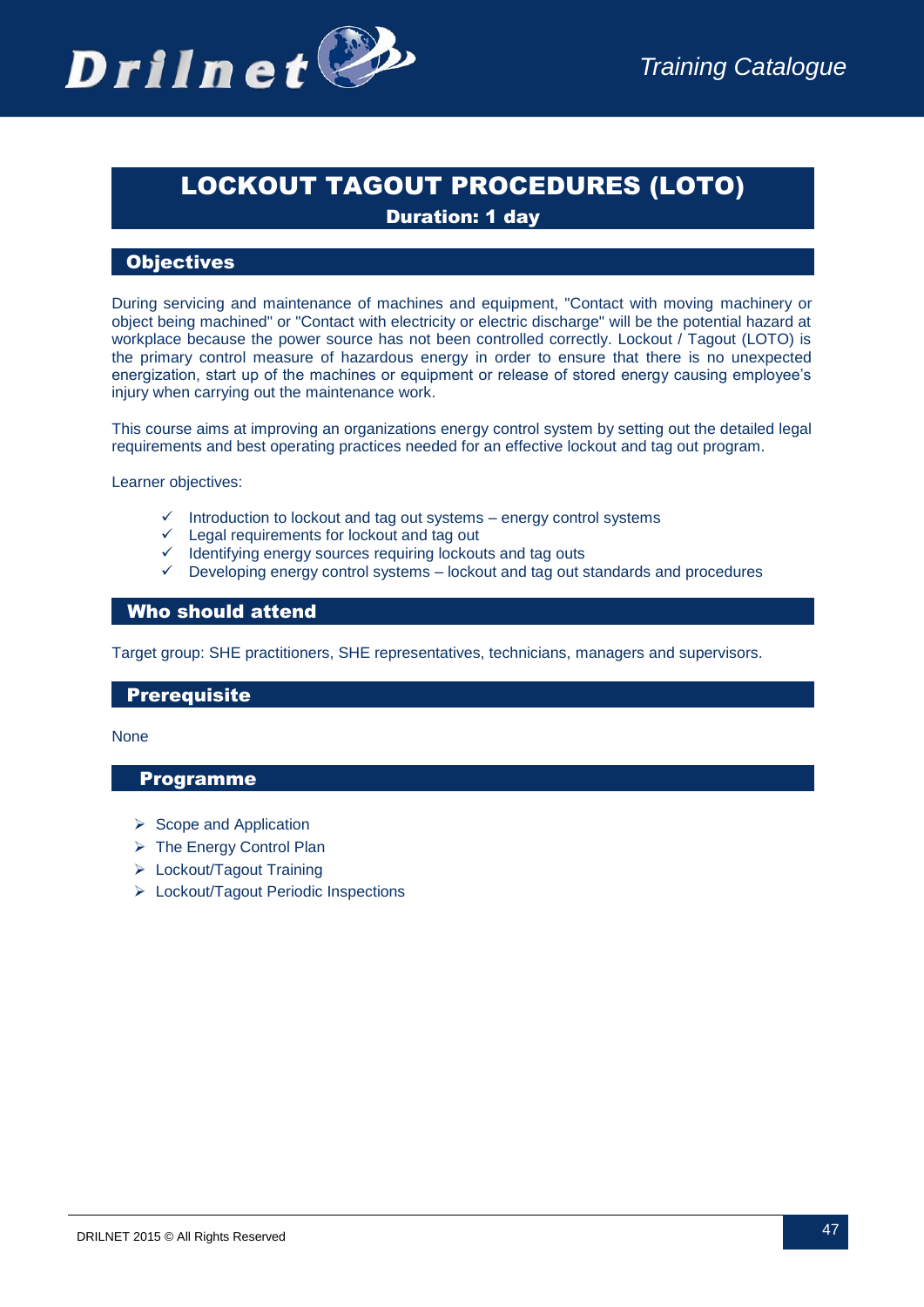

# LOCKOUT TAGOUT PROCEDURES (LOTO) Duration: 1 day

## **Objectives**

During servicing and maintenance of machines and equipment, "Contact with moving machinery or object being machined" or "Contact with electricity or electric discharge" will be the potential hazard at workplace because the power source has not been controlled correctly. Lockout / Tagout (LOTO) is the primary control measure of hazardous energy in order to ensure that there is no unexpected energization, start up of the machines or equipment or release of stored energy causing employee's injury when carrying out the maintenance work.

This course aims at improving an organizations energy control system by setting out the detailed legal requirements and best operating practices needed for an effective lockout and tag out program.

Learner objectives:

- $\checkmark$  Introduction to lockout and tag out systems energy control systems
- $\checkmark$  Legal requirements for lockout and tag out
- $\checkmark$  Identifying energy sources requiring lockouts and tag outs
- $\checkmark$  Developing energy control systems lockout and tag out standards and procedures

## Who should attend

Target group: SHE practitioners, SHE representatives, technicians, managers and supervisors.

## **Prerequisite**

None

- $\triangleright$  Scope and Application
- ▶ The Energy Control Plan
- Lockout/Tagout Training
- Lockout/Tagout Periodic Inspections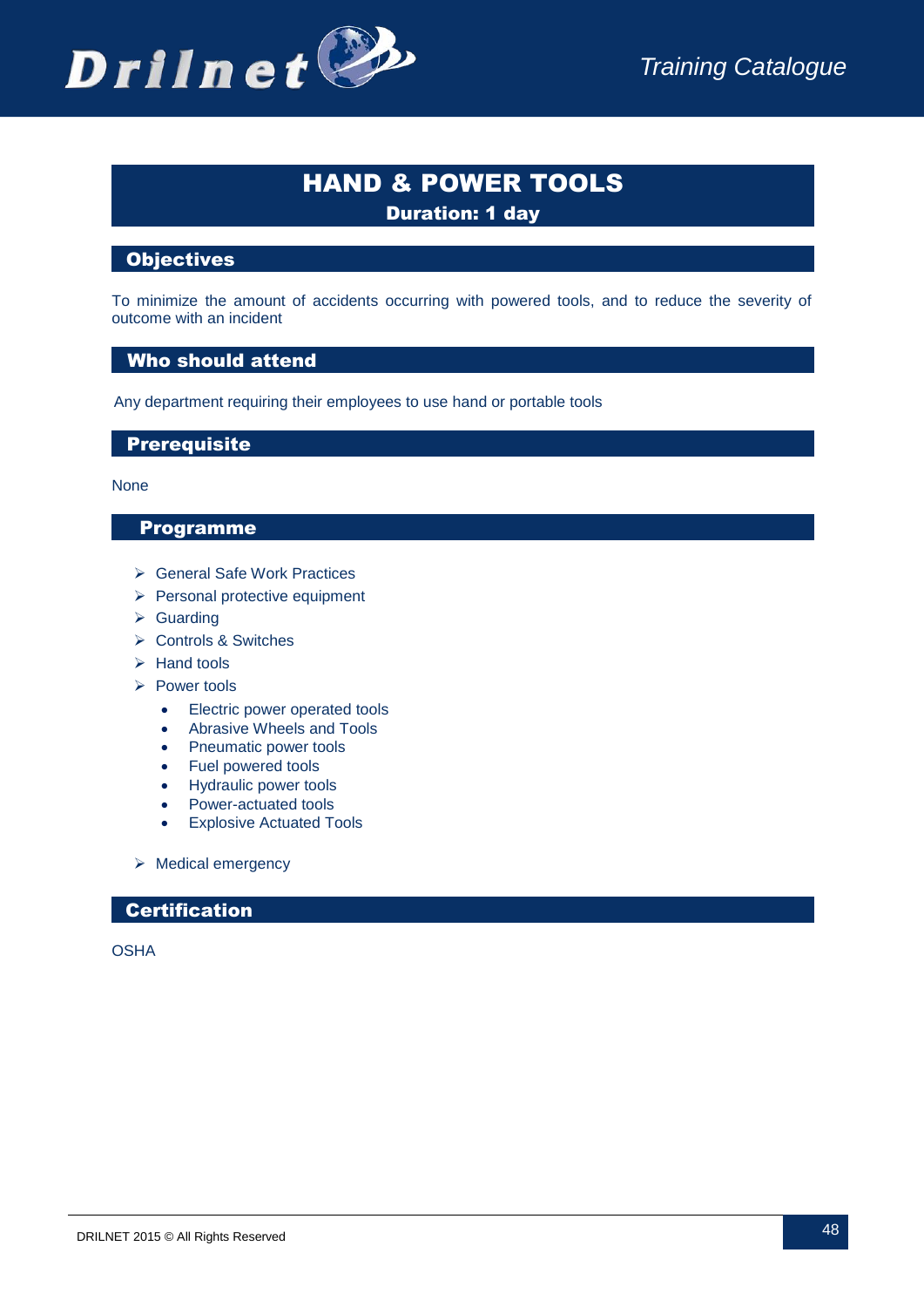

# HAND & POWER TOOLS Duration: 1 day

## **Objectives**

To minimize the amount of accidents occurring with powered tools, and to reduce the severity of outcome with an incident

## Who should attend

Any department requiring their employees to use hand or portable tools

## **Prerequisite**

#### None

#### Programme

- General Safe Work Practices
- $\triangleright$  Personal protective equipment
- $\triangleright$  Guarding
- Controls & Switches
- $\triangleright$  Hand tools
- $\triangleright$  Power tools
	- Electric power operated tools
	- Abrasive Wheels and Tools
	- Pneumatic power tools
	- Fuel powered tools
	- Hydraulic power tools
	- Power-actuated tools
	- Explosive Actuated Tools
- $\triangleright$  Medical emergency

## **Certification**

**OSHA**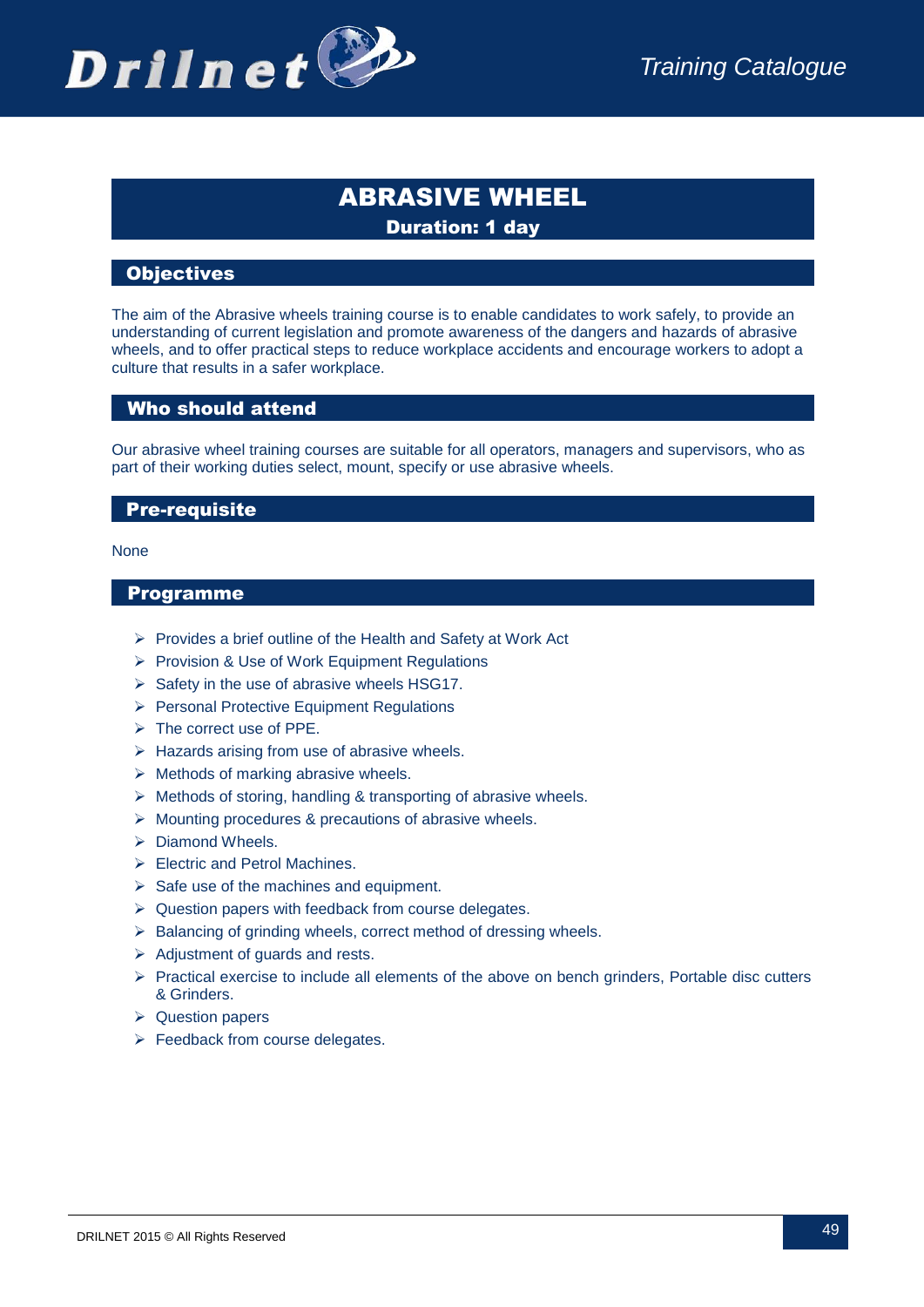

# ABRASIVE WHEEL Duration: 1 day

## **Objectives**

The aim of the Abrasive wheels training course is to enable candidates to work safely, to provide an understanding of current legislation and promote awareness of the dangers and hazards of abrasive wheels, and to offer practical steps to reduce workplace accidents and encourage workers to adopt a culture that results in a safer workplace.

## Who should attend

Our abrasive wheel training courses are suitable for all operators, managers and supervisors, who as part of their working duties select, mount, specify or use abrasive wheels.

## Pre-requisite

**None** 

- $\triangleright$  Provides a brief outline of the Health and Safety at Work Act
- Provision & Use of Work Equipment Regulations
- $\triangleright$  Safety in the use of abrasive wheels HSG17.
- $\triangleright$  Personal Protective Equipment Regulations
- $\triangleright$  The correct use of PPF.
- $\triangleright$  Hazards arising from use of abrasive wheels.
- $\triangleright$  Methods of marking abrasive wheels.
- $\triangleright$  Methods of storing, handling & transporting of abrasive wheels.
- $\triangleright$  Mounting procedures & precautions of abrasive wheels.
- $\triangleright$  Diamond Wheels.
- $\triangleright$  Flectric and Petrol Machines.
- $\triangleright$  Safe use of the machines and equipment.
- $\triangleright$  Question papers with feedback from course delegates.
- $\triangleright$  Balancing of grinding wheels, correct method of dressing wheels.
- $\triangleright$  Adjustment of guards and rests.
- $\triangleright$  Practical exercise to include all elements of the above on bench grinders, Portable disc cutters & Grinders.
- $\triangleright$  Question papers
- $\triangleright$  Feedback from course delegates.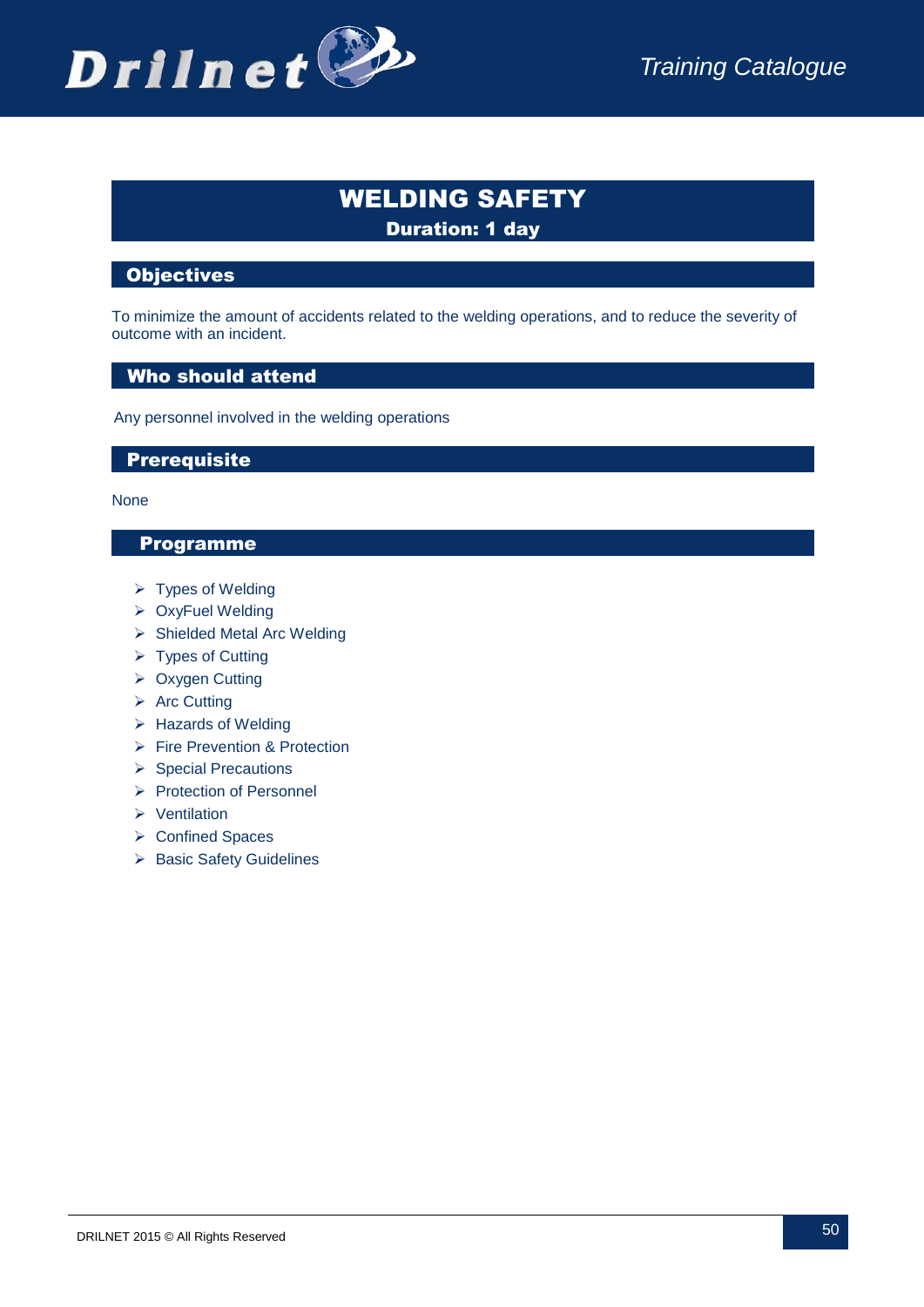

# WELDING SAFETY Duration: 1 day

## **Objectives**

To minimize the amount of accidents related to the welding operations, and to reduce the severity of outcome with an incident.

## Who should attend

Any personnel involved in the welding operations

## **Prerequisite**

None

- $\triangleright$  Types of Welding
- OxyFuel Welding
- Shielded Metal Arc Welding
- $\triangleright$  Types of Cutting
- Oxygen Cutting
- $\triangleright$  Arc Cutting
- $\triangleright$  Hazards of Welding
- **► Fire Prevention & Protection**
- $\triangleright$  Special Precautions
- $\triangleright$  Protection of Personnel
- $\triangleright$  Ventilation
- ▶ Confined Spaces
- ▶ Basic Safety Guidelines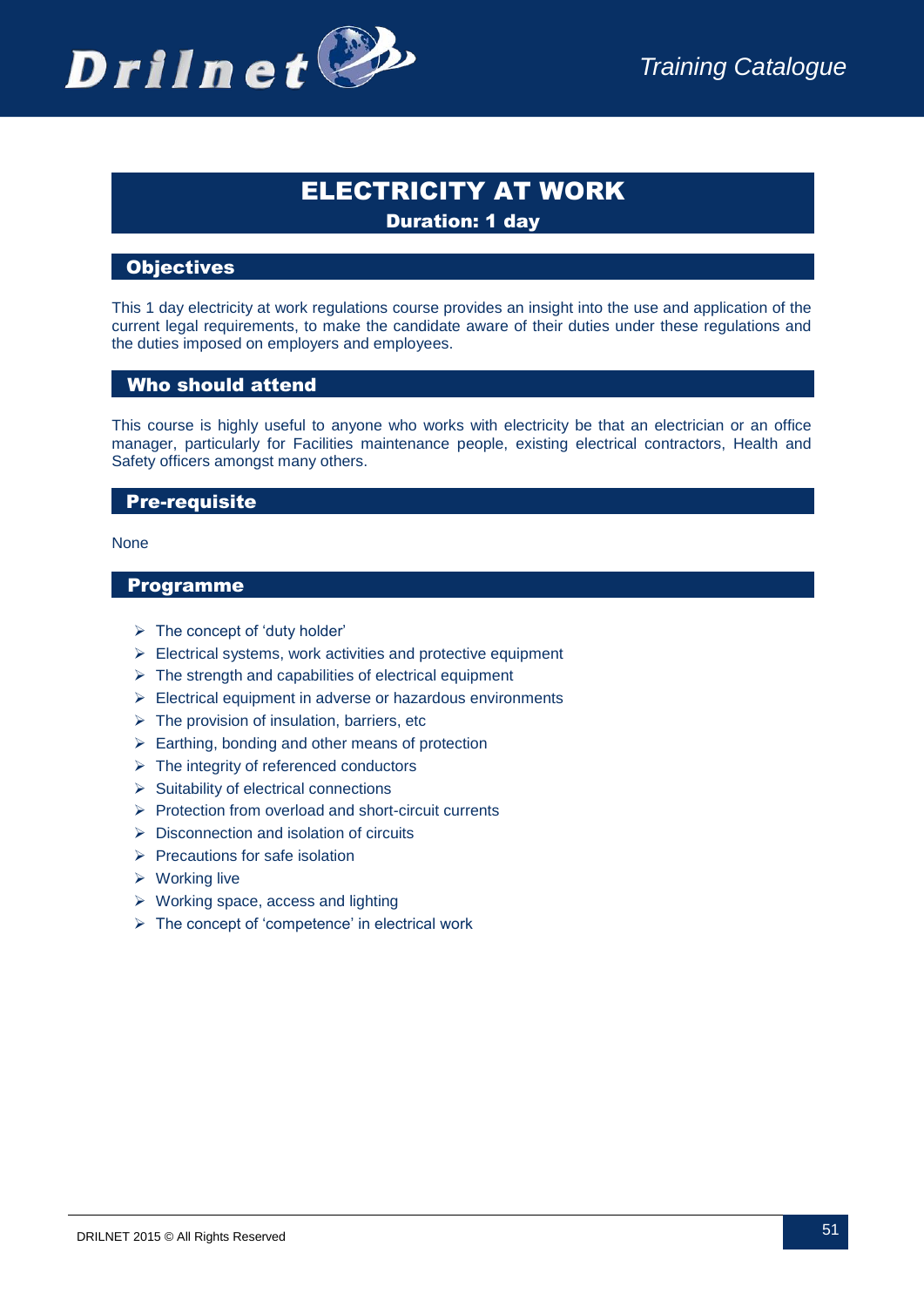

# ELECTRICITY AT WORK Duration: 1 day

## **Objectives**

This 1 day electricity at work regulations course provides an insight into the use and application of the current legal requirements, to make the candidate aware of their duties under these regulations and the duties imposed on employers and employees.

## Who should attend

This course is highly useful to anyone who works with electricity be that an electrician or an office manager, particularly for Facilities maintenance people, existing electrical contractors, Health and Safety officers amongst many others.

## Pre-requisite

None

- $\triangleright$  The concept of 'duty holder'
- $\triangleright$  Electrical systems, work activities and protective equipment
- $\triangleright$  The strength and capabilities of electrical equipment
- $\triangleright$  Electrical equipment in adverse or hazardous environments
- $\triangleright$  The provision of insulation, barriers, etc
- $\triangleright$  Earthing, bonding and other means of protection
- $\triangleright$  The integrity of referenced conductors
- $\triangleright$  Suitability of electrical connections
- $\triangleright$  Protection from overload and short-circuit currents
- $\triangleright$  Disconnection and isolation of circuits
- $\triangleright$  Precautions for safe isolation
- $\triangleright$  Working live
- $\triangleright$  Working space, access and lighting
- $\triangleright$  The concept of 'competence' in electrical work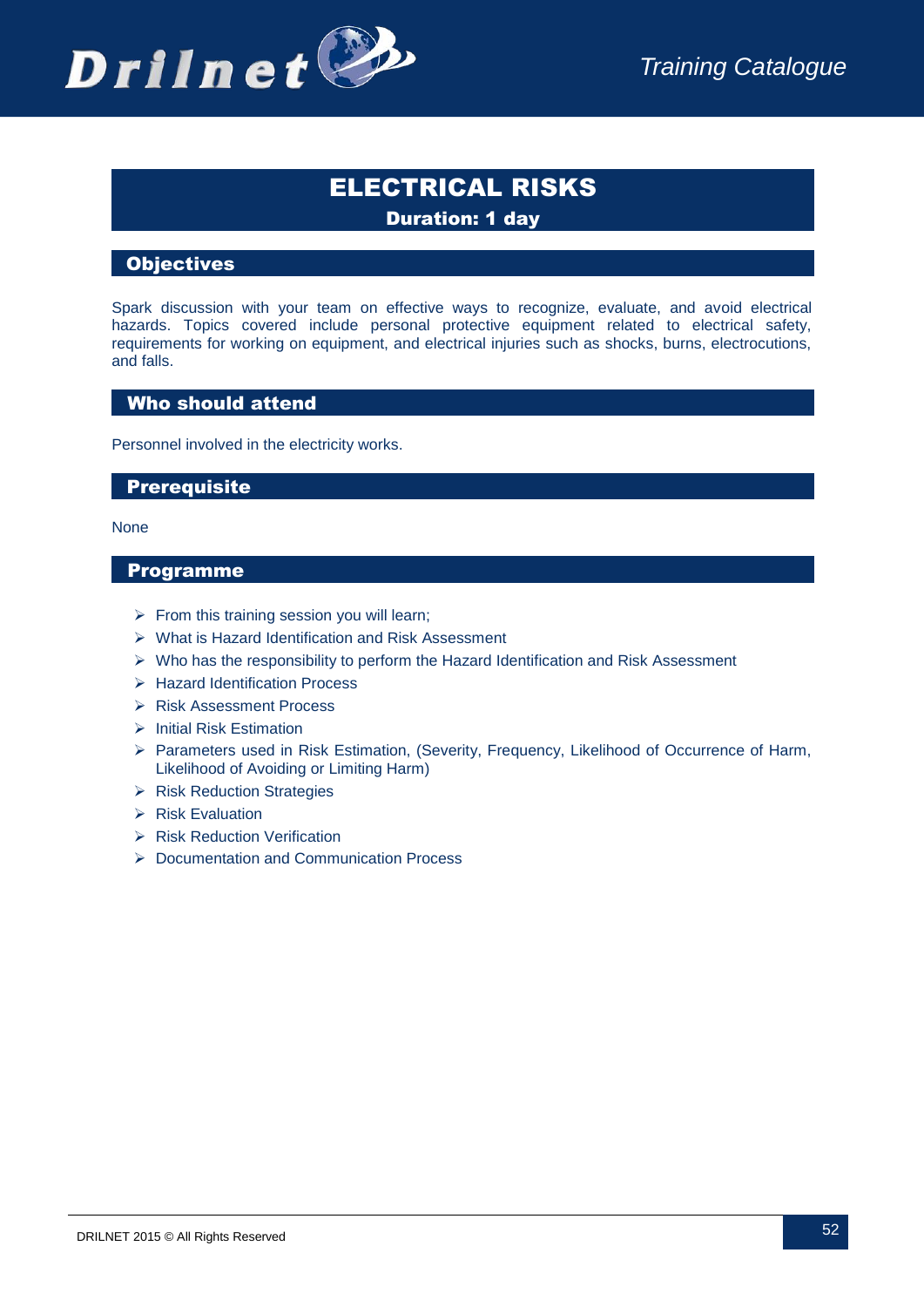

# ELECTRICAL RISKS Duration: 1 day

## **Objectives**

Spark discussion with your team on effective ways to recognize, evaluate, and avoid electrical hazards. Topics covered include personal protective equipment related to electrical safety, requirements for working on equipment, and electrical injuries such as shocks, burns, electrocutions, and falls.

## Who should attend

Personnel involved in the electricity works.

## **Prerequisite**

None

- $\triangleright$  From this training session you will learn;
- What is Hazard Identification and Risk Assessment
- $\triangleright$  Who has the responsibility to perform the Hazard Identification and Risk Assessment
- Hazard Identification Process
- **EXEC** Risk Assessment Process
- $\triangleright$  Initial Risk Estimation
- Parameters used in Risk Estimation, (Severity, Frequency, Likelihood of Occurrence of Harm, Likelihood of Avoiding or Limiting Harm)
- ▶ Risk Reduction Strategies
- $\triangleright$  Risk Evaluation
- $\triangleright$  Risk Reduction Verification
- Documentation and Communication Process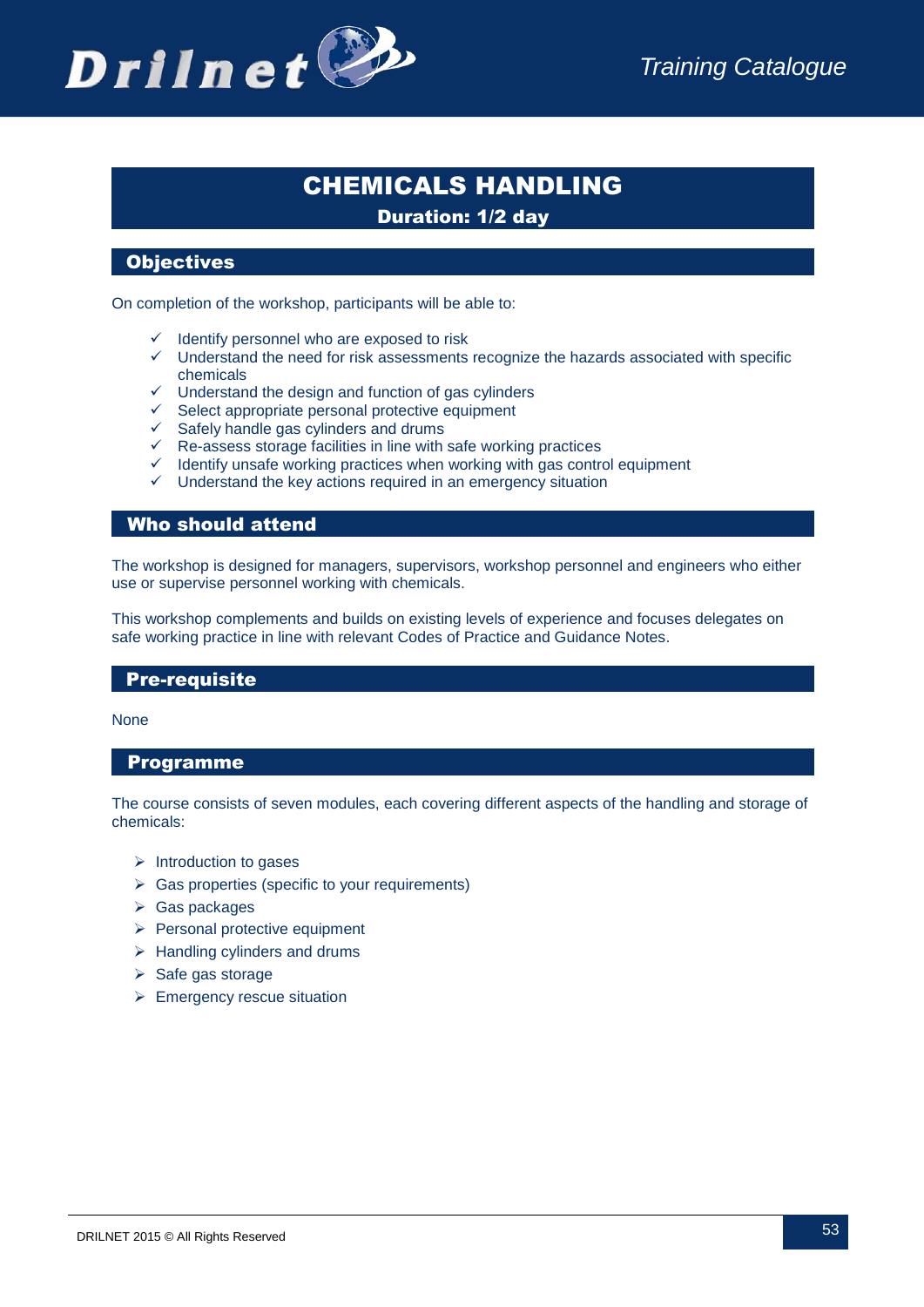

# CHEMICALS HANDLING Duration: 1/2 day

## **Objectives**

On completion of the workshop, participants will be able to:

- $\checkmark$  Identify personnel who are exposed to risk
- $\checkmark$  Understand the need for risk assessments recognize the hazards associated with specific chemicals
- $\checkmark$  Understand the design and function of gas cylinders
- $\checkmark$  Select appropriate personal protective equipment
- $\checkmark$  Safely handle gas cylinders and drums
- $\checkmark$  Re-assess storage facilities in line with safe working practices
- $\checkmark$  Identify unsafe working practices when working with gas control equipment
- $\checkmark$  Understand the key actions required in an emergency situation

## Who should attend

The workshop is designed for managers, supervisors, workshop personnel and engineers who either use or supervise personnel working with chemicals.

This workshop complements and builds on existing levels of experience and focuses delegates on safe working practice in line with relevant Codes of Practice and Guidance Notes.

## Pre-requisite

None

#### Programme

The course consists of seven modules, each covering different aspects of the handling and storage of chemicals:

- $\triangleright$  Introduction to gases
- $\triangleright$  Gas properties (specific to your requirements)
- $\triangleright$  Gas packages
- $\triangleright$  Personal protective equipment
- $\triangleright$  Handling cylinders and drums
- $\triangleright$  Safe gas storage
- $\triangleright$  Emergency rescue situation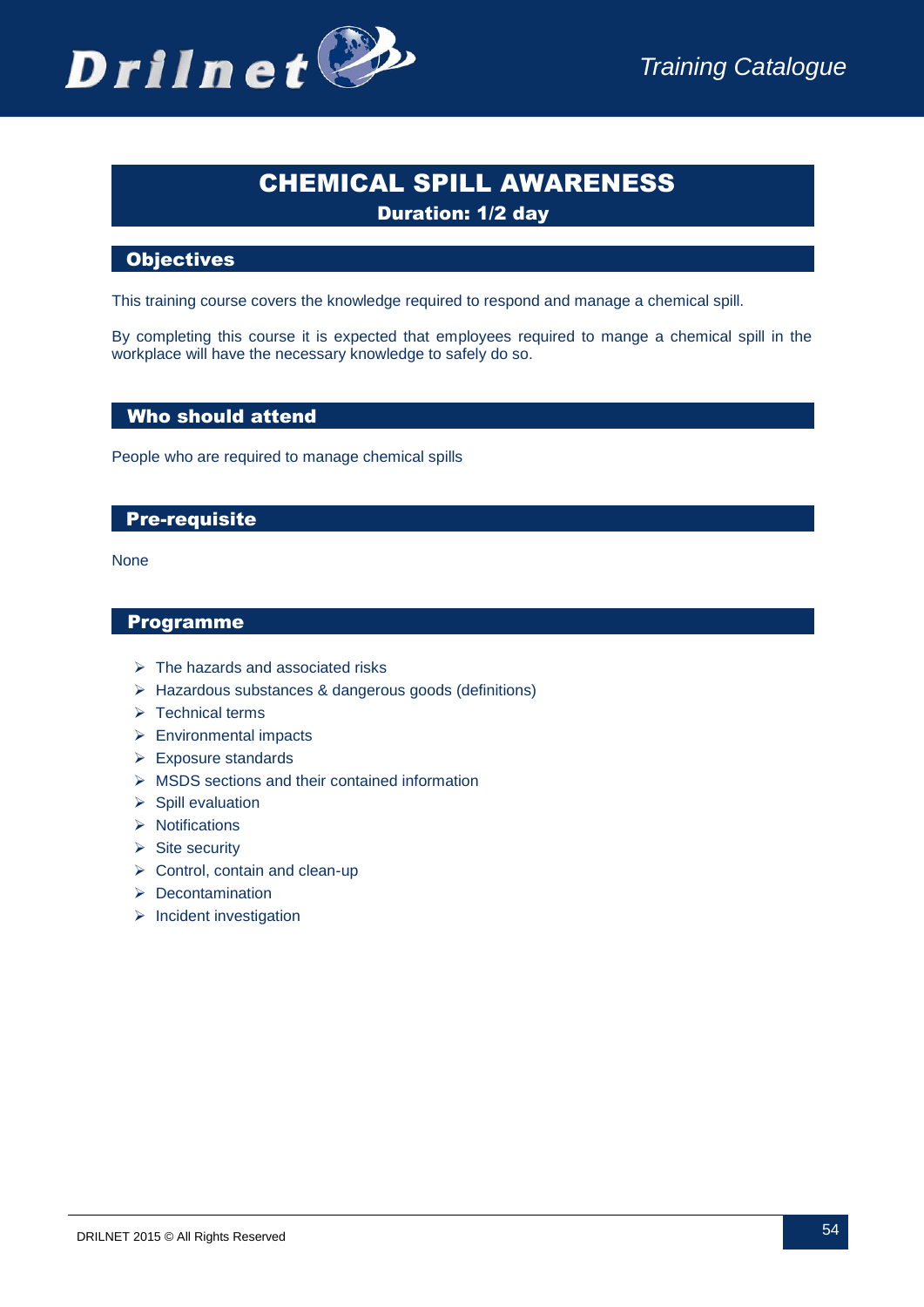# CHEMICAL SPILL AWARENESS

Duration: 1/2 day

## **Objectives**

This training course covers the knowledge required to respond and manage a chemical spill.

By completing this course it is expected that employees required to mange a chemical spill in the workplace will have the necessary knowledge to safely do so.

## Who should attend

People who are required to manage chemical spills

## Pre-requisite

None

- $\triangleright$  The hazards and associated risks
- Hazardous substances & dangerous goods (definitions)
- $\triangleright$  Technical terms
- $\triangleright$  Environmental impacts
- $\triangleright$  Exposure standards
- $\triangleright$  MSDS sections and their contained information
- $\triangleright$  Spill evaluation
- $\triangleright$  Notifications
- $\triangleright$  Site security
- $\triangleright$  Control, contain and clean-up
- $\triangleright$  Decontamination
- $\triangleright$  Incident investigation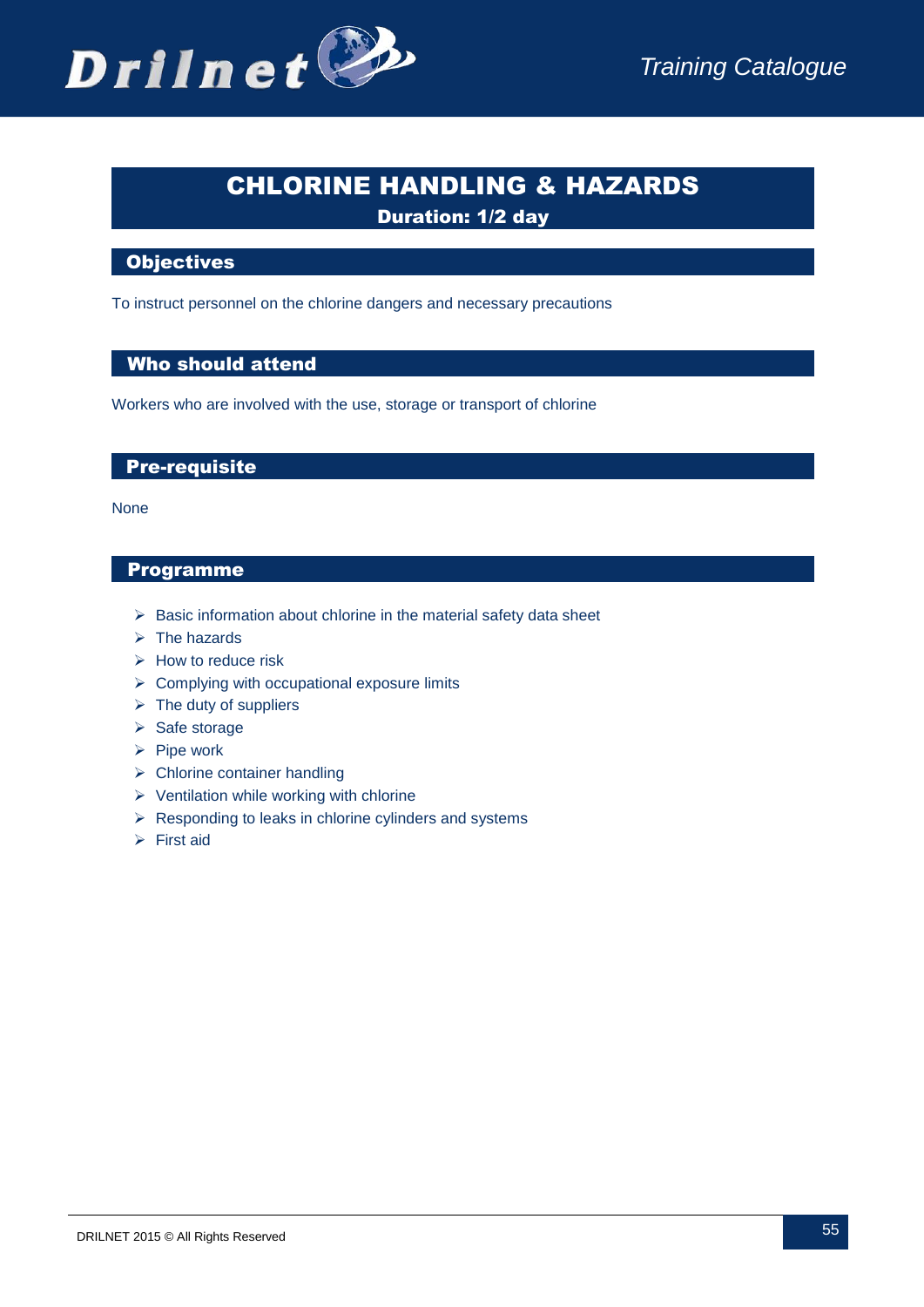

# CHLORINE HANDLING & HAZARDS Duration: 1/2 day

## **Objectives**

To instruct personnel on the chlorine dangers and necessary precautions

## Who should attend

Workers who are involved with the use, storage or transport of chlorine

## Pre-requisite

None

- $\triangleright$  Basic information about chlorine in the material safety data sheet
- $\triangleright$  [The hazards](http://www.hse.gov.uk/pubns/iacl36.htm#a1)
- $\triangleright$  [How to reduce risk](http://www.hse.gov.uk/pubns/iacl36.htm#a2)
- $\triangleright$  [Complying with occupational exposure limits](http://www.hse.gov.uk/pubns/iacl36.htm#a3)
- $\triangleright$  [The duty of suppliers](http://www.hse.gov.uk/pubns/iacl36.htm#a4)
- $\triangleright$  [Safe storage](http://www.hse.gov.uk/pubns/iacl36.htm#a5)
- $\triangleright$  [Pipe work](http://www.hse.gov.uk/pubns/iacl36.htm#a6)
- Chlorine container handling
- $\triangleright$  Ventilation while working with chlorine
- $\triangleright$  Responding to leaks in chlorine cylinders and systems
- $\triangleright$  First aid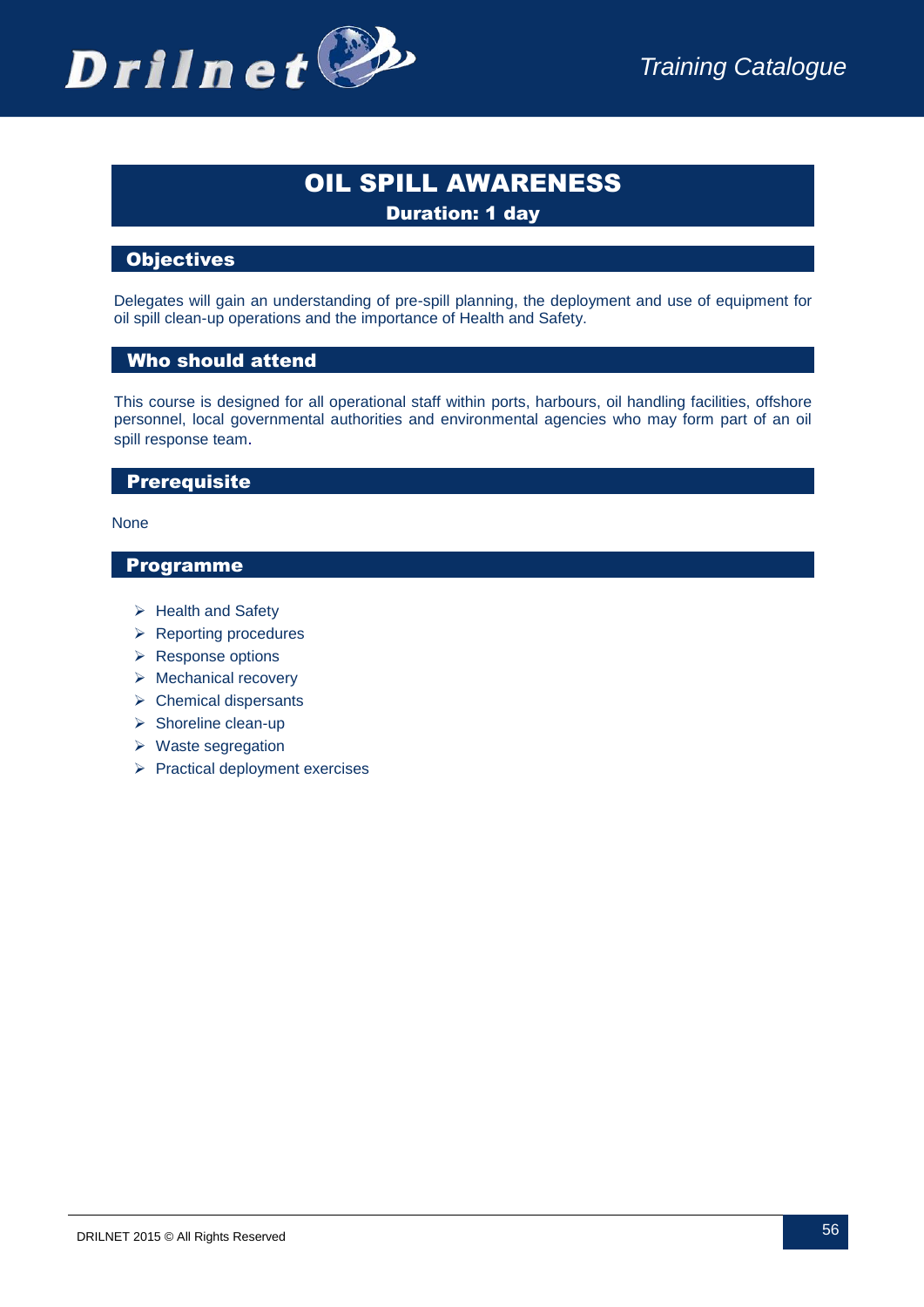

# OIL SPILL AWARENESS

Duration: 1 day

## **Objectives**

Delegates will gain an understanding of pre-spill planning, the deployment and use of equipment for oil spill clean-up operations and the importance of Health and Safety.

## Who should attend

This course is designed for all operational staff within ports, harbours, oil handling facilities, offshore personnel, local governmental authorities and environmental agencies who may form part of an oil spill response team.

## **Prerequisite**

None

- $\triangleright$  Health and Safety
- $\triangleright$  Reporting procedures
- $\triangleright$  Response options
- $\triangleright$  Mechanical recovery
- $\triangleright$  Chemical dispersants
- $\triangleright$  Shoreline clean-up
- $\triangleright$  Waste segregation
- $\triangleright$  Practical deployment exercises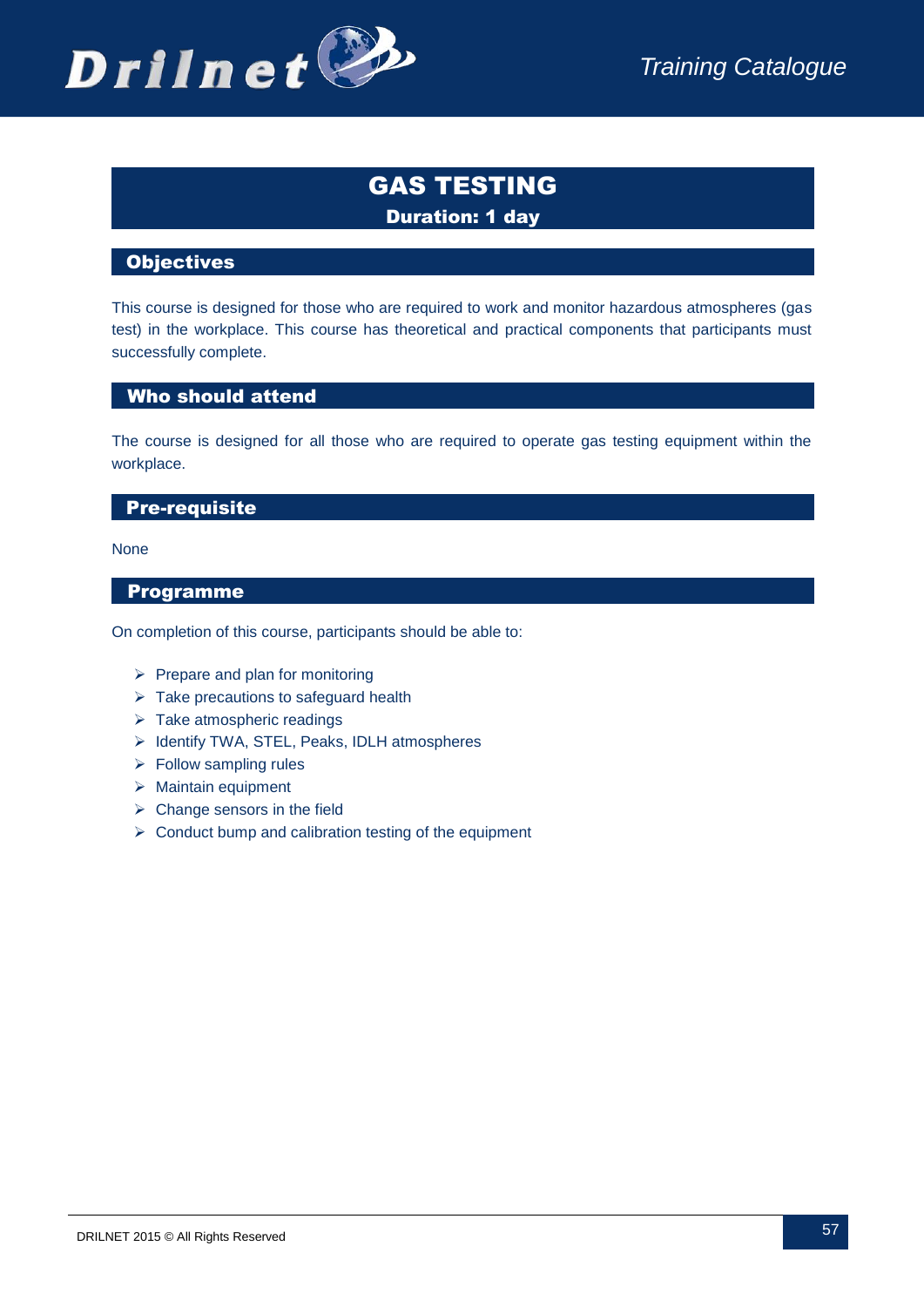

# GAS TESTING Duration: 1 day

## **Objectives**

This course is designed for those who are required to work and monitor hazardous atmospheres (gas test) in the workplace. This course has theoretical and practical components that participants must successfully complete.

## Who should attend

The course is designed for all those who are required to operate gas testing equipment within the workplace.

## Pre-requisite

None

## Programme

On completion of this course, participants should be able to:

- $\triangleright$  Prepare and plan for monitoring
- $\triangleright$  Take precautions to safeguard health
- > Take atmospheric readings
- > Identify TWA, STEL, Peaks, IDLH atmospheres
- $\triangleright$  Follow sampling rules
- $\triangleright$  Maintain equipment
- $\triangleright$  Change sensors in the field
- $\triangleright$  Conduct bump and calibration testing of the equipment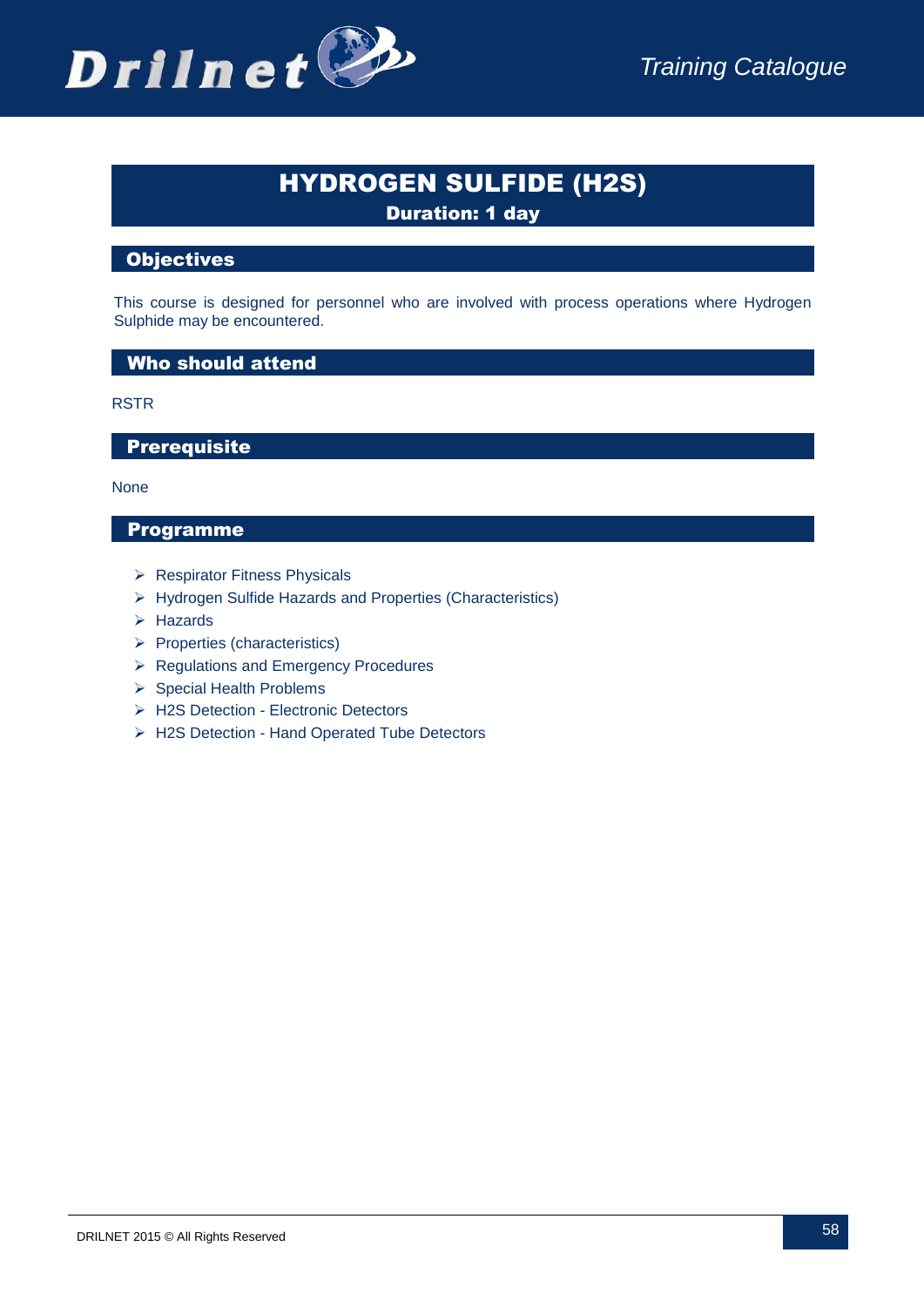

# HYDROGEN SULFIDE (H2S)

Duration: 1 day

## **Objectives**

This course is designed for personnel who are involved with process operations where Hydrogen Sulphide may be encountered.

## Who should attend

RSTR

**Prerequisite** 

None

- ▶ Respirator Fitness Physicals
- Hydrogen Sulfide Hazards and Properties (Characteristics)
- $\triangleright$  Hazards
- $\triangleright$  Properties (characteristics)
- ▶ Regulations and Emergency Procedures
- $\triangleright$  Special Health Problems
- ▶ H2S Detection Electronic Detectors
- > H2S Detection Hand Operated Tube Detectors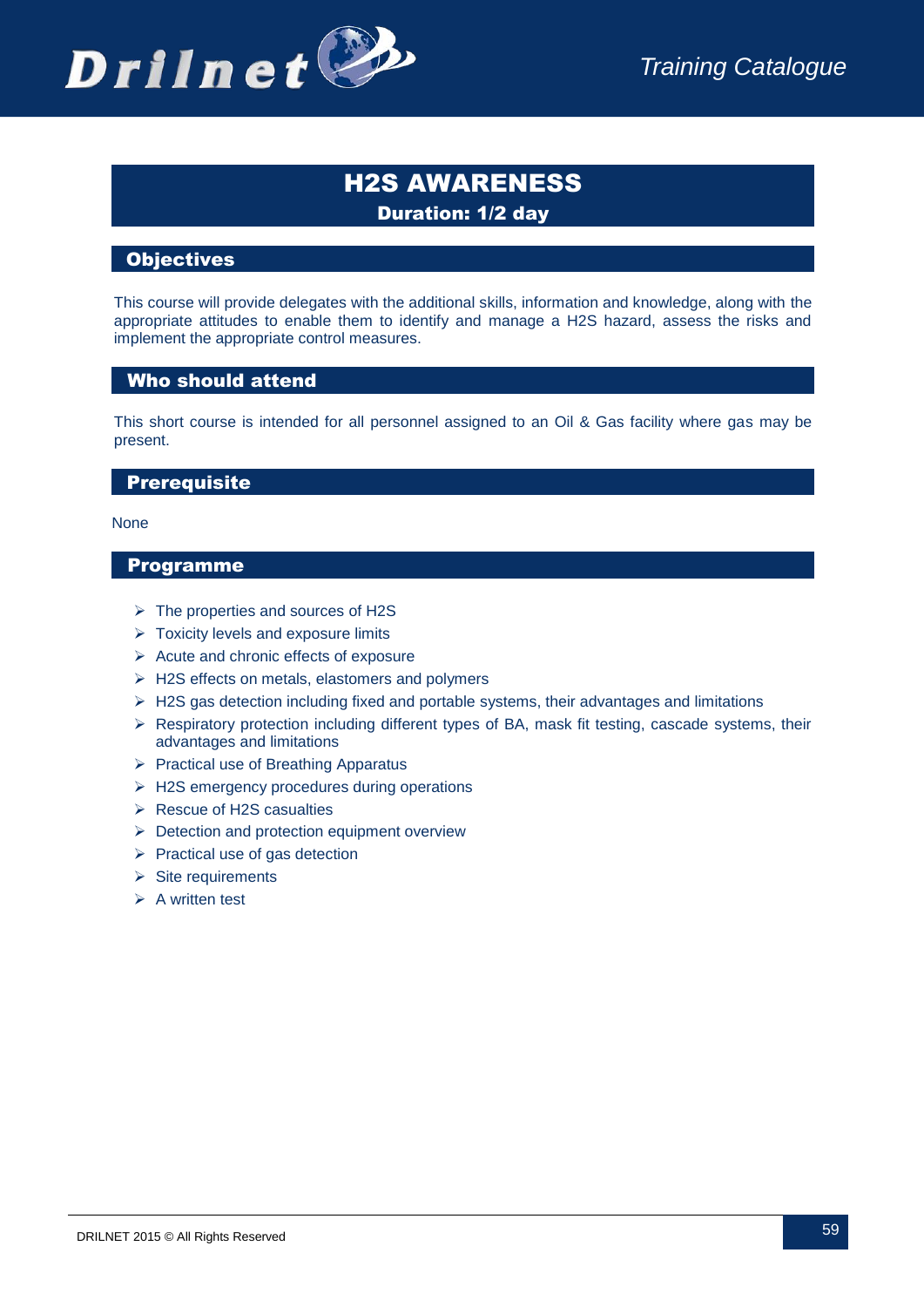

# H2S AWARENESS Duration: 1/2 day

## **Objectives**

This course will provide delegates with the additional skills, information and knowledge, along with the appropriate attitudes to enable them to identify and manage a H2S hazard, assess the risks and implement the appropriate control measures.

## Who should attend

This short course is intended for all personnel assigned to an Oil & Gas facility where gas may be present.

## **Prerequisite**

None

- $\triangleright$  The properties and sources of H2S
- $\triangleright$  Toxicity levels and exposure limits
- $\triangleright$  Acute and chronic effects of exposure
- $\triangleright$  H2S effects on metals, elastomers and polymers
- $\triangleright$  H2S gas detection including fixed and portable systems, their advantages and limitations
- $\triangleright$  Respiratory protection including different types of BA, mask fit testing, cascade systems, their advantages and limitations
- $\triangleright$  Practical use of Breathing Apparatus
- $\triangleright$  H2S emergency procedures during operations
- ▶ Rescue of H2S casualties
- $\triangleright$  Detection and protection equipment overview
- $\triangleright$  Practical use of gas detection
- $\triangleright$  Site requirements
- $\triangleright$  A written test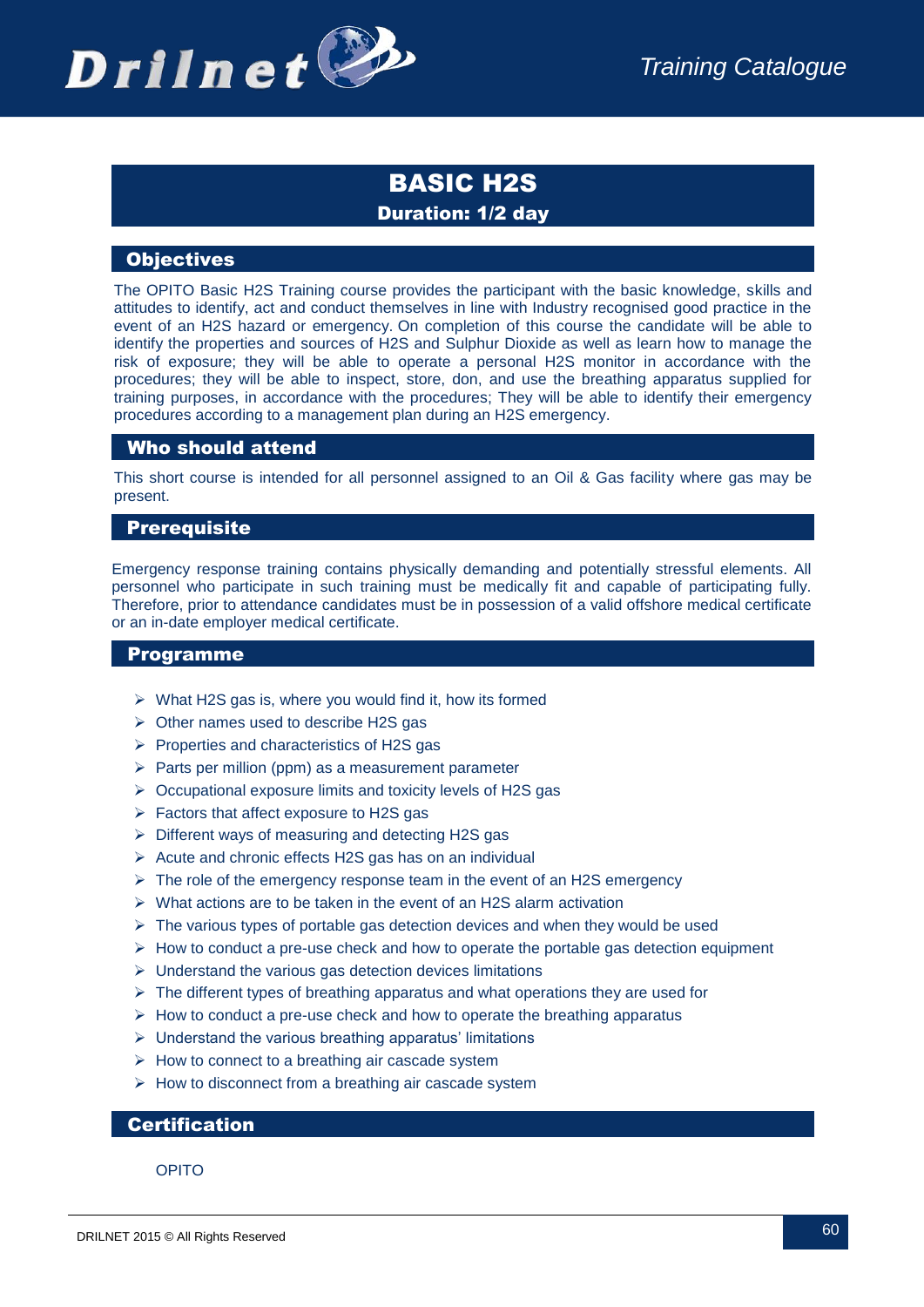

## BASIC H2S Duration: 1/2 day

## **Objectives**

The OPITO Basic H2S Training course provides the participant with the basic knowledge, skills and attitudes to identify, act and conduct themselves in line with Industry recognised good practice in the event of an H2S hazard or emergency. On completion of this course the candidate will be able to identify the properties and sources of H2S and Sulphur Dioxide as well as learn how to manage the risk of exposure; they will be able to operate a personal H2S monitor in accordance with the procedures; they will be able to inspect, store, don, and use the breathing apparatus supplied for training purposes, in accordance with the procedures; They will be able to identify their emergency procedures according to a management plan during an H2S emergency.

## Who should attend

This short course is intended for all personnel assigned to an Oil & Gas facility where gas may be present.

## **Prerequisite**

Emergency response training contains physically demanding and potentially stressful elements. All personnel who participate in such training must be medically fit and capable of participating fully. Therefore, prior to attendance candidates must be in possession of a valid offshore medical certificate or an in-date employer medical certificate.

## Programme

- $\triangleright$  What H2S gas is, where you would find it, how its formed
- $\triangleright$  Other names used to describe H2S gas
- $\triangleright$  Properties and characteristics of H2S gas
- $\triangleright$  Parts per million (ppm) as a measurement parameter
- $\triangleright$  Occupational exposure limits and toxicity levels of H2S gas
- $\triangleright$  Factors that affect exposure to H2S gas
- $\triangleright$  Different ways of measuring and detecting H2S gas
- $\triangleright$  Acute and chronic effects H2S gas has on an individual
- $\triangleright$  The role of the emergency response team in the event of an H2S emergency
- $\triangleright$  What actions are to be taken in the event of an H2S alarm activation
- $\triangleright$  The various types of portable gas detection devices and when they would be used
- $\triangleright$  How to conduct a pre-use check and how to operate the portable gas detection equipment
- $\triangleright$  Understand the various gas detection devices limitations
- $\triangleright$  The different types of breathing apparatus and what operations they are used for
- $\triangleright$  How to conduct a pre-use check and how to operate the breathing apparatus
- $\triangleright$  Understand the various breathing apparatus' limitations
- $\triangleright$  How to connect to a breathing air cascade system
- $\triangleright$  How to disconnect from a breathing air cascade system

#### **Certification**

OPITO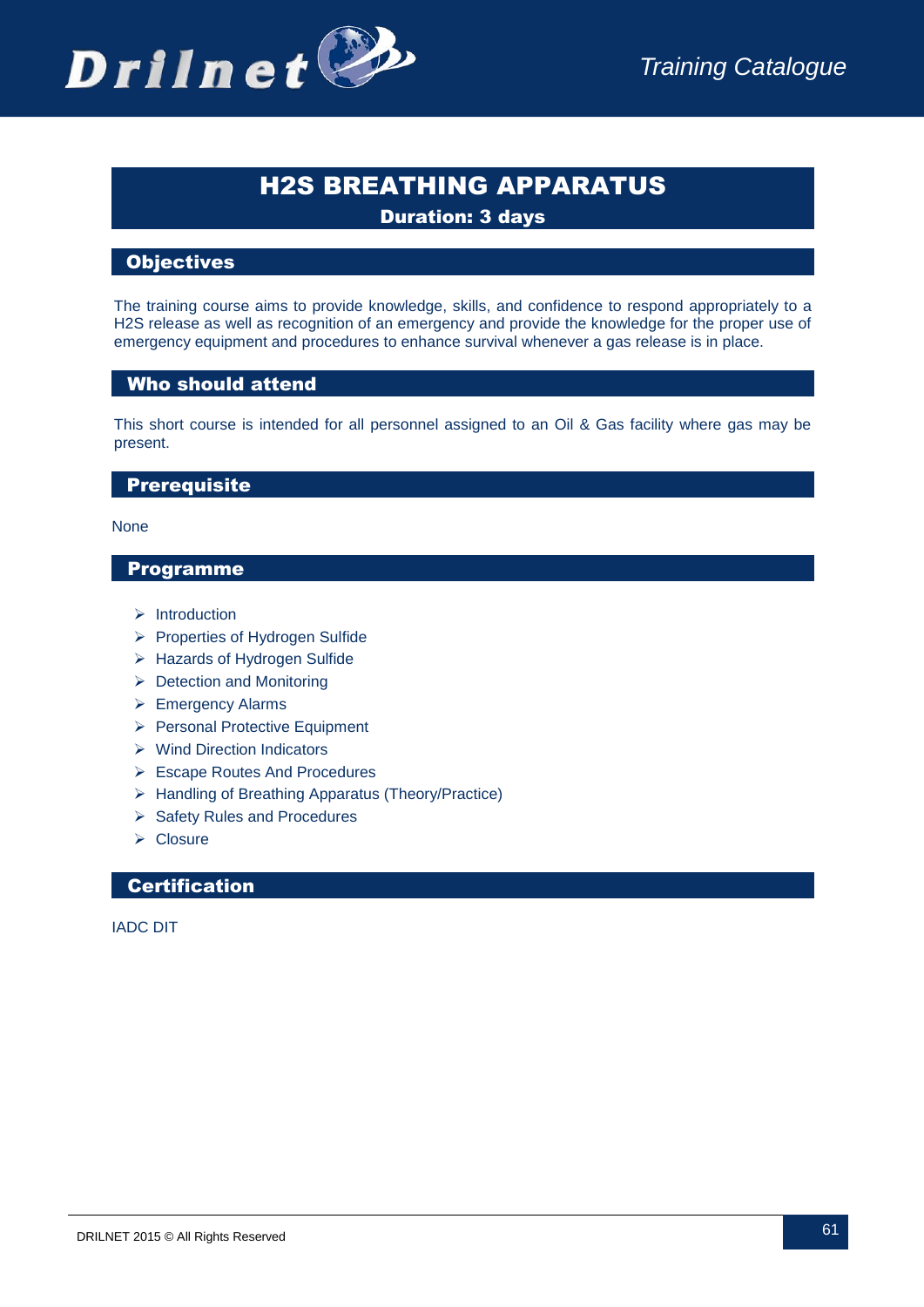

# H2S BREATHING APPARATUS Duration: 3 days

## **Objectives**

The training course aims to provide knowledge, skills, and confidence to respond appropriately to a H2S release as well as recognition of an emergency and provide the knowledge for the proper use of emergency equipment and procedures to enhance survival whenever a gas release is in place.

## Who should attend

This short course is intended for all personnel assigned to an Oil & Gas facility where gas may be present.

## **Prerequisite**

None

## Programme

- $\triangleright$  Introduction
- Properties of Hydrogen Sulfide
- ▶ Hazards of Hydrogen Sulfide
- $\triangleright$  Detection and Monitoring
- ▶ Emergency Alarms
- Personal Protective Equipment
- ▶ Wind Direction Indicators
- Escape Routes And Procedures
- $\triangleright$  Handling of Breathing Apparatus (Theory/Practice)
- $\triangleright$  Safety Rules and Procedures
- $\triangleright$  Closure

## **Certification**

IADC DIT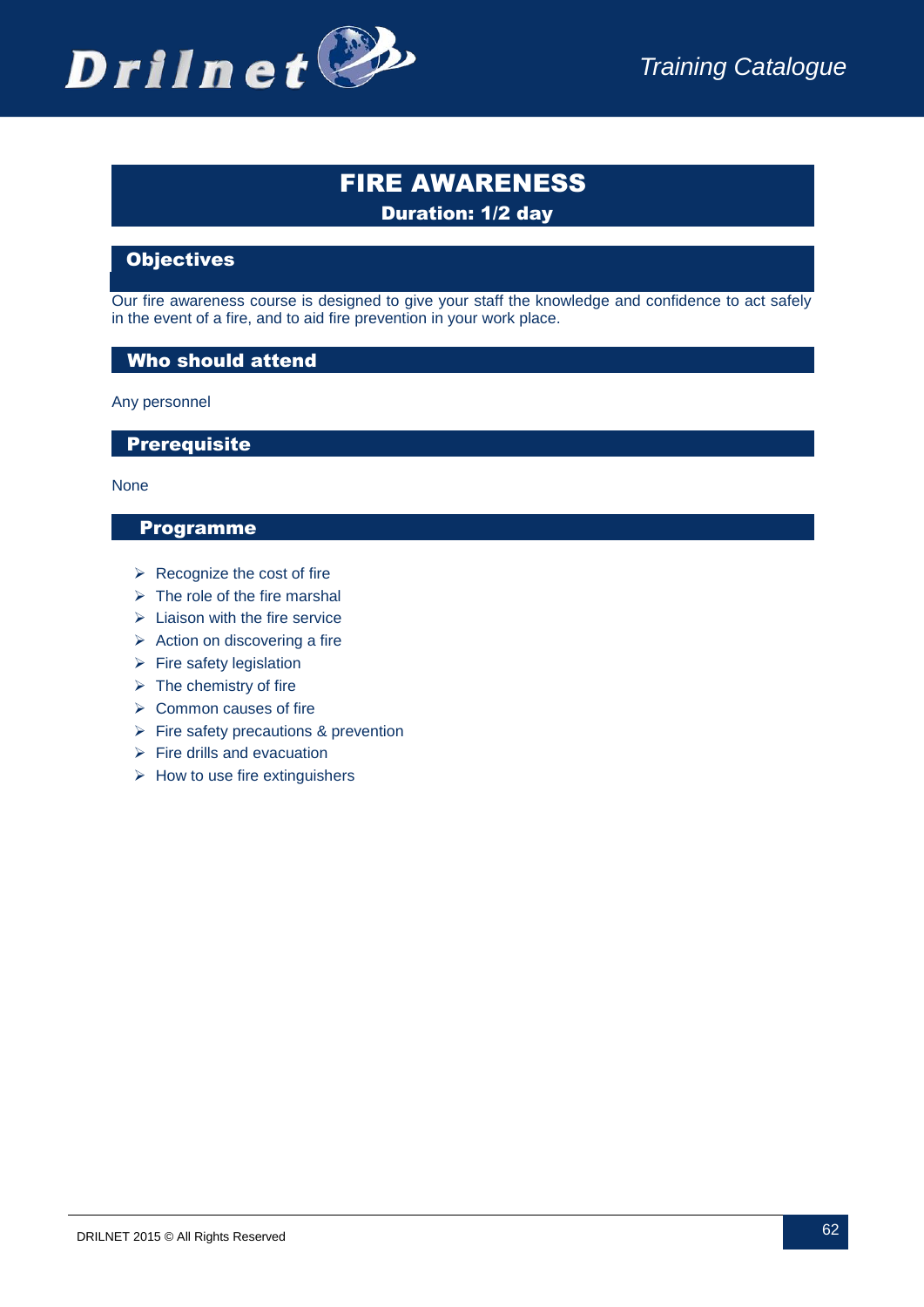

# FIRE AWARENESS Duration: 1/2 day

## **Objectives**

Our fire awareness course is designed to give your staff the knowledge and confidence to act safely in the event of a fire, and to aid fire prevention in your work place.

## Who should attend

Any personnel

#### **Prerequisite**

None

- $\triangleright$  Recognize the cost of fire
- $\triangleright$  The role of the fire marshal
- $\triangleright$  Liaison with the fire service
- $\triangleright$  Action on discovering a fire
- $\triangleright$  Fire safety legislation
- $\triangleright$  The chemistry of fire
- $\triangleright$  Common causes of fire
- $\triangleright$  Fire safety precautions & prevention
- $\triangleright$  Fire drills and evacuation
- $\triangleright$  How to use fire extinguishers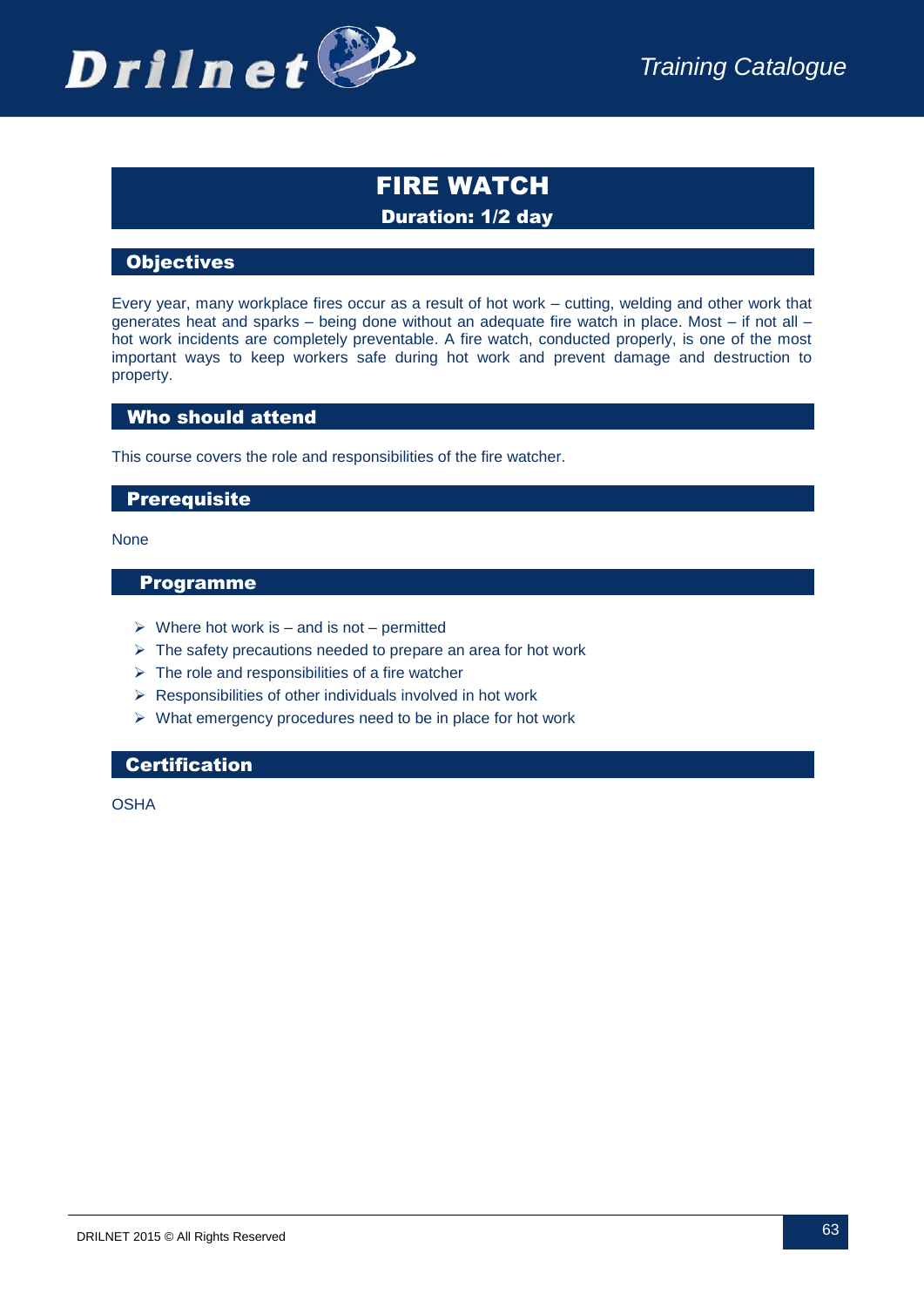

# FIRE WATCH Duration: 1/2 day

## **Objectives**

Every year, many workplace fires occur as a result of hot work – cutting, welding and other work that generates heat and sparks – being done without an adequate fire watch in place. Most – if not all – hot work incidents are completely preventable. A fire watch, conducted properly, is one of the most important ways to keep workers safe during hot work and prevent damage and destruction to property.

## Who should attend

This course covers the role and responsibilities of the fire watcher.

## **Prerequisite**

None

## Programme

- $\triangleright$  Where hot work is and is not permitted
- $\triangleright$  The safety precautions needed to prepare an area for hot work
- $\triangleright$  The role and responsibilities of a fire watcher
- $\triangleright$  Responsibilities of other individuals involved in hot work
- $\triangleright$  What emergency procedures need to be in place for hot work

## **Certification**

**OSHA**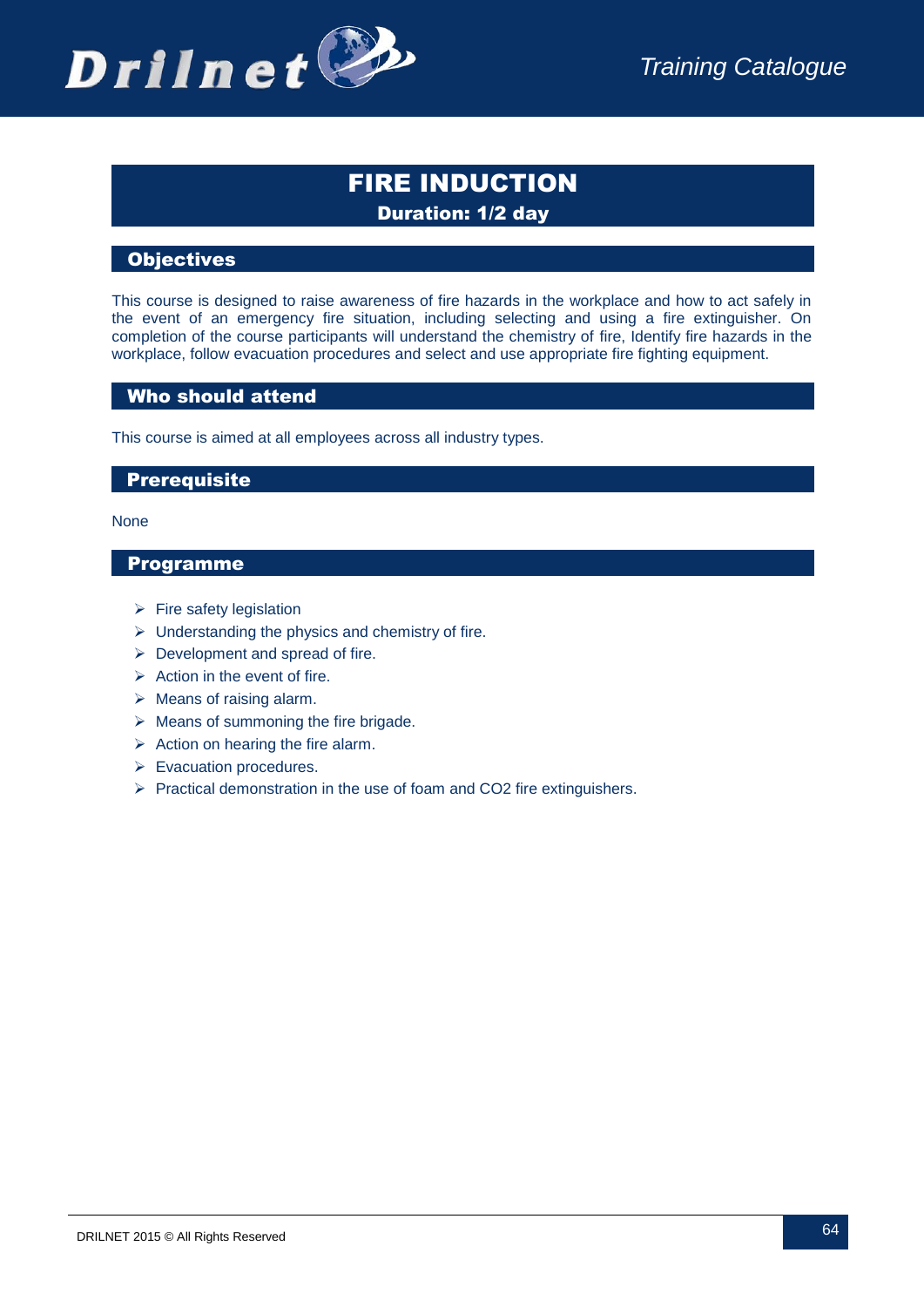

# FIRE INDUCTION Duration: 1/2 day

## **Objectives**

This course is designed to raise awareness of fire hazards in the workplace and how to act safely in the event of an emergency fire situation, including selecting and using a fire extinguisher. On completion of the course participants will understand the chemistry of fire, Identify fire hazards in the workplace, follow evacuation procedures and select and use appropriate fire fighting equipment.

## Who should attend

This course is aimed at all employees across all industry types.

## **Prerequisite**

None

- $\triangleright$  Fire safety legislation
- $\triangleright$  Understanding the physics and chemistry of fire.
- $\triangleright$  Development and spread of fire.
- $\triangleright$  Action in the event of fire.
- $\triangleright$  Means of raising alarm.
- $\triangleright$  Means of summoning the fire brigade.
- $\triangleright$  Action on hearing the fire alarm.
- $\triangleright$  Evacuation procedures.
- $\triangleright$  Practical demonstration in the use of foam and CO2 fire extinguishers.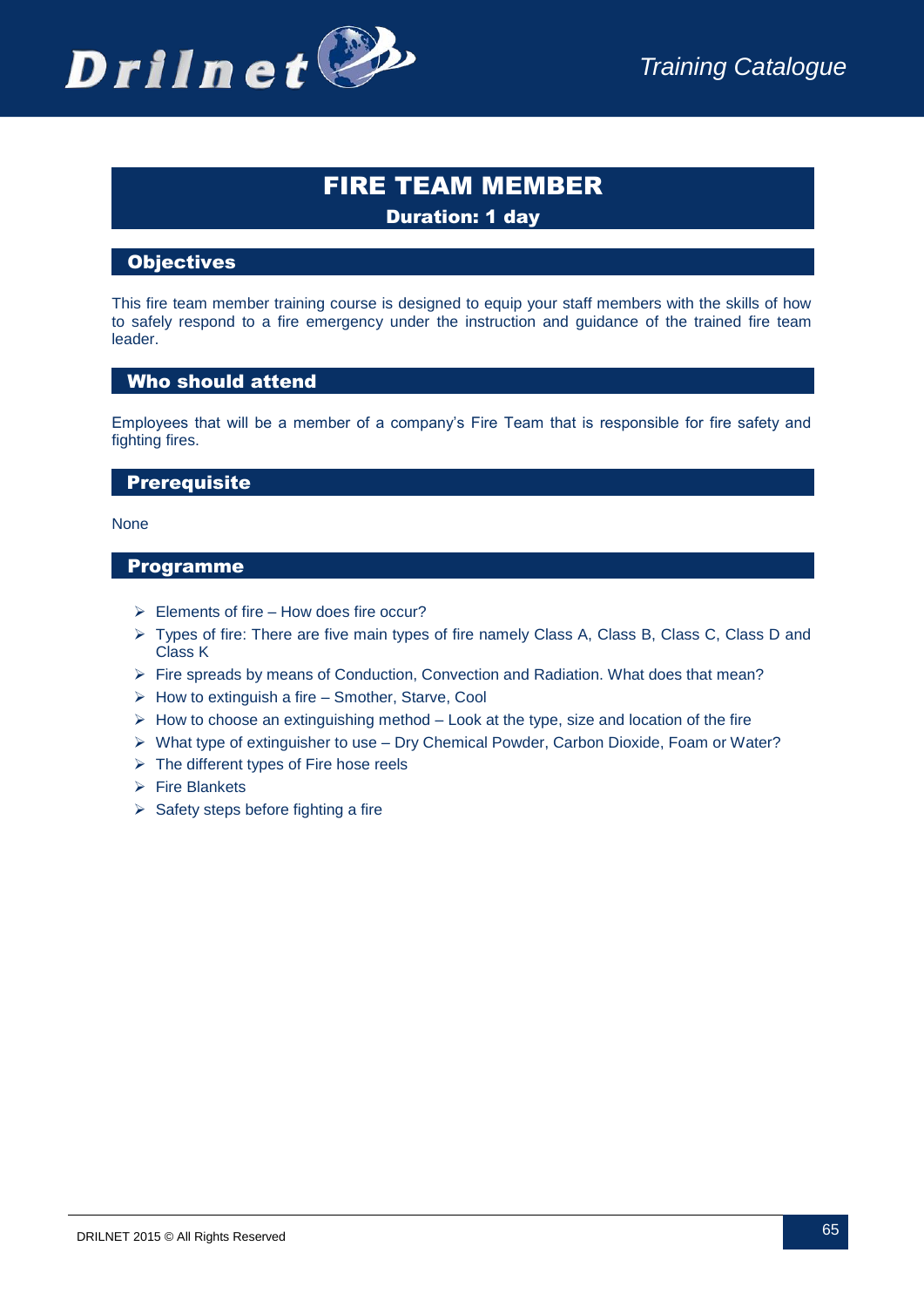

# FIRE TEAM MEMBER Duration: 1 day

## **Objectives**

This fire team member training course is designed to equip your staff members with the skills of how to safely respond to a fire emergency under the instruction and guidance of the trained fire team leader.

## Who should attend

Employees that will be a member of a company's Fire Team that is responsible for fire safety and fighting fires.

## **Prerequisite**

None

- $\triangleright$  Elements of fire How does fire occur?
- $\triangleright$  Types of fire: There are five main types of fire namely Class A, Class B, Class C, Class D and Class K
- $\triangleright$  Fire spreads by means of Conduction, Convection and Radiation, What does that mean?
- $\triangleright$  How to extinguish a fire Smother, Starve, Cool
- $\triangleright$  How to choose an extinguishing method Look at the type, size and location of the fire
- What type of extinguisher to use Dry Chemical Powder, Carbon Dioxide, Foam or Water?
- $\triangleright$  The different types of Fire hose reels
- $\triangleright$  Fire Blankets
- $\triangleright$  Safety steps before fighting a fire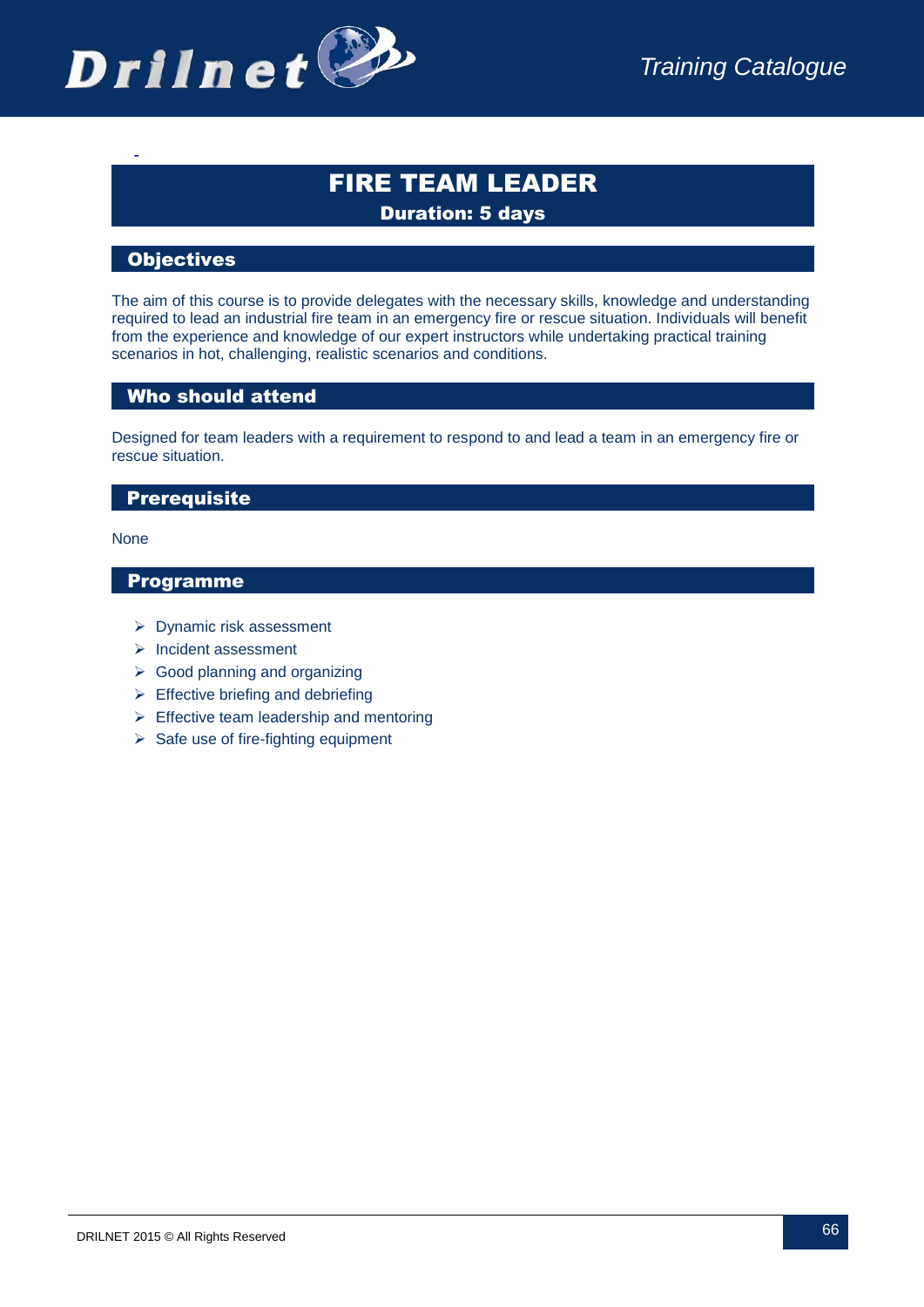

# FIRE TEAM LEADER Duration: 5 days

## **Objectives**

-

The aim of this course is to provide delegates with the necessary skills, knowledge and understanding required to lead an industrial fire team in an emergency fire or rescue situation. Individuals will benefit from the experience and knowledge of our expert instructors while undertaking practical training scenarios in hot, challenging, realistic scenarios and conditions.

## Who should attend

Designed for team leaders with a requirement to respond to and lead a team in an emergency fire or rescue situation.

#### **Prerequisite**

None

- Dynamic risk assessment
- $\triangleright$  Incident assessment
- $\triangleright$  Good planning and organizing
- $\triangleright$  Effective briefing and debriefing
- $\triangleright$  Effective team leadership and mentoring
- $\triangleright$  Safe use of fire-fighting equipment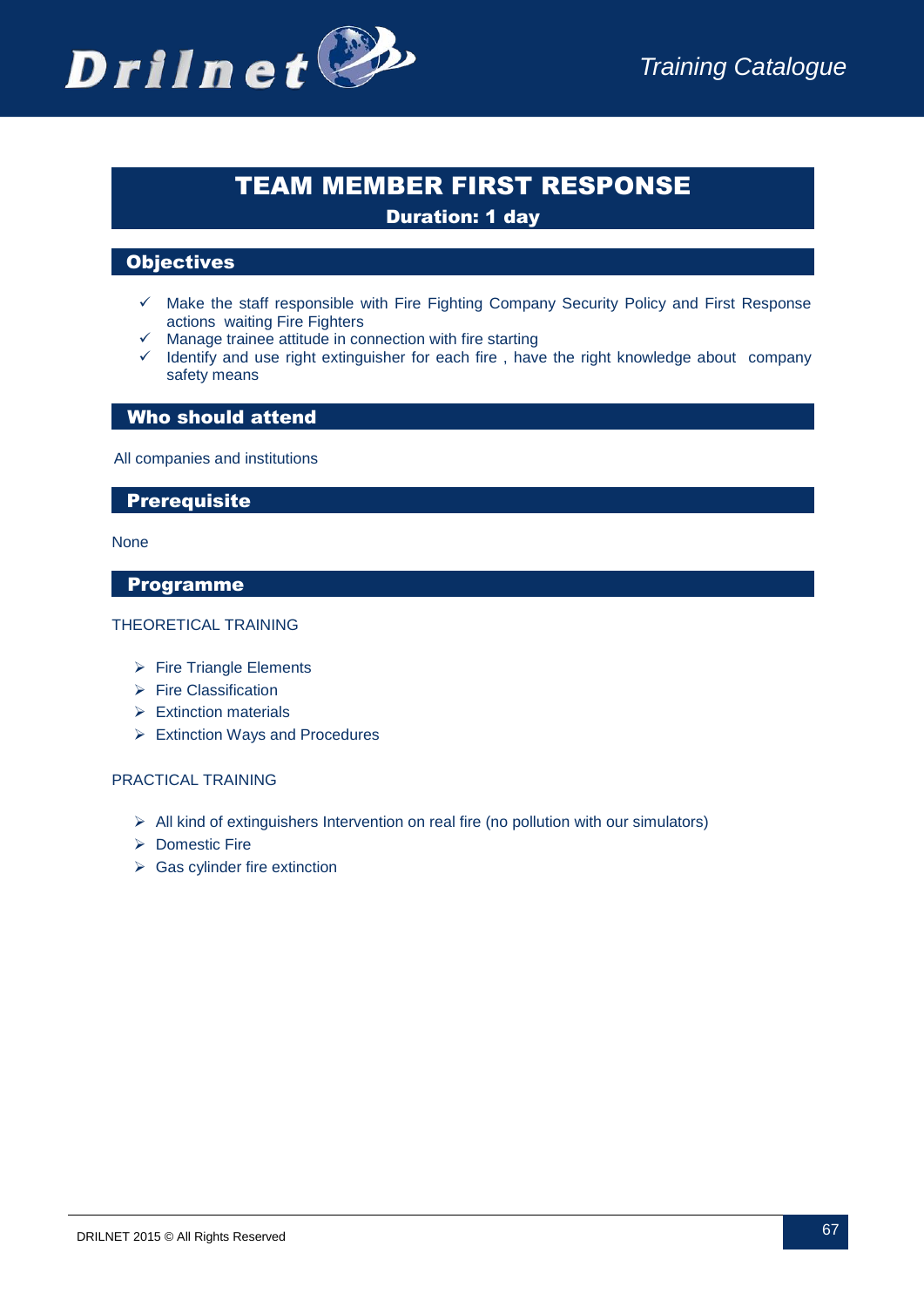

# TEAM MEMBER FIRST RESPONSE Duration: 1 day

## **Objectives**

- $\checkmark$  Make the staff responsible with Fire Fighting Company Security Policy and First Response actions waiting Fire Fighters
- Manage trainee attitude in connection with fire starting
- $\checkmark$  Identify and use right extinguisher for each fire, have the right knowledge about company safety means

## Who should attend

All companies and institutions

## **Prerequisite**

None

## Programme

#### THEORETICAL TRAINING

- $\triangleright$  Fire Triangle Elements
- $\triangleright$  Fire Classification
- $\triangleright$  Extinction materials
- Extinction Ways and Procedures

#### PRACTICAL TRAINING

- $\triangleright$  All kind of extinguishers Intervention on real fire (no pollution with our simulators)
- $\triangleright$  Domestic Fire
- $\triangleright$  Gas cylinder fire extinction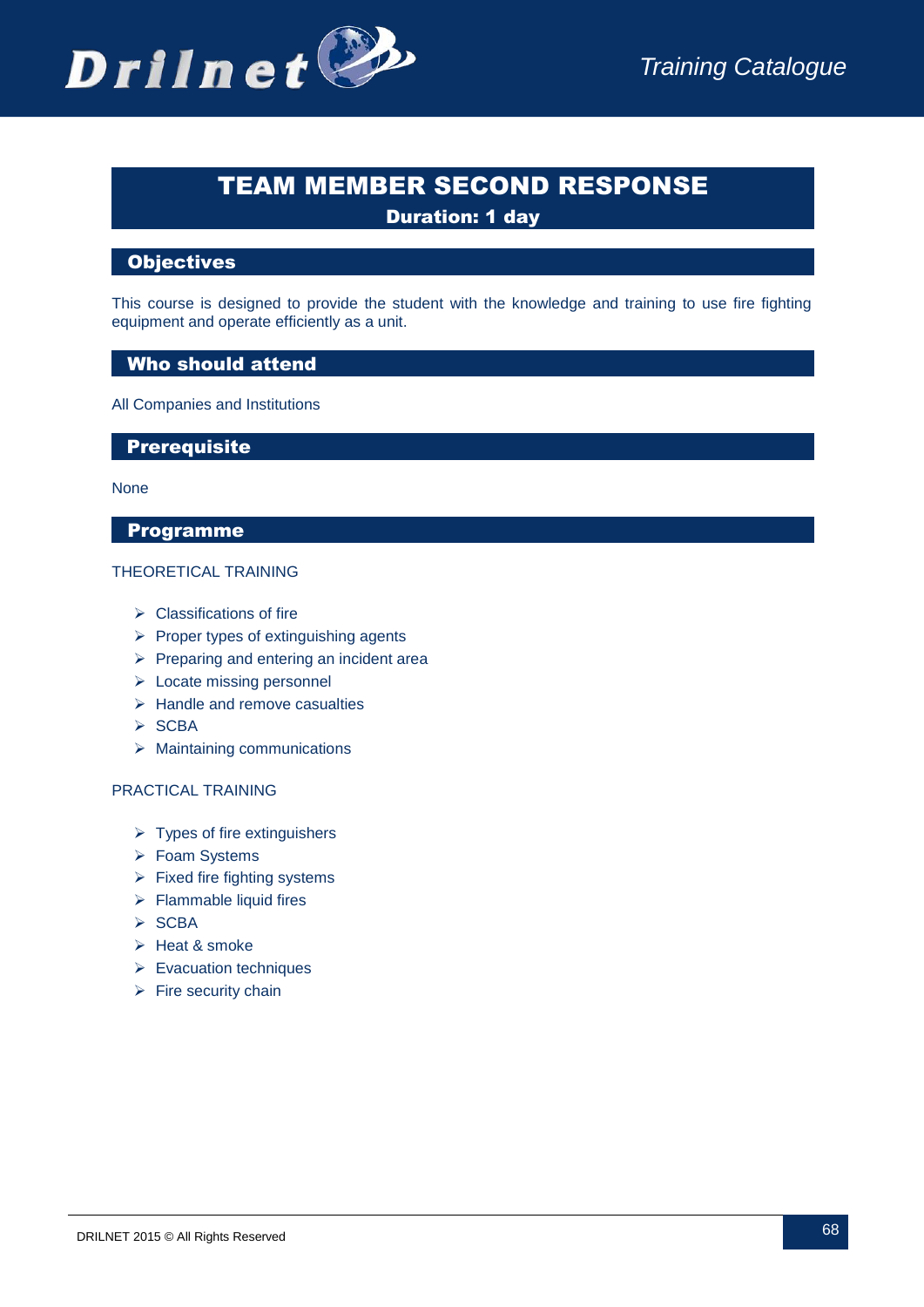

# TEAM MEMBER SECOND RESPONSE Duration: 1 day

## **Objectives**

This course is designed to provide the student with the knowledge and training to use fire fighting equipment and operate efficiently as a unit.

## Who should attend

All Companies and Institutions

## **Prerequisite**

#### None

## Programme

#### THEORETICAL TRAINING

- $\triangleright$  Classifications of fire
- $\triangleright$  Proper types of extinguishing agents
- $\triangleright$  Preparing and entering an incident area
- **Exercise missing personnel**
- $\triangleright$  Handle and remove casualties
- $\triangleright$  SCBA
- $\triangleright$  Maintaining communications

## PRACTICAL TRAINING

- $\triangleright$  Types of fire extinguishers
- Foam Systems
- $\triangleright$  Fixed fire fighting systems
- $\triangleright$  Flammable liquid fires
- $\triangleright$  SCBA
- $\triangleright$  Heat & smoke
- $\triangleright$  Evacuation techniques
- $\triangleright$  Fire security chain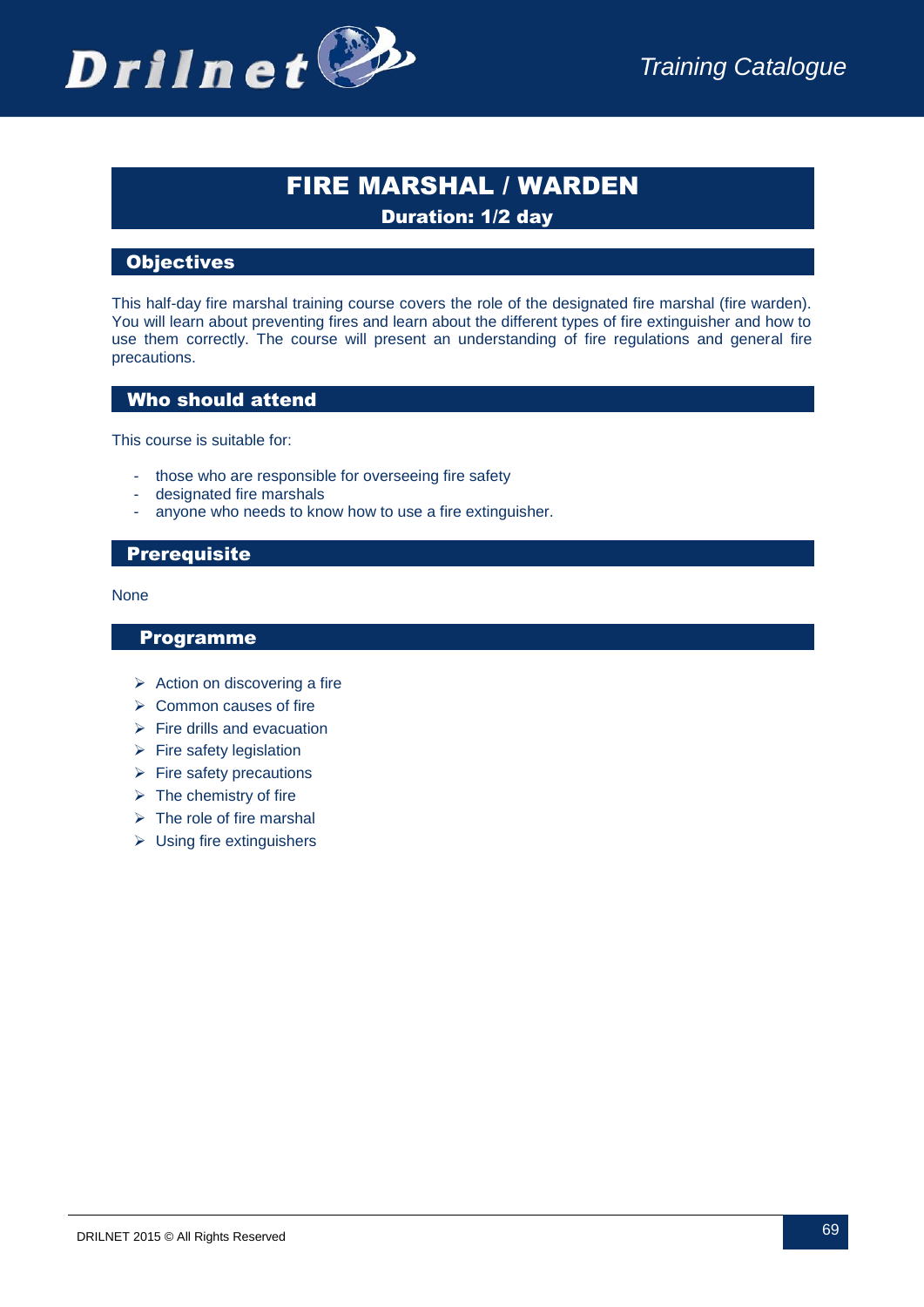# FIRE MARSHAL / WARDEN Duration: 1/2 day

## **Objectives**

This half-day fire marshal training course covers the role of the designated fire marshal (fire warden). You will learn about preventing fires and learn about the different types of fire extinguisher and how to use them correctly. The course will present an understanding of fire regulations and general fire precautions.

## Who should attend

This course is suitable for:

- those who are responsible for overseeing fire safety
- designated fire marshals
- anyone who needs to know how to use a fire extinguisher.

## **Prerequisite**

None

- $\triangleright$  Action on discovering a fire
- $\triangleright$  Common causes of fire
- $\triangleright$  Fire drills and evacuation
- $\triangleright$  Fire safety legislation
- $\triangleright$  Fire safety precautions
- $\triangleright$  The chemistry of fire
- $\triangleright$  The role of fire marshal
- $\triangleright$  Using fire extinguishers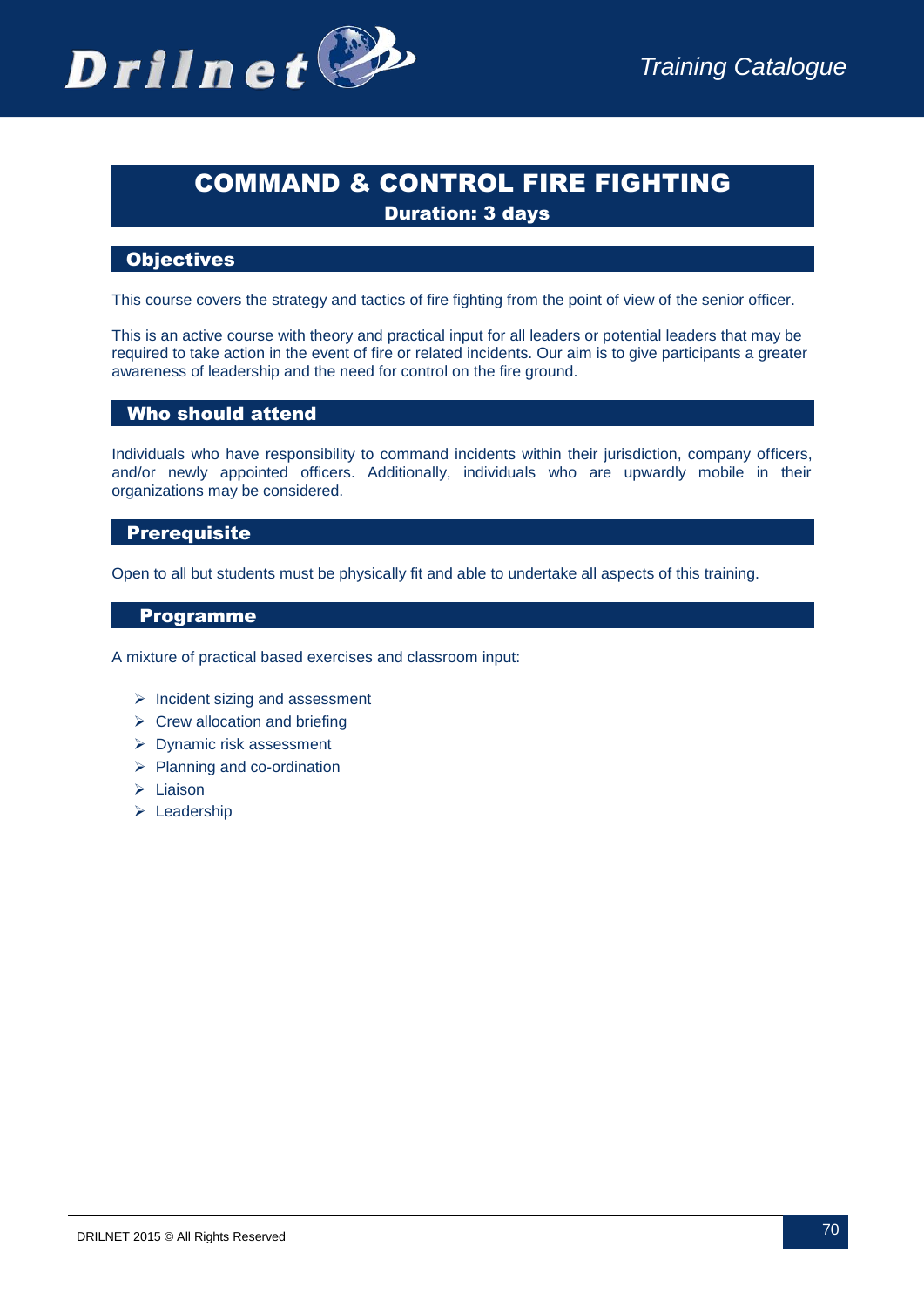

# COMMAND & CONTROL FIRE FIGHTING

**Duration: 3 days** 

## **Objectives**

This course covers the strategy and tactics of fire fighting from the point of view of the senior officer.

This is an active course with theory and practical input for all leaders or potential leaders that may be required to take action in the event of fire or related incidents. Our aim is to give participants a greater awareness of leadership and the need for control on the fire ground.

## Who should attend

Individuals who have responsibility to command incidents within their jurisdiction, company officers, and/or newly appointed officers. Additionally, individuals who are upwardly mobile in their organizations may be considered.

## **Prerequisite**

Open to all but students must be physically fit and able to undertake all aspects of this training.

## Programme

A mixture of practical based exercises and classroom input:

- $\triangleright$  Incident sizing and assessment
- $\triangleright$  Crew allocation and briefing
- ▶ Dynamic risk assessment
- $\triangleright$  Planning and co-ordination
- > Liaison
- $\triangleright$  Leadership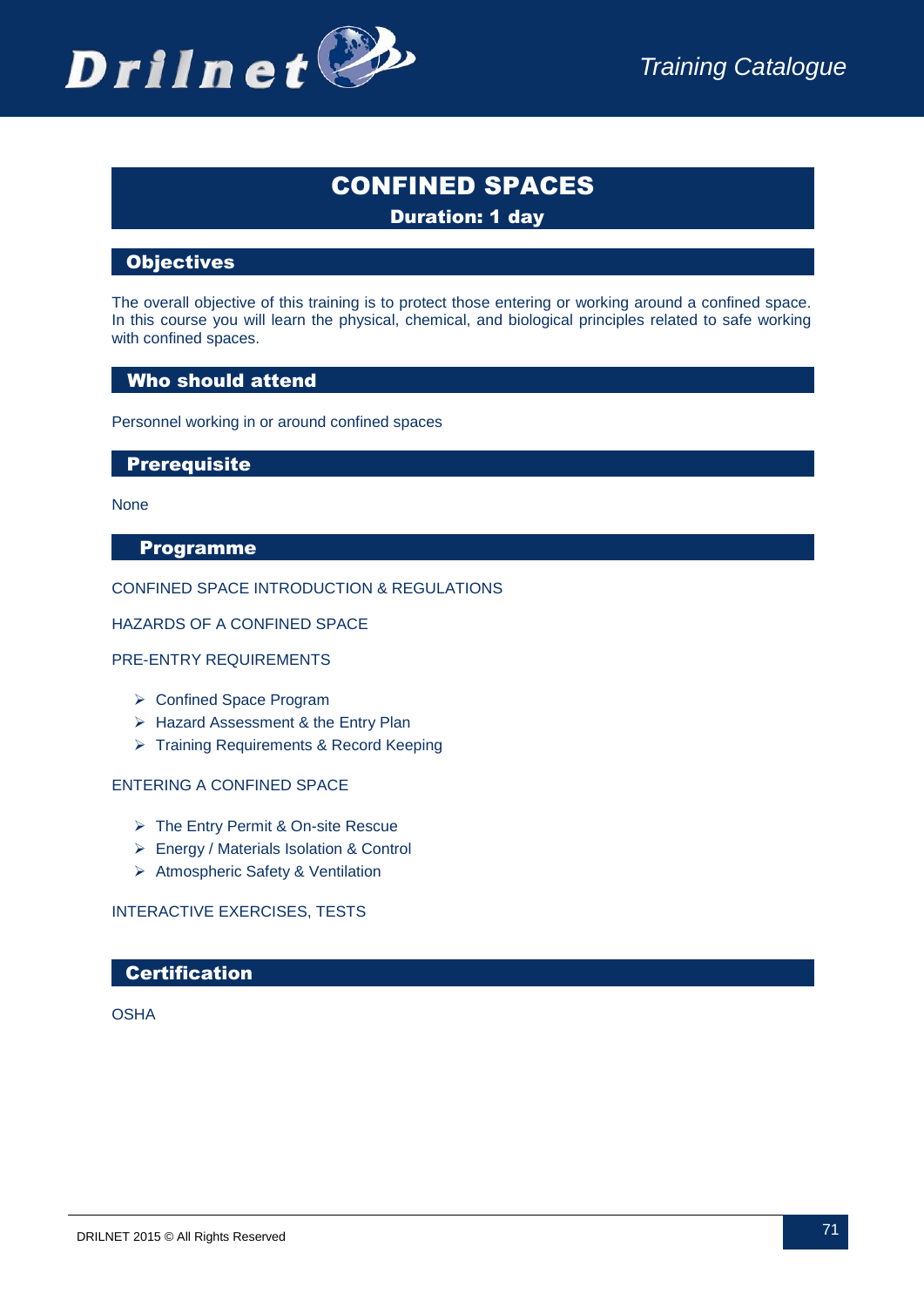

# CONFINED SPACES Duration: 1 day

## **Objectives**

The overall objective of this training is to protect those entering or working around a confined space. In this course you will learn the physical, chemical, and biological principles related to safe working with confined spaces.

## Who should attend

Personnel working in or around confined spaces

## **Prerequisite**

None

## Programme

#### CONFINED SPACE INTRODUCTION & REGULATIONS

#### HAZARDS OF A CONFINED SPACE

#### PRE-ENTRY REQUIREMENTS

- ▶ Confined Space Program
- $\triangleright$  Hazard Assessment & the Entry Plan
- > Training Requirements & Record Keeping

#### ENTERING A CONFINED SPACE

- The Entry Permit & On-site Rescue
- Energy / Materials Isolation & Control
- > Atmospheric Safety & Ventilation

## INTERACTIVE EXERCISES, TESTS

#### **Certification**

**OSHA**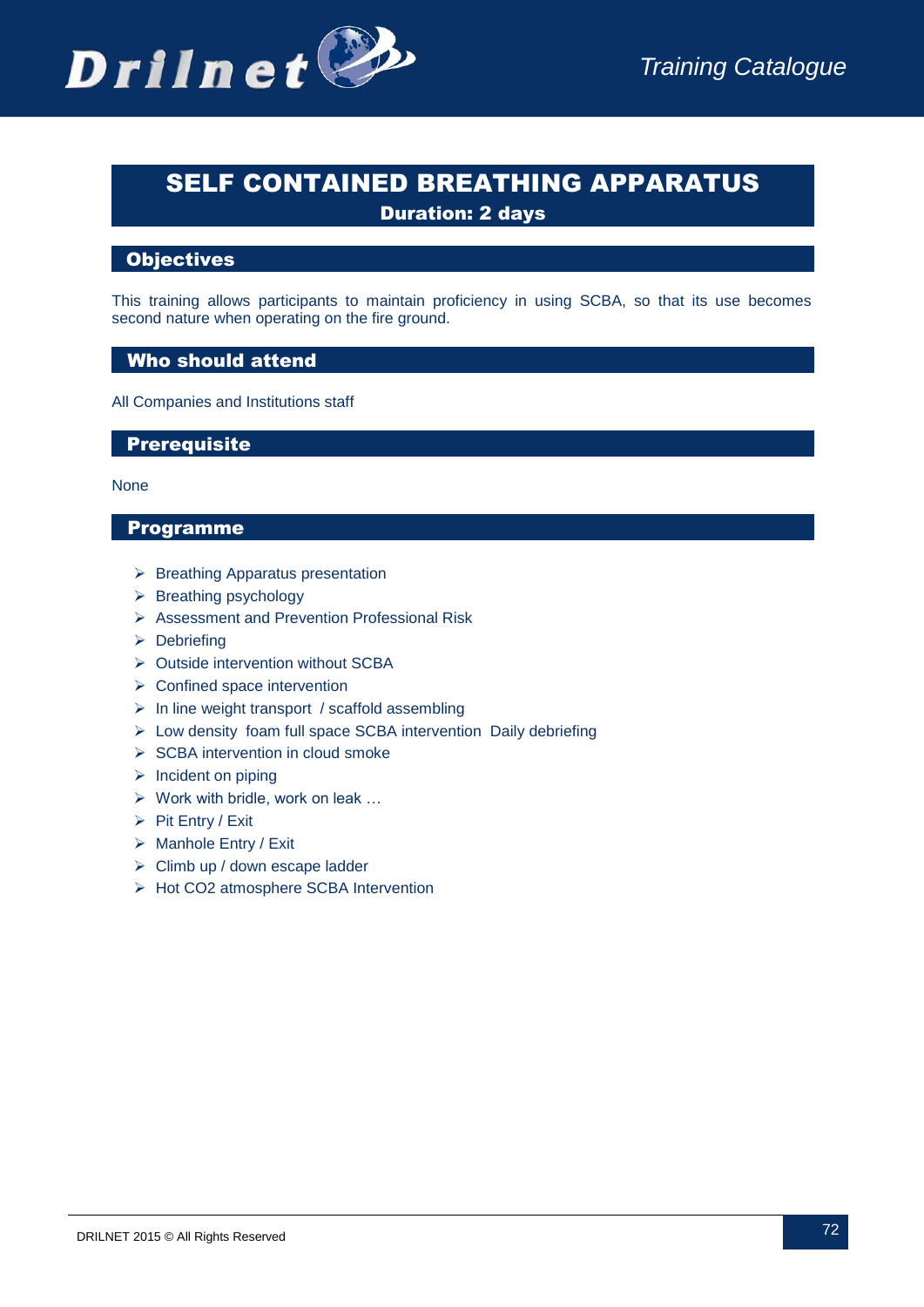

# SELF CONTAINED BREATHING APPARATUS

Duration: 2 days

## **Objectives**

This training allows participants to maintain proficiency in using SCBA, so that its use becomes second nature when operating on the fire ground.

## Who should attend

All Companies and Institutions staff

## **Prerequisite**

#### None

- $\triangleright$  Breathing Apparatus presentation
- $\triangleright$  Breathing psychology
- Assessment and Prevention Professional Risk
- $\triangleright$  Debriefing
- $\triangleright$  Outside intervention without SCBA
- ▶ Confined space intervention
- $\triangleright$  In line weight transport / scaffold assembling
- Low density foam full space SCBA intervention Daily debriefing
- $\triangleright$  SCBA intervention in cloud smoke
- $\triangleright$  Incident on piping
- $\triangleright$  Work with bridle, work on leak ...
- $\triangleright$  Pit Entry / Exit
- $\triangleright$  Manhole Entry / Exit
- Climb up / down escape ladder
- > Hot CO2 atmosphere SCBA Intervention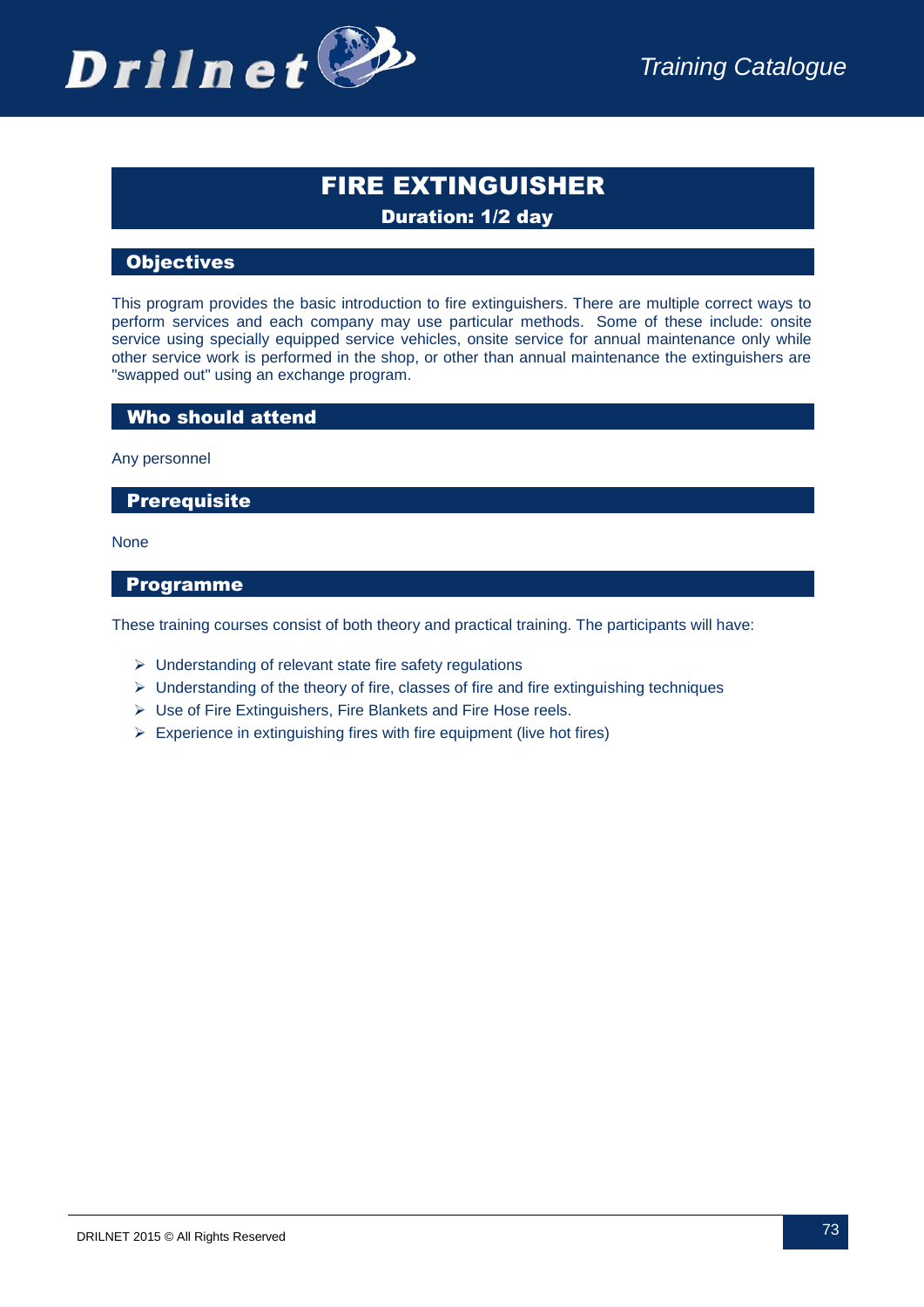

# FIRE EXTINGUISHER Duration: 1/2 day

# **Objectives**

This program provides the basic introduction to fire extinguishers. There are multiple correct ways to perform services and each company may use particular methods. Some of these include: onsite service using specially equipped service vehicles, onsite service for annual maintenance only while other service work is performed in the shop, or other than annual maintenance the extinguishers are "swapped out" using an exchange program.

### Who should attend

Any personnel

**Prerequisite** 

None

#### Programme

These training courses consist of both theory and practical training. The participants will have:

- $\triangleright$  Understanding of relevant state fire safety regulations
- $\triangleright$  Understanding of the theory of fire, classes of fire and fire extinguishing techniques
- $\triangleright$  Use of Fire Extinguishers, Fire Blankets and Fire Hose reels.
- $\triangleright$  Experience in extinguishing fires with fire equipment (live hot fires)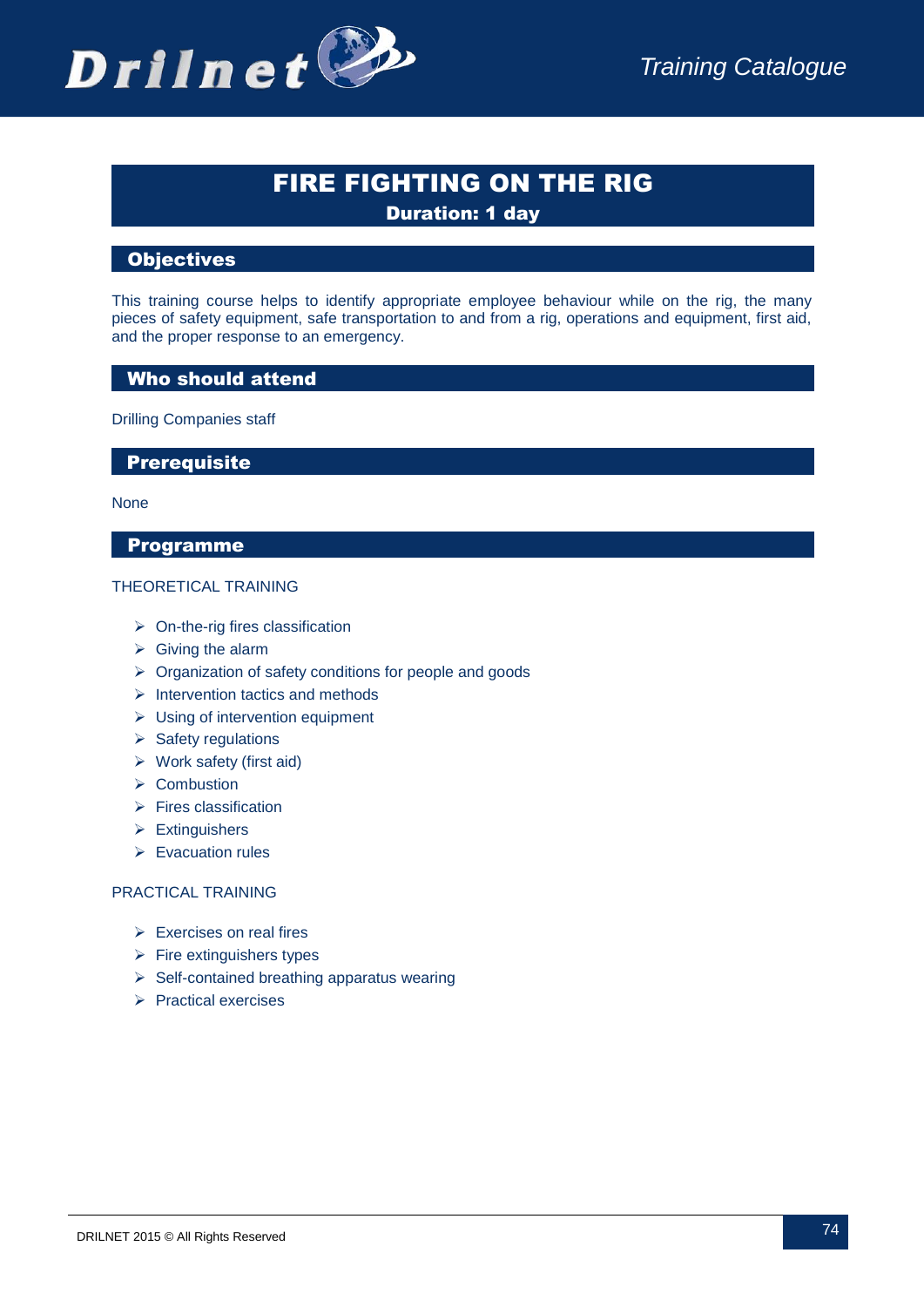

# FIRE FIGHTING ON THE RIG

Duration: 1 day

# **Objectives**

This training course helps to identify appropriate employee behaviour while on the rig, the many pieces of safety equipment, safe transportation to and from a rig, operations and equipment, first aid, and the proper response to an emergency.

### Who should attend

Drilling Companies staff

#### **Prerequisite**

None

# Programme

#### THEORETICAL TRAINING

- $\triangleright$  On-the-rig fires classification
- $\triangleright$  Giving the alarm
- $\triangleright$  Organization of safety conditions for people and goods
- $\triangleright$  Intervention tactics and methods
- $\triangleright$  Using of intervention equipment
- $\triangleright$  Safety regulations
- $\triangleright$  Work safety (first aid)
- $\triangleright$  Combustion
- $\triangleright$  Fires classification
- $\triangleright$  Extinguishers
- $\triangleright$  Evacuation rules

- $\triangleright$  Exercises on real fires
- $\triangleright$  Fire extinguishers types
- $\triangleright$  Self-contained breathing apparatus wearing
- $\triangleright$  Practical exercises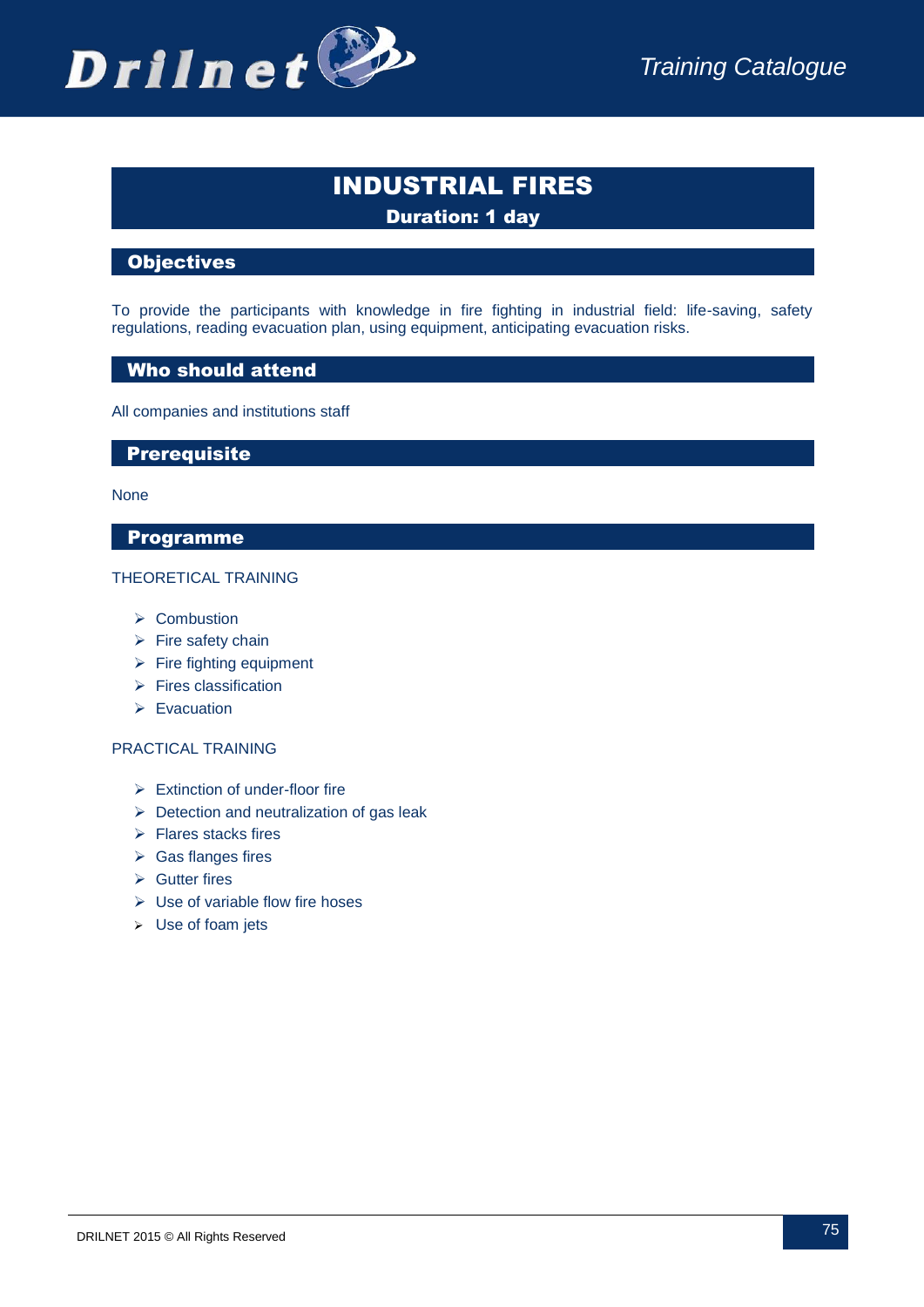

# INDUSTRIAL FIRES Duration: 1 day

# **Objectives**

To provide the participants with knowledge in fire fighting in industrial field: life-saving, safety regulations, reading evacuation plan, using equipment, anticipating evacuation risks.

# Who should attend

All companies and institutions staff

#### **Prerequisite**

#### None

#### Programme

#### THEORETICAL TRAINING

- $\triangleright$  Combustion
- $\triangleright$  Fire safety chain
- $\triangleright$  Fire fighting equipment
- $\triangleright$  Fires classification
- $\triangleright$  Evacuation

- $\triangleright$  Extinction of under-floor fire
- $\triangleright$  Detection and neutralization of gas leak
- $\triangleright$  Flares stacks fires
- $\triangleright$  Gas flanges fires
- $\triangleright$  Gutter fires
- $\triangleright$  Use of variable flow fire hoses
- Use of foam jets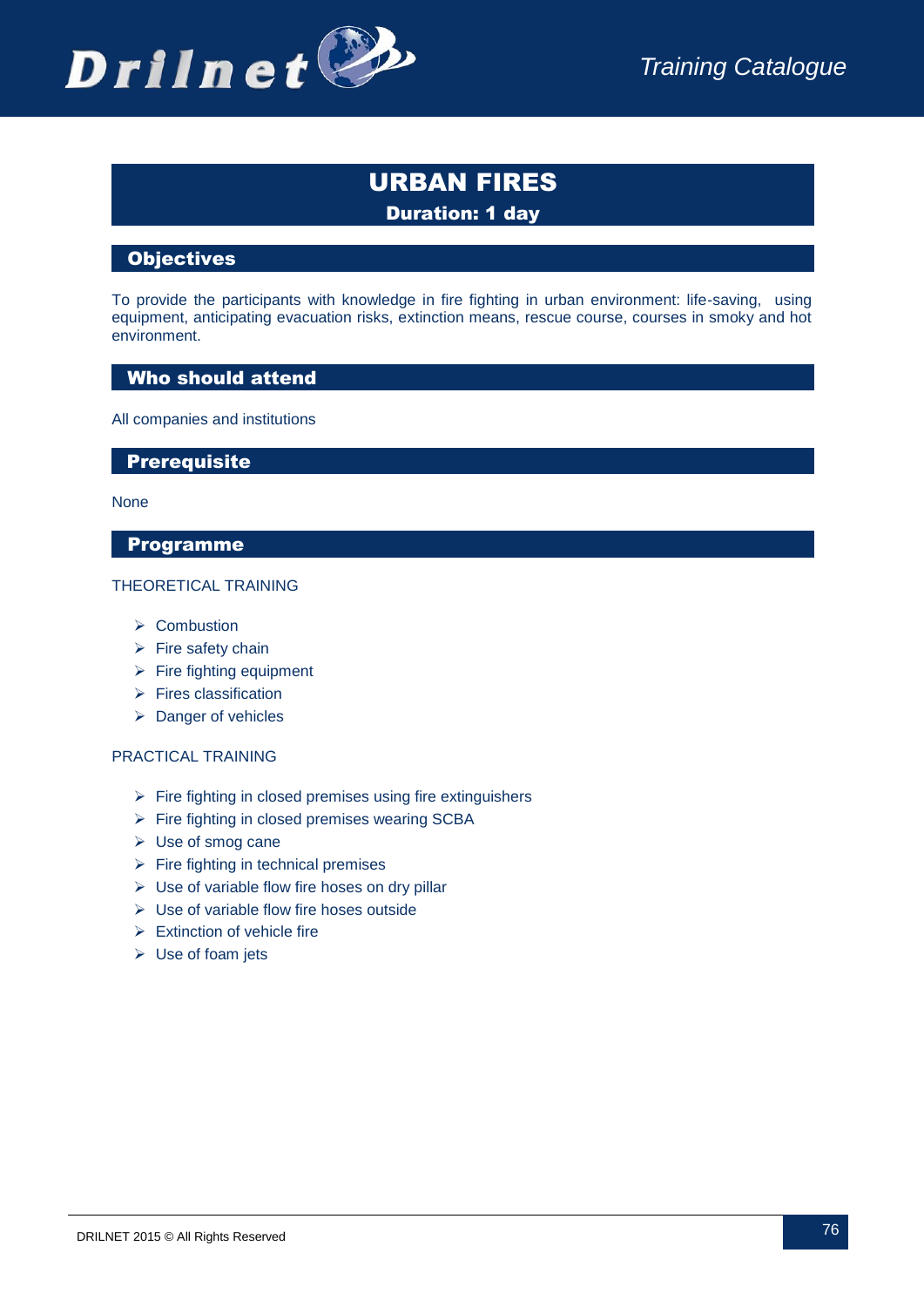

# URBAN FIRES Duration: 1 day

# **Objectives**

To provide the participants with knowledge in fire fighting in urban environment: life-saving, using equipment, anticipating evacuation risks, extinction means, rescue course, courses in smoky and hot environment.

# Who should attend

All companies and institutions

### **Prerequisite**

None

#### Programme

#### THEORETICAL TRAINING

- $\triangleright$  Combustion
- $\triangleright$  Fire safety chain
- $\triangleright$  Fire fighting equipment
- $\triangleright$  Fires classification
- $\triangleright$  Danger of vehicles

- $\triangleright$  Fire fighting in closed premises using fire extinguishers
- $\triangleright$  Fire fighting in closed premises wearing SCBA
- $\triangleright$  Use of smog cane
- $\triangleright$  Fire fighting in technical premises
- $\triangleright$  Use of variable flow fire hoses on dry pillar
- $\triangleright$  Use of variable flow fire hoses outside
- $\triangleright$  Extinction of vehicle fire
- $\triangleright$  Use of foam jets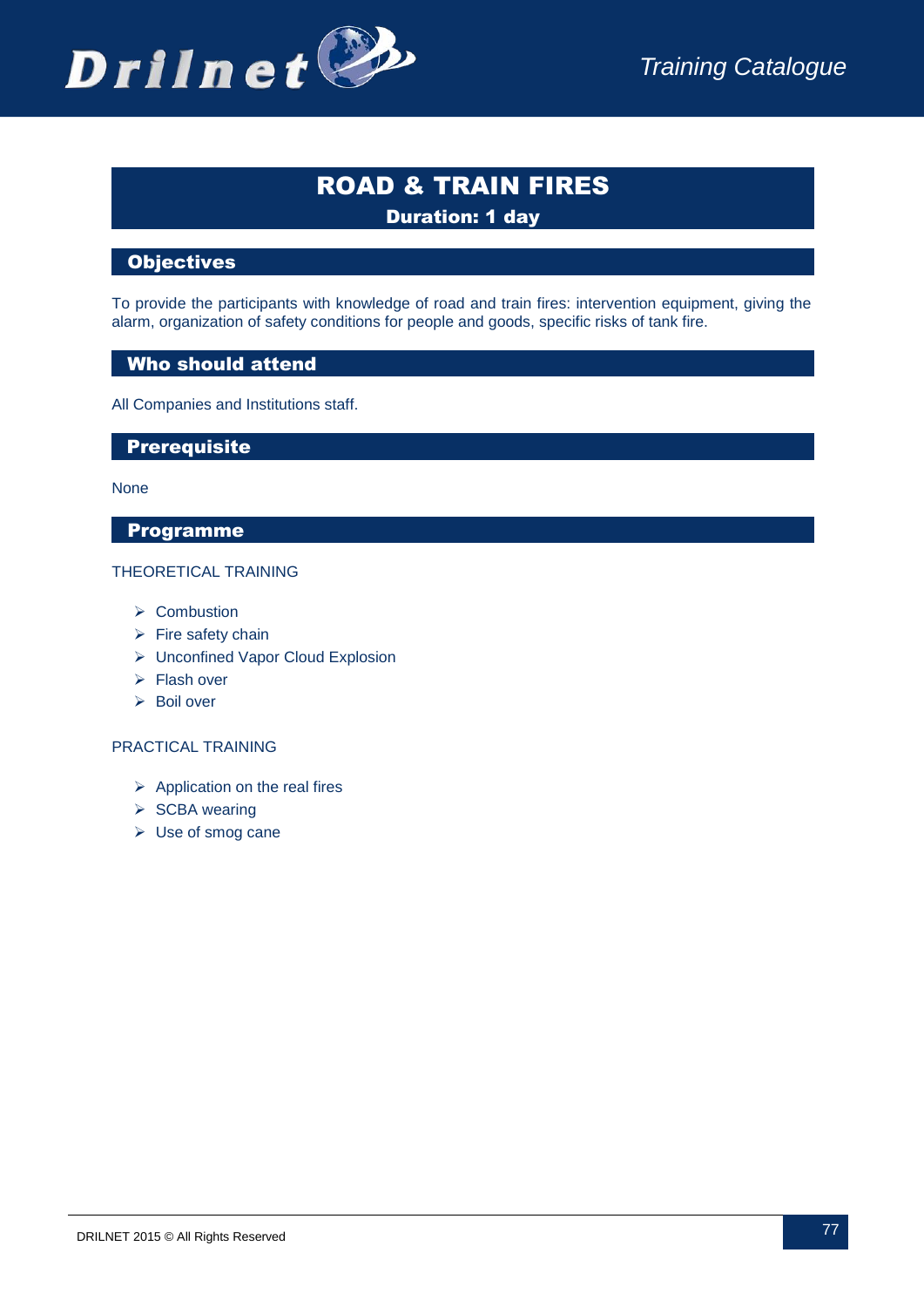

# ROAD & TRAIN FIRES Duration: 1 day

# **Objectives**

To provide the participants with knowledge of road and train fires: intervention equipment, giving the alarm, organization of safety conditions for people and goods, specific risks of tank fire.

# Who should attend

All Companies and Institutions staff.

# **Prerequisite**

#### None

### Programme

#### THEORETICAL TRAINING

- $\triangleright$  Combustion
- $\triangleright$  Fire safety chain
- Unconfined Vapor Cloud Explosion
- $\triangleright$  Flash over
- $\triangleright$  Boil over

- $\triangleright$  Application on the real fires
- $\triangleright$  SCBA wearing
- Use of smog cane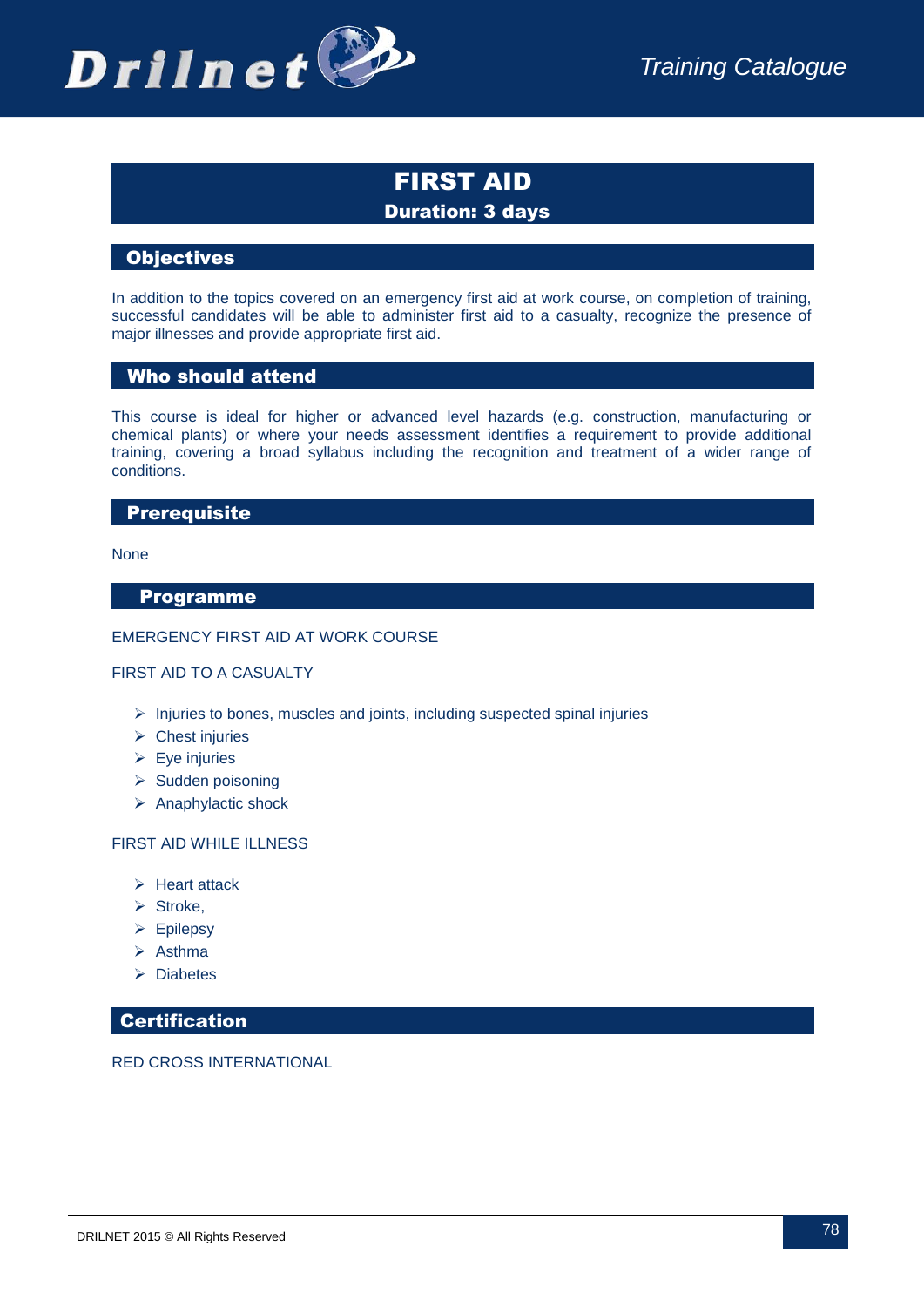

# FIRST AID Duration: 3 days

### **Objectives**

In addition to the topics covered on an emergency first aid at work course, on completion of training, successful candidates will be able to administer first aid to a casualty, recognize the presence of major illnesses and provide appropriate first aid.

#### Who should attend

This course is ideal for higher or advanced level hazards (e.g. construction, manufacturing or chemical plants) or where your needs assessment identifies a requirement to provide additional training, covering a broad syllabus including the recognition and treatment of a wider range of conditions.

### **Prerequisite**

None

#### Programme

#### EMERGENCY FIRST AID AT WORK COURSE

#### FIRST AID TO A CASUALTY

- $\triangleright$  Injuries to bones, muscles and joints, including suspected spinal injuries
- $\triangleright$  Chest injuries
- $\triangleright$  Eye injuries
- $\triangleright$  Sudden poisoning
- $\triangleright$  Anaphylactic shock

#### FIRST AID WHILE ILLNESS

- $\triangleright$  Heart attack
- $\triangleright$  Stroke,
- $\triangleright$  Epilepsy
- $\triangleright$  Asthma
- $\triangleright$  Diabetes

### **Certification**

RED CROSS INTERNATIONAL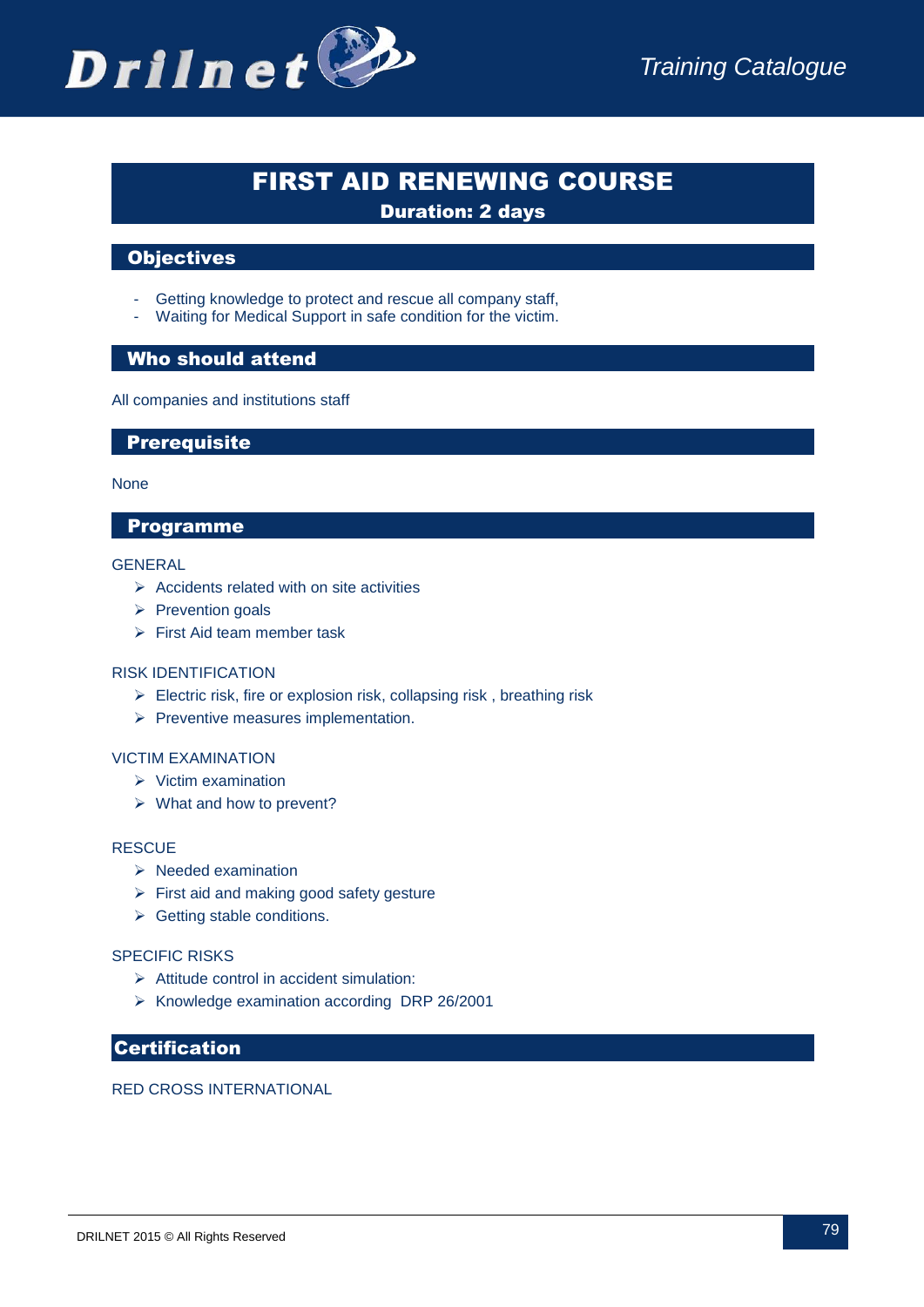# FIRST AID RENEWING COURSE

Duration: 2 days

# **Objectives**

- Getting knowledge to protect and rescue all company staff,
- Waiting for Medical Support in safe condition for the victim.

# Who should attend

All companies and institutions staff

#### **Prerequisite**

#### None

#### Programme

#### **GENERAL**

- $\triangleright$  Accidents related with on site activities
- $\triangleright$  Prevention goals
- $\triangleright$  First Aid team member task

#### RISK IDENTIFICATION

- $\triangleright$  Electric risk, fire or explosion risk, collapsing risk, breathing risk
- $\triangleright$  Preventive measures implementation.

#### VICTIM EXAMINATION

- $\triangleright$  Victim examination
- $\triangleright$  What and how to prevent?

#### **RESCUE**

- $\triangleright$  Needed examination
- $\triangleright$  First aid and making good safety gesture
- $\triangleright$  Getting stable conditions.

#### SPECIFIC RISKS

- $\triangleright$  Attitude control in accident simulation:
- $\triangleright$  Knowledge examination according DRP 26/2001

# Certification

#### RED CROSS INTERNATIONAL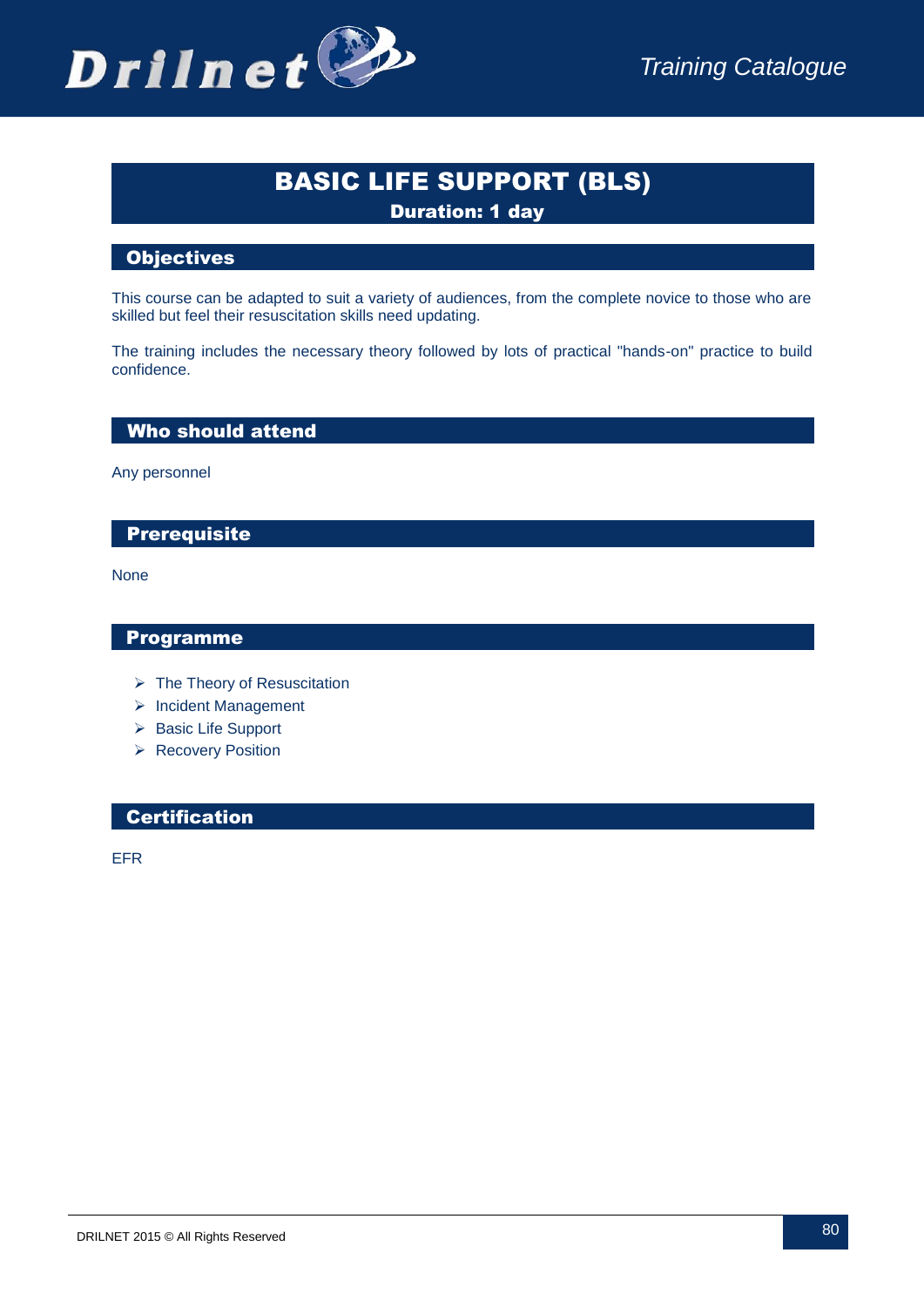# BASIC LIFE SUPPORT (BLS)

Duration: 1 day

### **Objectives**

This course can be adapted to suit a variety of audiences, from the complete novice to those who are skilled but feel their resuscitation skills need updating.

The training includes the necessary theory followed by lots of practical "hands-on" practice to build confidence.

Who should attend

Any personnel

# **Prerequisite**

None

#### Programme

- $\triangleright$  The Theory of Resuscitation
- **Incident Management**
- $\triangleright$  Basic Life Support
- ▶ Recovery Position

# **Certification**

EFR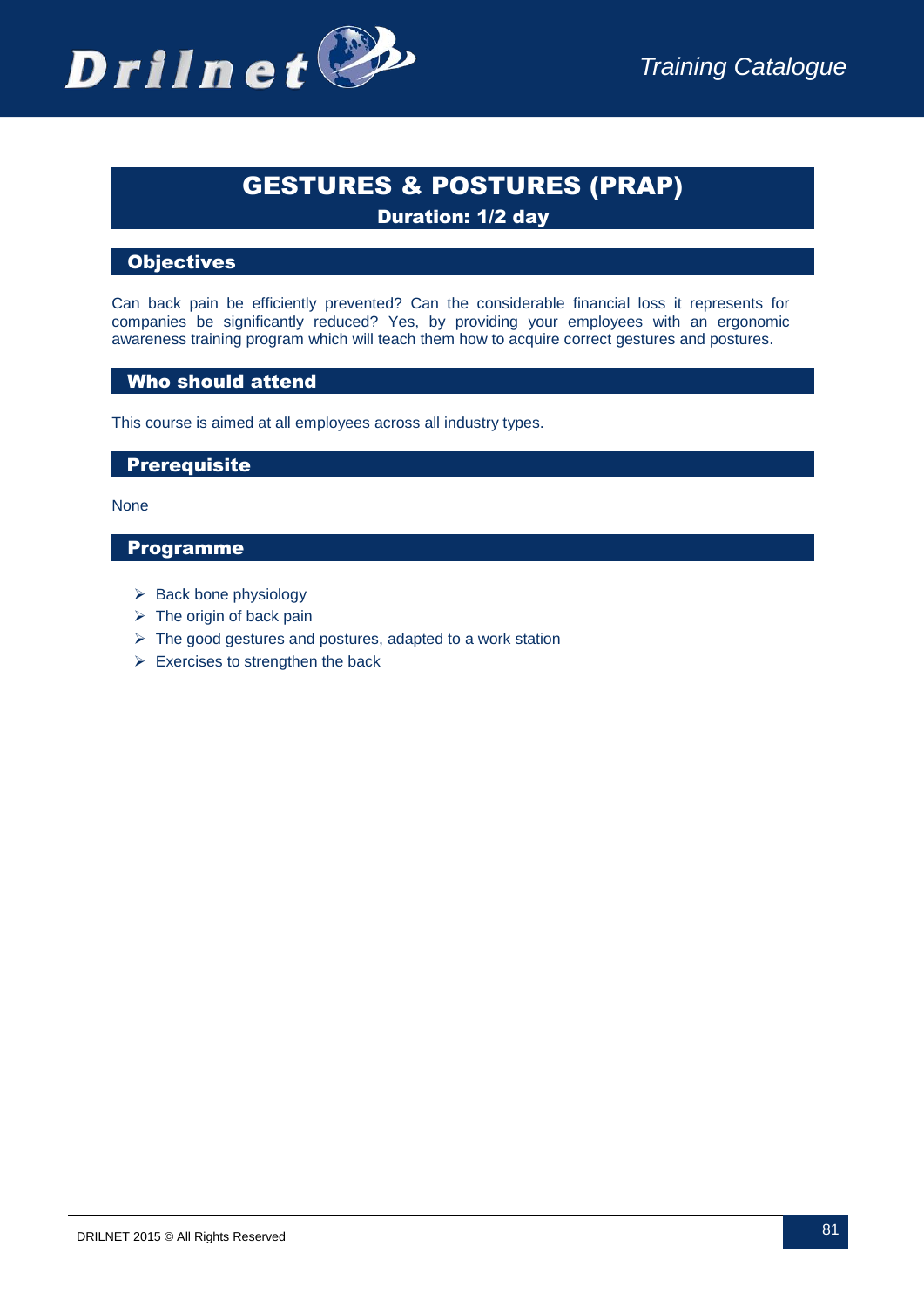# GESTURES & POSTURES (PRAP) Duration: 1/2 day

# **Objectives**

Can back pain be efficiently prevented? Can the considerable financial loss it represents for companies be significantly reduced? Yes, by providing your employees with an ergonomic awareness training program which will teach them how to acquire correct gestures and postures.

# Who should attend

This course is aimed at all employees across all industry types.

### **Prerequisite**

None

- $\triangleright$  Back bone physiology
- $\triangleright$  The origin of back pain
- $\triangleright$  The good gestures and postures, adapted to a work station
- $\triangleright$  Exercises to strengthen the back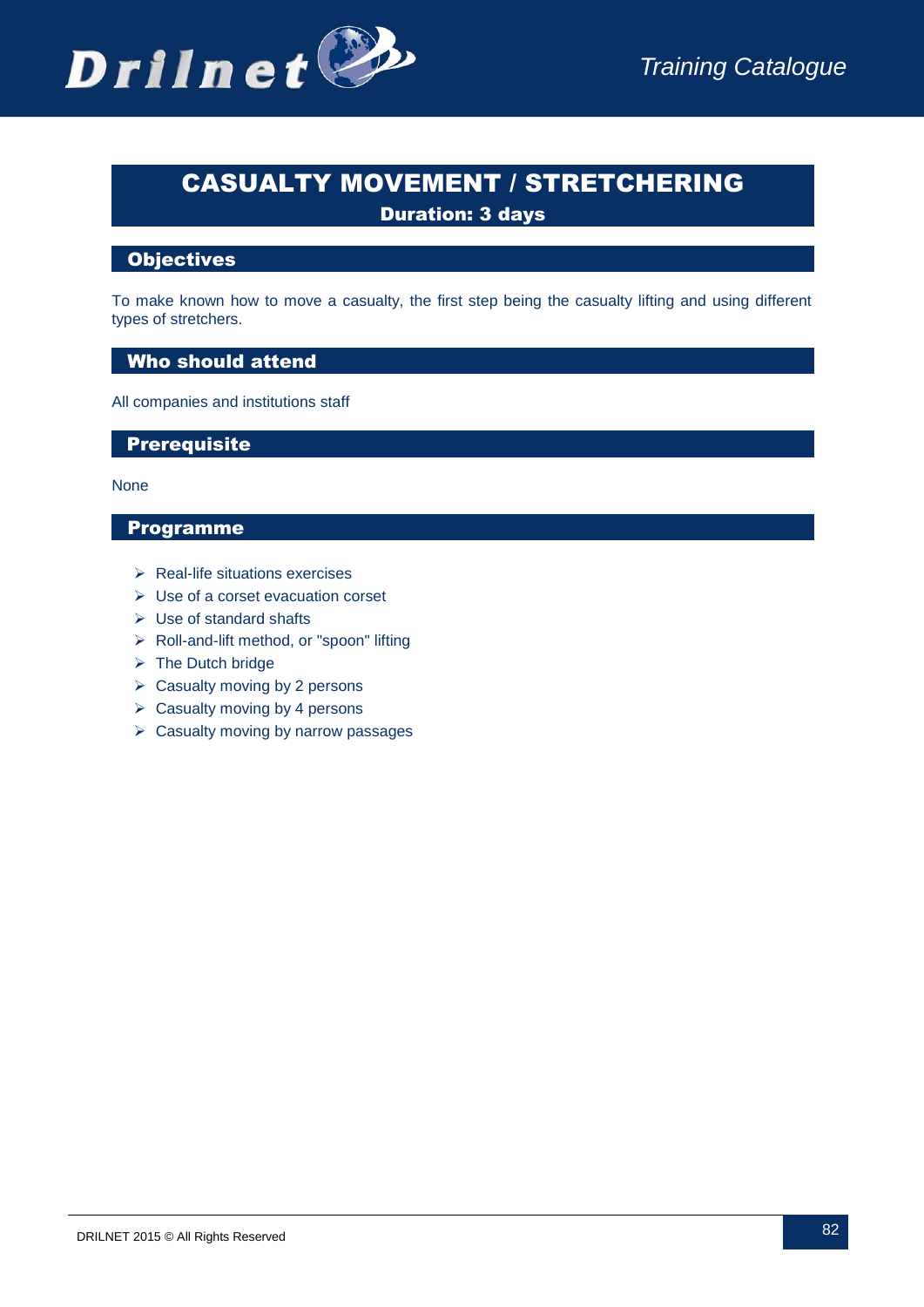

# CASUALTY MOVEMENT / STRETCHERING

Duration: 3 days

# **Objectives**

To make known how to move a casualty, the first step being the casualty lifting and using different types of stretchers.

# Who should attend

All companies and institutions staff

# **Prerequisite**

#### None

- $\triangleright$  Real-life situations exercises
- Use of a corset evacuation corset
- $\triangleright$  Use of standard shafts
- $\triangleright$  Roll-and-lift method, or "spoon" lifting
- $\triangleright$  The Dutch bridge
- $\triangleright$  Casualty moving by 2 persons
- $\triangleright$  Casualty moving by 4 persons
- $\triangleright$  Casualty moving by narrow passages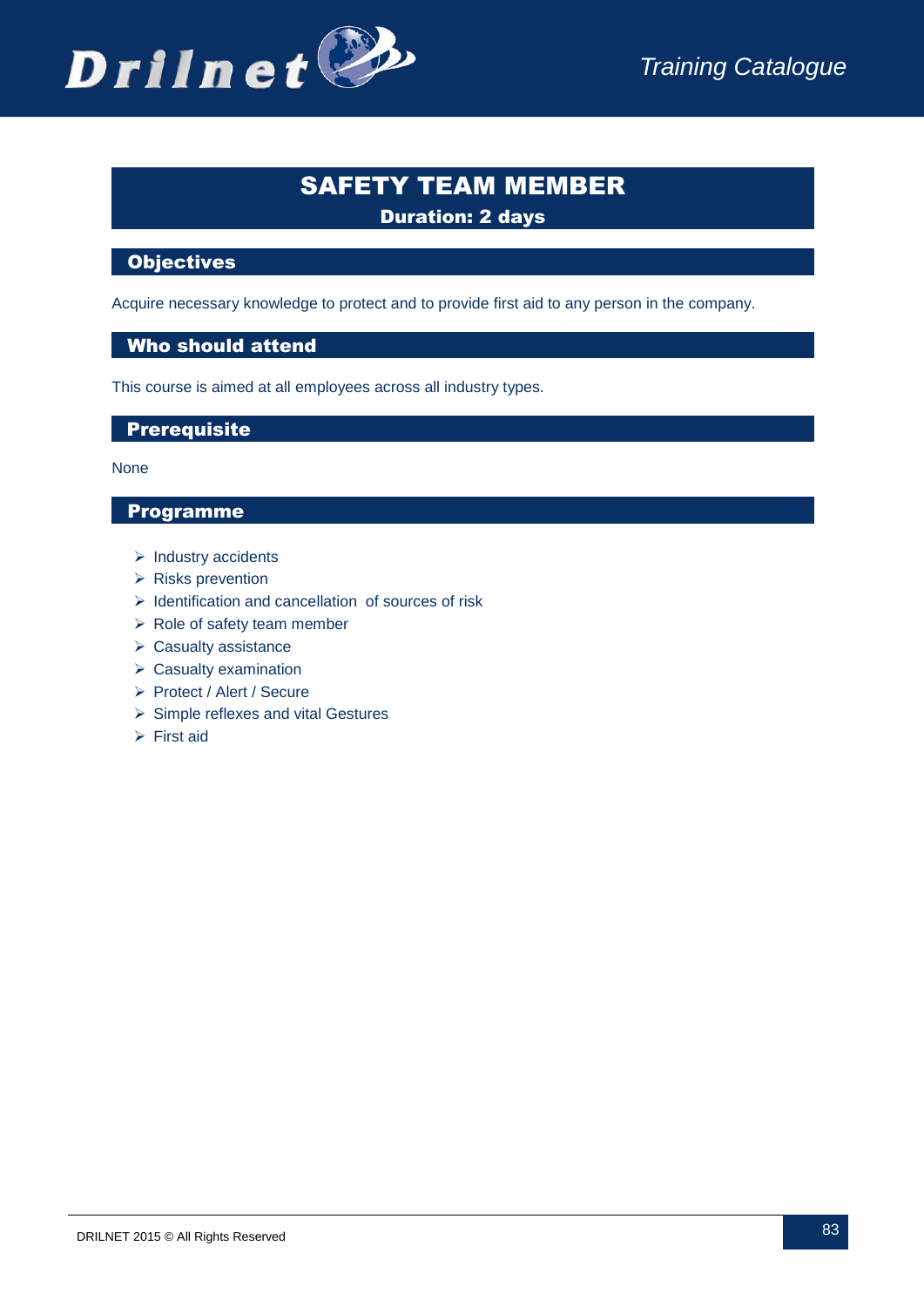

# SAFETY TEAM MEMBER Duration: 2 days

# **Objectives**

Acquire necessary knowledge to protect and to provide first aid to any person in the company.

#### Who should attend

This course is aimed at all employees across all industry types.

**Prerequisite** 

None

- $\triangleright$  Industry accidents
- $\triangleright$  Risks prevention
- $\triangleright$  Identification and cancellation of sources of risk
- $\triangleright$  Role of safety team member
- $\triangleright$  Casualty assistance
- $\triangleright$  Casualty examination
- ▶ Protect / Alert / Secure
- $\triangleright$  Simple reflexes and vital Gestures
- $\triangleright$  First aid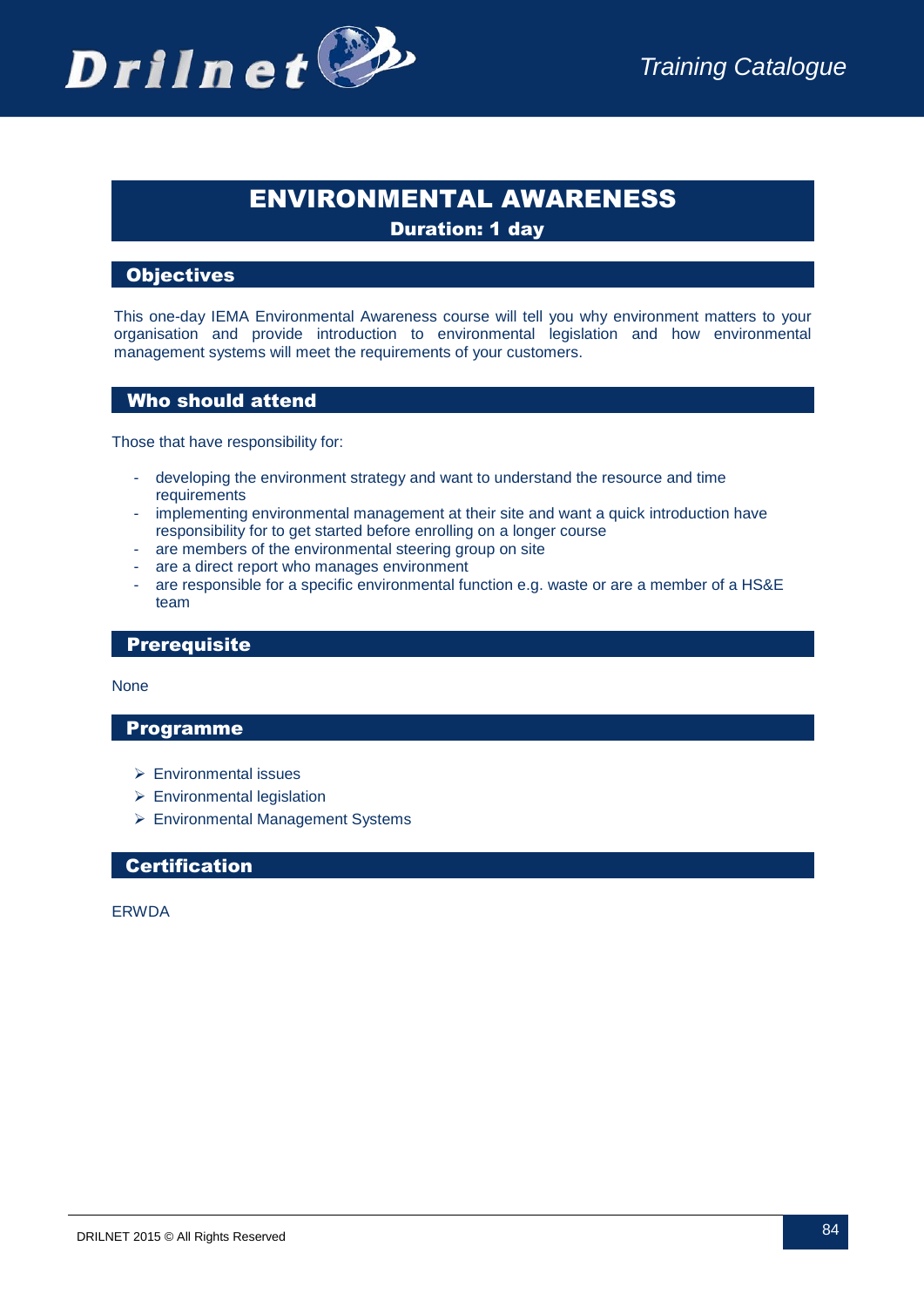

# ENVIRONMENTAL AWARENESS Duration: 1 day

### **Objectives**

This one-day IEMA Environmental Awareness course will tell you why environment matters to your organisation and provide introduction to environmental legislation and how environmental management systems will meet the requirements of your customers.

# Who should attend

Those that have responsibility for:

- developing the environment strategy and want to understand the resource and time requirements
- implementing environmental management at their site and want a quick introduction have responsibility for to get started before enrolling on a longer course
- are members of the environmental steering group on site
- are a direct report who manages environment
- are responsible for a specific environmental function e.g. waste or are a member of a HS&E team

### **Prerequisite**

None

#### Programme

- Environmental issues
- ▶ Environmental legislation
- Environmental Management Systems

# **Certification**

**FRWDA**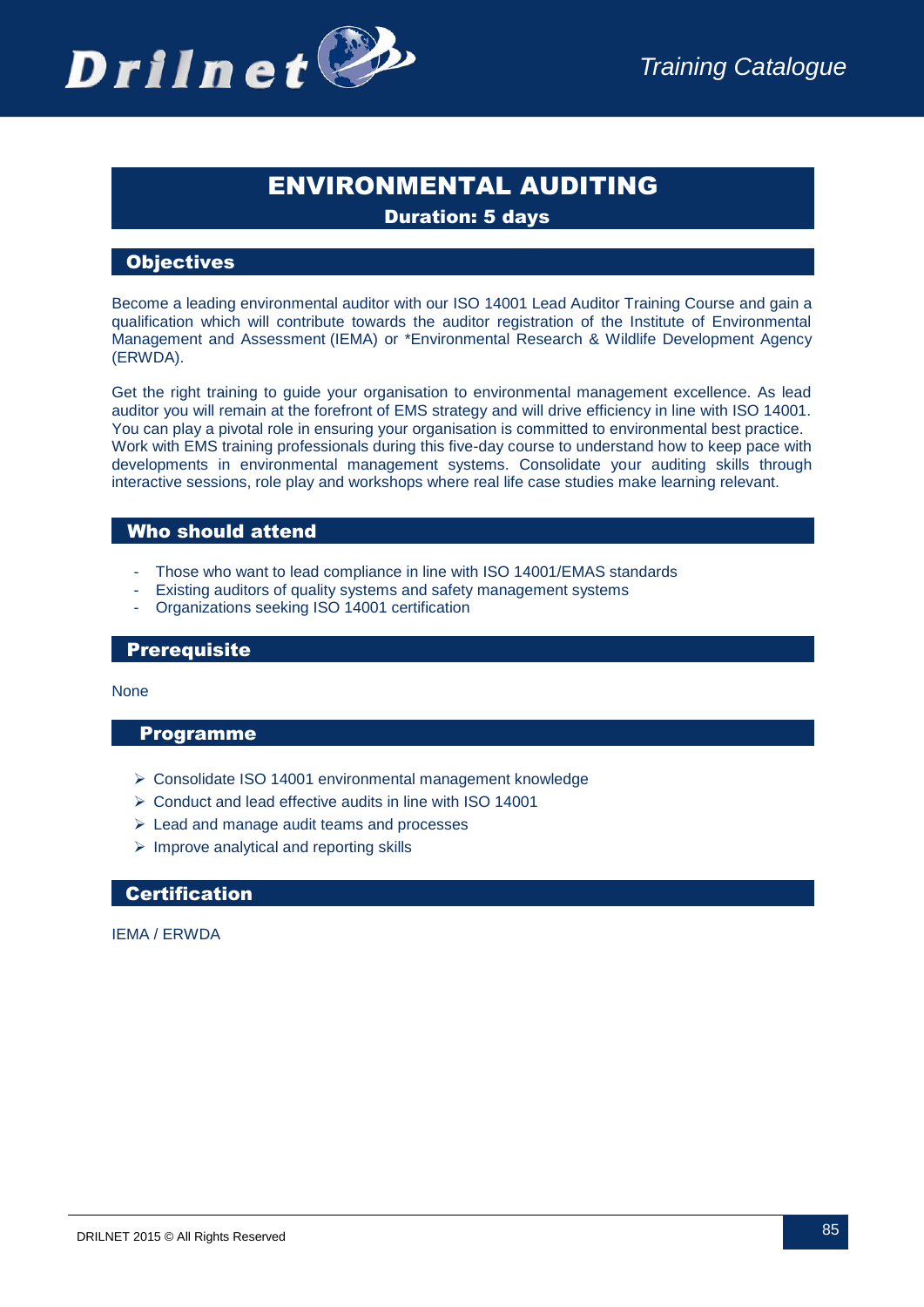

# ENVIRONMENTAL AUDITING Duration: 5 days

# **Objectives**

Become a leading environmental auditor with our ISO 14001 Lead Auditor Training Course and gain a qualification which will contribute towards the auditor registration of the Institute of Environmental Management and Assessment [\(IEMA\)](http://www.iema.net/) or \*Environmental Research & Wildlife Development Agency (ERWDA).

Get the right training to guide your organisation to environmental management excellence. As lead auditor you will remain at the forefront of EMS strategy and will drive efficiency in line with ISO 14001. You can play a pivotal role in ensuring your organisation is committed to environmental best practice. Work with EMS training professionals during this five-day course to understand how to keep pace with developments in environmental management systems. Consolidate your auditing skills through interactive sessions, role play and workshops where real life case studies make learning relevant.

#### Who should attend

- Those who want to lead compliance in line with ISO 14001/EMAS standards
- Existing auditors of quality systems and safety management systems
- Organizations seeking ISO 14001 certification

### **Prerequisite**

None

#### Programme

- Consolidate ISO 14001 environmental management knowledge
- Conduct and lead effective audits in line with ISO 14001
- $\triangleright$  Lead and manage audit teams and processes
- $\triangleright$  Improve analytical and reporting skills

#### **Certification**

IEMA / ERWDA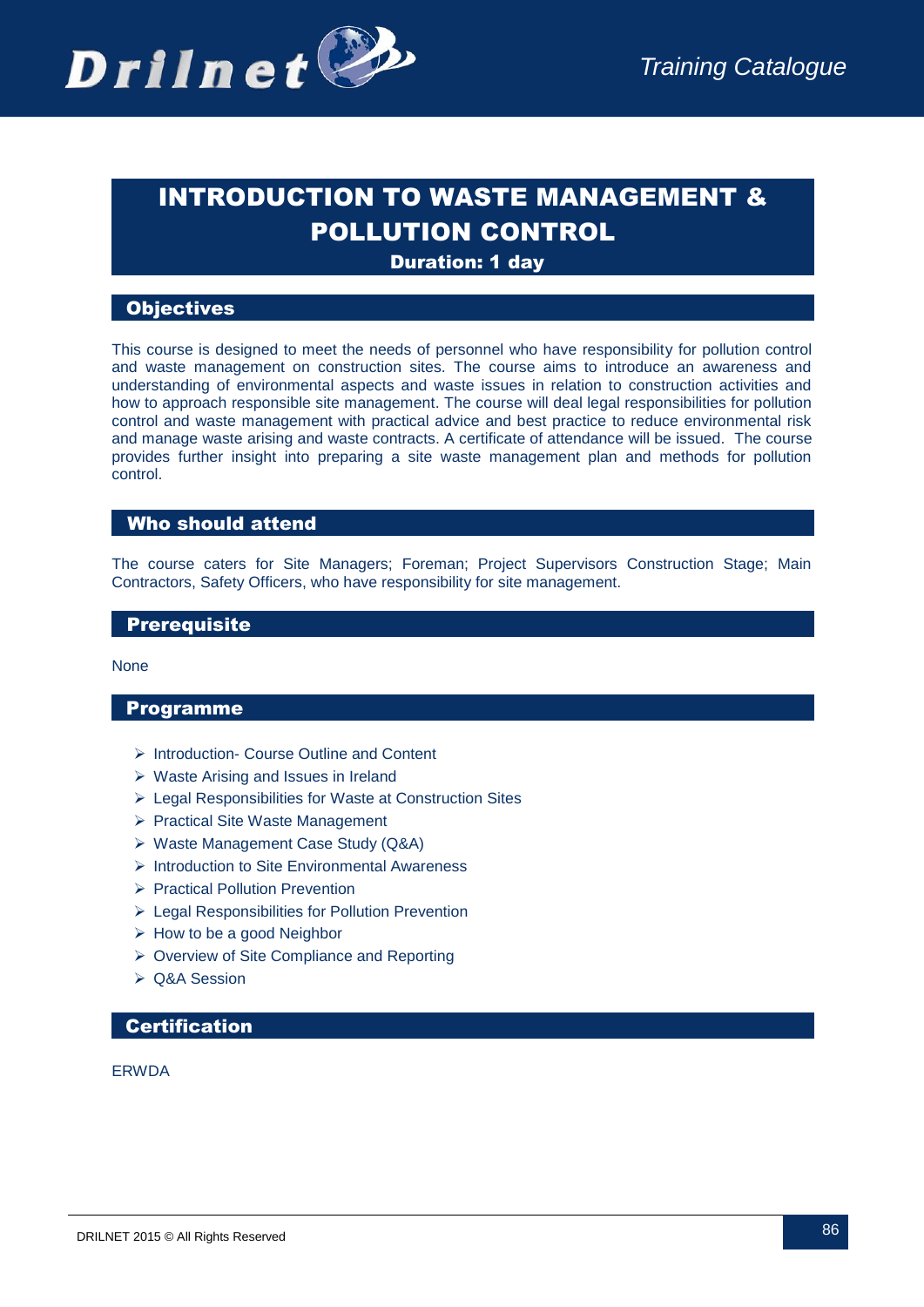# INTRODUCTION TO WASTE MANAGEMENT & POLLUTION CONTROL

Duration: 1 day

# **Objectives**

This course is designed to meet the needs of personnel who have responsibility for pollution control and waste management on construction sites. The course aims to introduce an awareness and understanding of environmental aspects and waste issues in relation to construction activities and how to approach responsible site management. The course will deal legal responsibilities for pollution control and waste management with practical advice and best practice to reduce environmental risk and manage waste arising and waste contracts. A certificate of attendance will be issued. The course provides further insight into preparing a site waste management plan and methods for pollution control.

### Who should attend

The course caters for Site Managers; Foreman; Project Supervisors Construction Stage; Main Contractors, Safety Officers, who have responsibility for site management.

# **Prerequisite**

None

### Programme

- ▶ Introduction- Course Outline and Content
- $\triangleright$  Waste Arising and Issues in Ireland
- Legal Responsibilities for Waste at Construction Sites
- ▶ Practical Site Waste Management
- Waste Management Case Study (Q&A)
- $\triangleright$  Introduction to Site Environmental Awareness
- ▶ Practical Pollution Prevention
- $\triangleright$  Legal Responsibilities for Pollution Prevention
- $\triangleright$  How to be a good Neighbor
- ▶ Overview of Site Compliance and Reporting
- $\triangleright$  Q&A Session

# **Certification**

ERWDA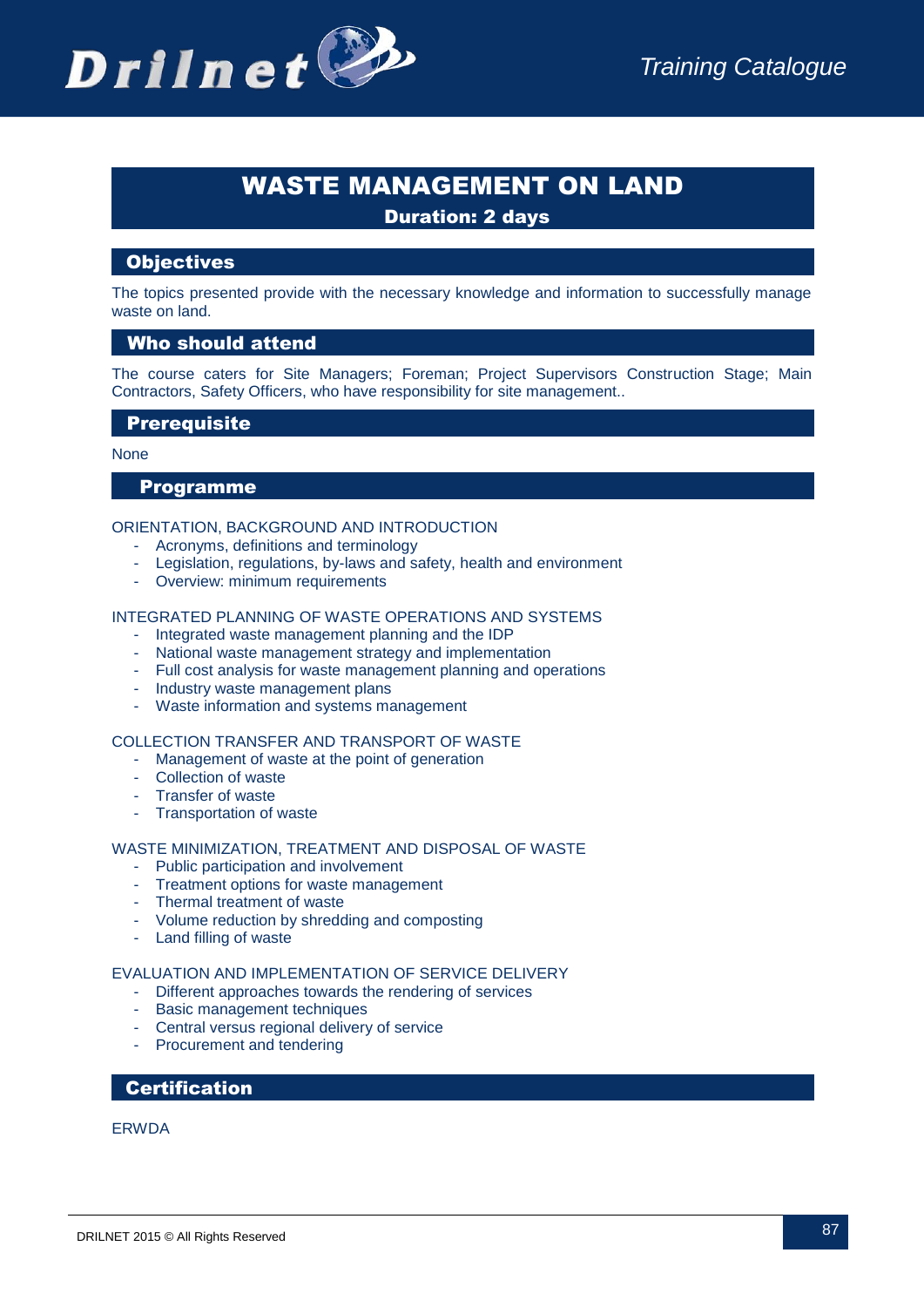# WASTE MANAGEMENT ON LAND

Duration: 2 days

# **Objectives**

The topics presented provide with the necessary knowledge and information to successfully manage waste on land.

# Who should attend

The course caters for Site Managers; Foreman; Project Supervisors Construction Stage; Main Contractors, Safety Officers, who have responsibility for site management..

# **Prerequisite**

#### None

#### Programme

#### ORIENTATION, BACKGROUND AND INTRODUCTION

- Acronyms, definitions and terminology
- Legislation, regulations, by-laws and safety, health and environment
- Overview: minimum requirements

#### INTEGRATED PLANNING OF WASTE OPERATIONS AND SYSTEMS

- Integrated waste management planning and the IDP
- National waste management strategy and implementation
- Full cost analysis for waste management planning and operations
- Industry waste management plans
- Waste information and systems management

#### COLLECTION TRANSFER AND TRANSPORT OF WASTE

- Management of waste at the point of generation
- Collection of waste
- Transfer of waste
- Transportation of waste

#### WASTE MINIMIZATION, TREATMENT AND DISPOSAL OF WASTE

- Public participation and involvement
- Treatment options for waste management
- Thermal treatment of waste
- Volume reduction by shredding and composting
- Land filling of waste

#### EVALUATION AND IMPLEMENTATION OF SERVICE DELIVERY

- Different approaches towards the rendering of services
- Basic management techniques
- Central versus regional delivery of service
- Procurement and tendering

# **Certification**

#### ERWDA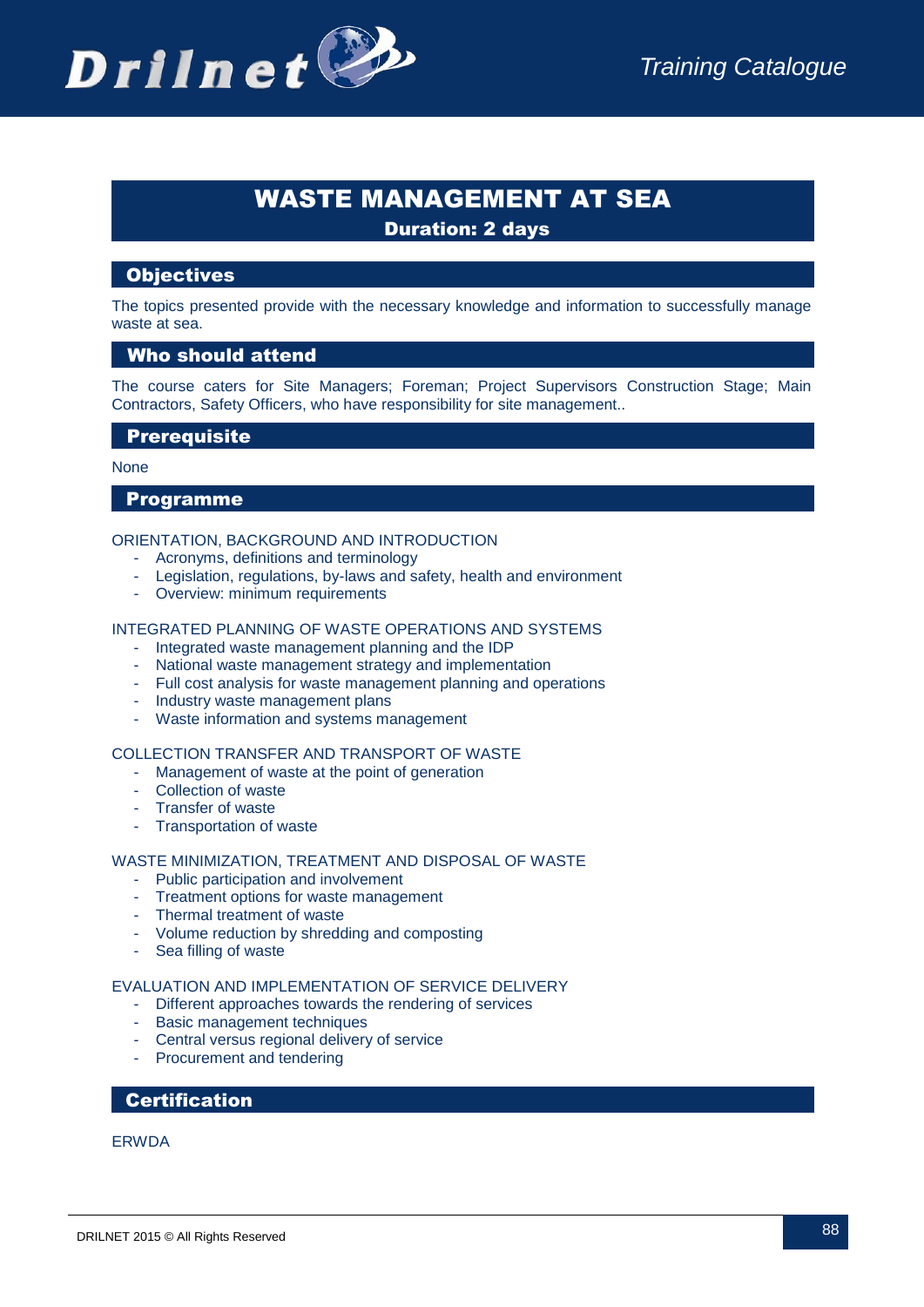

# WASTE MANAGEMENT AT SEA Duration: 2 days

### **Objectives**

The topics presented provide with the necessary knowledge and information to successfully manage waste at sea.

### Who should attend

The course caters for Site Managers; Foreman; Project Supervisors Construction Stage; Main Contractors, Safety Officers, who have responsibility for site management..

### **Prerequisite**

#### None

#### Programme

#### ORIENTATION, BACKGROUND AND INTRODUCTION

- Acronyms, definitions and terminology
- Legislation, regulations, by-laws and safety, health and environment
- Overview: minimum requirements

#### INTEGRATED PLANNING OF WASTE OPERATIONS AND SYSTEMS

- Integrated waste management planning and the IDP
- National waste management strategy and implementation
- Full cost analysis for waste management planning and operations
- Industry waste management plans
- Waste information and systems management

#### COLLECTION TRANSFER AND TRANSPORT OF WASTE

- Management of waste at the point of generation
- Collection of waste
- Transfer of waste
- Transportation of waste

#### WASTE MINIMIZATION, TREATMENT AND DISPOSAL OF WASTE

- Public participation and involvement
- Treatment options for waste management
- Thermal treatment of waste
- Volume reduction by shredding and composting
- Sea filling of waste

#### EVALUATION AND IMPLEMENTATION OF SERVICE DELIVERY

- Different approaches towards the rendering of services
- Basic management techniques
- Central versus regional delivery of service
- Procurement and tendering

# **Certification**

**ERWDA**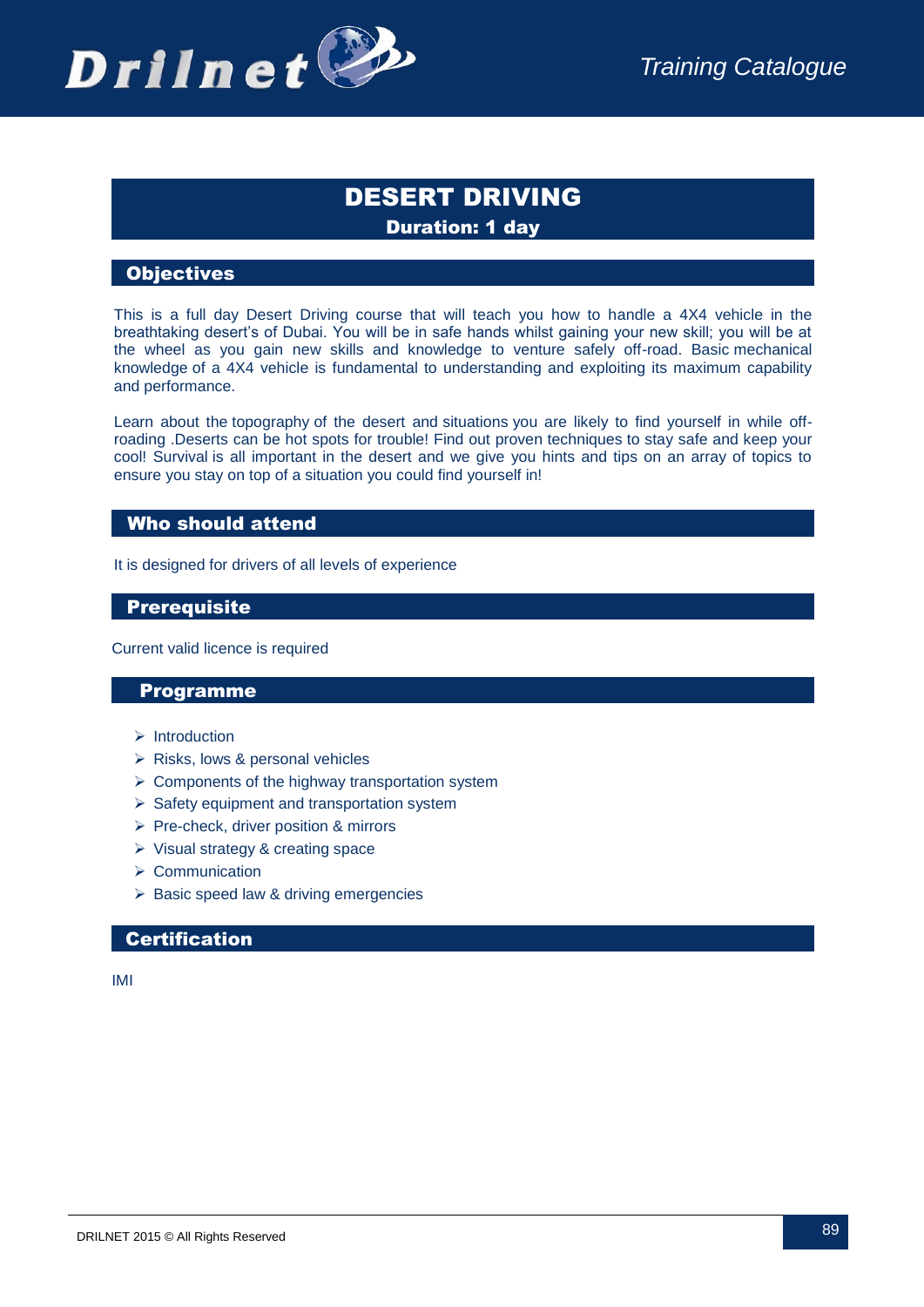

# DESERT DRIVING Duration: 1 day

### **Objectives**

This is a full day Desert Driving course that will teach you how to handle a 4X4 vehicle in the breathtaking desert's of Dubai. You will be in safe hands whilst gaining your new skill; you will be at the wheel as you gain new skills and knowledge to venture safely off-road. Basic mechanical knowledge of a 4X4 vehicle is fundamental to understanding and exploiting its maximum capability and performance.

Learn about the topography of the desert and situations you are likely to find yourself in while offroading .Deserts can be hot spots for trouble! Find out proven techniques to stay safe and keep your cool! Survival is all important in the desert and we give you hints and tips on an array of topics to ensure you stay on top of a situation you could find yourself in!

#### Who should attend

It is designed for drivers of all levels of experience

#### **Prerequisite**

Current valid licence is required

#### Programme

- $\triangleright$  Introduction
- $\triangleright$  Risks, lows & personal vehicles
- $\triangleright$  Components of the highway transportation system
- $\triangleright$  Safety equipment and transportation system
- $\triangleright$  Pre-check, driver position & mirrors
- $\triangleright$  Visual strategy & creating space
- $\triangleright$  Communication
- $\triangleright$  Basic speed law & driving emergencies

#### **Certification**

IMI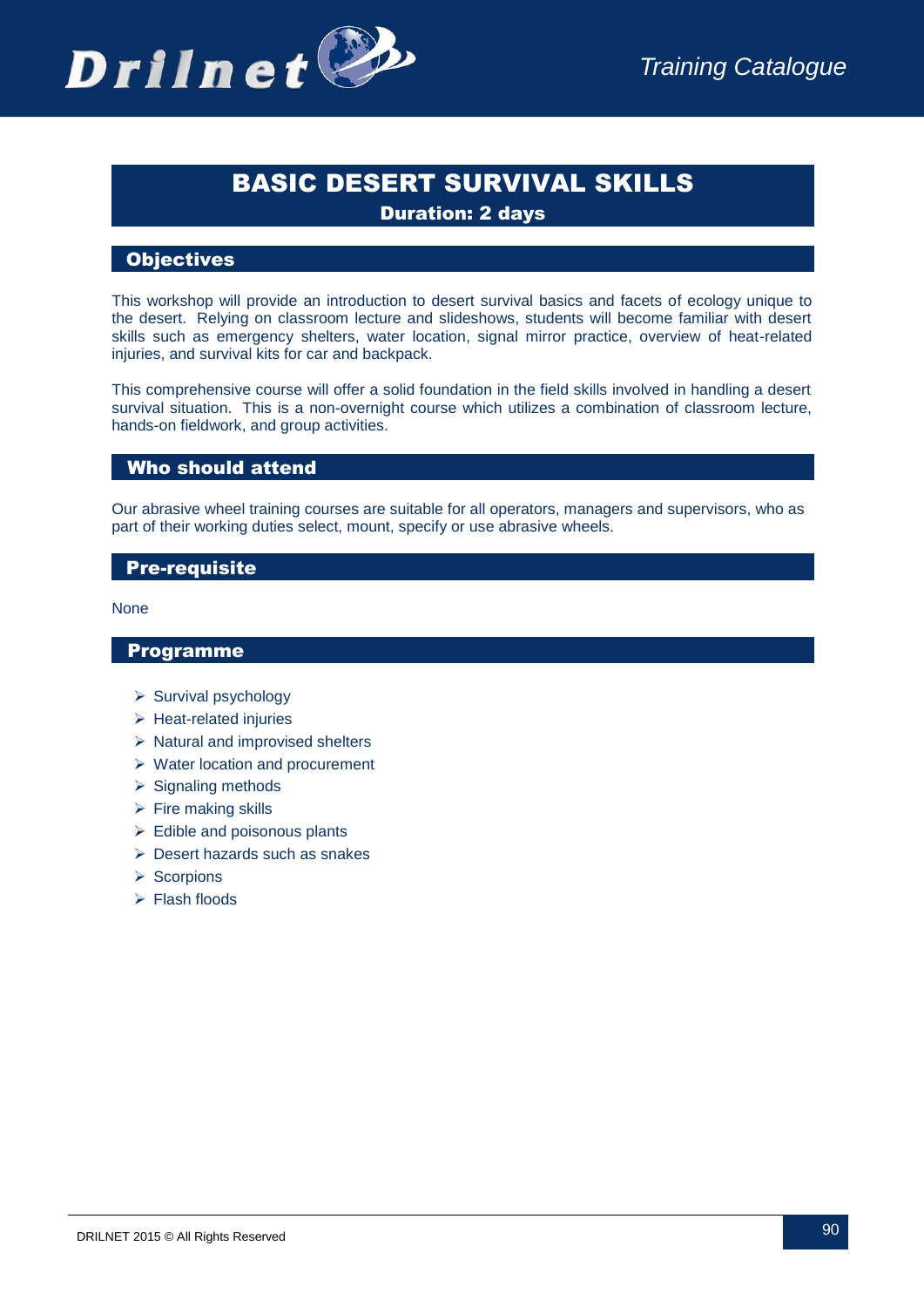

# BASIC DESERT SURVIVAL SKILLS

Duration: 2 days

# **Objectives**

This workshop will provide an introduction to desert survival basics and facets of ecology unique to the desert. Relying on classroom lecture and slideshows, students will become familiar with desert skills such as emergency shelters, water location, signal mirror practice, overview of heat-related injuries, and survival kits for car and backpack.

This comprehensive course will offer a solid foundation in the field skills involved in handling a desert survival situation. This is a non-overnight course which utilizes a combination of classroom lecture, hands-on fieldwork, and group activities.

### Who should attend

Our abrasive wheel training courses are suitable for all operators, managers and supervisors, who as part of their working duties select, mount, specify or use abrasive wheels.

### Pre-requisite

None

- $\triangleright$  Survival psychology
- $\triangleright$  Heat-related injuries
- $\triangleright$  Natural and improvised shelters
- Water location and procurement
- $\triangleright$  Signaling methods
- $\triangleright$  Fire making skills
- $\triangleright$  Edible and poisonous plants
- Desert hazards such as snakes
- $\triangleright$  Scorpions
- $\triangleright$  Flash floods